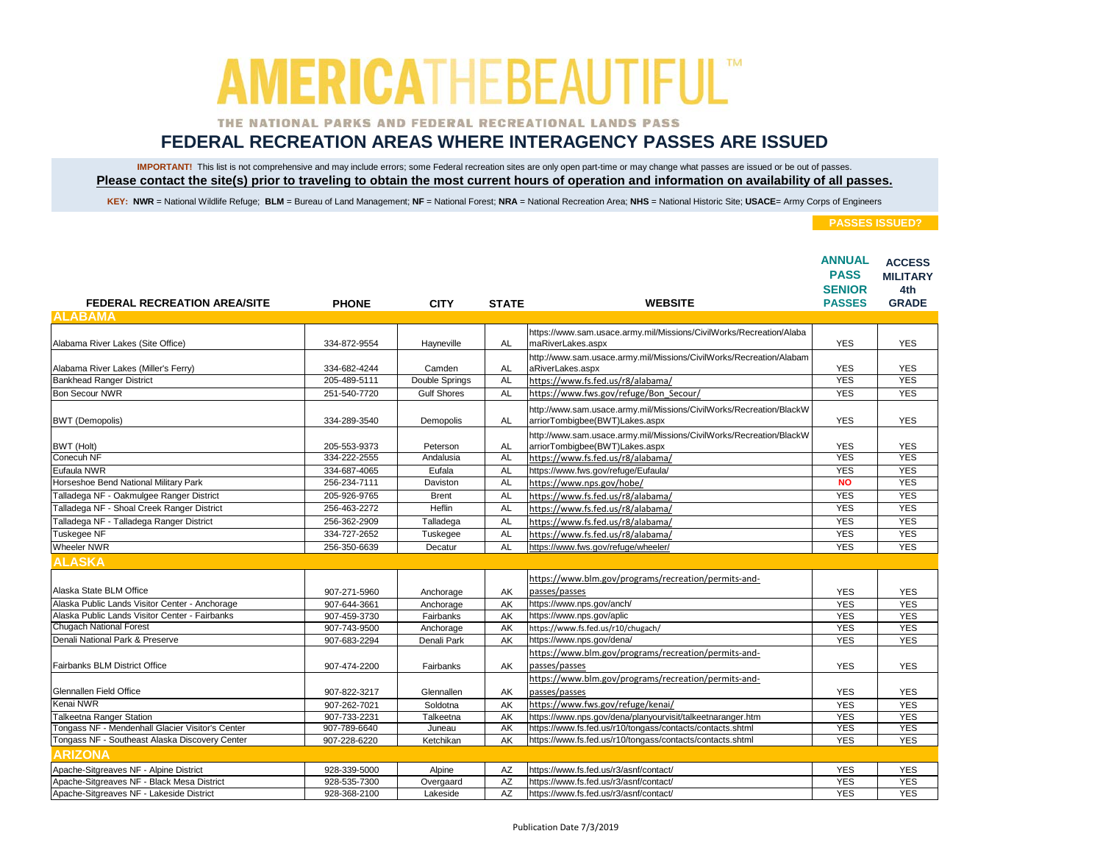### THE NATIONAL PARKS AND FEDERAL RECREATIONAL LANDS PASS

## **FEDERAL RECREATION AREAS WHERE INTERAGENCY PASSES ARE ISSUED**

IMPORTANT! This list is not comprehensive and may include errors; some Federal recreation sites are only open part-time or may change what passes are issued or be out of passes. **Please contact the site(s) prior to traveling to obtain the most current hours of operation and information on availability of all passes.**

KEY: NWR = National Wildlife Refuge; BLM = Bureau of Land Management; NF = National Forest; NRA = National Recreation Area; NHS = National Historic Site; USACE= Army Corps of Engineers

| <b>FEDERAL RECREATION AREA/SITE</b>              | <b>PHONE</b> | <b>CITY</b>        | <b>STATE</b> | <b>WEBSITE</b>                                                                                        | <b>ANNUAL</b><br><b>PASS</b><br><b>SENIOR</b><br><b>PASSES</b> | <b>ACCESS</b><br><b>MILITARY</b><br>4th<br><b>GRADE</b> |
|--------------------------------------------------|--------------|--------------------|--------------|-------------------------------------------------------------------------------------------------------|----------------------------------------------------------------|---------------------------------------------------------|
| <b>ALABAMA</b>                                   |              |                    |              |                                                                                                       |                                                                |                                                         |
|                                                  |              |                    |              | https://www.sam.usace.army.mil/Missions/CivilWorks/Recreation/Alaba                                   |                                                                |                                                         |
| Alabama River Lakes (Site Office)                | 334-872-9554 | Hayneville         | AL           | maRiverLakes.aspx                                                                                     | <b>YES</b>                                                     | <b>YES</b>                                              |
|                                                  |              |                    |              | http://www.sam.usace.army.mil/Missions/CivilWorks/Recreation/Alabam                                   |                                                                |                                                         |
| Alabama River Lakes (Miller's Ferry)             | 334-682-4244 | Camden             | <b>AL</b>    | aRiverLakes.aspx                                                                                      | <b>YES</b>                                                     | <b>YES</b>                                              |
| <b>Bankhead Ranger District</b>                  | 205-489-5111 | Double Springs     | <b>AL</b>    | https://www.fs.fed.us/r8/alabama/                                                                     | <b>YES</b>                                                     | <b>YES</b>                                              |
| <b>Bon Secour NWR</b>                            | 251-540-7720 | <b>Gulf Shores</b> | <b>AL</b>    | https://www.fws.gov/refuge/Bon Secour/                                                                | <b>YES</b>                                                     | <b>YES</b>                                              |
| <b>BWT</b> (Demopolis)                           | 334-289-3540 | Demopolis          | <b>AL</b>    | http://www.sam.usace.army.mil/Missions/CivilWorks/Recreation/BlackW<br>arriorTombigbee(BWT)Lakes.aspx | <b>YES</b>                                                     | <b>YES</b>                                              |
|                                                  |              |                    |              | http://www.sam.usace.army.mil/Missions/CivilWorks/Recreation/BlackW                                   |                                                                |                                                         |
| BWT (Holt)                                       | 205-553-9373 | Peterson           | <b>AL</b>    | arriorTombigbee(BWT)Lakes.aspx                                                                        | <b>YES</b>                                                     | <b>YES</b>                                              |
| Conecuh NF                                       | 334-222-2555 | Andalusia          | <b>AL</b>    | https://www.fs.fed.us/r8/alabama/                                                                     | <b>YES</b>                                                     | <b>YES</b>                                              |
| Eufaula NWR                                      | 334-687-4065 | Eufala             | <b>AL</b>    | https://www.fws.gov/refuge/Eufaula/                                                                   | <b>YES</b>                                                     | <b>YES</b>                                              |
| Horseshoe Bend National Military Park            | 256-234-7111 | Daviston           | <b>AL</b>    | https://www.nps.gov/hobe/                                                                             | <b>NO</b>                                                      | <b>YES</b>                                              |
| Talladega NF - Oakmulgee Ranger District         | 205-926-9765 | <b>Brent</b>       | <b>AL</b>    | https://www.fs.fed.us/r8/alabama/                                                                     | <b>YES</b>                                                     | <b>YES</b>                                              |
| Talladega NF - Shoal Creek Ranger District       | 256-463-2272 | <b>Heflin</b>      | <b>AL</b>    | https://www.fs.fed.us/r8/alabama/                                                                     | <b>YES</b>                                                     | <b>YES</b>                                              |
| Talladega NF - Talladega Ranger District         | 256-362-2909 | Talladega          | <b>AL</b>    | https://www.fs.fed.us/r8/alabama/                                                                     | <b>YES</b>                                                     | <b>YES</b>                                              |
| <b>Tuskegee NF</b>                               | 334-727-2652 | Tuskegee           | <b>AL</b>    | https://www.fs.fed.us/r8/alabama/                                                                     | <b>YES</b>                                                     | <b>YES</b>                                              |
| <b>Wheeler NWR</b>                               | 256-350-6639 | Decatur            | <b>AL</b>    | https://www.fws.gov/refuge/wheeler/                                                                   | <b>YES</b>                                                     | <b>YES</b>                                              |
| <b>ALASKA</b>                                    |              |                    |              |                                                                                                       |                                                                |                                                         |
|                                                  |              |                    |              | https://www.blm.gov/programs/recreation/permits-and-                                                  |                                                                |                                                         |
| Alaska State BLM Office                          | 907-271-5960 | Anchorage          | AK           | passes/passes                                                                                         | <b>YES</b>                                                     | <b>YES</b>                                              |
| Alaska Public Lands Visitor Center - Anchorage   | 907-644-3661 | Anchorage          | AK           | https://www.nps.gov/anch/                                                                             | <b>YES</b>                                                     | <b>YES</b>                                              |
| Alaska Public Lands Visitor Center - Fairbanks   | 907-459-3730 | Fairbanks          | AK           | https://www.nps.gov/aplic                                                                             | <b>YES</b>                                                     | <b>YES</b>                                              |
| <b>Chugach National Forest</b>                   | 907-743-9500 | Anchorage          | AK           | https://www.fs.fed.us/r10/chugach/                                                                    | <b>YES</b>                                                     | <b>YES</b>                                              |
| Denali National Park & Preserve                  | 907-683-2294 | Denali Park        | AK           | https://www.nps.gov/dena/                                                                             | <b>YES</b>                                                     | <b>YES</b>                                              |
|                                                  |              |                    |              | https://www.blm.gov/programs/recreation/permits-and-                                                  |                                                                |                                                         |
| Fairbanks BLM District Office                    | 907-474-2200 | Fairbanks          | AK           | passes/passes                                                                                         | <b>YES</b>                                                     | <b>YES</b>                                              |
|                                                  |              |                    |              | https://www.blm.gov/programs/recreation/permits-and-                                                  |                                                                |                                                         |
| Glennallen Field Office                          | 907-822-3217 | Glennallen         | AK           | passes/passes                                                                                         | <b>YES</b>                                                     | <b>YES</b>                                              |
| Kenai NWR                                        | 907-262-7021 | Soldotna           | AK           | https://www.fws.gov/refuge/kenai/                                                                     | <b>YES</b>                                                     | <b>YES</b>                                              |
| <b>Talkeetna Ranger Station</b>                  | 907-733-2231 | Talkeetna          | AK           | https://www.nps.gov/dena/planyourvisit/talkeetnaranger.htm                                            | <b>YES</b>                                                     | <b>YES</b>                                              |
| Tongass NF - Mendenhall Glacier Visitor's Center | 907-789-6640 | Juneau             | AK           | https://www.fs.fed.us/r10/tongass/contacts/contacts.shtml                                             | <b>YES</b>                                                     | <b>YES</b>                                              |
| Tongass NF - Southeast Alaska Discovery Center   | 907-228-6220 | Ketchikan          | AK           | https://www.fs.fed.us/r10/tongass/contacts/contacts.shtml                                             | <b>YES</b>                                                     | <b>YES</b>                                              |
| <b>ARIZONA</b>                                   |              |                    |              |                                                                                                       |                                                                |                                                         |
| Apache-Sitgreaves NF - Alpine District           | 928-339-5000 | Alpine             | AZ           | https://www.fs.fed.us/r3/asnf/contact/                                                                | <b>YES</b>                                                     | <b>YES</b>                                              |
| Apache-Sitgreaves NF - Black Mesa District       | 928-535-7300 | Overgaard          | <b>AZ</b>    | https://www.fs.fed.us/r3/asnf/contact/                                                                | <b>YES</b>                                                     | <b>YES</b>                                              |
| Apache-Sitgreaves NF - Lakeside District         | 928-368-2100 | Lakeside           | <b>AZ</b>    | https://www.fs.fed.us/r3/asnf/contact/                                                                | <b>YES</b>                                                     | <b>YES</b>                                              |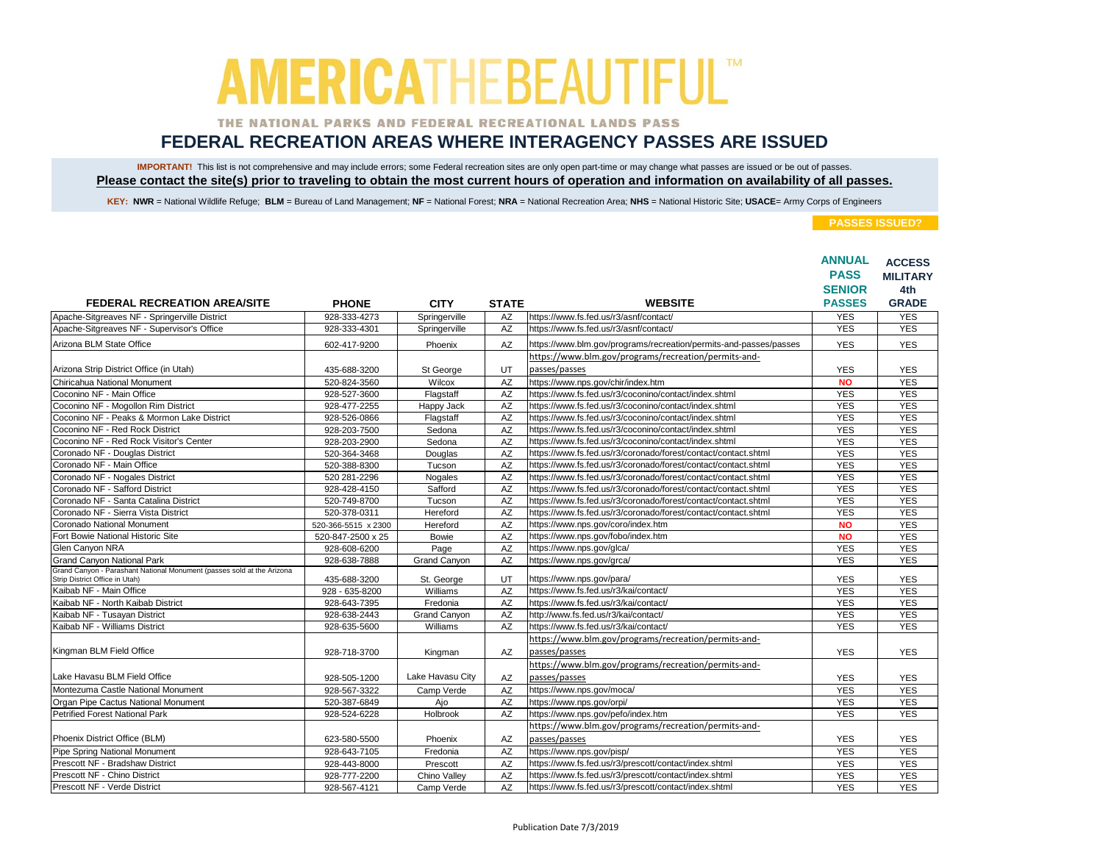### THE NATIONAL PARKS AND FEDERAL RECREATIONAL LANDS PASS

## **FEDERAL RECREATION AREAS WHERE INTERAGENCY PASSES ARE ISSUED**

IMPORTANT! This list is not comprehensive and may include errors; some Federal recreation sites are only open part-time or may change what passes are issued or be out of passes. **Please contact the site(s) prior to traveling to obtain the most current hours of operation and information on availability of all passes.**

KEY: NWR = National Wildlife Refuge; BLM = Bureau of Land Management; NF = National Forest; NRA = National Recreation Area; NHS = National Historic Site; USACE= Army Corps of Engineers

|                                                                                                          |                     |                     |              |                                                                   | <b>ANNUAL</b><br><b>PASS</b><br><b>SENIOR</b> | <b>ACCESS</b><br><b>MILITARY</b><br>4th |
|----------------------------------------------------------------------------------------------------------|---------------------|---------------------|--------------|-------------------------------------------------------------------|-----------------------------------------------|-----------------------------------------|
| <b>FEDERAL RECREATION AREA/SITE</b>                                                                      | <b>PHONE</b>        | <b>CITY</b>         | <b>STATE</b> | <b>WEBSITE</b>                                                    | <b>PASSES</b>                                 | <b>GRADE</b>                            |
| Apache-Sitgreaves NF - Springerville District                                                            | 928-333-4273        | Springerville       | AZ           | https://www.fs.fed.us/r3/asnf/contact/                            | <b>YES</b>                                    | <b>YES</b>                              |
| Apache-Sitgreaves NF - Supervisor's Office                                                               | 928-333-4301        | Springerville       | AZ           | https://www.fs.fed.us/r3/asnf/contact/                            | <b>YES</b>                                    | <b>YES</b>                              |
| Arizona BLM State Office                                                                                 | 602-417-9200        | Phoenix             | AZ           | https://www.blm.gov/programs/recreation/permits-and-passes/passes | <b>YES</b>                                    | <b>YES</b>                              |
|                                                                                                          |                     |                     |              | https://www.blm.gov/programs/recreation/permits-and-              |                                               |                                         |
| Arizona Strip District Office (in Utah)                                                                  | 435-688-3200        | St George           | UT           | passes/passes                                                     | <b>YES</b>                                    | <b>YES</b>                              |
| Chiricahua National Monument                                                                             | 520-824-3560        | Wilcox              | AZ           | https://www.nps.gov/chir/index.htm                                | <b>NO</b>                                     | <b>YES</b>                              |
| Coconino NF - Main Office                                                                                | 928-527-3600        | Flagstaff           | AZ           | https://www.fs.fed.us/r3/coconino/contact/index.shtml             | <b>YES</b>                                    | <b>YES</b>                              |
| Coconino NF - Mogollon Rim District                                                                      | 928-477-2255        | Happy Jack          | AZ           | https://www.fs.fed.us/r3/coconino/contact/index.shtml             | <b>YES</b>                                    | <b>YES</b>                              |
| Coconino NF - Peaks & Mormon Lake District                                                               | 928-526-0866        | Flagstaff           | <b>AZ</b>    | https://www.fs.fed.us/r3/coconino/contact/index.shtml             | <b>YES</b>                                    | <b>YES</b>                              |
| Coconino NF - Red Rock District                                                                          | 928-203-7500        | Sedona              | AZ           | https://www.fs.fed.us/r3/coconino/contact/index.shtml             | <b>YES</b>                                    | <b>YES</b>                              |
| Coconino NF - Red Rock Visitor's Center                                                                  | 928-203-2900        | Sedona              | AZ           | https://www.fs.fed.us/r3/coconino/contact/index.shtml             | <b>YES</b>                                    | <b>YES</b>                              |
| Coronado NF - Douglas District                                                                           | 520-364-3468        | Douglas             | AZ           | https://www.fs.fed.us/r3/coronado/forest/contact/contact.shtml    | <b>YES</b>                                    | <b>YES</b>                              |
| Coronado NF - Main Office                                                                                | 520-388-8300        | Tucson              | AZ           | https://www.fs.fed.us/r3/coronado/forest/contact/contact.shtml    | <b>YES</b>                                    | <b>YES</b>                              |
| Coronado NF - Nogales District                                                                           | 520 281-2296        | Nogales             | AZ           | https://www.fs.fed.us/r3/coronado/forest/contact/contact.shtml    | <b>YES</b>                                    | <b>YES</b>                              |
| Coronado NF - Safford District                                                                           | 928-428-4150        | Safford             | AZ           | https://www.fs.fed.us/r3/coronado/forest/contact/contact.shtml    | <b>YES</b>                                    | <b>YES</b>                              |
| Coronado NF - Santa Catalina District                                                                    | 520-749-8700        | Tucson              | AZ           | https://www.fs.fed.us/r3/coronado/forest/contact/contact.shtml    | <b>YES</b>                                    | <b>YES</b>                              |
| Coronado NF - Sierra Vista District                                                                      | 520-378-0311        | Hereford            | AZ           | https://www.fs.fed.us/r3/coronado/forest/contact/contact.shtml    | <b>YES</b>                                    | <b>YES</b>                              |
| Coronado National Monument                                                                               | 520-366-5515 x 2300 | Hereford            | AZ           | https://www.nps.gov/coro/index.htm                                | <b>NO</b>                                     | <b>YES</b>                              |
| Fort Bowie National Historic Site                                                                        | 520-847-2500 x 25   | <b>Bowie</b>        | <b>AZ</b>    | https://www.nps.gov/fobo/index.htm                                | <b>NO</b>                                     | <b>YES</b>                              |
| Glen Canyon NRA                                                                                          | 928-608-6200        | Page                | AZ           | https://www.nps.gov/glca/                                         | <b>YES</b>                                    | <b>YES</b>                              |
| <b>Grand Canyon National Park</b>                                                                        | 928-638-7888        | <b>Grand Canyon</b> | AZ           | https://www.nps.gov/grca/                                         | <b>YES</b>                                    | <b>YES</b>                              |
| Grand Canyon - Parashant National Monument (passes sold at the Arizona<br>Strip District Office in Utah) | 435-688-3200        | St. George          | UT           | https://www.nps.gov/para/                                         | <b>YES</b>                                    | <b>YES</b>                              |
| Kaibab NF - Main Office                                                                                  | 928 - 635-8200      | Williams            | AZ           | https://www.fs.fed.us/r3/kai/contact/                             | <b>YES</b>                                    | <b>YES</b>                              |
| Kaibab NF - North Kaibab District                                                                        | 928-643-7395        | Fredonia            | <b>AZ</b>    | https://www.fs.fed.us/r3/kai/contact/                             | <b>YES</b>                                    | <b>YES</b>                              |
| Kaibab NF - Tusayan District                                                                             | 928-638-2443        | <b>Grand Canyon</b> | AZ           | http://www.fs.fed.us/r3/kai/contact/                              | <b>YES</b>                                    | <b>YES</b>                              |
| Kaibab NF - Williams District                                                                            | 928-635-5600        | Williams            | AZ           | https://www.fs.fed.us/r3/kai/contact/                             | <b>YES</b>                                    | <b>YES</b>                              |
|                                                                                                          |                     |                     |              | https://www.blm.gov/programs/recreation/permits-and-              |                                               |                                         |
| Kingman BLM Field Office                                                                                 | 928-718-3700        | Kingman             | AZ           | passes/passes                                                     | <b>YES</b>                                    | <b>YES</b>                              |
|                                                                                                          |                     |                     |              | https://www.blm.gov/programs/recreation/permits-and-              |                                               |                                         |
| Lake Havasu BLM Field Office                                                                             | 928-505-1200        | Lake Havasu Citv    | AZ           | passes/passes                                                     | <b>YES</b>                                    | <b>YES</b>                              |
| Montezuma Castle National Monument                                                                       | 928-567-3322        | Camp Verde          | AZ           | https://www.nps.gov/moca/                                         | <b>YES</b>                                    | <b>YES</b>                              |
| Organ Pipe Cactus National Monument                                                                      | 520-387-6849        | Ajo                 | AZ           | https://www.nps.gov/orpi/                                         | <b>YES</b>                                    | <b>YES</b>                              |
| <b>Petrified Forest National Park</b>                                                                    | 928-524-6228        | Holbrook            | <b>AZ</b>    | https://www.nps.gov/pefo/index.htm                                | <b>YES</b>                                    | <b>YES</b>                              |
|                                                                                                          |                     |                     |              | https://www.blm.gov/programs/recreation/permits-and-              |                                               |                                         |
| Phoenix District Office (BLM)                                                                            | 623-580-5500        | Phoenix             | AZ           | passes/passes                                                     | <b>YES</b>                                    | <b>YES</b>                              |
| <b>Pipe Spring National Monument</b>                                                                     | 928-643-7105        | Fredonia            | AZ           | https://www.nps.gov/pisp/                                         | <b>YES</b>                                    | <b>YES</b>                              |
| Prescott NF - Bradshaw District                                                                          | 928-443-8000        | Prescott            | AZ           | https://www.fs.fed.us/r3/prescott/contact/index.shtml             | <b>YES</b>                                    | <b>YES</b>                              |
| Prescott NF - Chino District                                                                             | 928-777-2200        | Chino Valley        | AZ           | https://www.fs.fed.us/r3/prescott/contact/index.shtml             | <b>YES</b>                                    | <b>YES</b>                              |
| Prescott NF - Verde District                                                                             | 928-567-4121        | Camp Verde          | AZ           | https://www.fs.fed.us/r3/prescott/contact/index.shtml             | <b>YES</b>                                    | <b>YES</b>                              |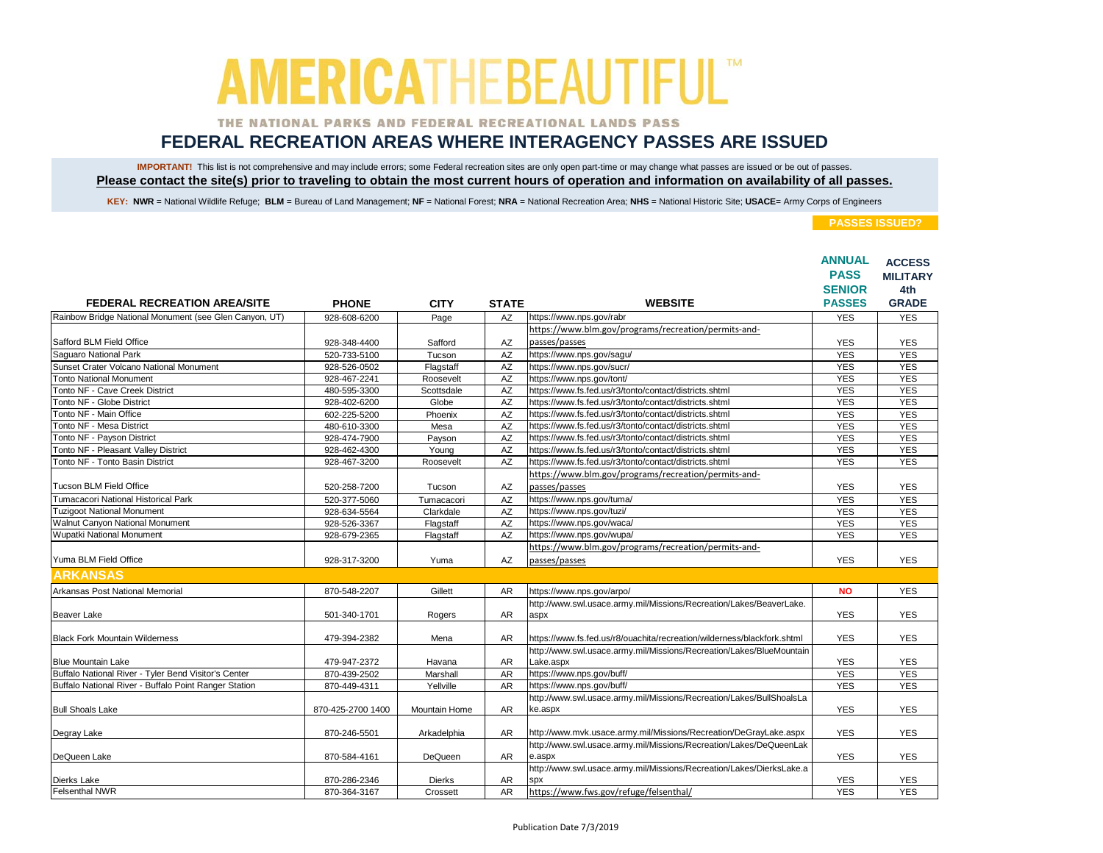### THE NATIONAL PARKS AND FEDERAL RECREATIONAL LANDS PASS

## **FEDERAL RECREATION AREAS WHERE INTERAGENCY PASSES ARE ISSUED**

IMPORTANT! This list is not comprehensive and may include errors; some Federal recreation sites are only open part-time or may change what passes are issued or be out of passes. **Please contact the site(s) prior to traveling to obtain the most current hours of operation and information on availability of all passes.**

KEY: NWR = National Wildlife Refuge; BLM = Bureau of Land Management; NF = National Forest; NRA = National Recreation Area; NHS = National Historic Site; USACE= Army Corps of Engineers

|                                                        |                   |                      |              |                                                                                    | <b>ANNUAL</b><br><b>PASS</b><br><b>SENIOR</b> | <b>ACCESS</b><br><b>MILITARY</b><br>4th |
|--------------------------------------------------------|-------------------|----------------------|--------------|------------------------------------------------------------------------------------|-----------------------------------------------|-----------------------------------------|
| <b>FEDERAL RECREATION AREA/SITE</b>                    | <b>PHONE</b>      | <b>CITY</b>          | <b>STATE</b> | <b>WEBSITE</b>                                                                     | <b>PASSES</b>                                 | <b>GRADE</b>                            |
| Rainbow Bridge National Monument (see Glen Canyon, UT) | 928-608-6200      | Page                 | AZ           | https://www.nps.gov/rabr                                                           | <b>YES</b>                                    | <b>YES</b>                              |
|                                                        |                   |                      |              | https://www.blm.gov/programs/recreation/permits-and-                               |                                               |                                         |
| Safford BLM Field Office                               | 928-348-4400      | Safford              | AZ           | passes/passes                                                                      | <b>YES</b>                                    | <b>YES</b>                              |
| Saquaro National Park                                  | 520-733-5100      | Tucson               | AZ           | https://www.nps.gov/sagu/                                                          | <b>YES</b>                                    | <b>YES</b>                              |
| Sunset Crater Volcano National Monument                | 928-526-0502      | Flagstaff            | AZ           | https://www.nps.gov/sucr/                                                          | <b>YES</b>                                    | <b>YES</b>                              |
| <b>Tonto National Monument</b>                         | 928-467-2241      | Roosevelt            | AZ           | https://www.nps.gov/tont/                                                          | <b>YES</b>                                    | <b>YES</b>                              |
| Tonto NF - Cave Creek District                         | 480-595-3300      | Scottsdale           | AZ           | https://www.fs.fed.us/r3/tonto/contact/districts.shtml                             | <b>YES</b>                                    | <b>YES</b>                              |
| Tonto NF - Globe District                              | 928-402-6200      | Globe                | AZ           | https://www.fs.fed.us/r3/tonto/contact/districts.shtml                             | <b>YES</b>                                    | <b>YES</b>                              |
| Tonto NF - Main Office                                 | 602-225-5200      | Phoenix              | AZ           | https://www.fs.fed.us/r3/tonto/contact/districts.shtml                             | <b>YES</b>                                    | <b>YES</b>                              |
| Tonto NF - Mesa District                               | 480-610-3300      | Mesa                 | AZ           | https://www.fs.fed.us/r3/tonto/contact/districts.shtml                             | <b>YES</b>                                    | <b>YES</b>                              |
| Tonto NF - Payson District                             | 928-474-7900      | Payson               | AZ           | https://www.fs.fed.us/r3/tonto/contact/districts.shtml                             | <b>YES</b>                                    | <b>YES</b>                              |
| Tonto NF - Pleasant Valley District                    | 928-462-4300      | Young                | AZ           | https://www.fs.fed.us/r3/tonto/contact/districts.shtml                             | <b>YES</b>                                    | <b>YES</b>                              |
| Tonto NF - Tonto Basin District                        | 928-467-3200      | Roosevelt            | AZ           | https://www.fs.fed.us/r3/tonto/contact/districts.shtml                             | <b>YES</b>                                    | <b>YES</b>                              |
|                                                        |                   |                      |              | https://www.blm.gov/programs/recreation/permits-and-                               |                                               |                                         |
| <b>Tucson BLM Field Office</b>                         | 520-258-7200      | Tucson               | AZ           | passes/passes                                                                      | <b>YES</b>                                    | <b>YES</b>                              |
| <b>Tumacacori National Historical Park</b>             | 520-377-5060      | Tumacacori           | AZ           | https://www.nps.gov/tuma/                                                          | <b>YES</b>                                    | <b>YES</b>                              |
| <b>Tuziqoot National Monument</b>                      | 928-634-5564      | Clarkdale            | AZ           | https://www.nps.gov/tuzi/                                                          | <b>YES</b>                                    | <b>YES</b>                              |
| Walnut Canyon National Monument                        | 928-526-3367      | Flagstaff            | AZ           | https://www.nps.gov/waca/                                                          | <b>YES</b>                                    | <b>YES</b>                              |
| <b>Wupatki National Monument</b>                       | 928-679-2365      | Flagstaff            | AZ           | https://www.nps.gov/wupa/                                                          | <b>YES</b>                                    | <b>YES</b>                              |
|                                                        |                   |                      |              | https://www.blm.gov/programs/recreation/permits-and-                               |                                               |                                         |
| Yuma BLM Field Office                                  | 928-317-3200      | Yuma                 | AZ           | passes/passes                                                                      | <b>YES</b>                                    | <b>YES</b>                              |
| <b>ARKANSAS</b>                                        |                   |                      |              |                                                                                    |                                               |                                         |
| Arkansas Post National Memorial                        | 870-548-2207      | Gillett              | <b>AR</b>    | https://www.nps.gov/arpo/                                                          | <b>NO</b>                                     | <b>YES</b>                              |
|                                                        |                   |                      |              | http://www.swl.usace.army.mil/Missions/Recreation/Lakes/BeaverLake.                |                                               |                                         |
| Beaver Lake                                            | 501-340-1701      | Rogers               | AR           | aspx                                                                               | <b>YES</b>                                    | <b>YES</b>                              |
|                                                        |                   |                      |              |                                                                                    |                                               |                                         |
| <b>Black Fork Mountain Wilderness</b>                  | 479-394-2382      | Mena                 | <b>AR</b>    | https://www.fs.fed.us/r8/ouachita/recreation/wilderness/blackfork.shtml            | <b>YES</b>                                    | <b>YES</b>                              |
|                                                        |                   |                      |              | http://www.swl.usace.army.mil/Missions/Recreation/Lakes/BlueMountain               |                                               |                                         |
| <b>Blue Mountain Lake</b>                              | 479-947-2372      | Havana               | <b>AR</b>    | Lake.aspx                                                                          | <b>YES</b>                                    | <b>YES</b>                              |
| Buffalo National River - Tyler Bend Visitor's Center   | 870-439-2502      | Marshall             | AR           | https://www.nps.gov/buff/                                                          | <b>YES</b>                                    | <b>YES</b>                              |
| Buffalo National River - Buffalo Point Ranger Station  | 870-449-4311      | Yellville            | <b>AR</b>    | https://www.nps.gov/buff/                                                          | <b>YES</b>                                    | <b>YES</b>                              |
|                                                        |                   |                      |              | http://www.swl.usace.army.mil/Missions/Recreation/Lakes/BullShoalsLa               |                                               |                                         |
| <b>Bull Shoals Lake</b>                                | 870-425-2700 1400 | <b>Mountain Home</b> | AR           | ke.aspx                                                                            | <b>YES</b>                                    | <b>YES</b>                              |
|                                                        |                   |                      |              |                                                                                    |                                               |                                         |
| Degray Lake                                            | 870-246-5501      | Arkadelphia          | <b>AR</b>    | http://www.mvk.usace.army.mil/Missions/Recreation/DeGrayLake.aspx                  | <b>YES</b>                                    | <b>YES</b>                              |
|                                                        |                   |                      |              | http://www.swl.usace.army.mil/Missions/Recreation/Lakes/DeQueenLak                 |                                               |                                         |
| DeQueen Lake                                           | 870-584-4161      | DeQueen              | AR           | e.aspx                                                                             | <b>YES</b>                                    | <b>YES</b>                              |
|                                                        |                   |                      |              | http://www.swl.usace.army.mil/Missions/Recreation/Lakes/DierksLake.a<br><b>SDX</b> |                                               | <b>YES</b>                              |
| Dierks Lake<br><b>Felsenthal NWR</b>                   | 870-286-2346      | <b>Dierks</b>        | AR           |                                                                                    | <b>YES</b><br><b>YES</b>                      | <b>YES</b>                              |
|                                                        | 870-364-3167      | Crossett             | <b>AR</b>    | https://www.fws.gov/refuge/felsenthal/                                             |                                               |                                         |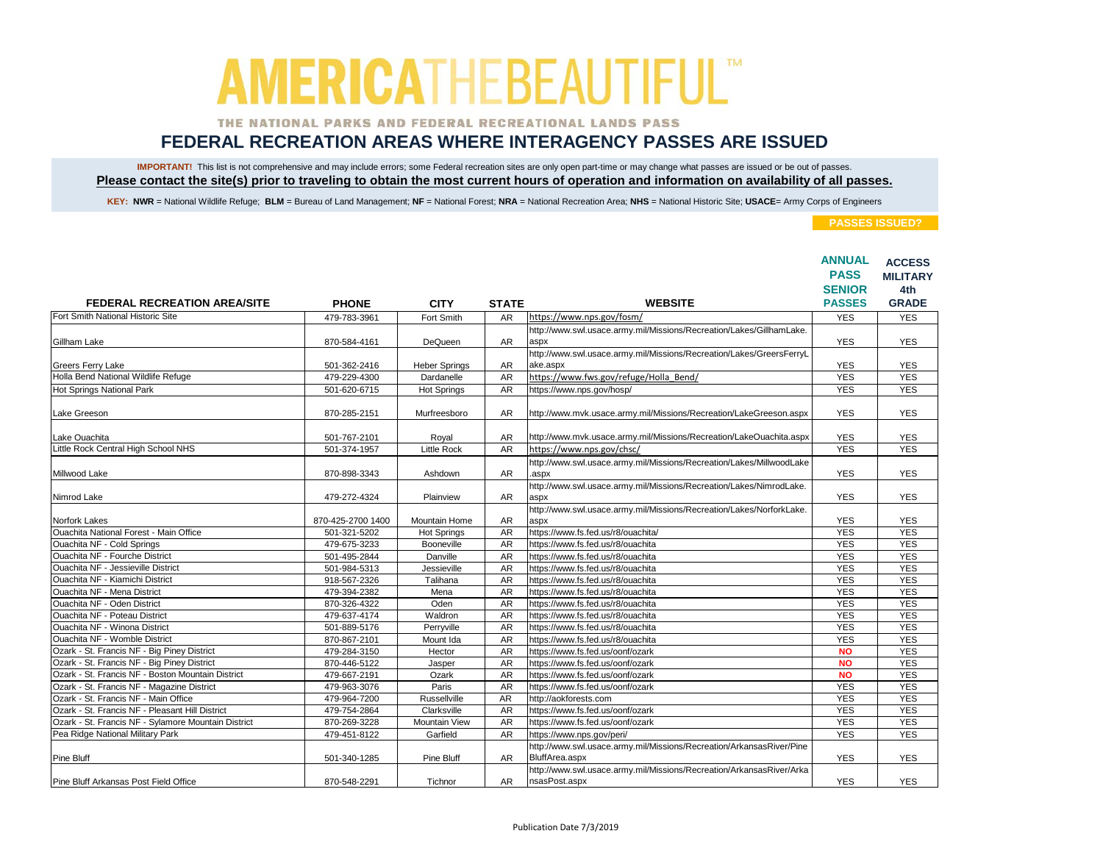### THE NATIONAL PARKS AND FEDERAL RECREATIONAL LANDS PASS

## **FEDERAL RECREATION AREAS WHERE INTERAGENCY PASSES ARE ISSUED**

IMPORTANT! This list is not comprehensive and may include errors; some Federal recreation sites are only open part-time or may change what passes are issued or be out of passes. **Please contact the site(s) prior to traveling to obtain the most current hours of operation and information on availability of all passes.**

KEY: NWR = National Wildlife Refuge; BLM = Bureau of Land Management; NF = National Forest; NRA = National Recreation Area; NHS = National Historic Site; USACE= Army Corps of Engineers

|                                                     |                   |                      |              |                                                                                        | <b>ANNUAL</b><br><b>PASS</b><br><b>SENIOR</b> | <b>ACCESS</b><br><b>MILITARY</b><br>4th |
|-----------------------------------------------------|-------------------|----------------------|--------------|----------------------------------------------------------------------------------------|-----------------------------------------------|-----------------------------------------|
| <b>FEDERAL RECREATION AREA/SITE</b>                 | <b>PHONE</b>      | <b>CITY</b>          | <b>STATE</b> | <b>WEBSITE</b>                                                                         | <b>PASSES</b>                                 | <b>GRADE</b>                            |
| Fort Smith National Historic Site                   | 479-783-3961      | Fort Smith           | <b>AR</b>    | https://www.nps.gov/fosm/                                                              | <b>YES</b>                                    | <b>YES</b>                              |
| Gillham Lake                                        | 870-584-4161      | DeQueen              | AR           | http://www.swl.usace.army.mil/Missions/Recreation/Lakes/GillhamLake.<br>aspx           | <b>YES</b>                                    | <b>YES</b>                              |
| Greers Ferry Lake                                   | 501-362-2416      | <b>Heber Springs</b> | AR           | http://www.swl.usace.army.mil/Missions/Recreation/Lakes/GreersFerryL<br>ake.aspx       | <b>YES</b>                                    | <b>YES</b>                              |
| Holla Bend National Wildlife Refuge                 | 479-229-4300      | Dardanelle           | <b>AR</b>    | https://www.fws.gov/refuge/Holla Bend/                                                 | <b>YES</b>                                    | <b>YES</b>                              |
| Hot Springs National Park                           | 501-620-6715      | <b>Hot Springs</b>   | <b>AR</b>    | https://www.nps.gov/hosp/                                                              | <b>YES</b>                                    | <b>YES</b>                              |
| Lake Greeson                                        | 870-285-2151      | Murfreesboro         | AR           | http://www.mvk.usace.army.mil/Missions/Recreation/LakeGreeson.aspx                     | <b>YES</b>                                    | <b>YES</b>                              |
| Lake Ouachita                                       | 501-767-2101      | Royal                | AR           | http://www.mvk.usace.army.mil/Missions/Recreation/LakeOuachita.aspx                    | <b>YES</b>                                    | <b>YES</b>                              |
| Little Rock Central High School NHS                 | 501-374-1957      | <b>Little Rock</b>   | <b>AR</b>    | https://www.nps.gov/chsc/                                                              | <b>YES</b>                                    | <b>YES</b>                              |
| Millwood Lake                                       | 870-898-3343      | Ashdown              | AR           | http://www.swl.usace.army.mil/Missions/Recreation/Lakes/MillwoodLake<br>.aspx          | <b>YES</b>                                    | <b>YES</b>                              |
| Nimrod Lake                                         | 479-272-4324      | Plainview            | <b>AR</b>    | http://www.swl.usace.army.mil/Missions/Recreation/Lakes/NimrodLake.<br>aspx            | <b>YES</b>                                    | <b>YES</b>                              |
| Norfork Lakes                                       | 870-425-2700 1400 | Mountain Home        | <b>AR</b>    | http://www.swl.usace.army.mil/Missions/Recreation/Lakes/NorforkLake.<br>aspx           | <b>YES</b>                                    | <b>YES</b>                              |
| Ouachita National Forest - Main Office              | 501-321-5202      | <b>Hot Springs</b>   | <b>AR</b>    | https://www.fs.fed.us/r8/ouachita/                                                     | <b>YES</b>                                    | <b>YES</b>                              |
| Ouachita NF - Cold Springs                          | 479-675-3233      | Booneville           | AR           | https://www.fs.fed.us/r8/ouachita                                                      | <b>YES</b>                                    | <b>YES</b>                              |
| Ouachita NF - Fourche District                      | 501-495-2844      | Danville             | AR           | https://www.fs.fed.us/r8/ouachita                                                      | <b>YES</b>                                    | <b>YES</b>                              |
| <b>Ouachita NF - Jessieville District</b>           | 501-984-5313      | Jessieville          | AR           | https://www.fs.fed.us/r8/ouachita                                                      | <b>YES</b>                                    | <b>YES</b>                              |
| Ouachita NF - Kiamichi District                     | 918-567-2326      | Talihana             | AR           | https://www.fs.fed.us/r8/ouachita                                                      | <b>YES</b>                                    | <b>YES</b>                              |
| Ouachita NF - Mena District                         | 479-394-2382      | Mena                 | AR           | https://www.fs.fed.us/r8/ouachita                                                      | <b>YES</b>                                    | <b>YES</b>                              |
| Ouachita NF - Oden District                         | 870-326-4322      | Oden                 | <b>AR</b>    | https://www.fs.fed.us/r8/ouachita                                                      | <b>YES</b>                                    | <b>YES</b>                              |
| Ouachita NF - Poteau District                       | 479-637-4174      | Waldron              | AR           | https://www.fs.fed.us/r8/ouachita                                                      | <b>YES</b>                                    | <b>YES</b>                              |
| <b>Ouachita NF - Winona District</b>                | 501-889-5176      | Perrvville           | AR           | https://www.fs.fed.us/r8/ouachita                                                      | <b>YES</b>                                    | <b>YES</b>                              |
| <b>Ouachita NF - Womble District</b>                | 870-867-2101      | Mount Ida            | <b>AR</b>    | https://www.fs.fed.us/r8/ouachita                                                      | <b>YES</b>                                    | <b>YES</b>                              |
| Ozark - St. Francis NF - Big Piney District         | 479-284-3150      | Hector               | AR           | https://www.fs.fed.us/oonf/ozark                                                       | <b>NO</b>                                     | <b>YES</b>                              |
| Ozark - St. Francis NF - Big Piney District         | 870-446-5122      | Jasper               | AR           | https://www.fs.fed.us/oonf/ozark                                                       | <b>NO</b>                                     | <b>YES</b>                              |
| Ozark - St. Francis NF - Boston Mountain District   | 479-667-2191      | Ozark                | <b>AR</b>    | https://www.fs.fed.us/oonf/ozark                                                       | <b>NO</b>                                     | <b>YES</b>                              |
| Ozark - St. Francis NF - Magazine District          | 479-963-3076      | Paris                | <b>AR</b>    | https://www.fs.fed.us/oonf/ozark                                                       | <b>YES</b>                                    | <b>YES</b>                              |
| Ozark - St. Francis NF - Main Office                | 479-964-7200      | Russellville         | AR           | http://aokforests.com                                                                  | <b>YES</b>                                    | <b>YES</b>                              |
| Ozark - St. Francis NF - Pleasant Hill District     | 479-754-2864      | Clarksville          | <b>AR</b>    | https://www.fs.fed.us/oonf/ozark                                                       | <b>YES</b>                                    | <b>YES</b>                              |
| Ozark - St. Francis NF - Sylamore Mountain District | 870-269-3228      | <b>Mountain View</b> | AR           | https://www.fs.fed.us/oonf/ozark                                                       | <b>YES</b>                                    | <b>YES</b>                              |
| Pea Ridge National Military Park                    | 479-451-8122      | Garfield             | AR           | https://www.nps.gov/peri/                                                              | <b>YES</b>                                    | <b>YES</b>                              |
| Pine Bluff                                          | 501-340-1285      | Pine Bluff           | <b>AR</b>    | http://www.swl.usace.army.mil/Missions/Recreation/ArkansasRiver/Pine<br>BluffArea.aspx | <b>YES</b>                                    | <b>YES</b>                              |
| Pine Bluff Arkansas Post Field Office               | 870-548-2291      | Tichnor              | AR           | http://www.swl.usace.army.mil/Missions/Recreation/ArkansasRiver/Arka<br>nsasPost.aspx  | <b>YES</b>                                    | <b>YES</b>                              |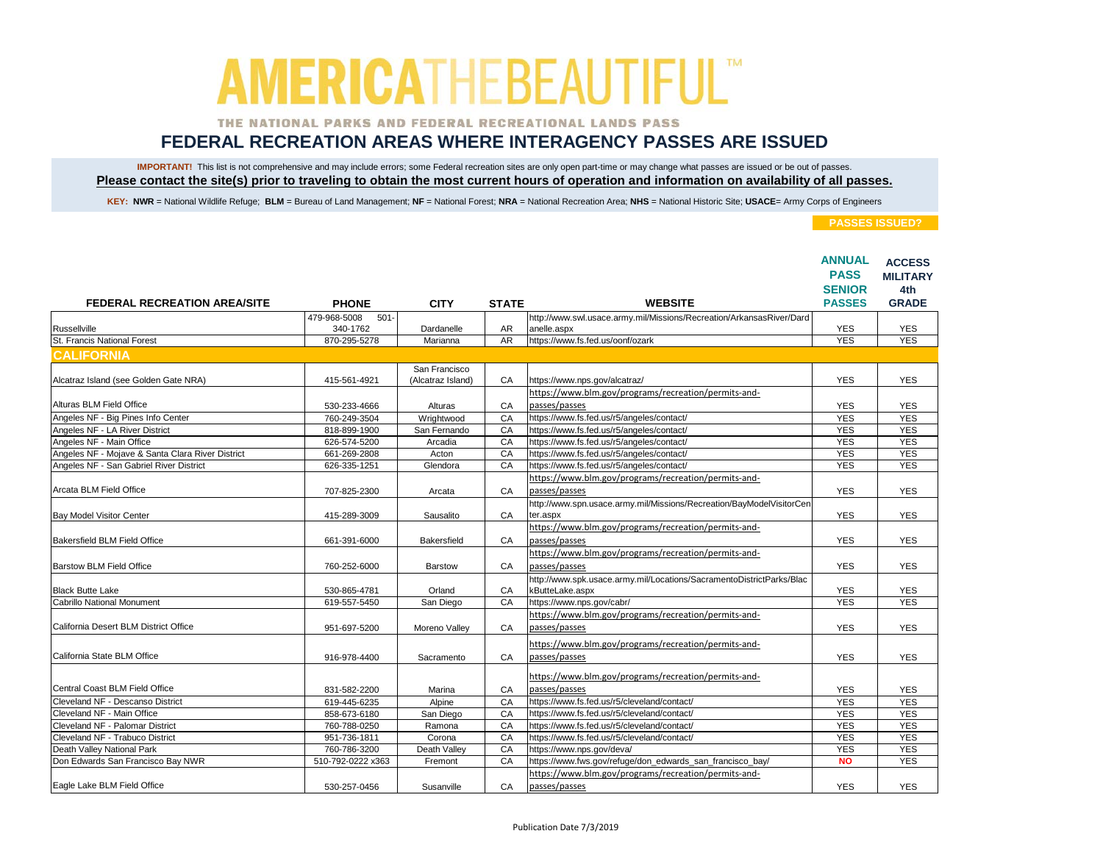### THE NATIONAL PARKS AND FEDERAL RECREATIONAL LANDS PASS

## **FEDERAL RECREATION AREAS WHERE INTERAGENCY PASSES ARE ISSUED**

IMPORTANT! This list is not comprehensive and may include errors; some Federal recreation sites are only open part-time or may change what passes are issued or be out of passes. **Please contact the site(s) prior to traveling to obtain the most current hours of operation and information on availability of all passes.**

KEY: NWR = National Wildlife Refuge; BLM = Bureau of Land Management; NF = National Forest; NRA = National Recreation Area; NHS = National Historic Site; USACE= Army Corps of Engineers

|                                                  |                         |                   |                 |                                                                      | <b>ANNUAL</b><br><b>PASS</b><br><b>SENIOR</b> | <b>ACCESS</b><br><b>MILITARY</b><br>4th |
|--------------------------------------------------|-------------------------|-------------------|-----------------|----------------------------------------------------------------------|-----------------------------------------------|-----------------------------------------|
| <b>FEDERAL RECREATION AREA/SITE</b>              | <b>PHONE</b>            | <b>CITY</b>       | <b>STATE</b>    | <b>WEBSITE</b>                                                       | <b>PASSES</b>                                 | <b>GRADE</b>                            |
|                                                  | 479-968-5008<br>$501 -$ |                   |                 | http://www.swl.usace.army.mil/Missions/Recreation/ArkansasRiver/Dard |                                               |                                         |
| Russellville<br>St. Francis National Forest      | 340-1762                | Dardanelle        | AR<br><b>AR</b> | anelle.aspx                                                          | <b>YES</b><br><b>YES</b>                      | <b>YES</b>                              |
|                                                  | 870-295-5278            | Marianna          |                 | https://www.fs.fed.us/oonf/ozark                                     |                                               | <b>YES</b>                              |
| <b>CALIFORNIA</b>                                |                         |                   |                 |                                                                      |                                               |                                         |
|                                                  |                         | San Francisco     |                 |                                                                      |                                               |                                         |
| Alcatraz Island (see Golden Gate NRA)            | 415-561-4921            | (Alcatraz Island) | CA              | https://www.nps.gov/alcatraz/                                        | <b>YES</b>                                    | <b>YES</b>                              |
|                                                  |                         |                   |                 | https://www.blm.gov/programs/recreation/permits-and-                 |                                               |                                         |
| Alturas BLM Field Office                         | 530-233-4666            | Alturas           | CA              | passes/passes                                                        | <b>YES</b>                                    | <b>YES</b>                              |
| Angeles NF - Big Pines Info Center               | 760-249-3504            | Wrightwood        | CA              | https://www.fs.fed.us/r5/angeles/contact/                            | <b>YES</b>                                    | <b>YES</b>                              |
| Angeles NF - LA River District                   | 818-899-1900            | San Fernando      | CA              | https://www.fs.fed.us/r5/angeles/contact/                            | <b>YES</b>                                    | <b>YES</b>                              |
| Angeles NF - Main Office                         | 626-574-5200            | Arcadia           | CA              | https://www.fs.fed.us/r5/angeles/contact/                            | <b>YES</b>                                    | <b>YES</b>                              |
| Angeles NF - Mojave & Santa Clara River District | 661-269-2808            | Acton             | CA              | https://www.fs.fed.us/r5/angeles/contact/                            | <b>YES</b>                                    | <b>YES</b>                              |
| Angeles NF - San Gabriel River District          | 626-335-1251            | Glendora          | CA              | https://www.fs.fed.us/r5/angeles/contact/                            | <b>YES</b>                                    | <b>YES</b>                              |
|                                                  |                         |                   |                 | https://www.blm.gov/programs/recreation/permits-and-                 |                                               |                                         |
| Arcata BLM Field Office                          | 707-825-2300            | Arcata            | CA              | passes/passes                                                        | <b>YES</b>                                    | <b>YES</b>                              |
|                                                  |                         |                   |                 | http://www.spn.usace.army.mil/Missions/Recreation/BayModelVisitorCen |                                               |                                         |
| Bay Model Visitor Center                         | 415-289-3009            | Sausalito         | CA              | ter.aspx                                                             | <b>YES</b>                                    | <b>YES</b>                              |
|                                                  |                         |                   |                 | https://www.blm.gov/programs/recreation/permits-and-                 |                                               |                                         |
| Bakersfield BLM Field Office                     | 661-391-6000            | Bakersfield       | CA              | passes/passes                                                        | <b>YES</b>                                    | <b>YES</b>                              |
|                                                  |                         |                   |                 | https://www.blm.gov/programs/recreation/permits-and-                 |                                               |                                         |
| Barstow BLM Field Office                         | 760-252-6000            | Barstow           | CA              | passes/passes                                                        | <b>YES</b>                                    | <b>YES</b>                              |
|                                                  |                         |                   |                 | http://www.spk.usace.army.mil/Locations/SacramentoDistrictParks/Blac |                                               |                                         |
| <b>Black Butte Lake</b>                          | 530-865-4781            | Orland            | CA              | kButteLake.aspx                                                      | <b>YES</b>                                    | <b>YES</b>                              |
| <b>Cabrillo National Monument</b>                | 619-557-5450            | San Diego         | CA              | https://www.nps.gov/cabr/                                            | <b>YES</b>                                    | <b>YES</b>                              |
|                                                  |                         |                   |                 | https://www.blm.gov/programs/recreation/permits-and-                 |                                               |                                         |
| California Desert BLM District Office            | 951-697-5200            | Moreno Valley     | CA              | passes/passes                                                        | <b>YES</b>                                    | <b>YES</b>                              |
|                                                  |                         |                   |                 |                                                                      |                                               |                                         |
|                                                  |                         |                   |                 | https://www.blm.gov/programs/recreation/permits-and-                 |                                               |                                         |
| California State BLM Office                      | 916-978-4400            | Sacramento        | CA              | passes/passes                                                        | <b>YES</b>                                    | <b>YES</b>                              |
|                                                  |                         |                   |                 | https://www.blm.gov/programs/recreation/permits-and-                 |                                               |                                         |
| Central Coast BLM Field Office                   | 831-582-2200            | Marina            | CA              | passes/passes                                                        | <b>YES</b>                                    | <b>YES</b>                              |
| Cleveland NF - Descanso District                 | 619-445-6235            | Alpine            | CA              | https://www.fs.fed.us/r5/cleveland/contact/                          | <b>YES</b>                                    | <b>YES</b>                              |
| Cleveland NF - Main Office                       | 858-673-6180            | San Diego         | CA              | https://www.fs.fed.us/r5/cleveland/contact/                          | <b>YES</b>                                    | <b>YES</b>                              |
| Cleveland NF - Palomar District                  | 760-788-0250            | Ramona            | CA              | https://www.fs.fed.us/r5/cleveland/contact/                          | <b>YES</b>                                    | <b>YES</b>                              |
| Cleveland NF - Trabuco District                  | 951-736-1811            | Corona            | CA              | https://www.fs.fed.us/r5/cleveland/contact/                          | <b>YES</b>                                    | <b>YES</b>                              |
| Death Valley National Park                       | 760-786-3200            | Death Valley      | CA              | https://www.nps.gov/deva/                                            | <b>YES</b>                                    | <b>YES</b>                              |
| Don Edwards San Francisco Bay NWR                | 510-792-0222 x363       | Fremont           | CA              | https://www.fws.gov/refuge/don_edwards_san_francisco_bay/            | <b>NO</b>                                     | <b>YES</b>                              |
|                                                  |                         |                   |                 | https://www.blm.gov/programs/recreation/permits-and-                 |                                               |                                         |
| Eagle Lake BLM Field Office                      | 530-257-0456            | Susanville        | CA              | passes/passes                                                        | <b>YES</b>                                    | <b>YES</b>                              |
|                                                  |                         |                   |                 |                                                                      |                                               |                                         |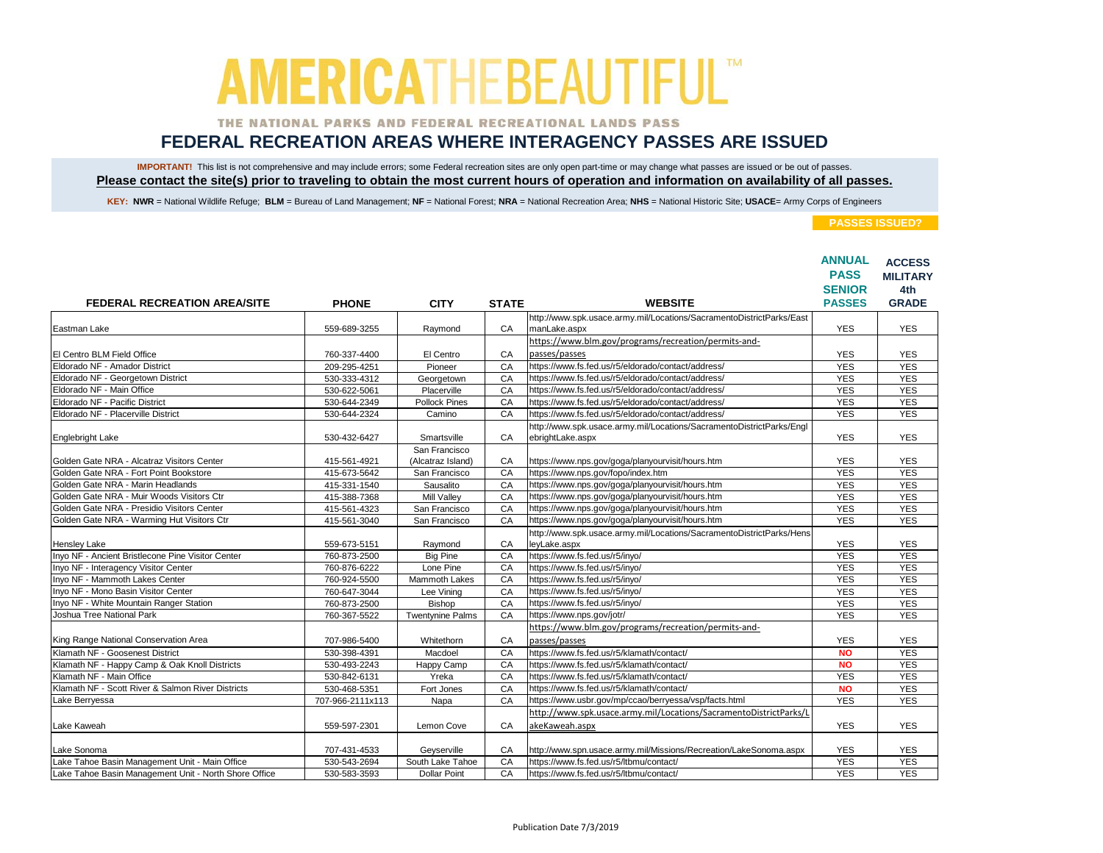### THE NATIONAL PARKS AND FEDERAL RECREATIONAL LANDS PASS

## **FEDERAL RECREATION AREAS WHERE INTERAGENCY PASSES ARE ISSUED**

IMPORTANT! This list is not comprehensive and may include errors; some Federal recreation sites are only open part-time or may change what passes are issued or be out of passes. **Please contact the site(s) prior to traveling to obtain the most current hours of operation and information on availability of all passes.**

KEY: NWR = National Wildlife Refuge; BLM = Bureau of Land Management; NF = National Forest; NRA = National Recreation Area; NHS = National Historic Site; USACE= Army Corps of Engineers

|                                                       |                  |                         |              |                                                                                          | <b>ANNUAL</b><br><b>PASS</b><br><b>SENIOR</b> | <b>ACCESS</b><br><b>MILITARY</b><br>4th |
|-------------------------------------------------------|------------------|-------------------------|--------------|------------------------------------------------------------------------------------------|-----------------------------------------------|-----------------------------------------|
| <b>FEDERAL RECREATION AREA/SITE</b>                   | <b>PHONE</b>     | <b>CITY</b>             | <b>STATE</b> | <b>WEBSITE</b>                                                                           | <b>PASSES</b>                                 | <b>GRADE</b>                            |
|                                                       |                  |                         |              | http://www.spk.usace.army.mil/Locations/SacramentoDistrictParks/East                     |                                               |                                         |
| Eastman Lake                                          | 559-689-3255     | Raymond                 | CA           | manLake.aspx                                                                             | <b>YES</b>                                    | <b>YES</b>                              |
|                                                       |                  |                         |              | https://www.blm.gov/programs/recreation/permits-and-                                     |                                               |                                         |
| El Centro BLM Field Office                            | 760-337-4400     | El Centro               | CA           | passes/passes                                                                            | <b>YES</b>                                    | <b>YES</b>                              |
| Eldorado NF - Amador District                         | 209-295-4251     | Pioneer                 | CA           | https://www.fs.fed.us/r5/eldorado/contact/address/                                       | <b>YES</b>                                    | <b>YES</b>                              |
| Eldorado NF - Georgetown District                     | 530-333-4312     | Georgetown              | CA           | https://www.fs.fed.us/r5/eldorado/contact/address/                                       | <b>YES</b>                                    | <b>YES</b>                              |
| Eldorado NF - Main Office                             | 530-622-5061     | Placerville             | CA           | https://www.fs.fed.us/r5/eldorado/contact/address/                                       | <b>YES</b>                                    | <b>YES</b>                              |
| Eldorado NF - Pacific District                        | 530-644-2349     | <b>Pollock Pines</b>    | CA           | https://www.fs.fed.us/r5/eldorado/contact/address/                                       | <b>YES</b>                                    | <b>YES</b>                              |
| Eldorado NF - Placerville District                    | 530-644-2324     | Camino                  | CA           | https://www.fs.fed.us/r5/eldorado/contact/address/                                       | <b>YES</b>                                    | <b>YES</b>                              |
| Englebright Lake                                      | 530-432-6427     | Smartsville             | CA           | http://www.spk.usace.army.mil/Locations/SacramentoDistrictParks/Engl<br>ebrightLake.aspx | <b>YES</b>                                    | <b>YES</b>                              |
|                                                       |                  | San Francisco           |              |                                                                                          |                                               |                                         |
| Golden Gate NRA - Alcatraz Visitors Center            | 415-561-4921     | (Alcatraz Island)       | CA           | https://www.nps.gov/goga/planyourvisit/hours.htm                                         | <b>YES</b>                                    | <b>YES</b>                              |
| Golden Gate NRA - Fort Point Bookstore                | 415-673-5642     | San Francisco           | CA           | https://www.nps.gov/fopo/index.htm                                                       | <b>YES</b>                                    | <b>YES</b>                              |
| Golden Gate NRA - Marin Headlands                     | 415-331-1540     | Sausalito               | CA           | https://www.nps.gov/goga/planyourvisit/hours.htm                                         | <b>YES</b>                                    | <b>YES</b>                              |
| Golden Gate NRA - Muir Woods Visitors Ctr             | 415-388-7368     | Mill Vallev             | CA           | https://www.nps.gov/goga/planyourvisit/hours.htm                                         | <b>YES</b>                                    | <b>YES</b>                              |
| Golden Gate NRA - Presidio Visitors Center            | 415-561-4323     | San Francisco           | CA           | https://www.nps.gov/goga/planyourvisit/hours.htm                                         | <b>YES</b>                                    | <b>YES</b>                              |
| Golden Gate NRA - Warming Hut Visitors Ctr            | 415-561-3040     | San Francisco           | CA           | https://www.nps.gov/goga/planyourvisit/hours.htm                                         | <b>YES</b>                                    | <b>YES</b>                              |
|                                                       |                  |                         |              | http://www.spk.usace.army.mil/Locations/SacramentoDistrictParks/Hens                     |                                               |                                         |
| <b>Hensley Lake</b>                                   | 559-673-5151     | Raymond                 | CA           | leyLake.aspx                                                                             | <b>YES</b>                                    | <b>YES</b>                              |
| Inyo NF - Ancient Bristlecone Pine Visitor Center     | 760-873-2500     | <b>Big Pine</b>         | CA           | https://www.fs.fed.us/r5/inyo/                                                           | <b>YES</b>                                    | <b>YES</b>                              |
| Inyo NF - Interagency Visitor Center                  | 760-876-6222     | Lone Pine               | CA           | https://www.fs.fed.us/r5/inyo/                                                           | <b>YES</b>                                    | <b>YES</b>                              |
| Inyo NF - Mammoth Lakes Center                        | 760-924-5500     | Mammoth Lakes           | CA           | https://www.fs.fed.us/r5/inyo/                                                           | <b>YES</b>                                    | <b>YES</b>                              |
| Inyo NF - Mono Basin Visitor Center                   | 760-647-3044     | Lee Vining              | CA           | https://www.fs.fed.us/r5/inyo/                                                           | <b>YES</b>                                    | <b>YES</b>                              |
| Inyo NF - White Mountain Ranger Station               | 760-873-2500     | Bishop                  | CA           | https://www.fs.fed.us/r5/inyo/                                                           | <b>YES</b>                                    | <b>YES</b>                              |
| Joshua Tree National Park                             | 760-367-5522     | <b>Twentynine Palms</b> | CA           | https://www.nps.gov/jotr/                                                                | <b>YES</b>                                    | <b>YES</b>                              |
|                                                       |                  |                         |              | https://www.blm.gov/programs/recreation/permits-and-                                     |                                               |                                         |
| King Range National Conservation Area                 | 707-986-5400     | Whitethorn              | CA           | passes/passes                                                                            | <b>YES</b>                                    | <b>YES</b>                              |
| Klamath NF - Goosenest District                       | 530-398-4391     | Macdoel                 | CA           | https://www.fs.fed.us/r5/klamath/contact/                                                | <b>NO</b>                                     | <b>YES</b>                              |
| Klamath NF - Happy Camp & Oak Knoll Districts         | 530-493-2243     | Happy Camp              | CA           | https://www.fs.fed.us/r5/klamath/contact/                                                | <b>NO</b>                                     | <b>YES</b>                              |
| Klamath NF - Main Office                              | 530-842-6131     | Yreka                   | CA           | https://www.fs.fed.us/r5/klamath/contact/                                                | <b>YES</b>                                    | <b>YES</b>                              |
| Klamath NF - Scott River & Salmon River Districts     | 530-468-5351     | Fort Jones              | CA           | https://www.fs.fed.us/r5/klamath/contact/                                                | <b>NO</b>                                     | <b>YES</b>                              |
| Lake Berryessa                                        | 707-966-2111x113 | Napa                    | CA           | https://www.usbr.gov/mp/ccao/berryessa/vsp/facts.html                                    | <b>YES</b>                                    | <b>YES</b>                              |
|                                                       |                  |                         |              | http://www.spk.usace.army.mil/Locations/SacramentoDistrictParks/L                        |                                               |                                         |
| Lake Kaweah                                           | 559-597-2301     | Lemon Cove              | CA           | akeKaweah.aspx                                                                           | <b>YES</b>                                    | <b>YES</b>                              |
| Lake Sonoma                                           | 707-431-4533     | Geyserville             | CA           | http://www.spn.usace.army.mil/Missions/Recreation/LakeSonoma.aspx                        | <b>YES</b>                                    | <b>YES</b>                              |
| Lake Tahoe Basin Management Unit - Main Office        | 530-543-2694     | South Lake Tahoe        | CA           | https://www.fs.fed.us/r5/ltbmu/contact/                                                  | <b>YES</b>                                    | <b>YES</b>                              |
| Lake Tahoe Basin Management Unit - North Shore Office | 530-583-3593     | <b>Dollar Point</b>     | CA           | https://www.fs.fed.us/r5/ltbmu/contact/                                                  | <b>YES</b>                                    | <b>YES</b>                              |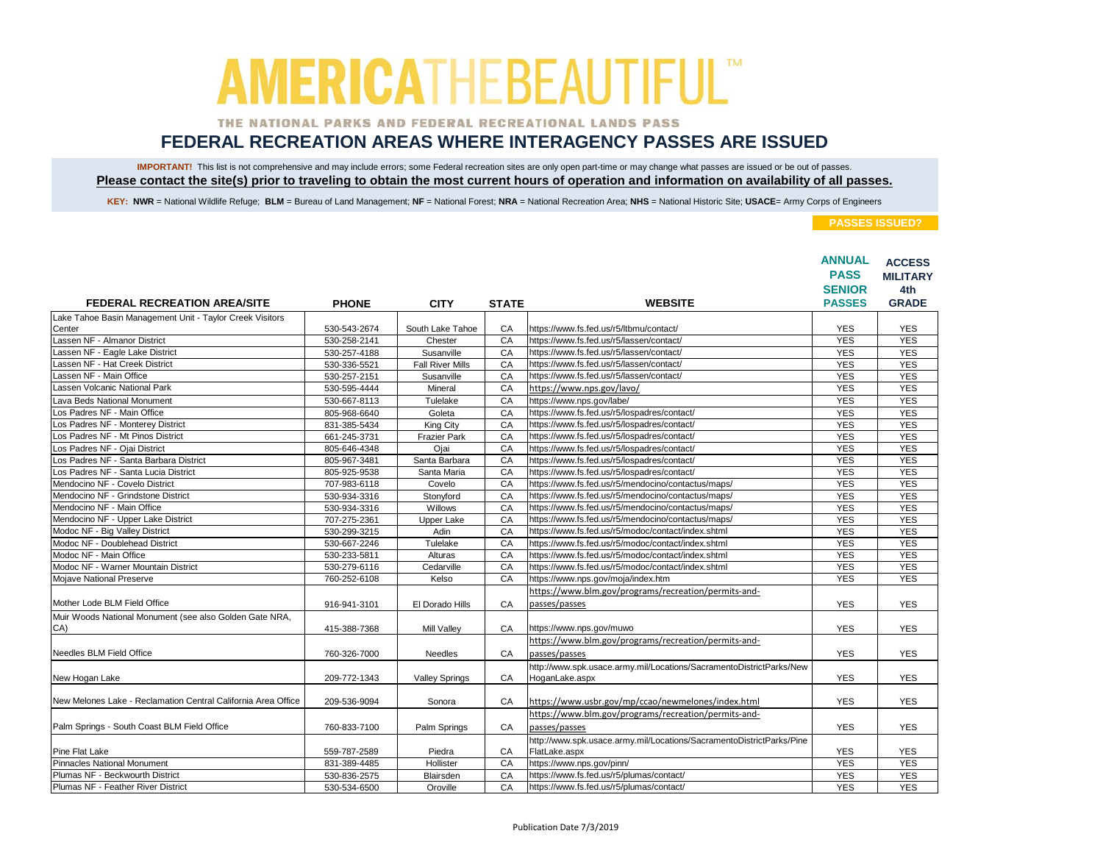### THE NATIONAL PARKS AND FEDERAL RECREATIONAL LANDS PASS

## **FEDERAL RECREATION AREAS WHERE INTERAGENCY PASSES ARE ISSUED**

IMPORTANT! This list is not comprehensive and may include errors; some Federal recreation sites are only open part-time or may change what passes are issued or be out of passes. **Please contact the site(s) prior to traveling to obtain the most current hours of operation and information on availability of all passes.**

KEY: NWR = National Wildlife Refuge; BLM = Bureau of Land Management; NF = National Forest; NRA = National Recreation Area; NHS = National Historic Site; USACE= Army Corps of Engineers

|                                                               |              |                         |              |                                                                      | <b>ANNUAL</b><br><b>PASS</b> | <b>ACCESS</b><br><b>MILITARY</b> |
|---------------------------------------------------------------|--------------|-------------------------|--------------|----------------------------------------------------------------------|------------------------------|----------------------------------|
|                                                               |              |                         |              |                                                                      | <b>SENIOR</b>                | 4th                              |
| <b>FEDERAL RECREATION AREA/SITE</b>                           | <b>PHONE</b> | <b>CITY</b>             | <b>STATE</b> | <b>WEBSITE</b>                                                       | <b>PASSES</b>                | <b>GRADE</b>                     |
| Lake Tahoe Basin Management Unit - Taylor Creek Visitors      |              |                         |              |                                                                      |                              |                                  |
| Center                                                        | 530-543-2674 | South Lake Tahoe        | CA           | https://www.fs.fed.us/r5/ltbmu/contact/                              | <b>YES</b>                   | <b>YES</b>                       |
| Lassen NF - Almanor District                                  | 530-258-2141 | Chester                 | CA           | https://www.fs.fed.us/r5/lassen/contact/                             | <b>YES</b>                   | <b>YES</b>                       |
| assen NF - Eagle Lake District                                | 530-257-4188 | Susanville              | CA           | https://www.fs.fed.us/r5/lassen/contact/                             | <b>YES</b>                   | <b>YES</b>                       |
| Lassen NF - Hat Creek District                                | 530-336-5521 | <b>Fall River Mills</b> | CA           | https://www.fs.fed.us/r5/lassen/contact/                             | <b>YES</b>                   | <b>YES</b>                       |
| Lassen NF - Main Office                                       | 530-257-2151 | Susanville              | CA           | https://www.fs.fed.us/r5/lassen/contact/                             | <b>YES</b>                   | <b>YES</b>                       |
| Lassen Volcanic National Park                                 | 530-595-4444 | Mineral                 | CA           | https://www.nps.gov/lavo/                                            | <b>YES</b>                   | <b>YES</b>                       |
| Lava Beds National Monument                                   | 530-667-8113 | Tulelake                | CA           | https://www.nps.gov/labe/                                            | <b>YES</b>                   | <b>YES</b>                       |
| Los Padres NF - Main Office                                   | 805-968-6640 | Goleta                  | CA           | https://www.fs.fed.us/r5/lospadres/contact/                          | <b>YES</b>                   | <b>YES</b>                       |
| Los Padres NF - Monterey District                             | 831-385-5434 | King City               | CA           | https://www.fs.fed.us/r5/lospadres/contact/                          | <b>YES</b>                   | <b>YES</b>                       |
| Los Padres NF - Mt Pinos District                             | 661-245-3731 | <b>Frazier Park</b>     | CA           | https://www.fs.fed.us/r5/lospadres/contact/                          | <b>YES</b>                   | <b>YES</b>                       |
| Los Padres NF - Ojai District                                 | 805-646-4348 | Ojai                    | CA           | https://www.fs.fed.us/r5/lospadres/contact/                          | <b>YES</b>                   | <b>YES</b>                       |
| Los Padres NF - Santa Barbara District                        | 805-967-3481 | Santa Barbara           | CA           | https://www.fs.fed.us/r5/lospadres/contact/                          | <b>YES</b>                   | <b>YES</b>                       |
| Los Padres NF - Santa Lucia District                          | 805-925-9538 | Santa Maria             | CA           | https://www.fs.fed.us/r5/lospadres/contact/                          | <b>YES</b>                   | <b>YES</b>                       |
| Mendocino NF - Covelo District                                | 707-983-6118 | Covelo                  | CA           | https://www.fs.fed.us/r5/mendocino/contactus/maps/                   | <b>YES</b>                   | <b>YES</b>                       |
| Mendocino NF - Grindstone District                            | 530-934-3316 | Stonyford               | CA           | https://www.fs.fed.us/r5/mendocino/contactus/maps/                   | <b>YES</b>                   | <b>YES</b>                       |
| Mendocino NF - Main Office                                    | 530-934-3316 | Willows                 | CA           | https://www.fs.fed.us/r5/mendocino/contactus/maps/                   | <b>YES</b>                   | <b>YES</b>                       |
| Mendocino NF - Upper Lake District                            | 707-275-2361 | Upper Lake              | CA           | https://www.fs.fed.us/r5/mendocino/contactus/maps/                   | <b>YES</b>                   | <b>YES</b>                       |
| Modoc NF - Big Valley District                                | 530-299-3215 | Adin                    | CA           | https://www.fs.fed.us/r5/modoc/contact/index.shtml                   | <b>YES</b>                   | <b>YES</b>                       |
| Modoc NF - Doublehead District                                | 530-667-2246 | Tulelake                | CA           | https://www.fs.fed.us/r5/modoc/contact/index.shtml                   | <b>YES</b>                   | <b>YES</b>                       |
| Modoc NF - Main Office                                        | 530-233-5811 | Alturas                 | CA           | https://www.fs.fed.us/r5/modoc/contact/index.shtml                   | <b>YES</b>                   | <b>YES</b>                       |
| Modoc NF - Warner Mountain District                           | 530-279-6116 | Cedarville              | CA           | https://www.fs.fed.us/r5/modoc/contact/index.shtml                   | <b>YES</b>                   | <b>YES</b>                       |
| Mojave National Preserve                                      | 760-252-6108 | Kelso                   | CA           | https://www.nps.gov/moja/index.htm                                   | <b>YES</b>                   | <b>YES</b>                       |
|                                                               |              |                         |              | https://www.blm.gov/programs/recreation/permits-and-                 |                              |                                  |
| Mother Lode BLM Field Office                                  | 916-941-3101 | El Dorado Hills         | CA           | passes/passes                                                        | <b>YES</b>                   | <b>YES</b>                       |
| Muir Woods National Monument (see also Golden Gate NRA,       |              |                         |              |                                                                      |                              |                                  |
| CA)                                                           | 415-388-7368 | <b>Mill Valley</b>      | CA           | https://www.nps.gov/muwo                                             | <b>YES</b>                   | <b>YES</b>                       |
|                                                               |              |                         |              | https://www.blm.gov/programs/recreation/permits-and-                 |                              |                                  |
| Needles BLM Field Office                                      | 760-326-7000 | <b>Needles</b>          | CA           | passes/passes                                                        | <b>YES</b>                   | <b>YES</b>                       |
|                                                               |              |                         |              | http://www.spk.usace.army.mil/Locations/SacramentoDistrictParks/New  |                              |                                  |
| New Hogan Lake                                                | 209-772-1343 | <b>Valley Springs</b>   | CA           | HoganLake.aspx                                                       | <b>YES</b>                   | <b>YES</b>                       |
|                                                               |              |                         |              |                                                                      |                              |                                  |
| New Melones Lake - Reclamation Central California Area Office | 209-536-9094 | Sonora                  | CA           | https://www.usbr.gov/mp/ccao/newmelones/index.html                   | <b>YES</b>                   | <b>YES</b>                       |
|                                                               |              |                         |              | https://www.blm.gov/programs/recreation/permits-and-                 |                              |                                  |
| Palm Springs - South Coast BLM Field Office                   | 760-833-7100 | Palm Springs            | CA           | passes/passes                                                        | <b>YES</b>                   | <b>YES</b>                       |
|                                                               |              |                         |              | http://www.spk.usace.army.mil/Locations/SacramentoDistrictParks/Pine |                              |                                  |
| Pine Flat Lake                                                | 559-787-2589 | Piedra                  | CA           | FlatLake.aspx                                                        | <b>YES</b>                   | <b>YES</b>                       |
| <b>Pinnacles National Monument</b>                            | 831-389-4485 | Hollister               | CA           | https://www.nps.gov/pinn/                                            | <b>YES</b>                   | <b>YES</b>                       |
| Plumas NF - Beckwourth District                               | 530-836-2575 | Blairsden               | CA           | https://www.fs.fed.us/r5/plumas/contact/                             | <b>YES</b>                   | <b>YES</b>                       |
| Plumas NF - Feather River District                            | 530-534-6500 | Oroville                | CA           | https://www.fs.fed.us/r5/plumas/contact/                             | <b>YES</b>                   | <b>YES</b>                       |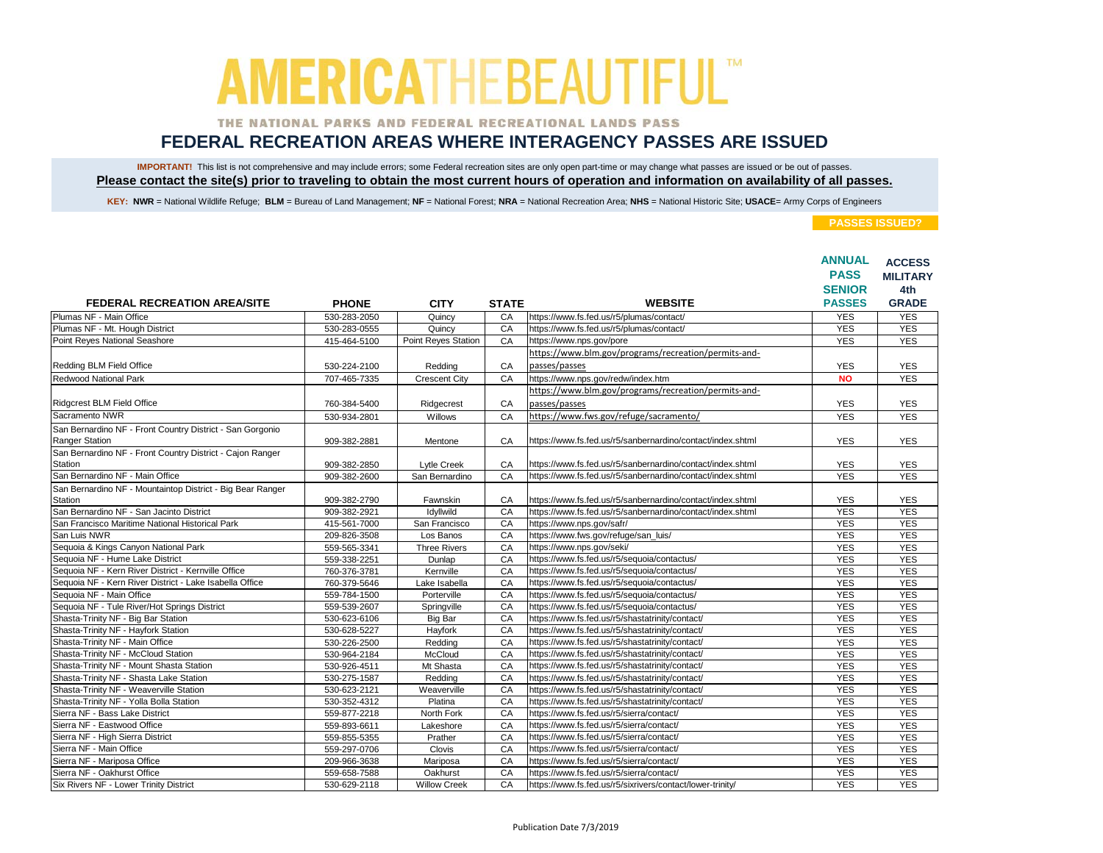### THE NATIONAL PARKS AND FEDERAL RECREATIONAL LANDS PASS

## **FEDERAL RECREATION AREAS WHERE INTERAGENCY PASSES ARE ISSUED**

IMPORTANT! This list is not comprehensive and may include errors; some Federal recreation sites are only open part-time or may change what passes are issued or be out of passes. **Please contact the site(s) prior to traveling to obtain the most current hours of operation and information on availability of all passes.**

KEY: NWR = National Wildlife Refuge; BLM = Bureau of Land Management; NF = National Forest; NRA = National Recreation Area; NHS = National Historic Site; USACE= Army Corps of Engineers

|                                                            |              |                      |              |                                                            | <b>ANNUAL</b><br><b>PASS</b> | <b>ACCESS</b><br><b>MILITARY</b> |
|------------------------------------------------------------|--------------|----------------------|--------------|------------------------------------------------------------|------------------------------|----------------------------------|
|                                                            |              |                      |              |                                                            | <b>SENIOR</b>                | 4th                              |
| <b>FEDERAL RECREATION AREA/SITE</b>                        | <b>PHONE</b> | <b>CITY</b>          | <b>STATE</b> | <b>WEBSITE</b>                                             | <b>PASSES</b>                | <b>GRADE</b>                     |
| Plumas NF - Main Office                                    | 530-283-2050 | Quincy               | CA           | https://www.fs.fed.us/r5/plumas/contact/                   | <b>YES</b>                   | <b>YES</b>                       |
| Plumas NF - Mt. Hough District                             | 530-283-0555 | Quincy               | CA           | https://www.fs.fed.us/r5/plumas/contact/                   | <b>YES</b>                   | <b>YES</b>                       |
| <b>Point Reyes National Seashore</b>                       | 415-464-5100 | Point Reyes Station  | CA           | https://www.nps.gov/pore                                   | <b>YES</b>                   | <b>YES</b>                       |
|                                                            |              |                      |              | https://www.blm.gov/programs/recreation/permits-and-       |                              |                                  |
| Redding BLM Field Office                                   | 530-224-2100 | Redding              | CA           | passes/passes                                              | <b>YES</b>                   | <b>YES</b>                       |
| Redwood National Park                                      | 707-465-7335 | <b>Crescent City</b> | CA           | https://www.nps.gov/redw/index.htm                         | <b>NO</b>                    | <b>YES</b>                       |
|                                                            |              |                      |              | https://www.blm.gov/programs/recreation/permits-and-       |                              |                                  |
| Ridgcrest BLM Field Office                                 | 760-384-5400 | Ridgecrest           | CA           | passes/passes                                              | <b>YES</b>                   | <b>YES</b>                       |
| Sacramento NWR                                             | 530-934-2801 | Willows              | CA           | https://www.fws.gov/refuge/sacramento/                     | <b>YES</b>                   | <b>YES</b>                       |
| San Bernardino NF - Front Country District - San Gorgonio  |              |                      |              |                                                            |                              |                                  |
| <b>Ranger Station</b>                                      | 909-382-2881 | Mentone              | CA           | https://www.fs.fed.us/r5/sanbernardino/contact/index.shtml | <b>YES</b>                   | <b>YES</b>                       |
| San Bernardino NF - Front Country District - Cajon Ranger  |              |                      |              |                                                            |                              |                                  |
| Station                                                    | 909-382-2850 | Lytle Creek          | CA           | https://www.fs.fed.us/r5/sanbernardino/contact/index.shtml | <b>YES</b>                   | <b>YES</b>                       |
| San Bernardino NF - Main Office                            | 909-382-2600 | San Bernardino       | CA           | https://www.fs.fed.us/r5/sanbernardino/contact/index.shtml | <b>YES</b>                   | <b>YES</b>                       |
| San Bernardino NF - Mountaintop District - Big Bear Ranger |              |                      |              |                                                            |                              |                                  |
| Station                                                    | 909-382-2790 | Fawnskin             | CA           | https://www.fs.fed.us/r5/sanbernardino/contact/index.shtml | <b>YES</b>                   | <b>YES</b>                       |
| San Bernardino NF - San Jacinto District                   | 909-382-2921 | Idyllwild            | CA           | https://www.fs.fed.us/r5/sanbernardino/contact/index.shtml | <b>YES</b>                   | <b>YES</b>                       |
| San Francisco Maritime National Historical Park            | 415-561-7000 | San Francisco        | CA           | https://www.nps.gov/safr/                                  | <b>YES</b>                   | <b>YES</b>                       |
| San Luis NWR                                               | 209-826-3508 | Los Banos            | CA           | https://www.fws.gov/refuge/san_luis/                       | <b>YES</b>                   | <b>YES</b>                       |
| Sequoia & Kings Canyon National Park                       | 559-565-3341 | <b>Three Rivers</b>  | CA           | https://www.nps.gov/seki/                                  | <b>YES</b>                   | <b>YES</b>                       |
| Sequoia NF - Hume Lake District                            | 559-338-2251 | Dunlap               | CA           | https://www.fs.fed.us/r5/sequoia/contactus/                | <b>YES</b>                   | <b>YES</b>                       |
| Sequoia NF - Kern River District - Kernville Office        | 760-376-3781 | Kernville            | CA           | https://www.fs.fed.us/r5/sequoia/contactus/                | <b>YES</b>                   | <b>YES</b>                       |
| Sequoia NF - Kern River District - Lake Isabella Office    | 760-379-5646 | Lake Isabella        | CA           | https://www.fs.fed.us/r5/sequoia/contactus/                | <b>YES</b>                   | <b>YES</b>                       |
| Seguoia NF - Main Office                                   | 559-784-1500 | Porterville          | CA           | https://www.fs.fed.us/r5/sequoia/contactus/                | <b>YES</b>                   | <b>YES</b>                       |
| Sequoia NF - Tule River/Hot Springs District               | 559-539-2607 | Springville          | CA           | https://www.fs.fed.us/r5/sequoia/contactus/                | <b>YES</b>                   | <b>YES</b>                       |
| Shasta-Trinity NF - Big Bar Station                        | 530-623-6106 | Big Bar              | CA           | https://www.fs.fed.us/r5/shastatrinity/contact/            | <b>YES</b>                   | <b>YES</b>                       |
| Shasta-Trinity NF - Hayfork Station                        | 530-628-5227 | Hayfork              | CA           | https://www.fs.fed.us/r5/shastatrinity/contact/            | <b>YES</b>                   | <b>YES</b>                       |
| Shasta-Trinity NF - Main Office                            | 530-226-2500 | Redding              | CA           | https://www.fs.fed.us/r5/shastatrinity/contact/            | <b>YES</b>                   | <b>YES</b>                       |
| Shasta-Trinity NF - McCloud Station                        | 530-964-2184 | McCloud              | CA           | https://www.fs.fed.us/r5/shastatrinity/contact/            | <b>YES</b>                   | <b>YES</b>                       |
| Shasta-Trinity NF - Mount Shasta Station                   | 530-926-4511 | Mt Shasta            | CA           | https://www.fs.fed.us/r5/shastatrinity/contact/            | <b>YES</b>                   | <b>YES</b>                       |
| Shasta-Trinity NF - Shasta Lake Station                    | 530-275-1587 | Redding              | CA           | https://www.fs.fed.us/r5/shastatrinity/contact/            | <b>YES</b>                   | <b>YES</b>                       |
| Shasta-Trinity NF - Weaverville Station                    | 530-623-2121 | Weaverville          | CA           | https://www.fs.fed.us/r5/shastatrinity/contact/            | <b>YES</b>                   | <b>YES</b>                       |
| Shasta-Trinity NF - Yolla Bolla Station                    | 530-352-4312 | Platina              | CA           | https://www.fs.fed.us/r5/shastatrinity/contact/            | <b>YES</b>                   | <b>YES</b>                       |
| Sierra NF - Bass Lake District                             | 559-877-2218 | North Fork           | CA           | https://www.fs.fed.us/r5/sierra/contact/                   | <b>YES</b>                   | <b>YES</b>                       |
| Sierra NF - Eastwood Office                                | 559-893-6611 | Lakeshore            | CA           | https://www.fs.fed.us/r5/sierra/contact/                   | <b>YES</b>                   | <b>YES</b>                       |
| Sierra NF - High Sierra District                           | 559-855-5355 | Prather              | CA           | https://www.fs.fed.us/r5/sierra/contact/                   | <b>YES</b>                   | <b>YES</b>                       |
| Sierra NF - Main Office                                    | 559-297-0706 | Clovis               | CA           | https://www.fs.fed.us/r5/sierra/contact/                   | <b>YES</b>                   | <b>YES</b>                       |
| Sierra NF - Mariposa Office                                | 209-966-3638 | Mariposa             | CA           | https://www.fs.fed.us/r5/sierra/contact/                   | <b>YES</b>                   | <b>YES</b>                       |
| Sierra NF - Oakhurst Office                                | 559-658-7588 | Oakhurst             | CA           | https://www.fs.fed.us/r5/sierra/contact/                   | <b>YES</b>                   | <b>YES</b>                       |
| Six Rivers NF - Lower Trinity District                     | 530-629-2118 | <b>Willow Creek</b>  | CA           | https://www.fs.fed.us/r5/sixrivers/contact/lower-trinity/  | <b>YES</b>                   | <b>YES</b>                       |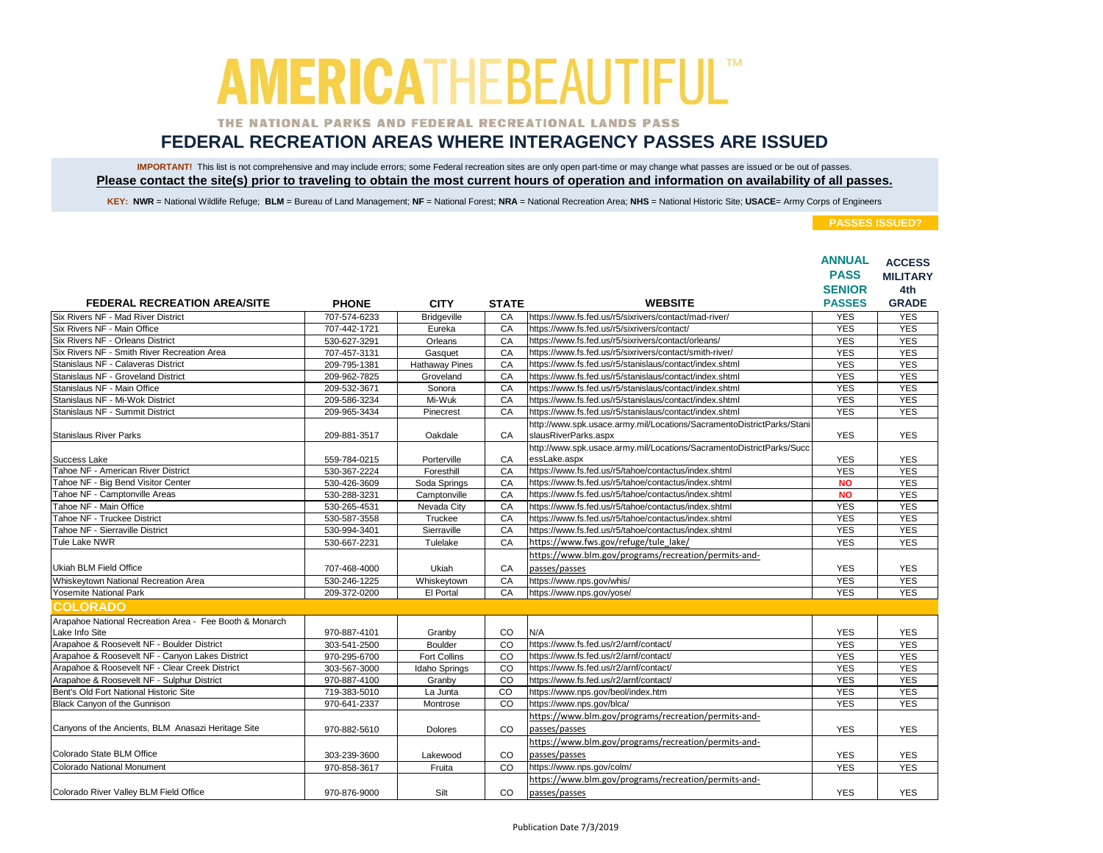### THE NATIONAL PARKS AND FEDERAL RECREATIONAL LANDS PASS

## **FEDERAL RECREATION AREAS WHERE INTERAGENCY PASSES ARE ISSUED**

IMPORTANT! This list is not comprehensive and may include errors; some Federal recreation sites are only open part-time or may change what passes are issued or be out of passes. **Please contact the site(s) prior to traveling to obtain the most current hours of operation and information on availability of all passes.**

KEY: NWR = National Wildlife Refuge; BLM = Bureau of Land Management; NF = National Forest; NRA = National Recreation Area; NHS = National Historic Site; USACE= Army Corps of Engineers

|                                                                           |              |                       |                |                                                                                               | <b>ANNUAL</b><br><b>PASS</b><br><b>SENIOR</b> | <b>ACCESS</b><br><b>MILITARY</b><br>4th |
|---------------------------------------------------------------------------|--------------|-----------------------|----------------|-----------------------------------------------------------------------------------------------|-----------------------------------------------|-----------------------------------------|
| <b>FEDERAL RECREATION AREA/SITE</b>                                       | <b>PHONE</b> | <b>CITY</b>           | <b>STATE</b>   | <b>WEBSITE</b>                                                                                | <b>PASSES</b>                                 | <b>GRADE</b>                            |
| Six Rivers NF - Mad River District                                        | 707-574-6233 | <b>Bridgeville</b>    | CA             | https://www.fs.fed.us/r5/sixrivers/contact/mad-river/                                         | <b>YES</b>                                    | <b>YES</b>                              |
| Six Rivers NF - Main Office                                               | 707-442-1721 | Eureka                | CA             | https://www.fs.fed.us/r5/sixrivers/contact/                                                   | <b>YES</b>                                    | <b>YES</b>                              |
| Six Rivers NF - Orleans District                                          | 530-627-3291 | Orleans               | CA             | https://www.fs.fed.us/r5/sixrivers/contact/orleans/                                           | <b>YES</b>                                    | <b>YES</b>                              |
| Six Rivers NF - Smith River Recreation Area                               | 707-457-3131 | Gasquet               | CA             | https://www.fs.fed.us/r5/sixrivers/contact/smith-river/                                       | <b>YES</b>                                    | <b>YES</b>                              |
| Stanislaus NF - Calaveras District                                        | 209-795-1381 | <b>Hathaway Pines</b> | CA             | https://www.fs.fed.us/r5/stanislaus/contact/index.shtml                                       | <b>YES</b>                                    | <b>YES</b>                              |
| Stanislaus NF - Groveland District                                        | 209-962-7825 | Groveland             | CA             | https://www.fs.fed.us/r5/stanislaus/contact/index.shtml                                       | <b>YES</b>                                    | <b>YES</b>                              |
| Stanislaus NF - Main Office                                               | 209-532-3671 | Sonora                | CA             | https://www.fs.fed.us/r5/stanislaus/contact/index.shtml                                       | <b>YES</b>                                    | <b>YES</b>                              |
| Stanislaus NF - Mi-Wok District                                           | 209-586-3234 | Mi-Wuk                | CA             | https://www.fs.fed.us/r5/stanislaus/contact/index.shtml                                       | <b>YES</b>                                    | <b>YES</b>                              |
| Stanislaus NF - Summit District                                           | 209-965-3434 | Pinecrest             | CA             | https://www.fs.fed.us/r5/stanislaus/contact/index.shtml                                       | <b>YES</b>                                    | <b>YES</b>                              |
| <b>Stanislaus River Parks</b>                                             | 209-881-3517 | Oakdale               | CA             | http://www.spk.usace.army.mil/Locations/SacramentoDistrictParks/Stani<br>slausRiverParks.aspx | <b>YES</b>                                    | <b>YES</b>                              |
| Success Lake                                                              | 559-784-0215 | Porterville           | CA             | http://www.spk.usace.army.mil/Locations/SacramentoDistrictParks/Succ<br>essLake.aspx          | <b>YES</b>                                    | <b>YES</b>                              |
| Tahoe NF - American River District                                        | 530-367-2224 | Foresthill            | CA             | https://www.fs.fed.us/r5/tahoe/contactus/index.shtml                                          | <b>YES</b>                                    | <b>YES</b>                              |
| Tahoe NF - Big Bend Visitor Center                                        | 530-426-3609 | Soda Springs          | CA             | https://www.fs.fed.us/r5/tahoe/contactus/index.shtml                                          | <b>NO</b>                                     | <b>YES</b>                              |
| Tahoe NF - Camptonville Areas                                             | 530-288-3231 | Camptonville          | CA             | https://www.fs.fed.us/r5/tahoe/contactus/index.shtml                                          | <b>NO</b>                                     | <b>YES</b>                              |
| Tahoe NF - Main Office                                                    | 530-265-4531 | Nevada City           | CA             | https://www.fs.fed.us/r5/tahoe/contactus/index.shtml                                          | <b>YES</b>                                    | <b>YES</b>                              |
| Tahoe NF - Truckee District                                               | 530-587-3558 | Truckee               | CA             | https://www.fs.fed.us/r5/tahoe/contactus/index.shtml                                          | <b>YES</b>                                    | <b>YES</b>                              |
| Tahoe NF - Sierraville District                                           | 530-994-3401 | Sierraville           | CA             | https://www.fs.fed.us/r5/tahoe/contactus/index.shtml                                          | <b>YES</b>                                    | <b>YES</b>                              |
| Tule Lake NWR                                                             | 530-667-2231 | Tulelake              | CA             | https://www.fws.gov/refuge/tule lake/                                                         | <b>YES</b>                                    | <b>YES</b>                              |
| Ukiah BLM Field Office                                                    | 707-468-4000 | Ukiah                 | CA             | https://www.blm.gov/programs/recreation/permits-and-<br>passes/passes                         | <b>YES</b>                                    | <b>YES</b>                              |
| Whiskeytown National Recreation Area                                      | 530-246-1225 | Whiskeytown           | CA             | https://www.nps.gov/whis/                                                                     | <b>YES</b>                                    | <b>YES</b>                              |
| Yosemite National Park                                                    | 209-372-0200 | El Portal             | CA             | https://www.nps.gov/yose/                                                                     | <b>YES</b>                                    | <b>YES</b>                              |
| <b>COLORADO</b>                                                           |              |                       |                |                                                                                               |                                               |                                         |
| Arapahoe National Recreation Area - Fee Booth & Monarch<br>Lake Info Site | 970-887-4101 | Granby                | CO             | N/A                                                                                           | <b>YES</b>                                    | <b>YES</b>                              |
| Arapahoe & Roosevelt NF - Boulder District                                | 303-541-2500 | Boulder               | CO             | https://www.fs.fed.us/r2/arnf/contact/                                                        | <b>YES</b>                                    | <b>YES</b>                              |
| Arapahoe & Roosevelt NF - Canyon Lakes District                           | 970-295-6700 | <b>Fort Collins</b>   | CO             | https://www.fs.fed.us/r2/arnf/contact/                                                        | <b>YES</b>                                    | <b>YES</b>                              |
| Arapahoe & Roosevelt NF - Clear Creek District                            | 303-567-3000 | <b>Idaho Springs</b>  | CO             | https://www.fs.fed.us/r2/arnf/contact/                                                        | <b>YES</b>                                    | <b>YES</b>                              |
| Arapahoe & Roosevelt NF - Sulphur District                                | 970-887-4100 | Granby                | CO             | https://www.fs.fed.us/r2/arnf/contact/                                                        | <b>YES</b>                                    | <b>YES</b>                              |
| Bent's Old Fort National Historic Site                                    | 719-383-5010 | La Junta              | $\overline{c}$ | https://www.nps.gov/beol/index.htm                                                            | <b>YES</b>                                    | <b>YES</b>                              |
| Black Canyon of the Gunnison                                              | 970-641-2337 | Montrose              | CO             | https://www.nps.gov/blca/                                                                     | <b>YES</b>                                    | <b>YES</b>                              |
|                                                                           |              |                       |                | https://www.blm.gov/programs/recreation/permits-and-                                          |                                               |                                         |
| Canyons of the Ancients, BLM Anasazi Heritage Site                        | 970-882-5610 | <b>Dolores</b>        | CO             | passes/passes                                                                                 | <b>YES</b>                                    | <b>YES</b>                              |
| Colorado State BLM Office                                                 | 303-239-3600 | Lakewood              | CO             | https://www.blm.gov/programs/recreation/permits-and-<br>passes/passes                         | <b>YES</b>                                    | <b>YES</b>                              |
| Colorado National Monument                                                | 970-858-3617 | Fruita                | CO             | https://www.nps.gov/colm/                                                                     | <b>YES</b>                                    | <b>YES</b>                              |
| Colorado River Valley BLM Field Office                                    | 970-876-9000 | Silt                  | <b>CO</b>      | https://www.blm.gov/programs/recreation/permits-and-<br>passes/passes                         | <b>YES</b>                                    | <b>YES</b>                              |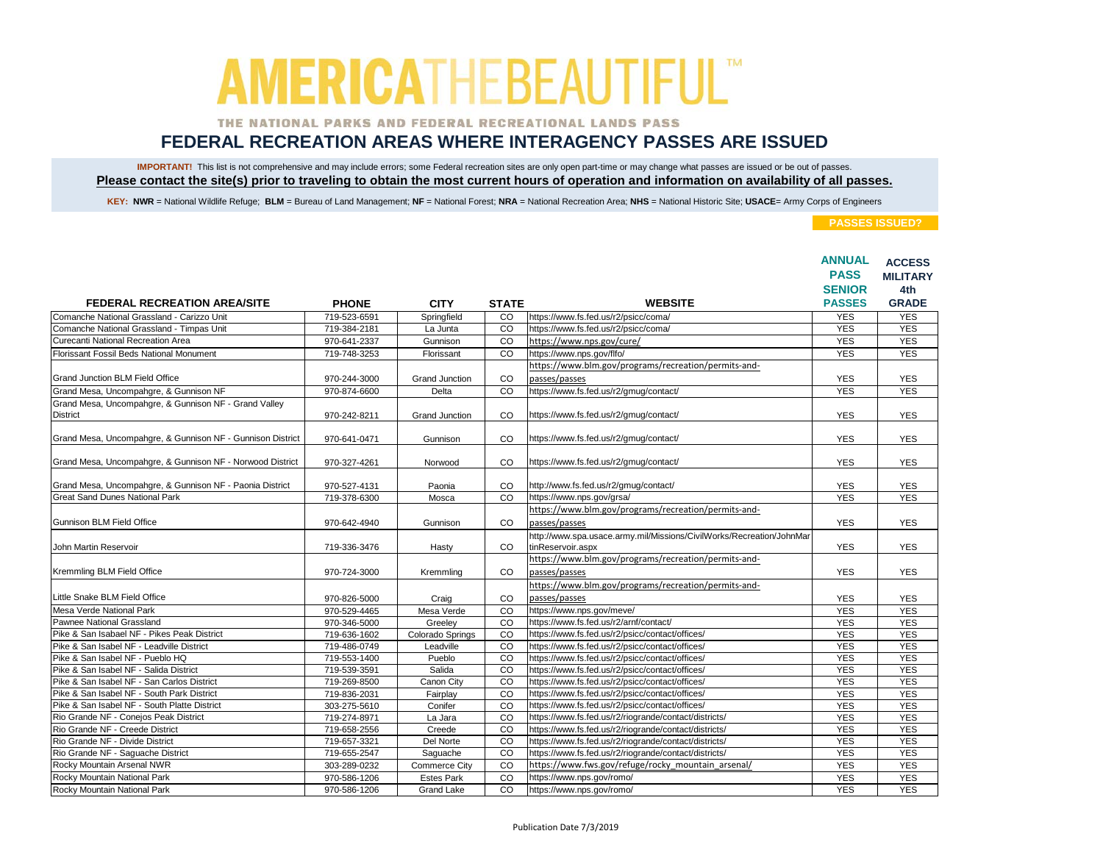### THE NATIONAL PARKS AND FEDERAL RECREATIONAL LANDS PASS

## **FEDERAL RECREATION AREAS WHERE INTERAGENCY PASSES ARE ISSUED**

IMPORTANT! This list is not comprehensive and may include errors; some Federal recreation sites are only open part-time or may change what passes are issued or be out of passes. **Please contact the site(s) prior to traveling to obtain the most current hours of operation and information on availability of all passes.**

KEY: NWR = National Wildlife Refuge; BLM = Bureau of Land Management; NF = National Forest; NRA = National Recreation Area; NHS = National Historic Site; USACE= Army Corps of Engineers

|                                                                          |                              |                               |                |                                                                                                                | <b>ANNUAL</b>            | <b>ACCESS</b>   |
|--------------------------------------------------------------------------|------------------------------|-------------------------------|----------------|----------------------------------------------------------------------------------------------------------------|--------------------------|-----------------|
|                                                                          |                              |                               |                |                                                                                                                | <b>PASS</b>              | <b>MILITARY</b> |
|                                                                          |                              |                               |                |                                                                                                                | <b>SENIOR</b>            | 4th             |
| <b>FEDERAL RECREATION AREA/SITE</b>                                      | <b>PHONE</b>                 | <b>CITY</b>                   | <b>STATE</b>   | <b>WEBSITE</b>                                                                                                 | <b>PASSES</b>            | <b>GRADE</b>    |
| Comanche National Grassland - Carizzo Unit                               | 719-523-6591                 | Springfield                   | CO             | https://www.fs.fed.us/r2/psicc/coma/                                                                           | <b>YES</b>               | <b>YES</b>      |
| Comanche National Grassland - Timpas Unit                                | 719-384-2181                 | La Junta                      | $\overline{c}$ | https://www.fs.fed.us/r2/psicc/coma/                                                                           | <b>YES</b>               | <b>YES</b>      |
| Curecanti National Recreation Area                                       | 970-641-2337                 | Gunnison                      | CO             | https://www.nps.gov/cure/                                                                                      | <b>YES</b>               | <b>YES</b>      |
| Florissant Fossil Beds National Monument                                 | 719-748-3253                 | Florissant                    | CO             | https://www.nps.gov/flfo/                                                                                      | <b>YES</b>               | <b>YES</b>      |
|                                                                          |                              |                               |                | https://www.blm.gov/programs/recreation/permits-and-                                                           |                          |                 |
| Grand Junction BLM Field Office                                          | 970-244-3000                 | <b>Grand Junction</b>         | CO             | passes/passes                                                                                                  | <b>YES</b>               | <b>YES</b>      |
| Grand Mesa, Uncompahgre, & Gunnison NF                                   | 970-874-6600                 | Delta                         | CO             | https://www.fs.fed.us/r2/gmug/contact/                                                                         | <b>YES</b>               | <b>YES</b>      |
| Grand Mesa, Uncompahgre, & Gunnison NF - Grand Valley                    |                              |                               |                |                                                                                                                |                          |                 |
| <b>District</b>                                                          | 970-242-8211                 | <b>Grand Junction</b>         | CO             | https://www.fs.fed.us/r2/gmug/contact/                                                                         | <b>YES</b>               | <b>YES</b>      |
|                                                                          |                              |                               |                |                                                                                                                |                          |                 |
| Grand Mesa, Uncompahgre, & Gunnison NF - Gunnison District               | 970-641-0471                 | Gunnison                      | CO             | https://www.fs.fed.us/r2/gmug/contact/                                                                         | <b>YES</b>               | <b>YES</b>      |
|                                                                          |                              |                               |                |                                                                                                                |                          |                 |
| Grand Mesa, Uncompahgre, & Gunnison NF - Norwood District                | 970-327-4261                 | Norwood                       | CO             | https://www.fs.fed.us/r2/gmug/contact/                                                                         | <b>YES</b>               | <b>YES</b>      |
|                                                                          |                              |                               |                |                                                                                                                |                          |                 |
| Grand Mesa, Uncompahgre, & Gunnison NF - Paonia District                 | 970-527-4131                 | Paonia                        | CO             | http://www.fs.fed.us/r2/gmug/contact/                                                                          | <b>YES</b>               | <b>YES</b>      |
| <b>Great Sand Dunes National Park</b>                                    | 719-378-6300                 | Mosca                         | CO             | https://www.nps.gov/grsa/                                                                                      | <b>YES</b>               | <b>YES</b>      |
|                                                                          |                              |                               |                | https://www.blm.gov/programs/recreation/permits-and-                                                           |                          |                 |
| Gunnison BLM Field Office                                                | 970-642-4940                 | Gunnison                      | CO             | passes/passes                                                                                                  | <b>YES</b>               | <b>YES</b>      |
|                                                                          |                              |                               |                | http://www.spa.usace.army.mil/Missions/CivilWorks/Recreation/JohnMar                                           |                          |                 |
| John Martin Reservoir                                                    | 719-336-3476                 | Hasty                         | <b>CO</b>      | tinReservoir.aspx                                                                                              | <b>YES</b>               | <b>YES</b>      |
|                                                                          |                              |                               |                | https://www.blm.gov/programs/recreation/permits-and-                                                           |                          |                 |
| Kremmling BLM Field Office                                               | 970-724-3000                 | Kremmling                     | CO             | passes/passes                                                                                                  | <b>YES</b>               | <b>YES</b>      |
|                                                                          |                              |                               |                | https://www.blm.gov/programs/recreation/permits-and-                                                           |                          |                 |
| Little Snake BLM Field Office                                            | 970-826-5000                 | Craig                         | CO             | passes/passes                                                                                                  | <b>YES</b>               | <b>YES</b>      |
| Mesa Verde National Park                                                 |                              |                               | CO             | https://www.nps.gov/meve/                                                                                      |                          | <b>YES</b>      |
| Pawnee National Grassland                                                | 970-529-4465<br>970-346-5000 | Mesa Verde                    | CO             | https://www.fs.fed.us/r2/arnf/contact/                                                                         | <b>YES</b><br><b>YES</b> | <b>YES</b>      |
| Pike & San Isabael NF - Pikes Peak District                              | 719-636-1602                 | Greeley                       | CO             | https://www.fs.fed.us/r2/psicc/contact/offices/                                                                | <b>YES</b>               | <b>YES</b>      |
| Pike & San Isabel NF - Leadville District                                | 719-486-0749                 | Colorado Springs<br>Leadville | CO             | https://www.fs.fed.us/r2/psicc/contact/offices/                                                                | <b>YES</b>               | <b>YES</b>      |
| Pike & San Isabel NF - Pueblo HQ                                         | 719-553-1400                 |                               | CO             | https://www.fs.fed.us/r2/psicc/contact/offices/                                                                | <b>YES</b>               | <b>YES</b>      |
| Pike & San Isabel NF - Salida District                                   | 719-539-3591                 | Pueblo<br>Salida              | CO             | https://www.fs.fed.us/r2/psicc/contact/offices/                                                                | <b>YES</b>               | <b>YES</b>      |
| Pike & San Isabel NF - San Carlos District                               |                              |                               | CO             | https://www.fs.fed.us/r2/psicc/contact/offices/                                                                | <b>YES</b>               | <b>YES</b>      |
| Pike & San Isabel NF - South Park District                               | 719-269-8500<br>719-836-2031 | Canon City<br>Fairplay        | CO             | https://www.fs.fed.us/r2/psicc/contact/offices/                                                                | <b>YES</b>               | <b>YES</b>      |
| Pike & San Isabel NF - South Platte District                             |                              |                               | CO             | https://www.fs.fed.us/r2/psicc/contact/offices/                                                                | <b>YES</b>               | <b>YES</b>      |
|                                                                          | 303-275-5610                 | Conifer                       | CO             |                                                                                                                | <b>YES</b>               | <b>YES</b>      |
| Rio Grande NF - Conejos Peak District<br>Rio Grande NF - Creede District | 719-274-8971<br>719-658-2556 | La Jara<br>Creede             | CO             | https://www.fs.fed.us/r2/riogrande/contact/districts/<br>https://www.fs.fed.us/r2/riogrande/contact/districts/ | <b>YES</b>               | <b>YES</b>      |
| Rio Grande NF - Divide District                                          | 719-657-3321                 | Del Norte                     | CO             | https://www.fs.fed.us/r2/riogrande/contact/districts/                                                          | <b>YES</b>               | <b>YES</b>      |
| Rio Grande NF - Saguache District                                        | 719-655-2547                 | Saquache                      | CO             | https://www.fs.fed.us/r2/riogrande/contact/districts/                                                          | <b>YES</b>               | <b>YES</b>      |
| Rocky Mountain Arsenal NWR                                               |                              |                               | CO             | https://www.fws.gov/refuge/rocky mountain arsenal/                                                             | <b>YES</b>               | <b>YES</b>      |
| Rocky Mountain National Park                                             | 303-289-0232                 | Commerce City                 | CO             | https://www.nps.gov/romo/                                                                                      |                          | <b>YES</b>      |
|                                                                          | 970-586-1206                 | <b>Estes Park</b>             |                |                                                                                                                | <b>YES</b>               |                 |
| Rocky Mountain National Park                                             | 970-586-1206                 | <b>Grand Lake</b>             | <b>CO</b>      | https://www.nps.gov/romo/                                                                                      | <b>YES</b>               | <b>YES</b>      |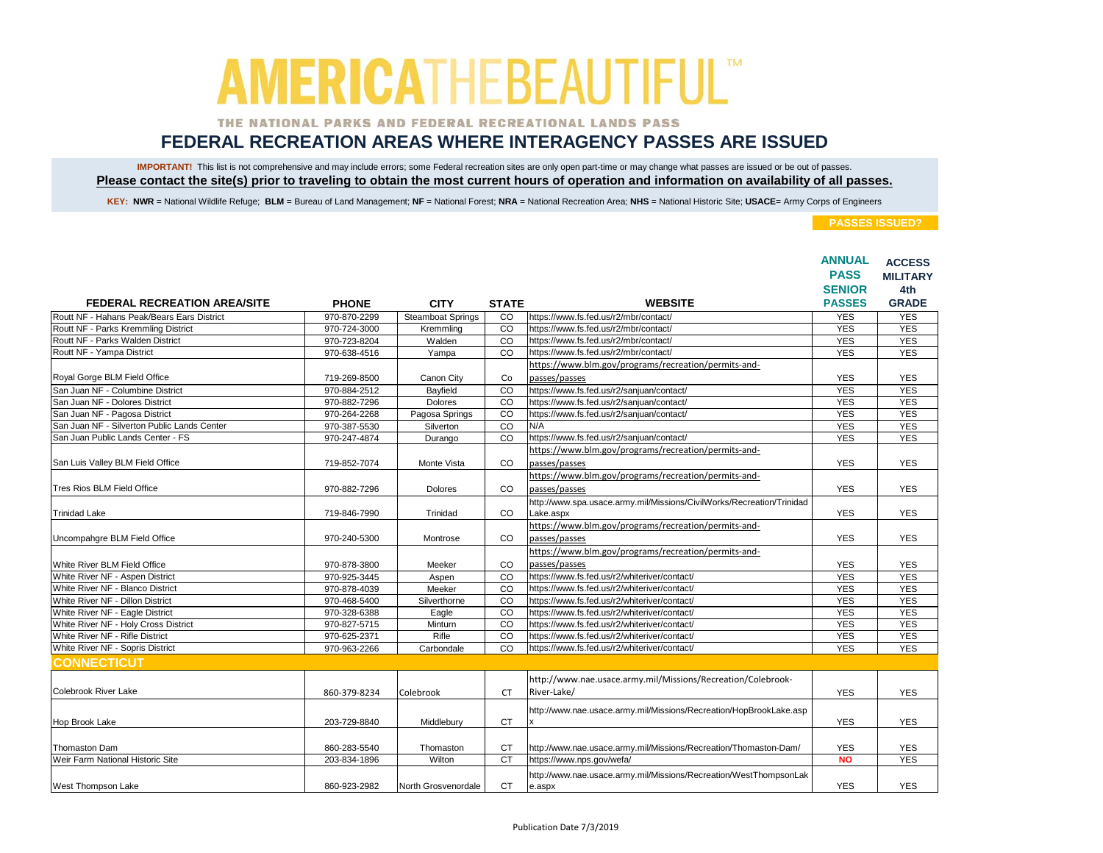### THE NATIONAL PARKS AND FEDERAL RECREATIONAL LANDS PASS

## **FEDERAL RECREATION AREAS WHERE INTERAGENCY PASSES ARE ISSUED**

IMPORTANT! This list is not comprehensive and may include errors; some Federal recreation sites are only open part-time or may change what passes are issued or be out of passes. **Please contact the site(s) prior to traveling to obtain the most current hours of operation and information on availability of all passes.**

KEY: NWR = National Wildlife Refuge; BLM = Bureau of Land Management; NF = National Forest; NRA = National Recreation Area; NHS = National Historic Site; USACE= Army Corps of Engineers

|                                             |              |                     |                |                                                                       | <b>ANNUAL</b><br><b>PASS</b><br><b>SENIOR</b> | <b>ACCESS</b><br><b>MILITARY</b><br>4th |
|---------------------------------------------|--------------|---------------------|----------------|-----------------------------------------------------------------------|-----------------------------------------------|-----------------------------------------|
| <b>FEDERAL RECREATION AREA/SITE</b>         | <b>PHONE</b> | <b>CITY</b>         | <b>STATE</b>   | <b>WEBSITE</b>                                                        | <b>PASSES</b>                                 | <b>GRADE</b>                            |
| Routt NF - Hahans Peak/Bears Ears District  | 970-870-2299 | Steamboat Springs   | CO             | https://www.fs.fed.us/r2/mbr/contact/                                 | <b>YES</b>                                    | <b>YES</b>                              |
| Routt NF - Parks Kremmling District         | 970-724-3000 | Kremmling           | $\overline{c}$ | https://www.fs.fed.us/r2/mbr/contact/                                 | <b>YES</b>                                    | <b>YES</b>                              |
| Routt NF - Parks Walden District            | 970-723-8204 | Walden              | CO             | https://www.fs.fed.us/r2/mbr/contact/                                 | <b>YES</b>                                    | <b>YES</b>                              |
| Routt NF - Yampa District                   | 970-638-4516 | Yampa               | CO             | https://www.fs.fed.us/r2/mbr/contact/                                 | <b>YES</b>                                    | <b>YES</b>                              |
|                                             |              |                     |                | https://www.blm.gov/programs/recreation/permits-and-                  |                                               |                                         |
| Royal Gorge BLM Field Office                | 719-269-8500 | Canon City          | Co             | passes/passes                                                         | <b>YES</b>                                    | <b>YES</b>                              |
| San Juan NF - Columbine District            | 970-884-2512 | Bayfield            | CO             | https://www.fs.fed.us/r2/sanjuan/contact/                             | <b>YES</b>                                    | <b>YES</b>                              |
| San Juan NF - Dolores District              | 970-882-7296 | <b>Dolores</b>      | CO             | https://www.fs.fed.us/r2/sanjuan/contact/                             | <b>YES</b>                                    | <b>YES</b>                              |
| San Juan NF - Pagosa District               | 970-264-2268 | Pagosa Springs      | CO             | https://www.fs.fed.us/r2/sanjuan/contact/                             | <b>YES</b>                                    | <b>YES</b>                              |
| San Juan NF - Silverton Public Lands Center | 970-387-5530 | Silverton           | CO             | N/A                                                                   | <b>YES</b>                                    | <b>YES</b>                              |
| San Juan Public Lands Center - FS           | 970-247-4874 | Durango             | CO             | https://www.fs.fed.us/r2/sanjuan/contact/                             | <b>YES</b>                                    | <b>YES</b>                              |
|                                             |              |                     |                | https://www.blm.gov/programs/recreation/permits-and-                  |                                               |                                         |
| San Luis Valley BLM Field Office            | 719-852-7074 | Monte Vista         | CO             | passes/passes                                                         | <b>YES</b>                                    | <b>YES</b>                              |
|                                             |              |                     |                | https://www.blm.gov/programs/recreation/permits-and-                  |                                               |                                         |
| Tres Rios BLM Field Office                  | 970-882-7296 | Dolores             | CO             | passes/passes                                                         | <b>YES</b>                                    | <b>YES</b>                              |
|                                             |              |                     |                | http://www.spa.usace.army.mil/Missions/CivilWorks/Recreation/Trinidad |                                               |                                         |
| <b>Trinidad Lake</b>                        | 719-846-7990 | Trinidad            | <b>CO</b>      | Lake.aspx                                                             | <b>YES</b>                                    | <b>YES</b>                              |
|                                             |              |                     |                | https://www.blm.gov/programs/recreation/permits-and-                  |                                               |                                         |
| Uncompahgre BLM Field Office                | 970-240-5300 | Montrose            | CO             | passes/passes                                                         | <b>YES</b>                                    | <b>YES</b>                              |
|                                             |              |                     |                | https://www.blm.gov/programs/recreation/permits-and-                  |                                               |                                         |
| White River BLM Field Office                | 970-878-3800 | Meeker              | CO             | passes/passes                                                         | <b>YES</b>                                    | <b>YES</b>                              |
| White River NF - Aspen District             | 970-925-3445 | Aspen               | CO             | https://www.fs.fed.us/r2/whiteriver/contact/                          | <b>YES</b>                                    | <b>YES</b>                              |
| White River NF - Blanco District            | 970-878-4039 | Meeker              | CO             | https://www.fs.fed.us/r2/whiteriver/contact/                          | <b>YES</b>                                    | <b>YES</b>                              |
| White River NF - Dillon District            | 970-468-5400 | Silverthorne        | CO             | https://www.fs.fed.us/r2/whiteriver/contact/                          | <b>YES</b>                                    | <b>YES</b>                              |
| White River NF - Eagle District             | 970-328-6388 | Eagle               | $\overline{c}$ | https://www.fs.fed.us/r2/whiteriver/contact/                          | <b>YES</b>                                    | <b>YES</b>                              |
| White River NF - Holy Cross District        | 970-827-5715 | Minturn             | CO             | https://www.fs.fed.us/r2/whiteriver/contact/                          | <b>YES</b>                                    | <b>YES</b>                              |
| White River NF - Rifle District             | 970-625-2371 | Rifle               | CO             | https://www.fs.fed.us/r2/whiteriver/contact/                          | <b>YES</b>                                    | <b>YES</b>                              |
| White River NF - Sopris District            | 970-963-2266 | Carbondale          | CO             | https://www.fs.fed.us/r2/whiteriver/contact/                          | <b>YES</b>                                    | <b>YES</b>                              |
| <b>CONNECTICUT</b>                          |              |                     |                |                                                                       |                                               |                                         |
|                                             |              |                     |                | http://www.nae.usace.army.mil/Missions/Recreation/Colebrook-          |                                               |                                         |
| Colebrook River Lake                        |              |                     |                | River-Lake/                                                           |                                               |                                         |
|                                             | 860-379-8234 | Colebrook           | <b>CT</b>      |                                                                       | <b>YES</b>                                    | <b>YES</b>                              |
|                                             |              |                     |                | http://www.nae.usace.army.mil/Missions/Recreation/HopBrookLake.asp    |                                               |                                         |
| Hop Brook Lake                              | 203-729-8840 | Middlebury          | <b>CT</b>      | x                                                                     | <b>YES</b>                                    | <b>YES</b>                              |
|                                             |              |                     |                |                                                                       |                                               |                                         |
| Thomaston Dam                               | 860-283-5540 | Thomaston           | <b>CT</b>      | http://www.nae.usace.army.mil/Missions/Recreation/Thomaston-Dam/      | <b>YES</b>                                    | <b>YES</b>                              |
| Weir Farm National Historic Site            | 203-834-1896 | Wilton              | <b>CT</b>      | https://www.nps.gov/wefa/                                             | <b>NO</b>                                     | <b>YES</b>                              |
|                                             |              |                     |                | http://www.nae.usace.army.mil/Missions/Recreation/WestThompsonLak     |                                               |                                         |
| West Thompson Lake                          | 860-923-2982 | North Grosvenordale | <b>CT</b>      | e.aspx                                                                | <b>YES</b>                                    | <b>YES</b>                              |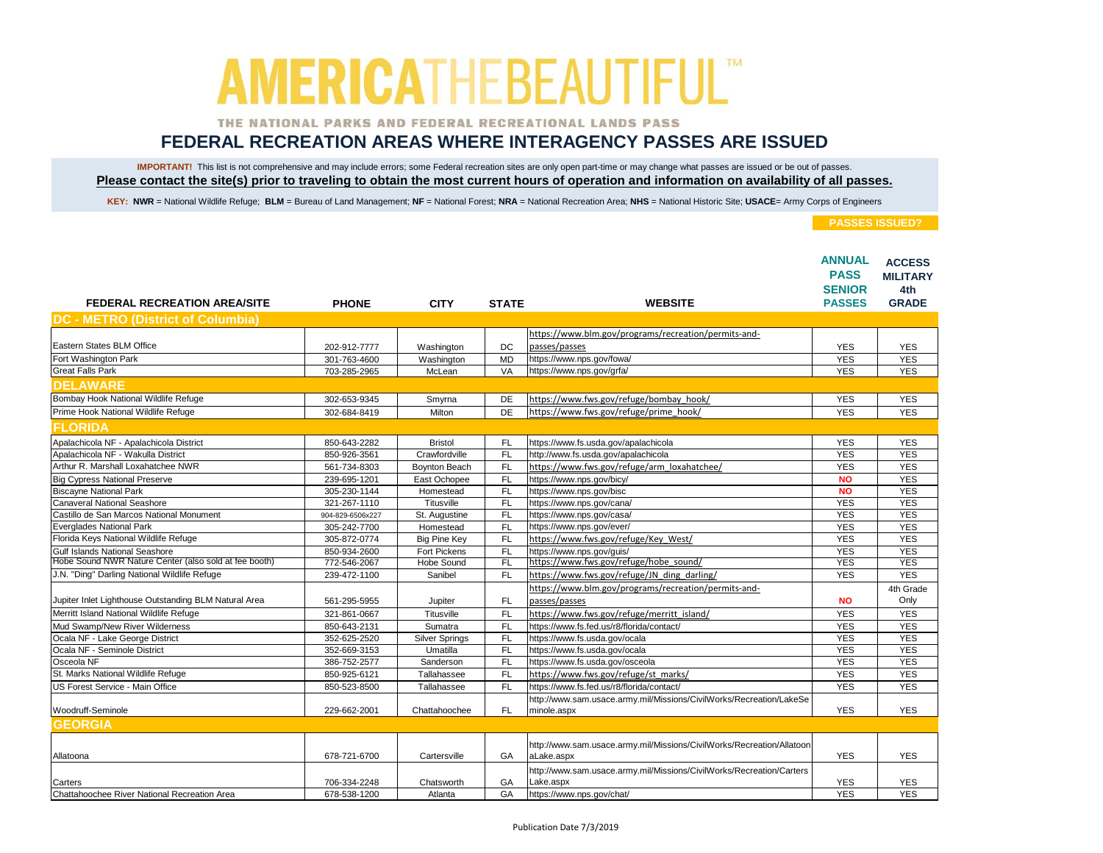### THE NATIONAL PARKS AND FEDERAL RECREATIONAL LANDS PASS

## **FEDERAL RECREATION AREAS WHERE INTERAGENCY PASSES ARE ISSUED**

IMPORTANT! This list is not comprehensive and may include errors; some Federal recreation sites are only open part-time or may change what passes are issued or be out of passes. **Please contact the site(s) prior to traveling to obtain the most current hours of operation and information on availability of all passes.**

KEY: NWR = National Wildlife Refuge; BLM = Bureau of Land Management; NF = National Forest; NRA = National Recreation Area; NHS = National Historic Site; USACE= Army Corps of Engineers

| <b>FEDERAL RECREATION AREA/SITE</b>                   | <b>PHONE</b>     | <b>CITY</b>           | <b>STATE</b> | <b>WEBSITE</b>                                                                      | <b>ANNUAL</b><br><b>PASS</b><br><b>SENIOR</b><br><b>PASSES</b> | <b>ACCESS</b><br><b>MILITARY</b><br>4th<br><b>GRADE</b> |
|-------------------------------------------------------|------------------|-----------------------|--------------|-------------------------------------------------------------------------------------|----------------------------------------------------------------|---------------------------------------------------------|
| <b>DC - METRO (District of Columbia)</b>              |                  |                       |              |                                                                                     |                                                                |                                                         |
|                                                       |                  |                       |              | https://www.blm.gov/programs/recreation/permits-and-                                |                                                                |                                                         |
| Eastern States BLM Office                             | 202-912-7777     | Washington            | DC           | passes/passes                                                                       | <b>YES</b>                                                     | <b>YES</b>                                              |
| Fort Washington Park                                  | 301-763-4600     | Washington            | <b>MD</b>    | https://www.nps.gov/fowa/                                                           | <b>YES</b>                                                     | <b>YES</b>                                              |
| <b>Great Falls Park</b>                               | 703-285-2965     | McLean                | VA           | https://www.nps.gov/grfa/                                                           | <b>YES</b>                                                     | <b>YES</b>                                              |
| <b>DELAWARE</b>                                       |                  |                       |              |                                                                                     |                                                                |                                                         |
| Bombay Hook National Wildlife Refuge                  | 302-653-9345     | Smyrna                | DE           | https://www.fws.gov/refuge/bombay hook/                                             | <b>YES</b>                                                     | <b>YES</b>                                              |
| Prime Hook National Wildlife Refuge                   | 302-684-8419     | Milton                | DE           | https://www.fws.gov/refuge/prime_hook/                                              | <b>YES</b>                                                     | <b>YES</b>                                              |
| <b>FLORIDA</b>                                        |                  |                       |              |                                                                                     |                                                                |                                                         |
| Apalachicola NF - Apalachicola District               | 850-643-2282     | <b>Bristol</b>        | <b>FL</b>    | https://www.fs.usda.gov/apalachicola                                                | <b>YES</b>                                                     | <b>YES</b>                                              |
| Apalachicola NF - Wakulla District                    | 850-926-3561     | Crawfordville         | <b>FL</b>    | http://www.fs.usda.gov/apalachicola                                                 | <b>YES</b>                                                     | <b>YES</b>                                              |
| Arthur R. Marshall Loxahatchee NWR                    | 561-734-8303     | Boynton Beach         | <b>FL</b>    | https://www.fws.gov/refuge/arm_loxahatchee/                                         | <b>YES</b>                                                     | <b>YES</b>                                              |
| <b>Big Cypress National Preserve</b>                  | 239-695-1201     | East Ochopee          | <b>FL</b>    | https://www.nps.gov/bicy/                                                           | <b>NO</b>                                                      | <b>YES</b>                                              |
| <b>Biscayne National Park</b>                         | 305-230-1144     | Homestead             | <b>FL</b>    | https://www.nps.gov/bisc                                                            | <b>NO</b>                                                      | <b>YES</b>                                              |
| <b>Canaveral National Seashore</b>                    | 321-267-1110     | Titusville            | <b>FL</b>    | https://www.nps.gov/cana/                                                           | <b>YES</b>                                                     | <b>YES</b>                                              |
| Castillo de San Marcos National Monument              | 904-829-6506x227 | St. Augustine         | <b>FL</b>    | https://www.nps.gov/casa/                                                           | <b>YES</b>                                                     | <b>YES</b>                                              |
| Everglades National Park                              | 305-242-7700     | Homestead             | <b>FL</b>    | https://www.nps.gov/ever/                                                           | <b>YES</b>                                                     | <b>YES</b>                                              |
| Florida Keys National Wildlife Refuge                 | 305-872-0774     | <b>Big Pine Key</b>   | FL           | https://www.fws.gov/refuge/Key West/                                                | <b>YES</b>                                                     | <b>YES</b>                                              |
| <b>Gulf Islands National Seashore</b>                 | 850-934-2600     | Fort Pickens          | FL           | https://www.nps.gov/guis/                                                           | <b>YES</b>                                                     | <b>YES</b>                                              |
| Hobe Sound NWR Nature Center (also sold at fee booth) | 772-546-2067     | <b>Hobe Sound</b>     | FL           | https://www.fws.gov/refuge/hobe sound/                                              | <b>YES</b>                                                     | <b>YES</b>                                              |
| J.N. "Ding" Darling National Wildlife Refuge          | 239-472-1100     | Sanibel               | <b>FL</b>    | https://www.fws.gov/refuge/JN ding darling/                                         | <b>YES</b>                                                     | <b>YES</b>                                              |
|                                                       |                  |                       |              | https://www.blm.gov/programs/recreation/permits-and-                                |                                                                | 4th Grade                                               |
| Jupiter Inlet Lighthouse Outstanding BLM Natural Area | 561-295-5955     | Jupiter               | FL           | passes/passes                                                                       | <b>NO</b>                                                      | Only                                                    |
| Merritt Island National Wildlife Refuge               | 321-861-0667     | Titusville            | <b>FL</b>    | https://www.fws.gov/refuge/merritt_island/                                          | <b>YES</b>                                                     | <b>YES</b>                                              |
| Mud Swamp/New River Wilderness                        | 850-643-2131     | Sumatra               | <b>FL</b>    | https://www.fs.fed.us/r8/florida/contact/                                           | <b>YES</b>                                                     | <b>YES</b>                                              |
| Ocala NF - Lake George District                       | 352-625-2520     | <b>Silver Springs</b> | <b>FL</b>    | https://www.fs.usda.gov/ocala                                                       | <b>YES</b>                                                     | <b>YES</b>                                              |
| Ocala NF - Seminole District                          | 352-669-3153     | Umatilla              | <b>FL</b>    | https://www.fs.usda.gov/ocala                                                       | <b>YES</b>                                                     | <b>YES</b>                                              |
| Osceola NF                                            | 386-752-2577     | Sanderson             | <b>FL</b>    | https://www.fs.usda.gov/osceola                                                     | <b>YES</b>                                                     | <b>YES</b>                                              |
| St. Marks National Wildlife Refuge                    | 850-925-6121     | Tallahassee           | FL           | https://www.fws.gov/refuge/st marks/                                                | <b>YES</b>                                                     | <b>YES</b>                                              |
| US Forest Service - Main Office                       | 850-523-8500     | Tallahassee           | FL           | https://www.fs.fed.us/r8/florida/contact/                                           | <b>YES</b>                                                     | <b>YES</b>                                              |
| Woodruff-Seminole                                     | 229-662-2001     | Chattahoochee         | <b>FL</b>    | http://www.sam.usace.army.mil/Missions/CivilWorks/Recreation/LakeSe<br>minole.aspx  | <b>YES</b>                                                     | <b>YES</b>                                              |
| <b>GEORGIA</b>                                        |                  |                       |              |                                                                                     |                                                                |                                                         |
| Allatoona                                             | 678-721-6700     | Cartersville          | GA           | http://www.sam.usace.army.mil/Missions/CivilWorks/Recreation/Allatoon<br>aLake.aspx | <b>YES</b>                                                     | <b>YES</b>                                              |
| Carters                                               | 706-334-2248     | Chatsworth            | GA           | http://www.sam.usace.army.mil/Missions/CivilWorks/Recreation/Carters<br>Lake.aspx   | <b>YES</b>                                                     | <b>YES</b>                                              |
| Chattahoochee River National Recreation Area          | 678-538-1200     | Atlanta               | GA           | https://www.nps.gov/chat/                                                           | <b>YES</b>                                                     | <b>YES</b>                                              |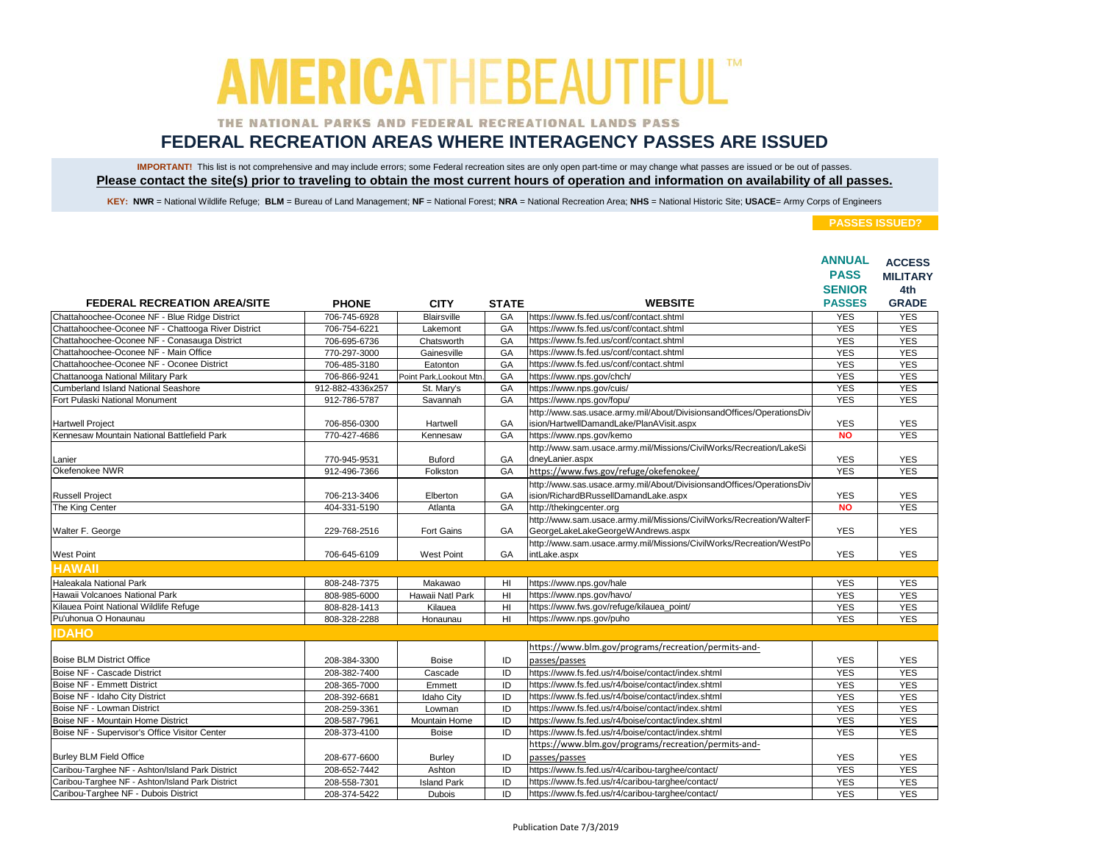### THE NATIONAL PARKS AND FEDERAL RECREATIONAL LANDS PASS

## **FEDERAL RECREATION AREAS WHERE INTERAGENCY PASSES ARE ISSUED**

IMPORTANT! This list is not comprehensive and may include errors; some Federal recreation sites are only open part-time or may change what passes are issued or be out of passes. **Please contact the site(s) prior to traveling to obtain the most current hours of operation and information on availability of all passes.**

KEY: NWR = National Wildlife Refuge; BLM = Bureau of Land Management; NF = National Forest; NRA = National Recreation Area; NHS = National Historic Site; USACE= Army Corps of Engineers

|                                                    |                  |                         |                |                                                                                                                   | <b>ANNUAL</b> | <b>ACCESS</b>   |
|----------------------------------------------------|------------------|-------------------------|----------------|-------------------------------------------------------------------------------------------------------------------|---------------|-----------------|
|                                                    |                  |                         |                |                                                                                                                   | <b>PASS</b>   | <b>MILITARY</b> |
|                                                    |                  |                         |                |                                                                                                                   | <b>SENIOR</b> | 4th             |
| <b>FEDERAL RECREATION AREA/SITE</b>                | <b>PHONE</b>     | <b>CITY</b>             | <b>STATE</b>   | <b>WEBSITE</b>                                                                                                    | <b>PASSES</b> | <b>GRADE</b>    |
| Chattahoochee-Oconee NF - Blue Ridge District      | 706-745-6928     | Blairsville             | GA             | https://www.fs.fed.us/conf/contact.shtml                                                                          | <b>YES</b>    | <b>YES</b>      |
| Chattahoochee-Oconee NF - Chattooga River District | 706-754-6221     | Lakemont                | GA             | https://www.fs.fed.us/conf/contact.shtml                                                                          | <b>YES</b>    | <b>YES</b>      |
| Chattahoochee-Oconee NF - Conasauga District       | 706-695-6736     | Chatsworth              | GA             | https://www.fs.fed.us/conf/contact.shtml                                                                          | <b>YES</b>    | <b>YES</b>      |
| Chattahoochee-Oconee NF - Main Office              | 770-297-3000     | Gainesville             | GA             | https://www.fs.fed.us/conf/contact.shtml                                                                          | <b>YES</b>    | <b>YES</b>      |
| Chattahoochee-Oconee NF - Oconee District          | 706-485-3180     | Eatonton                | GA             | https://www.fs.fed.us/conf/contact.shtml                                                                          | <b>YES</b>    | <b>YES</b>      |
| Chattanooga National Military Park                 | 706-866-9241     | Point Park, Lookout Mtn | GA             | https://www.nps.gov/chch/                                                                                         | <b>YES</b>    | <b>YES</b>      |
| <b>Cumberland Island National Seashore</b>         | 912-882-4336x257 | St. Mary's              | GA             | https://www.nps.gov/cuis/                                                                                         | <b>YES</b>    | <b>YES</b>      |
| Fort Pulaski National Monument                     | 912-786-5787     | Savannah                | GA             | https://www.nps.gov/fopu/                                                                                         | <b>YES</b>    | <b>YES</b>      |
| <b>Hartwell Project</b>                            | 706-856-0300     | Hartwell                | GA             | http://www.sas.usace.army.mil/About/DivisionsandOffices/OperationsDiv<br>ision/HartwellDamandLake/PlanAVisit.aspx | <b>YES</b>    | <b>YES</b>      |
| Kennesaw Mountain National Battlefield Park        | 770-427-4686     | Kennesaw                | GA             | https://www.nps.gov/kemo                                                                                          | <b>NO</b>     | <b>YES</b>      |
|                                                    |                  |                         |                | http://www.sam.usace.army.mil/Missions/CivilWorks/Recreation/LakeSi                                               |               |                 |
| Lanier                                             | 770-945-9531     | <b>Buford</b>           | GA             | dneyLanier.aspx                                                                                                   | <b>YES</b>    | <b>YES</b>      |
| Okefenokee NWR                                     | 912-496-7366     | Folkston                | GA             | https://www.fws.gov/refuge/okefenokee/                                                                            | <b>YES</b>    | <b>YES</b>      |
|                                                    |                  |                         |                | http://www.sas.usace.army.mil/About/DivisionsandOffices/OperationsDiv                                             |               |                 |
| <b>Russell Project</b>                             | 706-213-3406     | Elberton                | GA             | ision/RichardBRussellDamandLake.aspx                                                                              | <b>YES</b>    | <b>YES</b>      |
| The King Center                                    | 404-331-5190     | Atlanta                 | GA             | http://thekingcenter.org                                                                                          | <b>NO</b>     | <b>YES</b>      |
|                                                    |                  |                         |                | http://www.sam.usace.army.mil/Missions/CivilWorks/Recreation/WalterF                                              |               |                 |
| Walter F. George                                   | 229-768-2516     | Fort Gains              | GA             | GeorgeLakeLakeGeorgeWAndrews.aspx                                                                                 | <b>YES</b>    | <b>YES</b>      |
|                                                    |                  |                         |                | http://www.sam.usace.army.mil/Missions/CivilWorks/Recreation/WestPo                                               |               |                 |
| <b>West Point</b>                                  | 706-645-6109     | <b>West Point</b>       | GA             | intLake.aspx                                                                                                      | <b>YES</b>    | <b>YES</b>      |
| <b>HAWAII</b>                                      |                  |                         |                |                                                                                                                   |               |                 |
| Haleakala National Park                            | 808-248-7375     | Makawao                 | H <sub>l</sub> | https://www.nps.gov/hale                                                                                          | <b>YES</b>    | <b>YES</b>      |
| Hawaii Volcanoes National Park                     | 808-985-6000     | Hawaii Natl Park        | HI             | https://www.nps.gov/havo/                                                                                         | <b>YES</b>    | <b>YES</b>      |
| Kilauea Point National Wildlife Refuge             | 808-828-1413     | Kilauea                 | H <sub>l</sub> | https://www.fws.gov/refuge/kilauea_point/                                                                         | <b>YES</b>    | <b>YES</b>      |
| Pu'uhonua O Honaunau                               | 808-328-2288     | Honaunau                | H <sub>l</sub> | https://www.nps.gov/puho                                                                                          | <b>YES</b>    | <b>YES</b>      |
| <b>IDAHO</b>                                       |                  |                         |                |                                                                                                                   |               |                 |
|                                                    |                  |                         |                | https://www.blm.gov/programs/recreation/permits-and-                                                              |               |                 |
| <b>Boise BLM District Office</b>                   | 208-384-3300     | <b>Boise</b>            | ID             | passes/passes                                                                                                     | <b>YES</b>    | <b>YES</b>      |
| Boise NF - Cascade District                        | 208-382-7400     | Cascade                 | ID             | https://www.fs.fed.us/r4/boise/contact/index.shtml                                                                | <b>YES</b>    | <b>YES</b>      |
| <b>Boise NF - Emmett District</b>                  | 208-365-7000     | Emmett                  | ID             | https://www.fs.fed.us/r4/boise/contact/index.shtml                                                                | <b>YES</b>    | <b>YES</b>      |
| Boise NF - Idaho City District                     | 208-392-6681     | <b>Idaho City</b>       | ID             | https://www.fs.fed.us/r4/boise/contact/index.shtml                                                                | <b>YES</b>    | <b>YES</b>      |
| Boise NF - Lowman District                         | 208-259-3361     | Lowman                  | ID             | https://www.fs.fed.us/r4/boise/contact/index.shtml                                                                | <b>YES</b>    | <b>YES</b>      |
| Boise NF - Mountain Home District                  | 208-587-7961     | Mountain Home           | ID             | https://www.fs.fed.us/r4/boise/contact/index.shtml                                                                | <b>YES</b>    | <b>YES</b>      |
| Boise NF - Supervisor's Office Visitor Center      | 208-373-4100     | <b>Boise</b>            | ID             | https://www.fs.fed.us/r4/boise/contact/index.shtml                                                                | <b>YES</b>    | <b>YES</b>      |
|                                                    |                  |                         |                | https://www.blm.gov/programs/recreation/permits-and-                                                              |               |                 |
| <b>Burley BLM Field Office</b>                     | 208-677-6600     | <b>Burley</b>           | ID             | passes/passes                                                                                                     | <b>YES</b>    | <b>YES</b>      |
| Caribou-Targhee NF - Ashton/Island Park District   | 208-652-7442     | Ashton                  | ID             | https://www.fs.fed.us/r4/caribou-targhee/contact/                                                                 | <b>YES</b>    | <b>YES</b>      |
| Caribou-Targhee NF - Ashton/Island Park District   | 208-558-7301     | <b>Island Park</b>      | ID             | https://www.fs.fed.us/r4/caribou-targhee/contact/                                                                 | <b>YES</b>    | <b>YES</b>      |
| Caribou-Targhee NF - Dubois District               | 208-374-5422     | <b>Dubois</b>           | ID             | https://www.fs.fed.us/r4/caribou-targhee/contact/                                                                 | <b>YES</b>    | <b>YES</b>      |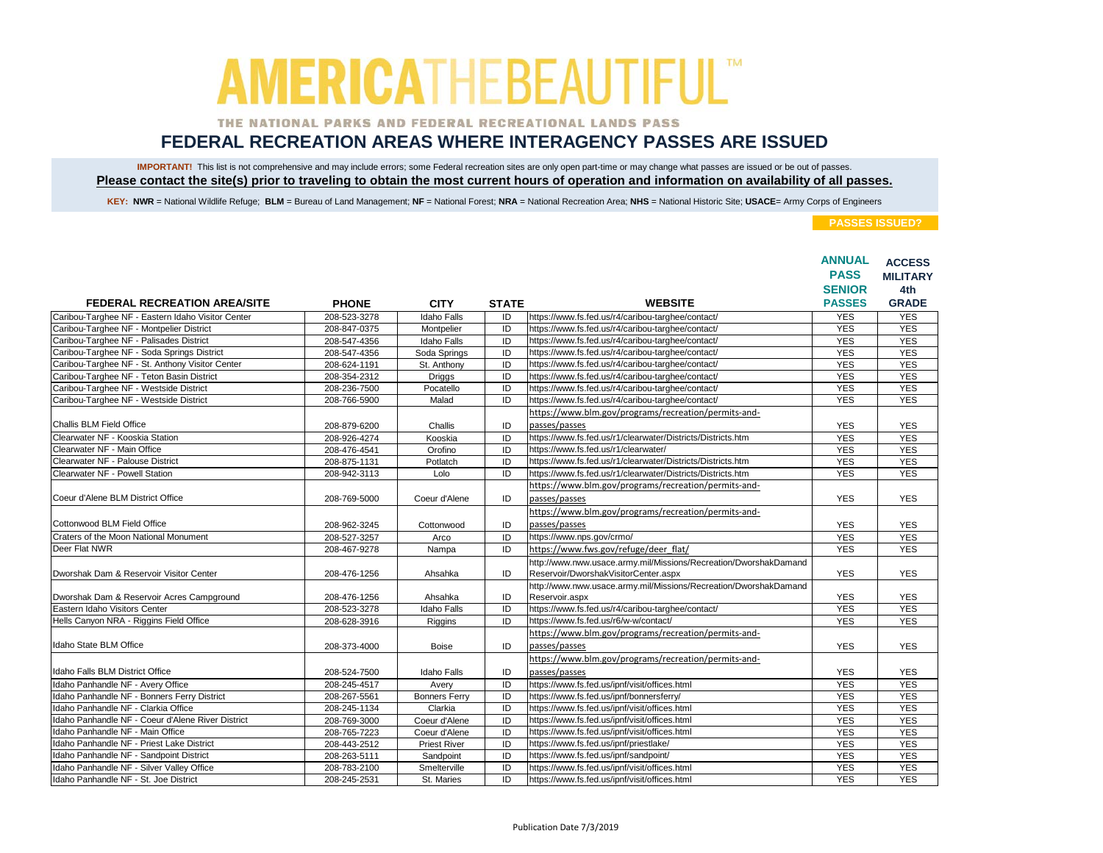### THE NATIONAL PARKS AND FEDERAL RECREATIONAL LANDS PASS

## **FEDERAL RECREATION AREAS WHERE INTERAGENCY PASSES ARE ISSUED**

IMPORTANT! This list is not comprehensive and may include errors; some Federal recreation sites are only open part-time or may change what passes are issued or be out of passes. **Please contact the site(s) prior to traveling to obtain the most current hours of operation and information on availability of all passes.**

KEY: NWR = National Wildlife Refuge; BLM = Bureau of Land Management; NF = National Forest; NRA = National Recreation Area; NHS = National Historic Site; USACE= Army Corps of Engineers

|                                                   |              |                      |                |                                                                  | <b>ANNUAL</b><br><b>PASS</b> | <b>ACCESS</b><br><b>MILITARY</b> |
|---------------------------------------------------|--------------|----------------------|----------------|------------------------------------------------------------------|------------------------------|----------------------------------|
|                                                   |              |                      |                |                                                                  | <b>SENIOR</b>                | 4th                              |
| <b>FEDERAL RECREATION AREA/SITE</b>               | <b>PHONE</b> | <b>CITY</b>          | <b>STATE</b>   | <b>WEBSITE</b>                                                   | <b>PASSES</b>                | <b>GRADE</b>                     |
| Caribou-Targhee NF - Eastern Idaho Visitor Center | 208-523-3278 | <b>Idaho Falls</b>   | ID             | https://www.fs.fed.us/r4/caribou-targhee/contact/                | <b>YES</b>                   | <b>YES</b>                       |
| Caribou-Targhee NF - Montpelier District          | 208-847-0375 | Montpelier           | ID             | https://www.fs.fed.us/r4/caribou-targhee/contact/                | <b>YES</b>                   | <b>YES</b>                       |
| Caribou-Targhee NF - Palisades District           | 208-547-4356 | <b>Idaho Falls</b>   | ID             | https://www.fs.fed.us/r4/caribou-targhee/contact/                | <b>YES</b>                   | <b>YES</b>                       |
| Caribou-Targhee NF - Soda Springs District        | 208-547-4356 | Soda Springs         | ID             | https://www.fs.fed.us/r4/caribou-targhee/contact/                | <b>YES</b>                   | <b>YES</b>                       |
| Caribou-Targhee NF - St. Anthony Visitor Center   | 208-624-1191 | St. Anthony          | ID             | https://www.fs.fed.us/r4/caribou-targhee/contact/                | <b>YES</b>                   | <b>YES</b>                       |
| Caribou-Targhee NF - Teton Basin District         | 208-354-2312 | <b>Driggs</b>        | ID             | https://www.fs.fed.us/r4/caribou-targhee/contact/                | <b>YES</b>                   | <b>YES</b>                       |
| Caribou-Targhee NF - Westside District            | 208-236-7500 | Pocatello            | ID             | https://www.fs.fed.us/r4/caribou-targhee/contact/                | <b>YES</b>                   | <b>YES</b>                       |
| Caribou-Targhee NF - Westside District            | 208-766-5900 | Malad                | ID             | https://www.fs.fed.us/r4/caribou-targhee/contact/                | <b>YES</b>                   | <b>YES</b>                       |
|                                                   |              |                      |                | https://www.blm.gov/programs/recreation/permits-and-             |                              |                                  |
| Challis BLM Field Office                          | 208-879-6200 | Challis              | ID             | passes/passes                                                    | <b>YES</b>                   | <b>YES</b>                       |
| Clearwater NF - Kooskia Station                   | 208-926-4274 | Kooskia              | ID             | https://www.fs.fed.us/r1/clearwater/Districts/Districts.htm      | <b>YES</b>                   | <b>YES</b>                       |
| Clearwater NF - Main Office                       | 208-476-4541 | Orofino              | ID             | https://www.fs.fed.us/r1/clearwater/                             | <b>YES</b>                   | <b>YES</b>                       |
| Clearwater NF - Palouse District                  | 208-875-1131 | Potlatch             | $\overline{D}$ | https://www.fs.fed.us/r1/clearwater/Districts/Districts.htm      | <b>YES</b>                   | <b>YES</b>                       |
| Clearwater NF - Powell Station                    | 208-942-3113 | Lolo                 | ID             | https://www.fs.fed.us/r1/clearwater/Districts/Districts.htm      | <b>YES</b>                   | <b>YES</b>                       |
|                                                   |              |                      |                | https://www.blm.gov/programs/recreation/permits-and-             |                              |                                  |
| Coeur d'Alene BLM District Office                 | 208-769-5000 | Coeur d'Alene        | ID             | passes/passes                                                    | <b>YES</b>                   | <b>YES</b>                       |
|                                                   |              |                      |                | https://www.blm.gov/programs/recreation/permits-and-             |                              |                                  |
| Cottonwood BLM Field Office                       | 208-962-3245 | Cottonwood           | ID             | passes/passes                                                    | <b>YES</b>                   | <b>YES</b>                       |
| Craters of the Moon National Monument             | 208-527-3257 | Arco                 | ID             | https://www.nps.gov/crmo/                                        | <b>YES</b>                   | <b>YES</b>                       |
| Deer Flat NWR                                     | 208-467-9278 | Nampa                | ID             | https://www.fws.gov/refuge/deer flat/                            | <b>YES</b>                   | <b>YES</b>                       |
|                                                   |              |                      |                | http://www.nww.usace.army.mil/Missions/Recreation/DworshakDamand |                              |                                  |
| Dworshak Dam & Reservoir Visitor Center           | 208-476-1256 | Ahsahka              | ID             | Reservoir/DworshakVisitorCenter.aspx                             | <b>YES</b>                   | <b>YES</b>                       |
|                                                   |              |                      |                | http://www.nww.usace.army.mil/Missions/Recreation/DworshakDamand |                              |                                  |
| Dworshak Dam & Reservoir Acres Campground         | 208-476-1256 | Ahsahka              | ID             | Reservoir.aspx                                                   | <b>YES</b>                   | <b>YES</b>                       |
| Eastern Idaho Visitors Center                     | 208-523-3278 | <b>Idaho Falls</b>   | ID             | https://www.fs.fed.us/r4/caribou-targhee/contact/                | <b>YES</b>                   | <b>YES</b>                       |
| Hells Canyon NRA - Riggins Field Office           | 208-628-3916 | Riggins              | ID             | https://www.fs.fed.us/r6/w-w/contact/                            | <b>YES</b>                   | <b>YES</b>                       |
|                                                   |              |                      |                | https://www.blm.gov/programs/recreation/permits-and-             |                              |                                  |
| Idaho State BLM Office                            | 208-373-4000 | Boise                | ID             | passes/passes                                                    | <b>YES</b>                   | <b>YES</b>                       |
|                                                   |              |                      |                | https://www.blm.gov/programs/recreation/permits-and-             |                              |                                  |
| Idaho Falls BLM District Office                   | 208-524-7500 | Idaho Falls          | ID             | passes/passes                                                    | <b>YES</b>                   | <b>YES</b>                       |
| Idaho Panhandle NF - Avery Office                 | 208-245-4517 | Avery                | ID             | https://www.fs.fed.us/ipnf/visit/offices.html                    | <b>YES</b>                   | <b>YES</b>                       |
| Idaho Panhandle NF - Bonners Ferry District       | 208-267-5561 | <b>Bonners Ferry</b> | ID             | https://www.fs.fed.us/ipnf/bonnersferry/                         | <b>YES</b>                   | <b>YES</b>                       |
| Idaho Panhandle NF - Clarkia Office               | 208-245-1134 | Clarkia              | ID             | https://www.fs.fed.us/ipnf/visit/offices.html                    | <b>YES</b>                   | <b>YES</b>                       |
| Idaho Panhandle NF - Coeur d'Alene River District | 208-769-3000 | Coeur d'Alene        | ID             | https://www.fs.fed.us/ipnf/visit/offices.html                    | <b>YES</b>                   | <b>YES</b>                       |
| Idaho Panhandle NF - Main Office                  | 208-765-7223 | Coeur d'Alene        | ID             | https://www.fs.fed.us/ipnf/visit/offices.html                    | <b>YES</b>                   | <b>YES</b>                       |
| Idaho Panhandle NF - Priest Lake District         | 208-443-2512 | <b>Priest River</b>  | ID             | https://www.fs.fed.us/ipnf/priestlake/                           | <b>YES</b>                   | <b>YES</b>                       |
| Idaho Panhandle NF - Sandpoint District           | 208-263-5111 | Sandpoint            | ID             | https://www.fs.fed.us/ipnf/sandpoint/                            | <b>YES</b>                   | <b>YES</b>                       |
| Idaho Panhandle NF - Silver Valley Office         | 208-783-2100 | Smelterville         | ID             | https://www.fs.fed.us/ipnf/visit/offices.html                    | <b>YES</b>                   | <b>YES</b>                       |
| Idaho Panhandle NF - St. Joe District             | 208-245-2531 | St. Maries           | ID             | https://www.fs.fed.us/ipnf/visit/offices.html                    | <b>YES</b>                   | <b>YES</b>                       |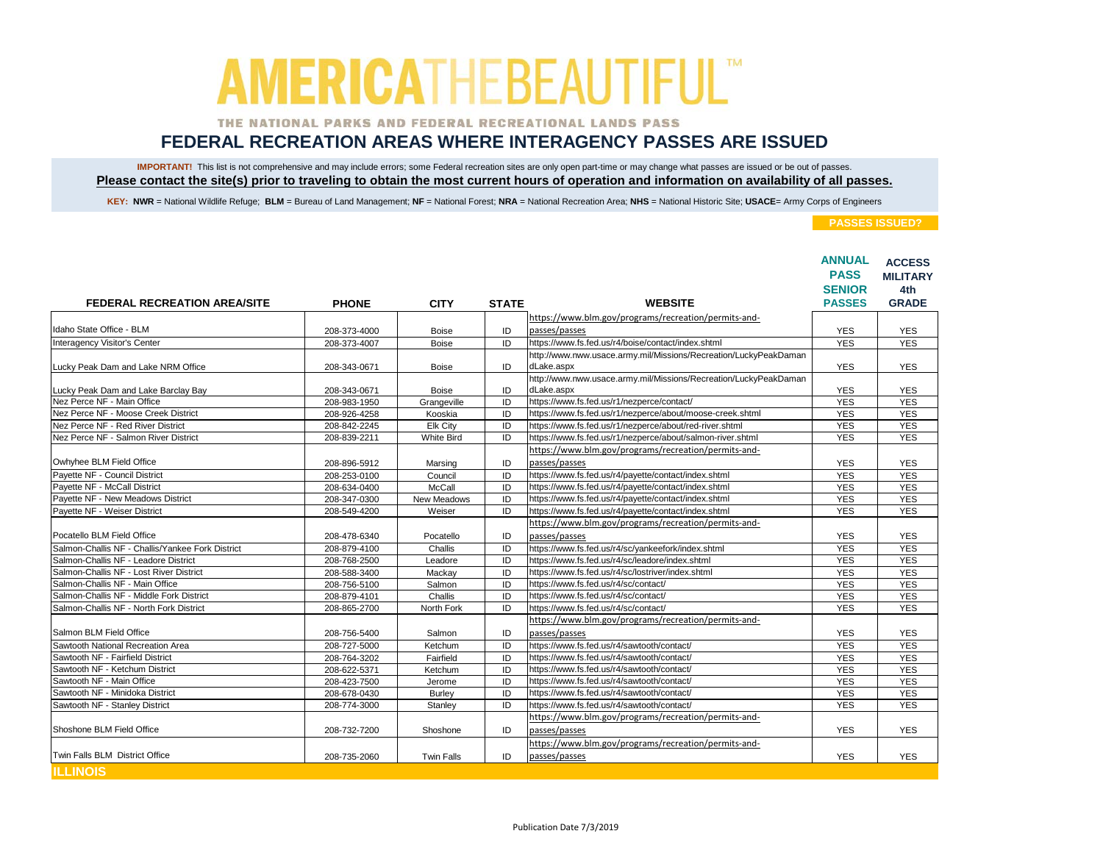### THE NATIONAL PARKS AND FEDERAL RECREATIONAL LANDS PASS

## **FEDERAL RECREATION AREAS WHERE INTERAGENCY PASSES ARE ISSUED**

IMPORTANT! This list is not comprehensive and may include errors; some Federal recreation sites are only open part-time or may change what passes are issued or be out of passes. **Please contact the site(s) prior to traveling to obtain the most current hours of operation and information on availability of all passes.**

KEY: NWR = National Wildlife Refuge; BLM = Bureau of Land Management; NF = National Forest; NRA = National Recreation Area; NHS = National Historic Site; USACE= Army Corps of Engineers

|                                                  |              |                   |              |                                                                  | <b>ANNUAL</b><br><b>PASS</b> | <b>ACCESS</b><br><b>MILITARY</b> |
|--------------------------------------------------|--------------|-------------------|--------------|------------------------------------------------------------------|------------------------------|----------------------------------|
|                                                  |              |                   |              |                                                                  | <b>SENIOR</b>                | 4th                              |
| <b>FEDERAL RECREATION AREA/SITE</b>              | <b>PHONE</b> | <b>CITY</b>       | <b>STATE</b> | <b>WEBSITE</b>                                                   | <b>PASSES</b>                | <b>GRADE</b>                     |
|                                                  |              |                   |              | https://www.blm.gov/programs/recreation/permits-and-             |                              |                                  |
| Idaho State Office - BLM                         | 208-373-4000 | <b>Boise</b>      | ID           | passes/passes                                                    | <b>YES</b>                   | <b>YES</b>                       |
| Interagency Visitor's Center                     | 208-373-4007 | <b>Boise</b>      | ID           | https://www.fs.fed.us/r4/boise/contact/index.shtml               | <b>YES</b>                   | <b>YES</b>                       |
|                                                  |              |                   |              | http://www.nww.usace.army.mil/Missions/Recreation/LuckyPeakDaman |                              |                                  |
| Lucky Peak Dam and Lake NRM Office               | 208-343-0671 | <b>Boise</b>      | ID           | dLake.aspx                                                       | <b>YES</b>                   | <b>YES</b>                       |
|                                                  |              |                   |              | http://www.nww.usace.army.mil/Missions/Recreation/LuckyPeakDaman |                              |                                  |
| Lucky Peak Dam and Lake Barclay Bay              | 208-343-0671 | <b>Boise</b>      | ID           | dLake.aspx                                                       | <b>YES</b>                   | <b>YES</b>                       |
| Nez Perce NF - Main Office                       | 208-983-1950 | Grangeville       | ID           | https://www.fs.fed.us/r1/nezperce/contact/                       | <b>YES</b>                   | <b>YES</b>                       |
| Nez Perce NF - Moose Creek District              | 208-926-4258 | Kooskia           | ID           | https://www.fs.fed.us/r1/nezperce/about/moose-creek.shtml        | <b>YES</b>                   | <b>YES</b>                       |
| Nez Perce NF - Red River District                | 208-842-2245 | Elk City          | ID           | https://www.fs.fed.us/r1/nezperce/about/red-river.shtml          | <b>YES</b>                   | <b>YES</b>                       |
| Nez Perce NF - Salmon River District             | 208-839-2211 | <b>White Bird</b> | ID           | https://www.fs.fed.us/r1/nezperce/about/salmon-river.shtml       | <b>YES</b>                   | <b>YES</b>                       |
|                                                  |              |                   |              | https://www.blm.gov/programs/recreation/permits-and-             |                              |                                  |
| Owhyhee BLM Field Office                         | 208-896-5912 | Marsing           | ID           | passes/passes                                                    | <b>YES</b>                   | <b>YES</b>                       |
| Payette NF - Council District                    | 208-253-0100 | Council           | ID           | https://www.fs.fed.us/r4/payette/contact/index.shtml             | <b>YES</b>                   | <b>YES</b>                       |
| Pavette NF - McCall District                     | 208-634-0400 | McCall            | ID           | https://www.fs.fed.us/r4/payette/contact/index.shtml             | <b>YES</b>                   | <b>YES</b>                       |
| Pavette NF - New Meadows District                | 208-347-0300 | New Meadows       | ID           | https://www.fs.fed.us/r4/payette/contact/index.shtml             | <b>YES</b>                   | <b>YES</b>                       |
| Payette NF - Weiser District                     | 208-549-4200 | Weiser            | ID           | https://www.fs.fed.us/r4/payette/contact/index.shtml             | <b>YES</b>                   | <b>YES</b>                       |
|                                                  |              |                   |              | https://www.blm.gov/programs/recreation/permits-and-             |                              |                                  |
| Pocatello BLM Field Office                       | 208-478-6340 | Pocatello         | ID           | passes/passes                                                    | <b>YES</b>                   | <b>YES</b>                       |
| Salmon-Challis NF - Challis/Yankee Fork District | 208-879-4100 | Challis           | ID           | https://www.fs.fed.us/r4/sc/yankeefork/index.shtml               | <b>YES</b>                   | <b>YES</b>                       |
| Salmon-Challis NF - Leadore District             | 208-768-2500 | Leadore           | ID           | https://www.fs.fed.us/r4/sc/leadore/index.shtml                  | <b>YES</b>                   | <b>YES</b>                       |
| Salmon-Challis NF - Lost River District          | 208-588-3400 | Mackav            | ID           | https://www.fs.fed.us/r4/sc/lostriver/index.shtml                | <b>YES</b>                   | <b>YES</b>                       |
| Salmon-Challis NF - Main Office                  | 208-756-5100 | Salmon            | ID           | https://www.fs.fed.us/r4/sc/contact/                             | <b>YES</b>                   | <b>YES</b>                       |
| Salmon-Challis NF - Middle Fork District         | 208-879-4101 | Challis           | ID           | https://www.fs.fed.us/r4/sc/contact/                             | <b>YES</b>                   | <b>YES</b>                       |
| Salmon-Challis NF - North Fork District          | 208-865-2700 | North Fork        | ID           | https://www.fs.fed.us/r4/sc/contact/                             | <b>YES</b>                   | <b>YES</b>                       |
|                                                  |              |                   |              | https://www.blm.gov/programs/recreation/permits-and-             |                              |                                  |
| Salmon BLM Field Office                          | 208-756-5400 | Salmon            | ID           | passes/passes                                                    | <b>YES</b>                   | <b>YES</b>                       |
| Sawtooth National Recreation Area                | 208-727-5000 | Ketchum           | ID           | https://www.fs.fed.us/r4/sawtooth/contact/                       | <b>YES</b>                   | <b>YES</b>                       |
| Sawtooth NF - Fairfield District                 | 208-764-3202 | Fairfield         | ID           | https://www.fs.fed.us/r4/sawtooth/contact/                       | <b>YES</b>                   | <b>YES</b>                       |
| Sawtooth NF - Ketchum District                   | 208-622-5371 | Ketchum           | ID           | https://www.fs.fed.us/r4/sawtooth/contact/                       | <b>YES</b>                   | <b>YES</b>                       |
| Sawtooth NF - Main Office                        | 208-423-7500 | Jerome            | ID           | https://www.fs.fed.us/r4/sawtooth/contact/                       | <b>YES</b>                   | <b>YES</b>                       |
| Sawtooth NF - Minidoka District                  | 208-678-0430 | Burley            | ID           | https://www.fs.fed.us/r4/sawtooth/contact/                       | <b>YES</b>                   | <b>YES</b>                       |
| Sawtooth NF - Stanley District                   | 208-774-3000 | Stanley           | ID           | https://www.fs.fed.us/r4/sawtooth/contact/                       | <b>YES</b>                   | <b>YES</b>                       |
|                                                  |              |                   |              | https://www.blm.gov/programs/recreation/permits-and-             |                              |                                  |
| Shoshone BLM Field Office                        | 208-732-7200 | Shoshone          | ID           | passes/passes                                                    | <b>YES</b>                   | <b>YES</b>                       |
|                                                  |              |                   |              | https://www.blm.gov/programs/recreation/permits-and-             |                              |                                  |
| Twin Falls BLM District Office                   | 208-735-2060 | <b>Twin Falls</b> | ID           | passes/passes                                                    | <b>YES</b>                   | <b>YES</b>                       |
| <b>ILLINOIS</b>                                  |              |                   |              |                                                                  |                              |                                  |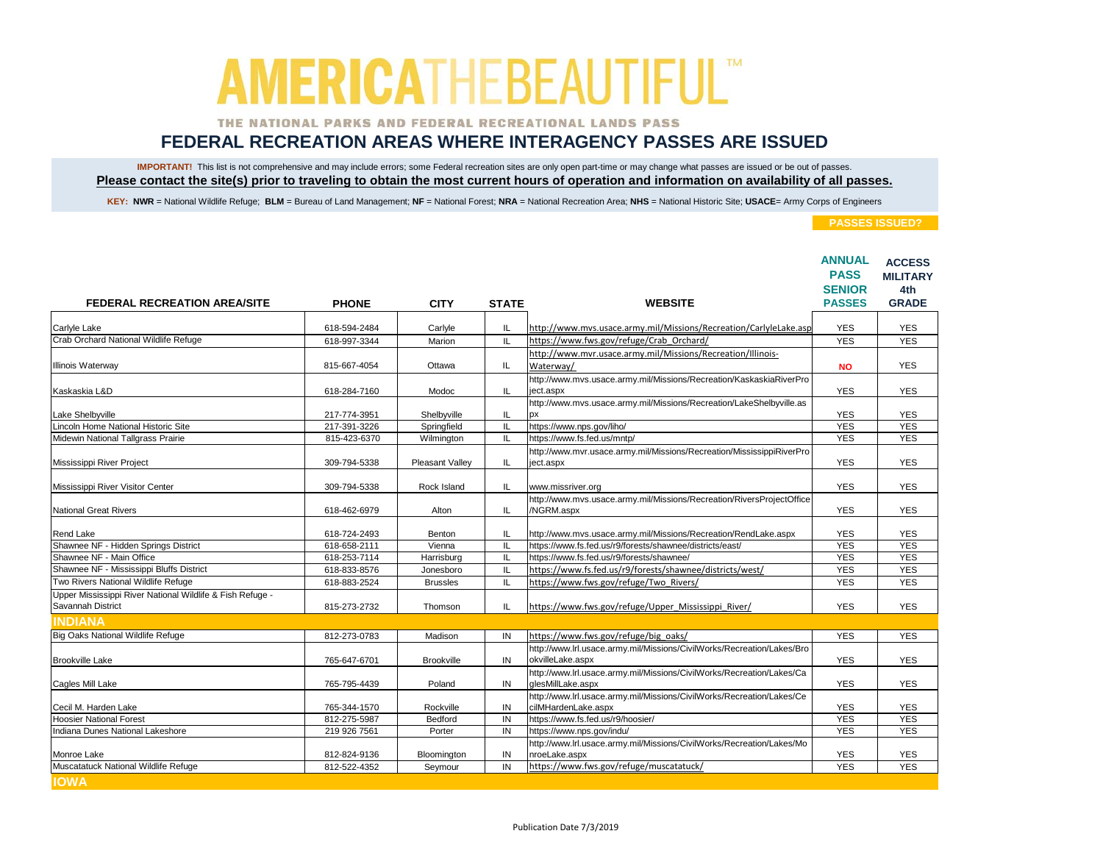### THE NATIONAL PARKS AND FEDERAL RECREATIONAL LANDS PASS

## **FEDERAL RECREATION AREAS WHERE INTERAGENCY PASSES ARE ISSUED**

IMPORTANT! This list is not comprehensive and may include errors; some Federal recreation sites are only open part-time or may change what passes are issued or be out of passes. **Please contact the site(s) prior to traveling to obtain the most current hours of operation and information on availability of all passes.**

KEY: NWR = National Wildlife Refuge; BLM = Bureau of Land Management; NF = National Forest; NRA = National Recreation Area; NHS = National Historic Site; USACE= Army Corps of Engineers

| <b>FEDERAL RECREATION AREA/SITE</b>                       |              |                   |              | <b>WEBSITE</b>                                                         | <b>ANNUAL</b><br><b>PASS</b><br><b>SENIOR</b><br><b>PASSES</b> | <b>ACCESS</b><br><b>MILITARY</b><br>4th<br><b>GRADE</b> |
|-----------------------------------------------------------|--------------|-------------------|--------------|------------------------------------------------------------------------|----------------------------------------------------------------|---------------------------------------------------------|
|                                                           | <b>PHONE</b> | <b>CITY</b>       | <b>STATE</b> |                                                                        |                                                                |                                                         |
| Carlyle Lake                                              | 618-594-2484 | Carlyle           | IL           | http://www.mvs.usace.army.mil/Missions/Recreation/CarlyleLake.asp      | <b>YES</b>                                                     | <b>YES</b>                                              |
| Crab Orchard National Wildlife Refuge                     | 618-997-3344 | Marion            | IL.          | https://www.fws.gov/refuge/Crab Orchard/                               | <b>YES</b>                                                     | <b>YES</b>                                              |
|                                                           |              |                   |              | http://www.mvr.usace.army.mil/Missions/Recreation/Illinois-            |                                                                |                                                         |
| Illinois Waterway                                         | 815-667-4054 | Ottawa            | IL           | Waterway/                                                              | <b>NO</b>                                                      | <b>YES</b>                                              |
|                                                           |              |                   |              | http://www.mvs.usace.army.mil/Missions/Recreation/KaskaskiaRiverPro    |                                                                |                                                         |
| Kaskaskia L&D                                             | 618-284-7160 | Modoc             | IL.          | ject.aspx                                                              | <b>YES</b>                                                     | <b>YES</b>                                              |
|                                                           |              |                   |              | http://www.mvs.usace.army.mil/Missions/Recreation/LakeShelbyville.as   |                                                                |                                                         |
| Lake Shelbyville                                          | 217-774-3951 | Shelbyville       | IL           |                                                                        | <b>YES</b>                                                     | <b>YES</b>                                              |
| Lincoln Home National Historic Site                       | 217-391-3226 | Springfield       | IL           | https://www.nps.gov/liho/                                              | <b>YES</b>                                                     | <b>YES</b>                                              |
| Midewin National Tallgrass Prairie                        | 815-423-6370 | Wilmington        | IL           | https://www.fs.fed.us/mntp/                                            | <b>YES</b>                                                     | <b>YES</b>                                              |
|                                                           |              |                   |              | http://www.mvr.usace.army.mil/Missions/Recreation/MississippiRiverPro  |                                                                |                                                         |
| Mississippi River Project                                 | 309-794-5338 | Pleasant Valley   | IL.          | ject.aspx                                                              | <b>YES</b>                                                     | <b>YES</b>                                              |
| Mississippi River Visitor Center                          | 309-794-5338 | Rock Island       | IL.          | www.missriver.org                                                      | <b>YES</b>                                                     | <b>YES</b>                                              |
|                                                           |              |                   |              | http://www.mvs.usace.army.mil/Missions/Recreation/RiversProjectOffice  |                                                                |                                                         |
| <b>National Great Rivers</b>                              | 618-462-6979 | Alton             | IL.          | /NGRM.aspx                                                             | <b>YES</b>                                                     | <b>YES</b>                                              |
|                                                           |              |                   |              |                                                                        |                                                                |                                                         |
| Rend Lake                                                 | 618-724-2493 | Benton            | IL           | http://www.mvs.usace.army.mil/Missions/Recreation/RendLake.aspx        | <b>YES</b>                                                     | <b>YES</b>                                              |
| Shawnee NF - Hidden Springs District                      | 618-658-2111 | Vienna            | IL           | https://www.fs.fed.us/r9/forests/shawnee/districts/east/               | <b>YES</b>                                                     | <b>YES</b>                                              |
| Shawnee NF - Main Office                                  | 618-253-7114 | Harrisburg        | IL           | https://www.fs.fed.us/r9/forests/shawnee/                              | <b>YES</b>                                                     | <b>YES</b>                                              |
| Shawnee NF - Mississippi Bluffs District                  | 618-833-8576 | Jonesboro         | IL           | https://www.fs.fed.us/r9/forests/shawnee/districts/west/               | <b>YES</b>                                                     | <b>YES</b>                                              |
| Two Rivers National Wildlife Refuge                       | 618-883-2524 | <b>Brussles</b>   | IL           | https://www.fws.gov/refuge/Two Rivers/                                 | <b>YES</b>                                                     | <b>YES</b>                                              |
| Upper Mississippi River National Wildlife & Fish Refuge - |              |                   |              |                                                                        |                                                                |                                                         |
| Savannah District                                         | 815-273-2732 | Thomson           | IL           | https://www.fws.gov/refuge/Upper Mississippi River/                    | <b>YES</b>                                                     | <b>YES</b>                                              |
| <b>INDIANA</b>                                            |              |                   |              |                                                                        |                                                                |                                                         |
| <b>Big Oaks National Wildlife Refuge</b>                  | 812-273-0783 | Madison           | IN           | https://www.fws.gov/refuge/big_oaks/                                   | <b>YES</b>                                                     | <b>YES</b>                                              |
|                                                           |              |                   |              | http://www.lrl.usace.army.mil/Missions/CivilWorks/Recreation/Lakes/Bro |                                                                |                                                         |
| <b>Brookville Lake</b>                                    | 765-647-6701 | <b>Brookville</b> | IN           | okvilleLake.aspx                                                       | <b>YES</b>                                                     | <b>YES</b>                                              |
|                                                           |              |                   |              | http://www.lrl.usace.army.mil/Missions/CivilWorks/Recreation/Lakes/Ca  |                                                                |                                                         |
| Cagles Mill Lake                                          | 765-795-4439 | Poland            | IN           | glesMillLake.aspx                                                      | <b>YES</b>                                                     | <b>YES</b>                                              |
|                                                           |              |                   |              | http://www.lrl.usace.army.mil/Missions/CivilWorks/Recreation/Lakes/Ce  |                                                                |                                                         |
| Cecil M. Harden Lake                                      | 765-344-1570 | Rockville         | IN           | cilMHardenLake.aspx                                                    | <b>YES</b>                                                     | <b>YES</b>                                              |
| <b>Hoosier National Forest</b>                            | 812-275-5987 | Bedford           | IN           | https://www.fs.fed.us/r9/hoosier/                                      | <b>YES</b>                                                     | <b>YES</b>                                              |
| Indiana Dunes National Lakeshore                          | 219 926 7561 | Porter            | IN           | https://www.nps.gov/indu/                                              | <b>YES</b>                                                     | <b>YES</b>                                              |
|                                                           |              |                   |              | http://www.lrl.usace.army.mil/Missions/CivilWorks/Recreation/Lakes/Mo  |                                                                |                                                         |
| Monroe Lake<br>Muscatatuck National Wildlife Refuge       | 812-824-9136 | Bloomington       | IN           | nroeLake.aspx                                                          | <b>YES</b>                                                     | <b>YES</b>                                              |
|                                                           | 812-522-4352 | Seymour           | IN           | https://www.fws.gov/refuge/muscatatuck/                                | <b>YES</b>                                                     | <b>YES</b>                                              |
| <b>IOWA</b>                                               |              |                   |              |                                                                        |                                                                |                                                         |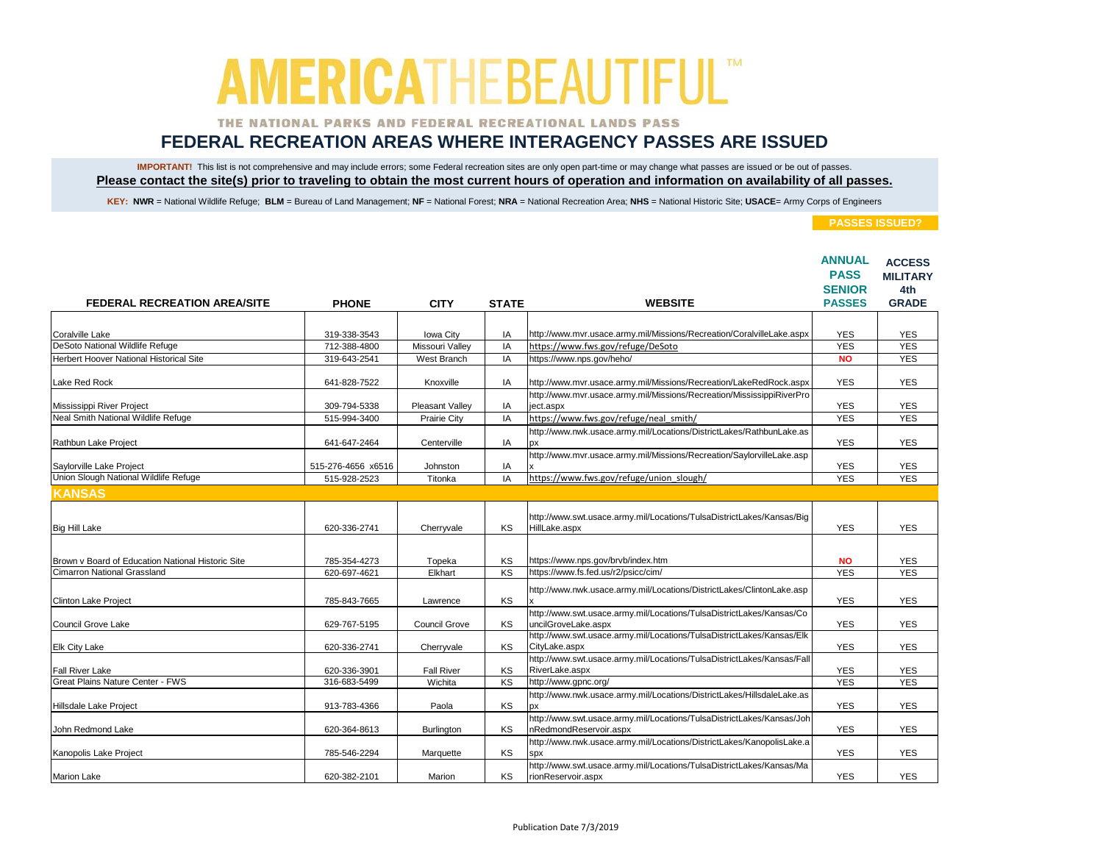### THE NATIONAL PARKS AND FEDERAL RECREATIONAL LANDS PASS

## **FEDERAL RECREATION AREAS WHERE INTERAGENCY PASSES ARE ISSUED**

IMPORTANT! This list is not comprehensive and may include errors; some Federal recreation sites are only open part-time or may change what passes are issued or be out of passes. **Please contact the site(s) prior to traveling to obtain the most current hours of operation and information on availability of all passes.**

KEY: NWR = National Wildlife Refuge; BLM = Bureau of Land Management; NF = National Forest; NRA = National Recreation Area; NHS = National Historic Site; USACE= Army Corps of Engineers

|                                                   |                    |                 |              |                                                                                                 | <b>ANNUAL</b><br><b>PASS</b><br><b>SENIOR</b> | <b>ACCESS</b><br><b>MILITARY</b><br>4th<br><b>GRADE</b> |
|---------------------------------------------------|--------------------|-----------------|--------------|-------------------------------------------------------------------------------------------------|-----------------------------------------------|---------------------------------------------------------|
| <b>FEDERAL RECREATION AREA/SITE</b>               | <b>PHONE</b>       | <b>CITY</b>     | <b>STATE</b> | <b>WEBSITE</b>                                                                                  | <b>PASSES</b>                                 |                                                         |
|                                                   |                    |                 |              |                                                                                                 |                                               |                                                         |
| Coralville Lake                                   | 319-338-3543       | Iowa City       | IA           | http://www.mvr.usace.army.mil/Missions/Recreation/CoralvilleLake.aspx                           | <b>YES</b>                                    | <b>YES</b>                                              |
| DeSoto National Wildlife Refuge                   | 712-388-4800       | Missouri Valley | IA           | https://www.fws.gov/refuge/DeSoto                                                               | <b>YES</b>                                    | <b>YES</b>                                              |
| Herbert Hoover National Historical Site           | 319-643-2541       | West Branch     | IA           | https://www.nps.gov/heho/                                                                       | <b>NO</b>                                     | <b>YES</b>                                              |
| Lake Red Rock                                     | 641-828-7522       | Knoxville       | IA           | http://www.mvr.usace.army.mil/Missions/Recreation/LakeRedRock.aspx                              | <b>YES</b>                                    | <b>YES</b>                                              |
| Mississippi River Project                         | 309-794-5338       | Pleasant Valley | IA           | http://www.mvr.usace.army.mil/Missions/Recreation/MississippiRiverPro<br>ject.aspx              | <b>YES</b>                                    | <b>YES</b>                                              |
| Neal Smith National Wildlife Refuge               | 515-994-3400       | Prairie City    | IA           | https://www.fws.gov/refuge/neal smith/                                                          | <b>YES</b>                                    | <b>YES</b>                                              |
|                                                   |                    |                 |              | http://www.nwk.usace.army.mil/Locations/DistrictLakes/RathbunLake.as                            |                                               |                                                         |
| Rathbun Lake Project                              | 641-647-2464       | Centerville     | IA           | px                                                                                              | <b>YES</b>                                    | <b>YES</b>                                              |
|                                                   |                    |                 |              | http://www.mvr.usace.army.mil/Missions/Recreation/SaylorvilleLake.asp                           |                                               |                                                         |
| Saylorville Lake Project                          | 515-276-4656 x6516 | Johnston        | IA           |                                                                                                 | <b>YES</b>                                    | <b>YES</b>                                              |
| Union Slough National Wildlife Refuge             | 515-928-2523       | Titonka         | IA           | https://www.fws.gov/refuge/union_slough/                                                        | <b>YES</b>                                    | <b>YES</b>                                              |
| <b>KANSAS</b>                                     |                    |                 |              |                                                                                                 |                                               |                                                         |
| <b>Big Hill Lake</b>                              | 620-336-2741       | Cherryvale      | KS           | http://www.swt.usace.army.mil/Locations/TulsaDistrictLakes/Kansas/Big<br>HillLake.aspx          | <b>YES</b>                                    | <b>YES</b>                                              |
| Brown v Board of Education National Historic Site | 785-354-4273       | Topeka          | KS           | https://www.nps.gov/brvb/index.htm                                                              | <b>NO</b>                                     | <b>YES</b>                                              |
| <b>Cimarron National Grassland</b>                | 620-697-4621       | Elkhart         | KS           | https://www.fs.fed.us/r2/psicc/cim/                                                             | <b>YES</b>                                    | <b>YES</b>                                              |
| Clinton Lake Project                              | 785-843-7665       | Lawrence        | KS           | http://www.nwk.usace.army.mil/Locations/DistrictLakes/ClintonLake.asp                           | <b>YES</b>                                    | <b>YES</b>                                              |
| Council Grove Lake                                | 629-767-5195       | Council Grove   | KS           | http://www.swt.usace.army.mil/Locations/TulsaDistrictLakes/Kansas/Co<br>uncilGroveLake.aspx     | <b>YES</b>                                    | <b>YES</b>                                              |
| Elk City Lake                                     | 620-336-2741       | Cherryvale      | KS           | http://www.swt.usace.army.mil/Locations/TulsaDistrictLakes/Kansas/Elk<br>CityLake.aspx          | <b>YES</b>                                    | <b>YES</b>                                              |
| Fall River Lake                                   | 620-336-3901       | Fall River      | KS           | http://www.swt.usace.army.mil/Locations/TulsaDistrictLakes/Kansas/Fall<br>RiverLake.aspx        | <b>YES</b>                                    | <b>YES</b>                                              |
| Great Plains Nature Center - FWS                  | 316-683-5499       | Wichita         | KS           | http://www.gpnc.org/                                                                            | <b>YES</b>                                    | <b>YES</b>                                              |
| Hillsdale Lake Project                            | 913-783-4366       | Paola           | KS           | http://www.nwk.usace.army.mil/Locations/DistrictLakes/HillsdaleLake.as<br><b>DX</b>             | <b>YES</b>                                    | <b>YES</b>                                              |
| John Redmond Lake                                 | 620-364-8613       | Burlington      | KS           | http://www.swt.usace.army.mil/Locations/TulsaDistrictLakes/Kansas/Joh<br>nRedmondReservoir.aspx | <b>YES</b>                                    | <b>YES</b>                                              |
| Kanopolis Lake Project                            | 785-546-2294       | Marquette       | KS           | http://www.nwk.usace.army.mil/Locations/DistrictLakes/KanopolisLake.a<br><b>SDX</b>             | <b>YES</b>                                    | <b>YES</b>                                              |
| <b>Marion Lake</b>                                | 620-382-2101       | Marion          | KS           | http://www.swt.usace.army.mil/Locations/TulsaDistrictLakes/Kansas/Ma<br>rionReservoir.aspx      | <b>YES</b>                                    | <b>YES</b>                                              |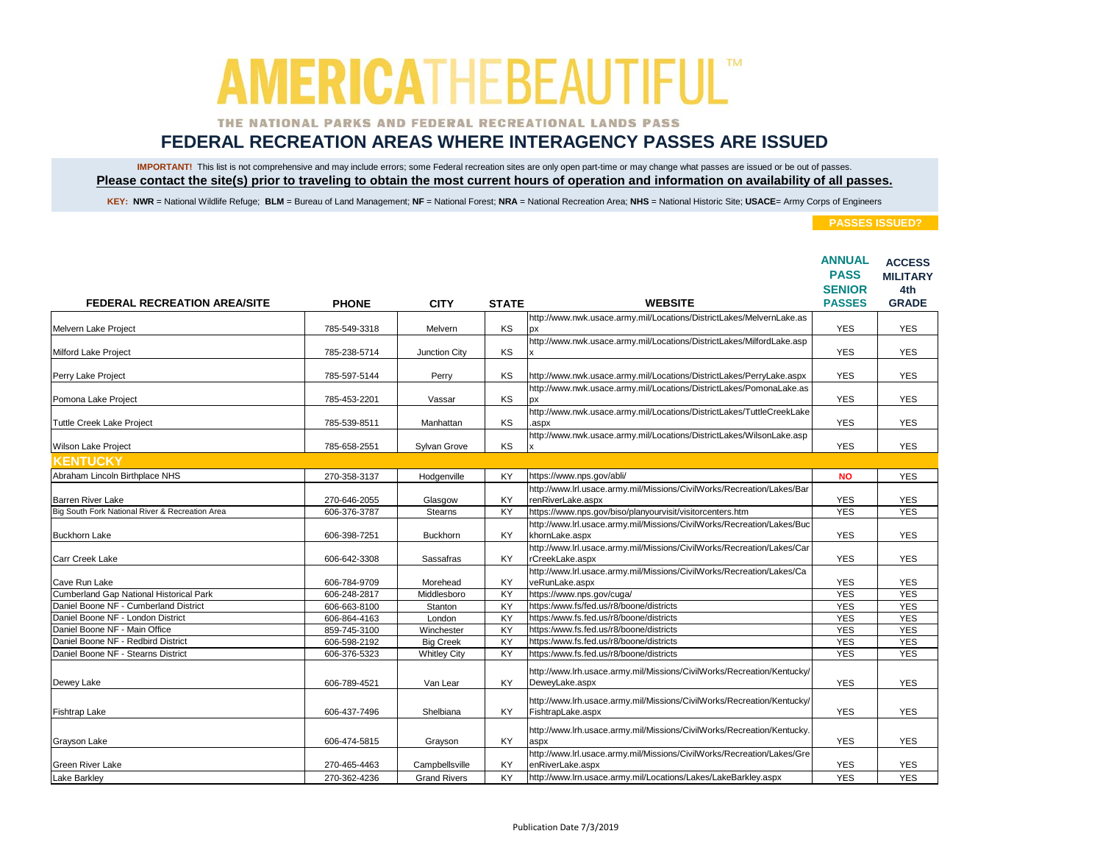### THE NATIONAL PARKS AND FEDERAL RECREATIONAL LANDS PASS

## **FEDERAL RECREATION AREAS WHERE INTERAGENCY PASSES ARE ISSUED**

IMPORTANT! This list is not comprehensive and may include errors; some Federal recreation sites are only open part-time or may change what passes are issued or be out of passes. **Please contact the site(s) prior to traveling to obtain the most current hours of operation and information on availability of all passes.**

KEY: NWR = National Wildlife Refuge; BLM = Bureau of Land Management; NF = National Forest; NRA = National Recreation Area; NHS = National Historic Site; USACE= Army Corps of Engineers

|                                                                          |                              |                                 |                 | <b>WEBSITE</b>                                                                              | <b>ANNUAL</b><br><b>PASS</b><br><b>SENIOR</b><br><b>PASSES</b> | <b>ACCESS</b><br><b>MILITARY</b><br>4th<br><b>GRADE</b> |
|--------------------------------------------------------------------------|------------------------------|---------------------------------|-----------------|---------------------------------------------------------------------------------------------|----------------------------------------------------------------|---------------------------------------------------------|
| <b>FEDERAL RECREATION AREA/SITE</b>                                      | <b>PHONE</b>                 | <b>CITY</b>                     | <b>STATE</b>    |                                                                                             |                                                                |                                                         |
| Melvern Lake Project                                                     | 785-549-3318                 | Melvern                         | KS              | http://www.nwk.usace.army.mil/Locations/DistrictLakes/MelvernLake.as<br>px                  | <b>YES</b>                                                     | <b>YES</b>                                              |
| Milford Lake Project                                                     | 785-238-5714                 | Junction City                   | KS              | http://www.nwk.usace.army.mil/Locations/DistrictLakes/MilfordLake.asp                       | <b>YES</b>                                                     | <b>YES</b>                                              |
| Perry Lake Project                                                       | 785-597-5144                 | Perry                           | KS              | http://www.nwk.usace.army.mil/Locations/DistrictLakes/PerryLake.aspx                        | <b>YES</b>                                                     | <b>YES</b>                                              |
| Pomona Lake Project                                                      | 785-453-2201                 | Vassar                          | KS              | http://www.nwk.usace.army.mil/Locations/DistrictLakes/PomonaLake.as<br>рx                   | <b>YES</b>                                                     | <b>YES</b>                                              |
| Tuttle Creek Lake Project                                                | 785-539-8511                 | Manhattan                       | KS              | http://www.nwk.usace.army.mil/Locations/DistrictLakes/TuttleCreekLake<br>aspx               | <b>YES</b>                                                     | <b>YES</b>                                              |
| Wilson Lake Project                                                      | 785-658-2551                 | Sylvan Grove                    | KS              | http://www.nwk.usace.army.mil/Locations/DistrictLakes/WilsonLake.asp                        | <b>YES</b>                                                     | <b>YES</b>                                              |
| <b>KENTUCKY</b>                                                          |                              |                                 |                 |                                                                                             |                                                                |                                                         |
| Abraham Lincoln Birthplace NHS                                           | 270-358-3137                 | Hodgenville                     | KY              | https://www.nps.gov/abli/                                                                   | <b>NO</b>                                                      | <b>YES</b>                                              |
| <b>Barren River Lake</b>                                                 | 270-646-2055                 | Glasgow                         | KY              | http://www.lrl.usace.army.mil/Missions/CivilWorks/Recreation/Lakes/Bar<br>renRiverLake.aspx | <b>YES</b>                                                     | <b>YES</b>                                              |
| Big South Fork National River & Recreation Area                          | 606-376-3787                 | <b>Stearns</b>                  | KY              | https://www.nps.gov/biso/planyourvisit/visitorcenters.htm                                   | <b>YES</b>                                                     | <b>YES</b>                                              |
| <b>Buckhorn Lake</b>                                                     | 606-398-7251                 | <b>Buckhorn</b>                 | KY              | http://www.lrl.usace.army.mil/Missions/CivilWorks/Recreation/Lakes/Buc<br>khornLake.aspx    | <b>YES</b>                                                     | <b>YES</b>                                              |
| Carr Creek Lake                                                          | 606-642-3308                 | Sassafras                       | <b>KY</b>       | http://www.lrl.usace.army.mil/Missions/CivilWorks/Recreation/Lakes/Car<br>rCreekLake.aspx   | <b>YES</b>                                                     | <b>YES</b>                                              |
| Cave Run Lake                                                            | 606-784-9709                 | Morehead                        | KY              | http://www.lrl.usace.army.mil/Missions/CivilWorks/Recreation/Lakes/Ca<br>veRunLake.aspx     | <b>YES</b>                                                     | <b>YES</b>                                              |
| Cumberland Gap National Historical Park                                  | 606-248-2817                 | Middlesboro                     | <b>KY</b>       | https://www.nps.gov/cuga/                                                                   | <b>YES</b>                                                     | <b>YES</b>                                              |
| Daniel Boone NF - Cumberland District                                    | 606-663-8100                 | Stanton                         | KY              | https:/www.fs/fed.us/r8/boone/districts                                                     | <b>YES</b>                                                     | <b>YES</b>                                              |
| Daniel Boone NF - London District                                        | 606-864-4163                 | London                          | KY              | https:/www.fs.fed.us/r8/boone/districts                                                     | <b>YES</b>                                                     | <b>YES</b>                                              |
| Daniel Boone NF - Main Office                                            | 859-745-3100                 | Winchester                      | <b>KY</b>       | https:/www.fs.fed.us/r8/boone/districts                                                     | <b>YES</b><br><b>YES</b>                                       | <b>YES</b>                                              |
| Daniel Boone NF - Redbird District<br>Daniel Boone NF - Stearns District | 606-598-2192                 | <b>Big Creek</b>                | KY<br><b>KY</b> | https:/www.fs.fed.us/r8/boone/districts<br>https:/www.fs.fed.us/r8/boone/districts          | <b>YES</b>                                                     | <b>YES</b><br><b>YES</b>                                |
| Dewey Lake                                                               | 606-376-5323<br>606-789-4521 | <b>Whitley City</b><br>Van Lear | KY              | http://www.lrh.usace.army.mil/Missions/CivilWorks/Recreation/Kentucky/<br>DeweyLake.aspx    | <b>YES</b>                                                     | <b>YES</b>                                              |
| <b>Fishtrap Lake</b>                                                     | 606-437-7496                 | Shelbiana                       | KY              | http://www.lrh.usace.army.mil/Missions/CivilWorks/Recreation/Kentucky/<br>FishtrapLake.aspx | <b>YES</b>                                                     | <b>YES</b>                                              |
| Grayson Lake                                                             | 606-474-5815                 | Grayson                         | KY              | http://www.lrh.usace.army.mil/Missions/CivilWorks/Recreation/Kentucky.<br>aspx              | <b>YES</b>                                                     | <b>YES</b>                                              |
| <b>Green River Lake</b>                                                  | 270-465-4463                 | Campbellsville                  | KY              | http://www.lrl.usace.army.mil/Missions/CivilWorks/Recreation/Lakes/Gre<br>enRiverLake.aspx  | <b>YES</b>                                                     | <b>YES</b>                                              |
| <b>Lake Barkley</b>                                                      | 270-362-4236                 | <b>Grand Rivers</b>             | KY              | http://www.lrn.usace.army.mil/Locations/Lakes/LakeBarkley.aspx                              | <b>YES</b>                                                     | <b>YES</b>                                              |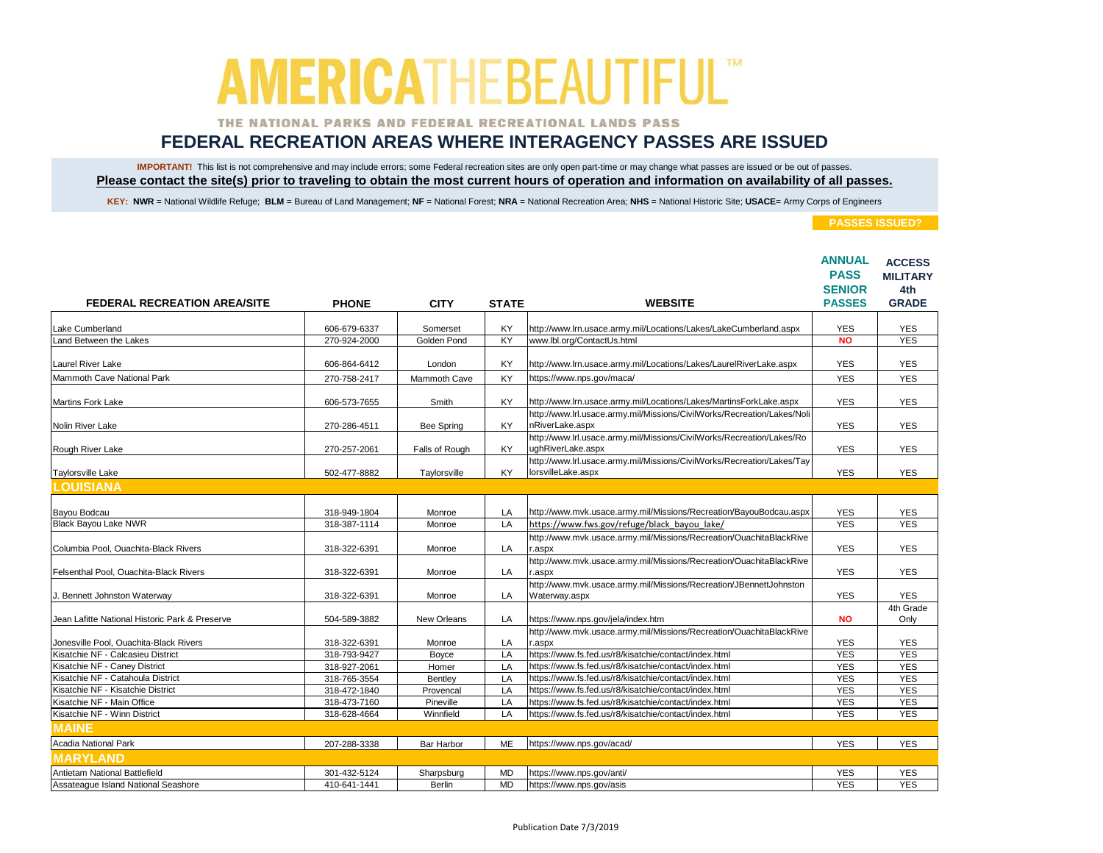### THE NATIONAL PARKS AND FEDERAL RECREATIONAL LANDS PASS

## **FEDERAL RECREATION AREAS WHERE INTERAGENCY PASSES ARE ISSUED**

IMPORTANT! This list is not comprehensive and may include errors; some Federal recreation sites are only open part-time or may change what passes are issued or be out of passes. **Please contact the site(s) prior to traveling to obtain the most current hours of operation and information on availability of all passes.**

KEY: NWR = National Wildlife Refuge; BLM = Bureau of Land Management; NF = National Forest; NRA = National Recreation Area; NHS = National Historic Site; USACE= Army Corps of Engineers

| <b>FEDERAL RECREATION AREA/SITE</b>            | <b>PHONE</b> | <b>CITY</b>    | <b>STATE</b> | <b>WEBSITE</b>                                                                               | <b>ANNUAL</b><br><b>PASS</b><br><b>SENIOR</b><br><b>PASSES</b> | <b>ACCESS</b><br><b>MILITARY</b><br>4th<br><b>GRADE</b> |
|------------------------------------------------|--------------|----------------|--------------|----------------------------------------------------------------------------------------------|----------------------------------------------------------------|---------------------------------------------------------|
|                                                |              |                |              |                                                                                              |                                                                |                                                         |
| Lake Cumberland                                | 606-679-6337 | Somerset       | KY           | http://www.lrn.usace.army.mil/Locations/Lakes/LakeCumberland.aspx                            | <b>YES</b>                                                     | <b>YES</b>                                              |
| Land Between the Lakes                         | 270-924-2000 | Golden Pond    | KY           | www.lbl.org/ContactUs.html                                                                   | <b>NO</b>                                                      | <b>YES</b>                                              |
| <b>Laurel River Lake</b>                       | 606-864-6412 | London         | KY           | http://www.lrn.usace.army.mil/Locations/Lakes/LaurelRiverLake.aspx                           | <b>YES</b>                                                     | <b>YES</b>                                              |
| Mammoth Cave National Park                     | 270-758-2417 | Mammoth Cave   | <b>KY</b>    | https://www.nps.gov/maca/                                                                    | <b>YES</b>                                                     | <b>YES</b>                                              |
| Martins Fork Lake                              | 606-573-7655 | Smith          | KY           | http://www.lrn.usace.army.mil/Locations/Lakes/MartinsForkLake.aspx                           | <b>YES</b>                                                     | <b>YES</b>                                              |
| Nolin River Lake                               | 270-286-4511 | Bee Spring     | KY           | http://www.lrl.usace.army.mil/Missions/CivilWorks/Recreation/Lakes/Noli<br>nRiverLake.aspx   | <b>YES</b>                                                     | <b>YES</b>                                              |
| Rough River Lake                               | 270-257-2061 | Falls of Rough | KY           | http://www.lrl.usace.army.mil/Missions/CivilWorks/Recreation/Lakes/Ro<br>ughRiverLake.aspx   | <b>YES</b>                                                     | <b>YES</b>                                              |
| <b>Taylorsville Lake</b>                       | 502-477-8882 | Taylorsville   | KY           | http://www.lrl.usace.army.mil/Missions/CivilWorks/Recreation/Lakes/Tay<br>lorsvilleLake.aspx | <b>YES</b>                                                     | <b>YES</b>                                              |
| <b>LOUISIANA</b>                               |              |                |              |                                                                                              |                                                                |                                                         |
|                                                |              |                |              |                                                                                              |                                                                |                                                         |
| Bayou Bodcau<br><b>Black Bayou Lake NWR</b>    | 318-949-1804 | Monroe         | LA           | http://www.mvk.usace.army.mil/Missions/Recreation/BayouBodcau.aspx                           | <b>YES</b>                                                     | <b>YES</b>                                              |
|                                                | 318-387-1114 | Monroe         | LA           | https://www.fws.gov/refuge/black bayou lake/                                                 | <b>YES</b>                                                     | <b>YES</b>                                              |
| Columbia Pool, Ouachita-Black Rivers           | 318-322-6391 | Monroe         | LA           | http://www.mvk.usace.army.mil/Missions/Recreation/OuachitaBlackRive<br>aspx:                 | <b>YES</b>                                                     | <b>YES</b>                                              |
|                                                |              |                |              | http://www.mvk.usace.army.mil/Missions/Recreation/OuachitaBlackRive                          |                                                                |                                                         |
| Felsenthal Pool. Ouachita-Black Rivers         | 318-322-6391 | Monroe         | LA           | r.aspx                                                                                       | <b>YES</b>                                                     | <b>YES</b>                                              |
| J. Bennett Johnston Waterway                   | 318-322-6391 | Monroe         | LA           | http://www.mvk.usace.army.mil/Missions/Recreation/JBennettJohnston<br>Waterway.aspx          | <b>YES</b>                                                     | <b>YES</b>                                              |
|                                                |              |                |              |                                                                                              |                                                                | 4th Grade                                               |
| Jean Lafitte National Historic Park & Preserve | 504-589-3882 | New Orleans    | LA           | https://www.nps.gov/jela/index.htm                                                           | <b>NO</b>                                                      | Only                                                    |
| Jonesville Pool, Ouachita-Black Rivers         | 318-322-6391 | Monroe         | LA           | http://www.mvk.usace.army.mil/Missions/Recreation/OuachitaBlackRive<br>r.aspx                | <b>YES</b>                                                     | <b>YES</b>                                              |
| Kisatchie NF - Calcasieu District              | 318-793-9427 | Boyce          | LA           | https://www.fs.fed.us/r8/kisatchie/contact/index.html                                        | <b>YES</b>                                                     | <b>YES</b>                                              |
| Kisatchie NF - Caney District                  | 318-927-2061 | Homer          | LA           | https://www.fs.fed.us/r8/kisatchie/contact/index.html                                        | <b>YES</b>                                                     | <b>YES</b>                                              |
| Kisatchie NF - Catahoula District              | 318-765-3554 | Bentley        | LA           | https://www.fs.fed.us/r8/kisatchie/contact/index.html                                        | <b>YES</b>                                                     | <b>YES</b>                                              |
| Kisatchie NF - Kisatchie District              | 318-472-1840 | Provencal      | LA           | https://www.fs.fed.us/r8/kisatchie/contact/index.html                                        | <b>YES</b>                                                     | <b>YES</b>                                              |
| Kisatchie NF - Main Office                     | 318-473-7160 | Pineville      | LA           | https://www.fs.fed.us/r8/kisatchie/contact/index.html                                        | <b>YES</b>                                                     | <b>YES</b>                                              |
| Kisatchie NF - Winn District                   | 318-628-4664 | Winnfield      | LA           | https://www.fs.fed.us/r8/kisatchie/contact/index.html                                        | <b>YES</b>                                                     | <b>YES</b>                                              |
| <b>MAINE</b>                                   |              |                |              |                                                                                              |                                                                |                                                         |
| Acadia National Park                           | 207-288-3338 | Bar Harbor     | ME           | https://www.nps.gov/acad/                                                                    | <b>YES</b>                                                     | <b>YES</b>                                              |
| <b>MARYLAND</b>                                |              |                |              |                                                                                              |                                                                |                                                         |
| Antietam National Battlefield                  | 301-432-5124 | Sharpsburg     | <b>MD</b>    | https://www.nps.gov/anti/                                                                    | <b>YES</b>                                                     | <b>YES</b>                                              |
| Assateaque Island National Seashore            | 410-641-1441 | <b>Berlin</b>  | <b>MD</b>    | https://www.nps.gov/asis                                                                     | <b>YES</b>                                                     | <b>YES</b>                                              |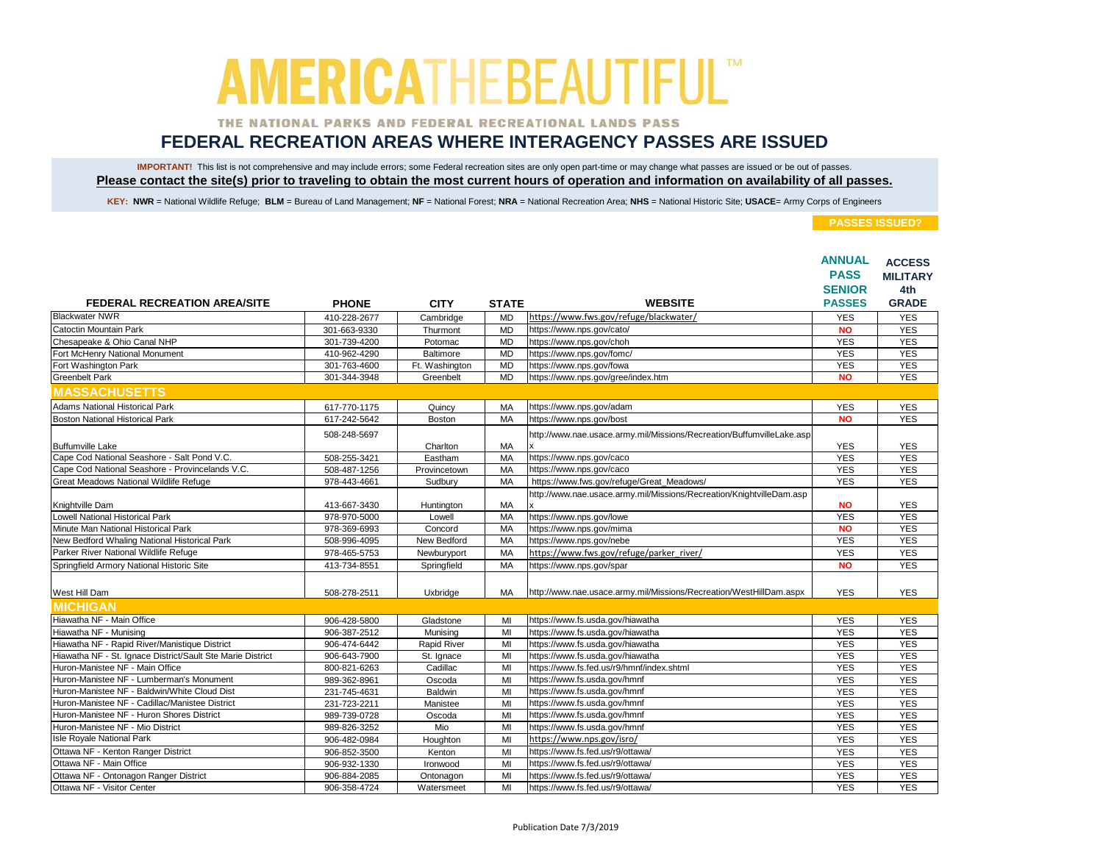### THE NATIONAL PARKS AND FEDERAL RECREATIONAL LANDS PASS

## **FEDERAL RECREATION AREAS WHERE INTERAGENCY PASSES ARE ISSUED**

IMPORTANT! This list is not comprehensive and may include errors; some Federal recreation sites are only open part-time or may change what passes are issued or be out of passes. **Please contact the site(s) prior to traveling to obtain the most current hours of operation and information on availability of all passes.**

KEY: NWR = National Wildlife Refuge; BLM = Bureau of Land Management; NF = National Forest; NRA = National Recreation Area; NHS = National Historic Site; USACE= Army Corps of Engineers

|                                                            |              |                |              |                                                                       | <b>ANNUAL</b><br><b>PASS</b>   | <b>ACCESS</b>       |
|------------------------------------------------------------|--------------|----------------|--------------|-----------------------------------------------------------------------|--------------------------------|---------------------|
|                                                            |              |                |              |                                                                       |                                | <b>MILITARY</b>     |
| <b>FEDERAL RECREATION AREA/SITE</b>                        | <b>PHONE</b> | <b>CITY</b>    | <b>STATE</b> | <b>WEBSITE</b>                                                        | <b>SENIOR</b><br><b>PASSES</b> | 4th<br><b>GRADE</b> |
| <b>Blackwater NWR</b>                                      | 410-228-2677 | Cambridge      | <b>MD</b>    | https://www.fws.gov/refuge/blackwater/                                | <b>YES</b>                     | <b>YES</b>          |
| Catoctin Mountain Park                                     | 301-663-9330 | Thurmont       | <b>MD</b>    | https://www.nps.gov/cato/                                             | <b>NO</b>                      | <b>YES</b>          |
| Chesapeake & Ohio Canal NHP                                | 301-739-4200 | Potomac        | <b>MD</b>    | https://www.nps.gov/choh                                              | <b>YES</b>                     | <b>YES</b>          |
| Fort McHenry National Monument                             | 410-962-4290 | Baltimore      | <b>MD</b>    | https://www.nps.gov/fomc/                                             | <b>YES</b>                     | <b>YES</b>          |
| Fort Washington Park                                       | 301-763-4600 | Ft. Washington | <b>MD</b>    | https://www.nps.gov/fowa                                              | <b>YES</b>                     | <b>YES</b>          |
| Greenbelt Park                                             | 301-344-3948 | Greenbelt      | <b>MD</b>    | https://www.nps.gov/gree/index.htm                                    | <b>NO</b>                      | <b>YES</b>          |
| <b>MASSACHUSETTS</b>                                       |              |                |              |                                                                       |                                |                     |
| Adams National Historical Park                             | 617-770-1175 | Quincy         | MA           | https://www.nps.gov/adam                                              | <b>YES</b>                     | <b>YES</b>          |
| <b>Boston National Historical Park</b>                     | 617-242-5642 | Boston         | MA           | https://www.nps.gov/bost                                              | <b>NO</b>                      | <b>YES</b>          |
|                                                            | 508-248-5697 |                |              | http://www.nae.usace.army.mil/Missions/Recreation/BuffumvilleLake.asp |                                |                     |
| <b>Buffumville Lake</b>                                    |              | Charlton       | MA           |                                                                       | <b>YES</b>                     | <b>YES</b>          |
| Cape Cod National Seashore - Salt Pond V.C.                | 508-255-3421 | Eastham        | MA           | https://www.nps.gov/caco                                              | <b>YES</b>                     | <b>YES</b>          |
| Cape Cod National Seashore - Provincelands V.C.            | 508-487-1256 | Provincetown   | MA           | https://www.nps.gov/caco                                              | <b>YES</b>                     | <b>YES</b>          |
| Great Meadows National Wildlife Refuge                     | 978-443-4661 | Sudbury        | MA           | https://www.fws.gov/refuge/Great_Meadows/                             | <b>YES</b>                     | <b>YES</b>          |
|                                                            |              |                |              | http://www.nae.usace.army.mil/Missions/Recreation/KnightvilleDam.asp  |                                |                     |
| Knightville Dam                                            | 413-667-3430 | Huntington     | MA           |                                                                       | <b>NO</b>                      | <b>YES</b>          |
| <b>Lowell National Historical Park</b>                     | 978-970-5000 | Lowell         | MA           | https://www.nps.gov/lowe                                              | <b>YES</b>                     | <b>YES</b>          |
| Minute Man National Historical Park                        | 978-369-6993 | Concord        | MA           | https://www.nps.gov/mima                                              | <b>NO</b>                      | <b>YES</b>          |
| New Bedford Whaling National Historical Park               | 508-996-4095 | New Bedford    | MA           | https://www.nps.gov/nebe                                              | <b>YES</b>                     | <b>YES</b>          |
| Parker River National Wildlife Refuge                      | 978-465-5753 | Newburyport    | MA           | https://www.fws.gov/refuge/parker_river/                              | <b>YES</b>                     | <b>YES</b>          |
| Springfield Armory National Historic Site                  | 413-734-8551 | Springfield    | <b>MA</b>    | https://www.nps.gov/spar                                              | <b>NO</b>                      | <b>YES</b>          |
|                                                            |              |                |              |                                                                       |                                |                     |
| West Hill Dam                                              | 508-278-2511 | Uxbridge       | MA           | http://www.nae.usace.army.mil/Missions/Recreation/WestHillDam.aspx    | <b>YES</b>                     | <b>YES</b>          |
| <b>IMICHIGAN</b>                                           |              |                |              |                                                                       |                                |                     |
| Hiawatha NF - Main Office                                  | 906-428-5800 | Gladstone      | MI           | https://www.fs.usda.gov/hiawatha                                      | <b>YES</b>                     | <b>YES</b>          |
| Hiawatha NF - Munising                                     | 906-387-2512 | Munising       | MI           | https://www.fs.usda.gov/hiawatha                                      | <b>YES</b>                     | <b>YES</b>          |
| Hiawatha NF - Rapid River/Manistique District              | 906-474-6442 | Rapid River    | MI           | https://www.fs.usda.gov/hiawatha                                      | <b>YES</b>                     | <b>YES</b>          |
| Hiawatha NF - St. Ignace District/Sault Ste Marie District | 906-643-7900 | St. Ignace     | MI           | https://www.fs.usda.gov/hiawatha                                      | <b>YES</b>                     | <b>YES</b>          |
| Huron-Manistee NF - Main Office                            | 800-821-6263 | Cadillac       | M            | https://www.fs.fed.us/r9/hmnf/index.shtml                             | <b>YES</b>                     | <b>YES</b>          |
| Huron-Manistee NF - Lumberman's Monument                   | 989-362-8961 | Oscoda         | MI           | https://www.fs.usda.gov/hmnf                                          | <b>YES</b>                     | <b>YES</b>          |
| Huron-Manistee NF - Baldwin/White Cloud Dist               | 231-745-4631 | Baldwin        | MI           | https://www.fs.usda.gov/hmnf                                          | <b>YES</b>                     | <b>YES</b>          |
| Huron-Manistee NF - Cadillac/Manistee District             | 231-723-2211 | Manistee       | M            | https://www.fs.usda.gov/hmnf                                          | <b>YES</b>                     | <b>YES</b>          |
| Huron-Manistee NF - Huron Shores District                  | 989-739-0728 | Oscoda         | MI           | https://www.fs.usda.gov/hmnf                                          | <b>YES</b>                     | <b>YES</b>          |
| Huron-Manistee NF - Mio District                           | 989-826-3252 | Mio            | MI           | https://www.fs.usda.gov/hmnf                                          | <b>YES</b>                     | <b>YES</b>          |
| <b>Isle Royale National Park</b>                           | 906-482-0984 | Houghton       | MI           | https://www.nps.gov/isro/                                             | <b>YES</b>                     | <b>YES</b>          |
| Ottawa NF - Kenton Ranger District                         | 906-852-3500 | Kenton         | M            | https://www.fs.fed.us/r9/ottawa/                                      | <b>YES</b>                     | <b>YES</b>          |
| Ottawa NF - Main Office                                    | 906-932-1330 | Ironwood       | MI           | https://www.fs.fed.us/r9/ottawa/                                      | <b>YES</b>                     | <b>YES</b>          |
| Ottawa NF - Ontonagon Ranger District                      | 906-884-2085 | Ontonagon      | MI           | https://www.fs.fed.us/r9/ottawa/                                      | <b>YES</b>                     | <b>YES</b>          |
| Ottawa NF - Visitor Center                                 | 906-358-4724 | Watersmeet     | MI           | https://www.fs.fed.us/r9/ottawa/                                      | <b>YES</b>                     | <b>YES</b>          |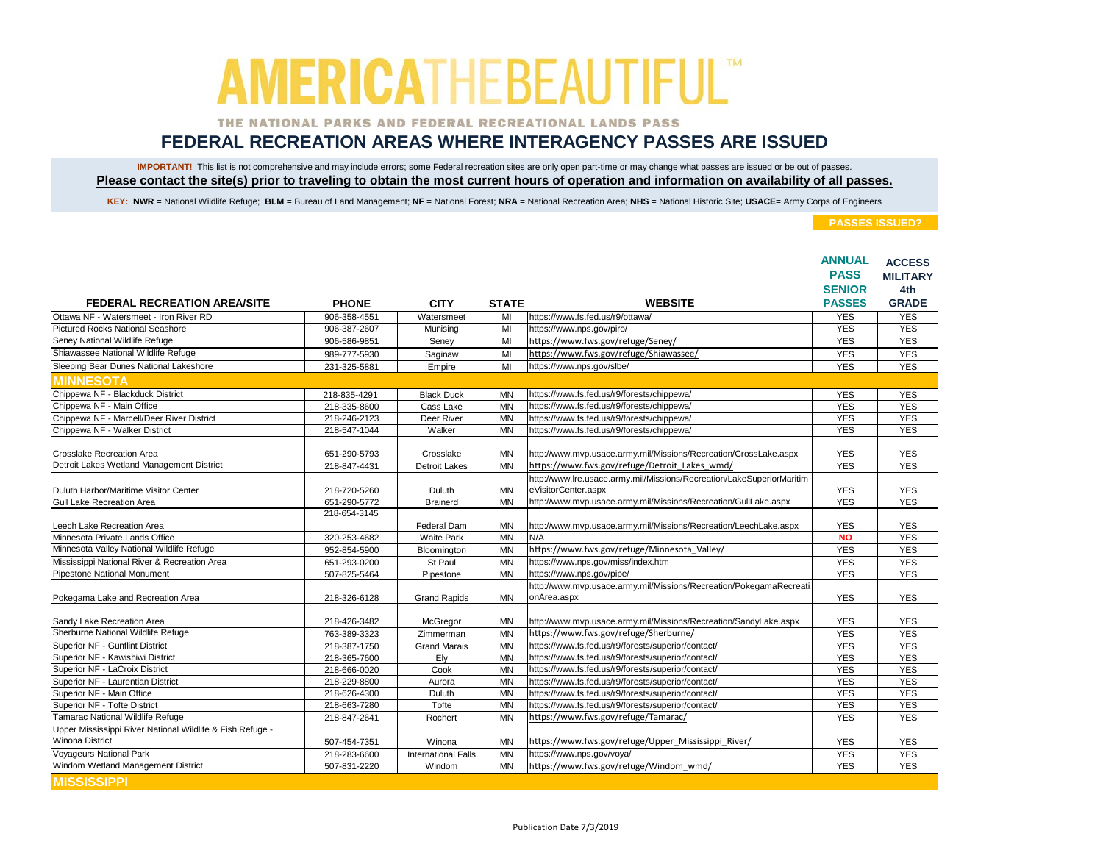### THE NATIONAL PARKS AND FEDERAL RECREATIONAL LANDS PASS

## **FEDERAL RECREATION AREAS WHERE INTERAGENCY PASSES ARE ISSUED**

IMPORTANT! This list is not comprehensive and may include errors; some Federal recreation sites are only open part-time or may change what passes are issued or be out of passes. **Please contact the site(s) prior to traveling to obtain the most current hours of operation and information on availability of all passes.**

KEY: NWR = National Wildlife Refuge; BLM = Bureau of Land Management; NF = National Forest; NRA = National Recreation Area; NHS = National Historic Site; USACE= Army Corps of Engineers

|                                                           |              |                            |                |                                                                                   | <b>ANNUAL</b><br><b>PASS</b> | <b>ACCESS</b>          |
|-----------------------------------------------------------|--------------|----------------------------|----------------|-----------------------------------------------------------------------------------|------------------------------|------------------------|
|                                                           |              |                            |                |                                                                                   | <b>SENIOR</b>                | <b>MILITARY</b><br>4th |
| <b>FEDERAL RECREATION AREA/SITE</b>                       | <b>PHONE</b> | <b>CITY</b>                | <b>STATE</b>   | <b>WEBSITE</b>                                                                    | <b>PASSES</b>                | <b>GRADE</b>           |
| Ottawa NF - Watersmeet - Iron River RD                    | 906-358-4551 | Watersmeet                 | MI             | https://www.fs.fed.us/r9/ottawa/                                                  | <b>YES</b>                   | <b>YES</b>             |
| Pictured Rocks National Seashore                          | 906-387-2607 | Munising                   | M <sub>l</sub> | https://www.nps.gov/piro/                                                         | <b>YES</b>                   | <b>YES</b>             |
| Seney National Wildlife Refuge                            | 906-586-9851 | Seney                      | MI             | https://www.fws.gov/refuge/Seney/                                                 | <b>YES</b>                   | <b>YES</b>             |
| Shiawassee National Wildlife Refuge                       | 989-777-5930 | Saginaw                    | MI             | https://www.fws.gov/refuge/Shiawassee/                                            | <b>YES</b>                   | <b>YES</b>             |
| Sleeping Bear Dunes National Lakeshore                    | 231-325-5881 | Empire                     | M              | https://www.nps.gov/slbe/                                                         | <b>YES</b>                   | <b>YES</b>             |
| <b>MINNESOTA</b>                                          |              |                            |                |                                                                                   |                              |                        |
| Chippewa NF - Blackduck District                          | 218-835-4291 | <b>Black Duck</b>          | <b>MN</b>      | https://www.fs.fed.us/r9/forests/chippewa/                                        | <b>YES</b>                   | <b>YES</b>             |
| Chippewa NF - Main Office                                 | 218-335-8600 | Cass Lake                  | <b>MN</b>      | https://www.fs.fed.us/r9/forests/chippewa/                                        | <b>YES</b>                   | <b>YES</b>             |
| Chippewa NF - Marcell/Deer River District                 | 218-246-2123 | Deer River                 | <b>MN</b>      | https://www.fs.fed.us/r9/forests/chippewa/                                        | <b>YES</b>                   | <b>YES</b>             |
| Chippewa NF - Walker District                             | 218-547-1044 | Walker                     | <b>MN</b>      | https://www.fs.fed.us/r9/forests/chippewa/                                        | <b>YES</b>                   | <b>YES</b>             |
|                                                           |              |                            |                |                                                                                   |                              |                        |
| <b>Crosslake Recreation Area</b>                          | 651-290-5793 | Crosslake                  | <b>MN</b>      | http://www.mvp.usace.army.mil/Missions/Recreation/CrossLake.aspx                  | <b>YES</b>                   | <b>YES</b>             |
| Detroit Lakes Wetland Management District                 | 218-847-4431 | <b>Detroit Lakes</b>       | <b>MN</b>      | https://www.fws.gov/refuge/Detroit Lakes wmd/                                     | <b>YES</b>                   | <b>YES</b>             |
|                                                           |              |                            |                | http://www.lre.usace.army.mil/Missions/Recreation/LakeSuperiorMaritim             |                              |                        |
| Duluth Harbor/Maritime Visitor Center                     | 218-720-5260 | Duluth                     | MN             | eVisitorCenter.aspx                                                               | <b>YES</b>                   | <b>YES</b>             |
| Gull Lake Recreation Area                                 | 651-290-5772 | <b>Brainerd</b>            | <b>MN</b>      | http://www.mvp.usace.army.mil/Missions/Recreation/GullLake.aspx                   | <b>YES</b>                   | <b>YES</b>             |
|                                                           | 218-654-3145 |                            |                |                                                                                   |                              |                        |
| Leech Lake Recreation Area                                |              | Federal Dam                | <b>MN</b>      | http://www.mvp.usace.army.mil/Missions/Recreation/LeechLake.aspx                  | <b>YES</b>                   | <b>YES</b>             |
| Minnesota Private Lands Office                            | 320-253-4682 | Waite Park                 | <b>MN</b>      | N/A                                                                               | <b>NO</b>                    | <b>YES</b>             |
| Minnesota Valley National Wildlife Refuge                 | 952-854-5900 | Bloomington                | <b>MN</b>      | https://www.fws.gov/refuge/Minnesota Valley/                                      | <b>YES</b>                   | <b>YES</b>             |
| Mississippi National River & Recreation Area              | 651-293-0200 | St Paul                    | <b>MN</b>      | https://www.nps.gov/miss/index.htm                                                | <b>YES</b>                   | <b>YES</b>             |
| <b>Pipestone National Monument</b>                        | 507-825-5464 | Pipestone                  | <b>MN</b>      | https://www.nps.gov/pipe/                                                         | <b>YES</b>                   | <b>YES</b>             |
| Pokegama Lake and Recreation Area                         | 218-326-6128 | <b>Grand Rapids</b>        | <b>MN</b>      | http://www.mvp.usace.army.mil/Missions/Recreation/PokegamaRecreati<br>onArea.aspx | <b>YES</b>                   | <b>YES</b>             |
|                                                           |              |                            |                |                                                                                   |                              |                        |
| Sandy Lake Recreation Area                                | 218-426-3482 | McGregor                   | <b>MN</b>      | http://www.mvp.usace.army.mil/Missions/Recreation/SandyLake.aspx                  | <b>YES</b>                   | <b>YES</b>             |
| Sherburne National Wildlife Refuge                        | 763-389-3323 | Zimmerman                  | <b>MN</b>      | https://www.fws.gov/refuge/Sherburne/                                             | <b>YES</b>                   | <b>YES</b>             |
| Superior NF - Gunflint District                           | 218-387-1750 | <b>Grand Marais</b>        | <b>MN</b>      | https://www.fs.fed.us/r9/forests/superior/contact/                                | <b>YES</b>                   | <b>YES</b>             |
| Superior NF - Kawishiwi District                          | 218-365-7600 | Ely                        | <b>MN</b>      | https://www.fs.fed.us/r9/forests/superior/contact/                                | <b>YES</b>                   | <b>YES</b>             |
| Superior NF - LaCroix District                            | 218-666-0020 | Cook                       | <b>MN</b>      | https://www.fs.fed.us/r9/forests/superior/contact/                                | <b>YES</b>                   | <b>YES</b>             |
| Superior NF - Laurentian District                         | 218-229-8800 | Aurora                     | <b>MN</b>      | https://www.fs.fed.us/r9/forests/superior/contact/                                | <b>YES</b>                   | <b>YES</b>             |
| Superior NF - Main Office                                 | 218-626-4300 | Duluth                     | <b>MN</b>      | https://www.fs.fed.us/r9/forests/superior/contact/                                | <b>YES</b>                   | <b>YES</b>             |
| Superior NF - Tofte District                              | 218-663-7280 | Tofte                      | <b>MN</b>      | https://www.fs.fed.us/r9/forests/superior/contact/                                | <b>YES</b>                   | <b>YES</b>             |
| Tamarac National Wildlife Refuge                          | 218-847-2641 | Rochert                    | <b>MN</b>      | https://www.fws.gov/refuge/Tamarac/                                               | <b>YES</b>                   | <b>YES</b>             |
| Upper Mississippi River National Wildlife & Fish Refuge - |              |                            |                |                                                                                   |                              |                        |
| <b>Winona District</b>                                    | 507-454-7351 | Winona                     | <b>MN</b>      | https://www.fws.gov/refuge/Upper Mississippi River/                               | <b>YES</b>                   | <b>YES</b>             |
| <b>Voyageurs National Park</b>                            | 218-283-6600 | <b>International Falls</b> | <b>MN</b>      | https://www.nps.gov/voya/                                                         | <b>YES</b>                   | <b>YES</b>             |
| Windom Wetland Management District                        | 507-831-2220 | Windom                     | <b>MN</b>      | https://www.fws.gov/refuge/Windom_wmd/                                            | <b>YES</b>                   | <b>YES</b>             |
| <b>MISSISSIPPI</b>                                        |              |                            |                |                                                                                   |                              |                        |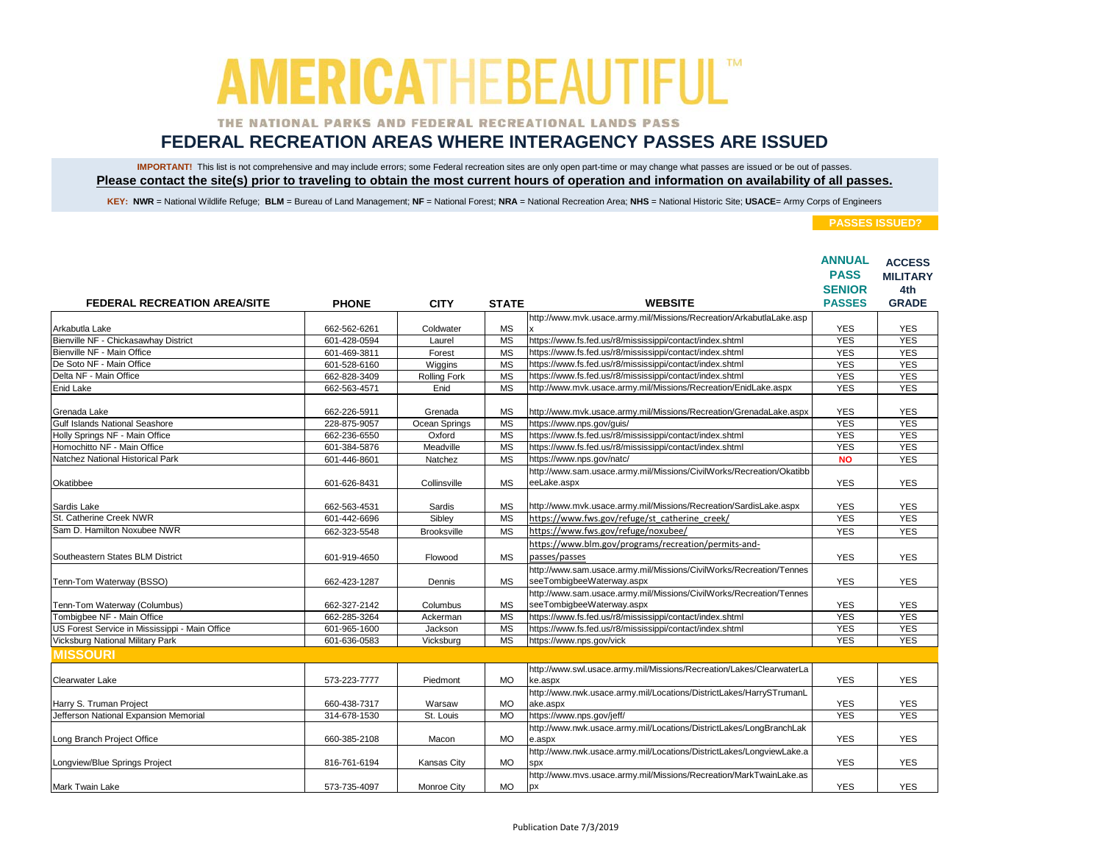### THE NATIONAL PARKS AND FEDERAL RECREATIONAL LANDS PASS

## **FEDERAL RECREATION AREAS WHERE INTERAGENCY PASSES ARE ISSUED**

IMPORTANT! This list is not comprehensive and may include errors; some Federal recreation sites are only open part-time or may change what passes are issued or be out of passes. **Please contact the site(s) prior to traveling to obtain the most current hours of operation and information on availability of all passes.**

KEY: NWR = National Wildlife Refuge; BLM = Bureau of Land Management; NF = National Forest; NRA = National Recreation Area; NHS = National Historic Site; USACE= Army Corps of Engineers

| <b>FEDERAL RECREATION AREA/SITE</b>            | <b>PHONE</b> | <b>CITY</b>         | <b>STATE</b> | <b>WEBSITE</b>                                                                                   | <b>ANNUAL</b><br><b>PASS</b><br><b>SENIOR</b><br><b>PASSES</b> | <b>ACCESS</b><br><b>MILITARY</b><br>4th<br><b>GRADE</b> |
|------------------------------------------------|--------------|---------------------|--------------|--------------------------------------------------------------------------------------------------|----------------------------------------------------------------|---------------------------------------------------------|
|                                                |              |                     |              | http://www.mvk.usace.army.mil/Missions/Recreation/ArkabutlaLake.asp                              |                                                                |                                                         |
| Arkabutla Lake                                 | 662-562-6261 | Coldwater           | <b>MS</b>    |                                                                                                  | <b>YES</b>                                                     | <b>YES</b>                                              |
| Bienville NF - Chickasawhay District           | 601-428-0594 | Laurel              | <b>MS</b>    | https://www.fs.fed.us/r8/mississippi/contact/index.shtml                                         | <b>YES</b>                                                     | <b>YES</b>                                              |
| Bienville NF - Main Office                     | 601-469-3811 | Forest              | <b>MS</b>    | https://www.fs.fed.us/r8/mississippi/contact/index.shtml                                         | <b>YES</b>                                                     | <b>YES</b>                                              |
| De Soto NF - Main Office                       | 601-528-6160 | Wiggins             | <b>MS</b>    | https://www.fs.fed.us/r8/mississippi/contact/index.shtml                                         | <b>YES</b>                                                     | <b>YES</b>                                              |
| Delta NF - Main Office                         | 662-828-3409 | <b>Rolling Fork</b> | <b>MS</b>    | https://www.fs.fed.us/r8/mississippi/contact/index.shtml                                         | <b>YES</b>                                                     | <b>YES</b>                                              |
| Enid Lake                                      | 662-563-4571 | Enid                | <b>MS</b>    | http://www.mvk.usace.army.mil/Missions/Recreation/EnidLake.aspx                                  | <b>YES</b>                                                     | <b>YES</b>                                              |
| Grenada Lake                                   | 662-226-5911 | Grenada             | <b>MS</b>    | http://www.mvk.usace.army.mil/Missions/Recreation/GrenadaLake.aspx                               | <b>YES</b>                                                     | <b>YES</b>                                              |
| Gulf Islands National Seashore                 | 228-875-9057 | Ocean Springs       | <b>MS</b>    | https://www.nps.gov/guis/                                                                        | <b>YES</b>                                                     | <b>YES</b>                                              |
| Holly Springs NF - Main Office                 | 662-236-6550 | Oxford              | <b>MS</b>    | https://www.fs.fed.us/r8/mississippi/contact/index.shtml                                         | <b>YES</b>                                                     | <b>YES</b>                                              |
| Homochitto NF - Main Office                    | 601-384-5876 | Meadville           | <b>MS</b>    | https://www.fs.fed.us/r8/mississippi/contact/index.shtml                                         | <b>YES</b>                                                     | <b>YES</b>                                              |
| Natchez National Historical Park               | 601-446-8601 | Natchez             | <b>MS</b>    | https://www.nps.gov/natc/                                                                        | <b>NO</b>                                                      | <b>YES</b>                                              |
|                                                |              |                     |              | http://www.sam.usace.army.mil/Missions/CivilWorks/Recreation/Okatibb                             |                                                                |                                                         |
| Okatibbee                                      | 601-626-8431 | Collinsville        | <b>MS</b>    | eeLake.aspx                                                                                      | <b>YES</b>                                                     | <b>YES</b>                                              |
| Sardis Lake                                    | 662-563-4531 | Sardis              | <b>MS</b>    | http://www.mvk.usace.army.mil/Missions/Recreation/SardisLake.aspx                                | <b>YES</b>                                                     | <b>YES</b>                                              |
| St. Catherine Creek NWR                        | 601-442-6696 | Sibley              | <b>MS</b>    | https://www.fws.gov/refuge/st catherine creek/                                                   | <b>YES</b>                                                     | <b>YES</b>                                              |
| Sam D. Hamilton Noxubee NWR                    | 662-323-5548 | <b>Brooksville</b>  | <b>MS</b>    | https://www.fws.gov/refuge/noxubee/                                                              | <b>YES</b>                                                     | <b>YES</b>                                              |
|                                                |              |                     |              | https://www.blm.gov/programs/recreation/permits-and-                                             |                                                                |                                                         |
| Southeastern States BLM District               | 601-919-4650 | Flowood             | <b>MS</b>    | passes/passes                                                                                    | <b>YES</b>                                                     | <b>YES</b>                                              |
| Tenn-Tom Waterway (BSSO)                       | 662-423-1287 | Dennis              | <b>MS</b>    | http://www.sam.usace.army.mil/Missions/CivilWorks/Recreation/Tennes<br>seeTombigbeeWaterway.aspx | <b>YES</b>                                                     | <b>YES</b>                                              |
|                                                |              |                     |              | http://www.sam.usace.army.mil/Missions/CivilWorks/Recreation/Tennes                              |                                                                |                                                         |
| Tenn-Tom Waterway (Columbus)                   | 662-327-2142 | Columbus            | <b>MS</b>    | seeTombigbeeWaterway.aspx                                                                        | <b>YES</b>                                                     | <b>YES</b>                                              |
| Tombigbee NF - Main Office                     | 662-285-3264 | Ackerman            | <b>MS</b>    | https://www.fs.fed.us/r8/mississippi/contact/index.shtml                                         | <b>YES</b>                                                     | <b>YES</b>                                              |
| US Forest Service in Mississippi - Main Office | 601-965-1600 | Jackson             | <b>MS</b>    | https://www.fs.fed.us/r8/mississippi/contact/index.shtml                                         | <b>YES</b>                                                     | <b>YES</b>                                              |
| Vicksburg National Military Park               | 601-636-0583 | Vicksburg           | <b>MS</b>    | https://www.nps.gov/vick                                                                         | <b>YES</b>                                                     | <b>YES</b>                                              |
| <b>MISSOURI</b>                                |              |                     |              |                                                                                                  |                                                                |                                                         |
| Clearwater Lake                                | 573-223-7777 | Piedmont            | <b>MO</b>    | http://www.swl.usace.army.mil/Missions/Recreation/Lakes/ClearwaterLa<br>ke.aspx                  | <b>YES</b>                                                     | <b>YES</b>                                              |
| Harry S. Truman Project                        | 660-438-7317 | Warsaw              | <b>MO</b>    | http://www.nwk.usace.army.mil/Locations/DistrictLakes/HarrySTrumanL<br>ake.aspx                  | <b>YES</b>                                                     | <b>YES</b>                                              |
| Jefferson National Expansion Memorial          | 314-678-1530 | St. Louis           | <b>MO</b>    | https://www.nps.gov/jeff/                                                                        | <b>YES</b>                                                     | <b>YES</b>                                              |
|                                                |              |                     |              | http://www.nwk.usace.army.mil/Locations/DistrictLakes/LongBranchLak                              |                                                                |                                                         |
| Long Branch Project Office                     | 660-385-2108 | Macon               | <b>MO</b>    | e.aspx                                                                                           | <b>YES</b>                                                     | <b>YES</b>                                              |
| Longview/Blue Springs Project                  | 816-761-6194 | <b>Kansas City</b>  | <b>MO</b>    | http://www.nwk.usace.army.mil/Locations/DistrictLakes/LongviewLake.a<br><b>SDX</b>               | <b>YES</b>                                                     | <b>YES</b>                                              |
|                                                |              |                     |              | http://www.mvs.usace.army.mil/Missions/Recreation/MarkTwainLake.as                               |                                                                |                                                         |
| Mark Twain Lake                                | 573-735-4097 | <b>Monroe City</b>  | <b>MO</b>    | px                                                                                               | <b>YES</b>                                                     | <b>YES</b>                                              |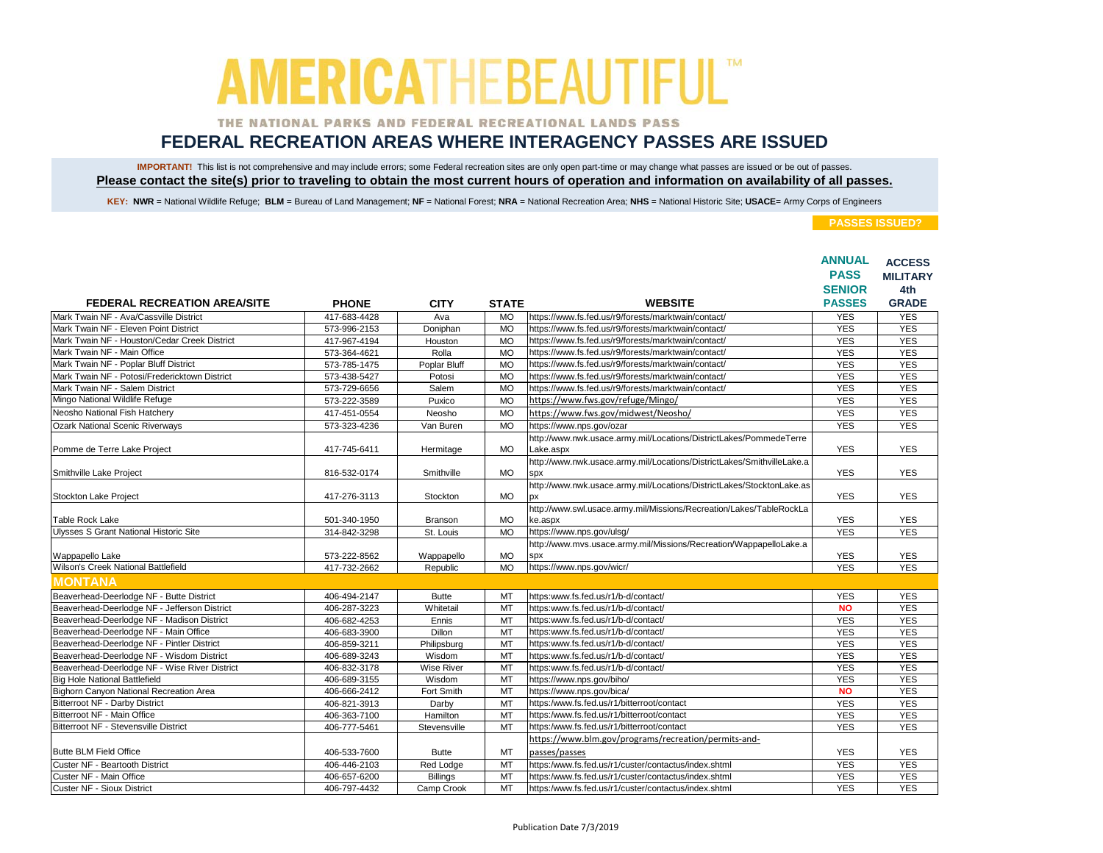### THE NATIONAL PARKS AND FEDERAL RECREATIONAL LANDS PASS

## **FEDERAL RECREATION AREAS WHERE INTERAGENCY PASSES ARE ISSUED**

IMPORTANT! This list is not comprehensive and may include errors; some Federal recreation sites are only open part-time or may change what passes are issued or be out of passes. **Please contact the site(s) prior to traveling to obtain the most current hours of operation and information on availability of all passes.**

KEY: NWR = National Wildlife Refuge; BLM = Bureau of Land Management; NF = National Forest; NRA = National Recreation Area; NHS = National Historic Site; USACE= Army Corps of Engineers

|                                               |              |                   |              |                                                                             | <b>ANNUAL</b><br><b>PASS</b><br><b>SENIOR</b> | <b>ACCESS</b><br><b>MILITARY</b><br>4th |
|-----------------------------------------------|--------------|-------------------|--------------|-----------------------------------------------------------------------------|-----------------------------------------------|-----------------------------------------|
| <b>FEDERAL RECREATION AREA/SITE</b>           | <b>PHONE</b> | <b>CITY</b>       | <b>STATE</b> | <b>WEBSITE</b>                                                              | <b>PASSES</b>                                 | <b>GRADE</b>                            |
| Mark Twain NF - Ava/Cassville District        | 417-683-4428 | Ava               | <b>MO</b>    | https://www.fs.fed.us/r9/forests/marktwain/contact/                         | <b>YES</b>                                    | <b>YES</b>                              |
| Mark Twain NF - Eleven Point District         | 573-996-2153 | Doniphan          | <b>MO</b>    | https://www.fs.fed.us/r9/forests/marktwain/contact/                         | <b>YES</b>                                    | <b>YES</b>                              |
| Mark Twain NF - Houston/Cedar Creek District  | 417-967-4194 | Houston           | <b>MO</b>    | https://www.fs.fed.us/r9/forests/marktwain/contact/                         | <b>YES</b>                                    | <b>YES</b>                              |
| Mark Twain NF - Main Office                   | 573-364-4621 | Rolla             | <b>MO</b>    | https://www.fs.fed.us/r9/forests/marktwain/contact/                         | <b>YES</b>                                    | <b>YES</b>                              |
| Mark Twain NF - Poplar Bluff District         | 573-785-1475 | Poplar Bluff      | <b>MO</b>    | https://www.fs.fed.us/r9/forests/marktwain/contact/                         | <b>YES</b>                                    | <b>YES</b>                              |
| Mark Twain NF - Potosi/Fredericktown District | 573-438-5427 | Potosi            | <b>MO</b>    | https://www.fs.fed.us/r9/forests/marktwain/contact/                         | <b>YES</b>                                    | <b>YES</b>                              |
| Mark Twain NF - Salem District                | 573-729-6656 | Salem             | <b>MO</b>    | https://www.fs.fed.us/r9/forests/marktwain/contact/                         | <b>YES</b>                                    | <b>YES</b>                              |
| Mingo National Wildlife Refuge                | 573-222-3589 | Puxico            | <b>MO</b>    | https://www.fws.gov/refuge/Mingo/                                           | <b>YES</b>                                    | <b>YES</b>                              |
| Neosho National Fish Hatchery                 | 417-451-0554 | Neosho            | <b>MO</b>    | https://www.fws.gov/midwest/Neosho/                                         | <b>YES</b>                                    | <b>YES</b>                              |
| <b>Ozark National Scenic Riverways</b>        | 573-323-4236 | Van Buren         | <b>MO</b>    | https://www.nps.gov/ozar                                                    | <b>YES</b>                                    | <b>YES</b>                              |
|                                               |              |                   |              | http://www.nwk.usace.army.mil/Locations/DistrictLakes/PommedeTerre          |                                               |                                         |
| Pomme de Terre Lake Project                   | 417-745-6411 | Hermitage         | <b>MO</b>    | Lake.aspx                                                                   | <b>YES</b>                                    | <b>YES</b>                              |
|                                               |              |                   |              | http://www.nwk.usace.army.mil/Locations/DistrictLakes/SmithvilleLake.a      |                                               |                                         |
| Smithville Lake Project                       | 816-532-0174 | Smithville        | <b>MO</b>    | <b>SDX</b>                                                                  | <b>YES</b>                                    | <b>YES</b>                              |
| Stockton Lake Project                         | 417-276-3113 | Stockton          | <b>MO</b>    | http://www.nwk.usace.army.mil/Locations/DistrictLakes/StocktonLake.as<br>DX | <b>YES</b>                                    | <b>YES</b>                              |
|                                               |              |                   |              | http://www.swl.usace.army.mil/Missions/Recreation/Lakes/TableRockLa         |                                               |                                         |
| <b>Table Rock Lake</b>                        | 501-340-1950 | Branson           | <b>MO</b>    | ke.aspx                                                                     | <b>YES</b>                                    | <b>YES</b>                              |
| Ulysses S Grant National Historic Site        | 314-842-3298 | St. Louis         | <b>MO</b>    | https://www.nps.gov/ulsg/                                                   | <b>YES</b>                                    | <b>YES</b>                              |
|                                               |              |                   |              | http://www.mvs.usace.army.mil/Missions/Recreation/WappapelloLake.a          |                                               |                                         |
| Wappapello Lake                               | 573-222-8562 | Wappapello        | <b>MO</b>    | spx                                                                         | <b>YES</b>                                    | <b>YES</b>                              |
| Wilson's Creek National Battlefield           | 417-732-2662 | Republic          | <b>MO</b>    | https://www.nps.gov/wicr/                                                   | <b>YES</b>                                    | <b>YES</b>                              |
| <b>MONTANA</b>                                |              |                   |              |                                                                             |                                               |                                         |
| Beaverhead-Deerlodge NF - Butte District      | 406-494-2147 | <b>Butte</b>      | MT           | https:www.fs.fed.us/r1/b-d/contact/                                         | <b>YES</b>                                    | <b>YES</b>                              |
| Beaverhead-Deerlodge NF - Jefferson District  | 406-287-3223 | Whitetail         | <b>MT</b>    | https:www.fs.fed.us/r1/b-d/contact/                                         | <b>NO</b>                                     | <b>YES</b>                              |
| Beaverhead-Deerlodge NF - Madison District    | 406-682-4253 | Ennis             | MT           | https:www.fs.fed.us/r1/b-d/contact/                                         | <b>YES</b>                                    | <b>YES</b>                              |
| Beaverhead-Deerlodge NF - Main Office         | 406-683-3900 | Dillon            | MT           | https:www.fs.fed.us/r1/b-d/contact/                                         | <b>YES</b>                                    | <b>YES</b>                              |
| Beaverhead-Deerlodge NF - Pintler District    | 406-859-3211 | Philipsburg       | <b>MT</b>    | https:www.fs.fed.us/r1/b-d/contact/                                         | <b>YES</b>                                    | <b>YES</b>                              |
| Beaverhead-Deerlodge NF - Wisdom District     | 406-689-3243 | Wisdom            | <b>MT</b>    | https:www.fs.fed.us/r1/b-d/contact/                                         | <b>YES</b>                                    | <b>YES</b>                              |
| Beaverhead-Deerlodge NF - Wise River District | 406-832-3178 | <b>Wise River</b> | MT           | https:www.fs.fed.us/r1/b-d/contact/                                         | <b>YES</b>                                    | <b>YES</b>                              |
| <b>Big Hole National Battlefield</b>          | 406-689-3155 | Wisdom            | MT           | https://www.nps.gov/biho/                                                   | <b>YES</b>                                    | <b>YES</b>                              |
| Bighorn Canyon National Recreation Area       | 406-666-2412 | Fort Smith        | MT           | https://www.nps.gov/bica/                                                   | <b>NO</b>                                     | <b>YES</b>                              |
| Bitterroot NF - Darby District                | 406-821-3913 | Darby             | MT           | https:/www.fs.fed.us/r1/bitterroot/contact                                  | <b>YES</b>                                    | <b>YES</b>                              |
| Bitterroot NF - Main Office                   | 406-363-7100 | Hamilton          | MT           | https:/www.fs.fed.us/r1/bitterroot/contact                                  | <b>YES</b>                                    | <b>YES</b>                              |
| Bitterroot NF - Stevensville District         | 406-777-5461 | Stevensville      | MT           | https:/www.fs.fed.us/r1/bitterroot/contact                                  | <b>YES</b>                                    | <b>YES</b>                              |
|                                               |              |                   |              | https://www.blm.gov/programs/recreation/permits-and-                        |                                               |                                         |
| <b>Butte BLM Field Office</b>                 | 406-533-7600 | <b>Butte</b>      | MT           | passes/passes                                                               | <b>YES</b>                                    | <b>YES</b>                              |
| Custer NF - Beartooth District                | 406-446-2103 | Red Lodge         | MT           | https:/www.fs.fed.us/r1/custer/contactus/index.shtml                        | <b>YES</b>                                    | <b>YES</b>                              |
| Custer NF - Main Office                       | 406-657-6200 | <b>Billings</b>   | MT           | https:/www.fs.fed.us/r1/custer/contactus/index.shtml                        | <b>YES</b>                                    | <b>YES</b>                              |
| Custer NF - Sioux District                    | 406-797-4432 | Camp Crook        | <b>MT</b>    | https:/www.fs.fed.us/r1/custer/contactus/index.shtml                        | <b>YES</b>                                    | <b>YES</b>                              |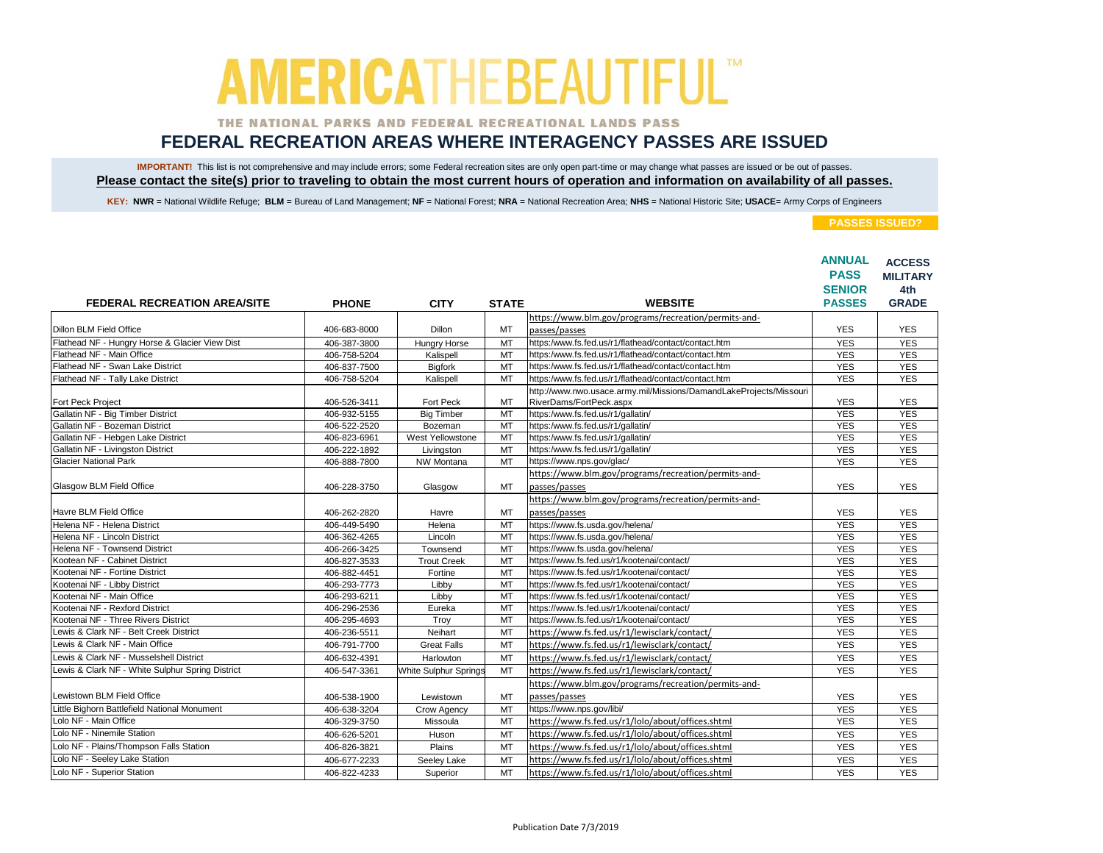### THE NATIONAL PARKS AND FEDERAL RECREATIONAL LANDS PASS

## **FEDERAL RECREATION AREAS WHERE INTERAGENCY PASSES ARE ISSUED**

IMPORTANT! This list is not comprehensive and may include errors; some Federal recreation sites are only open part-time or may change what passes are issued or be out of passes. **Please contact the site(s) prior to traveling to obtain the most current hours of operation and information on availability of all passes.**

KEY: NWR = National Wildlife Refuge; BLM = Bureau of Land Management; NF = National Forest; NRA = National Recreation Area; NHS = National Historic Site; USACE= Army Corps of Engineers

|                                                  |              |                              |              |                                                                                               | <b>ANNUAL</b><br><b>PASS</b> | <b>ACCESS</b><br><b>MILITARY</b> |
|--------------------------------------------------|--------------|------------------------------|--------------|-----------------------------------------------------------------------------------------------|------------------------------|----------------------------------|
|                                                  |              |                              |              |                                                                                               | <b>SENIOR</b>                | 4th                              |
| <b>FEDERAL RECREATION AREA/SITE</b>              | <b>PHONE</b> | <b>CITY</b>                  | <b>STATE</b> | <b>WEBSITE</b>                                                                                | <b>PASSES</b>                | <b>GRADE</b>                     |
|                                                  |              |                              |              | https://www.blm.gov/programs/recreation/permits-and-                                          |                              |                                  |
| Dillon BLM Field Office                          | 406-683-8000 | <b>Dillon</b>                | MT           | passes/passes                                                                                 | <b>YES</b>                   | <b>YES</b>                       |
| Flathead NF - Hungry Horse & Glacier View Dist   | 406-387-3800 | Hungry Horse                 | MT           | https:/www.fs.fed.us/r1/flathead/contact/contact.htm                                          | <b>YES</b>                   | <b>YES</b>                       |
| Flathead NF - Main Office                        | 406-758-5204 | Kalispell                    | MT           | https:/www.fs.fed.us/r1/flathead/contact/contact.htm                                          | <b>YES</b>                   | <b>YES</b>                       |
| Flathead NF - Swan Lake District                 | 406-837-7500 | <b>Bigfork</b>               | <b>MT</b>    | https:/www.fs.fed.us/r1/flathead/contact/contact.htm                                          | <b>YES</b>                   | <b>YES</b>                       |
| Flathead NF - Tally Lake District                | 406-758-5204 | Kalispell                    | MT           | https:/www.fs.fed.us/r1/flathead/contact/contact.htm                                          | <b>YES</b>                   | <b>YES</b>                       |
| Fort Peck Project                                | 406-526-3411 | Fort Peck                    | MT           | http://www.nwo.usace.army.mil/Missions/DamandLakeProjects/Missouri<br>RiverDams/FortPeck.aspx | <b>YES</b>                   | <b>YES</b>                       |
| Gallatin NF - Big Timber District                | 406-932-5155 | <b>Big Timber</b>            | MT           | https:/www.fs.fed.us/r1/gallatin/                                                             | <b>YES</b>                   | <b>YES</b>                       |
| Gallatin NF - Bozeman District                   | 406-522-2520 | Bozeman                      | MT           | https:/www.fs.fed.us/r1/gallatin/                                                             | <b>YES</b>                   | <b>YES</b>                       |
| Gallatin NF - Hebgen Lake District               | 406-823-6961 | West Yellowstone             | MT           | https:/www.fs.fed.us/r1/gallatin/                                                             | <b>YES</b>                   | <b>YES</b>                       |
| Gallatin NF - Livingston District                | 406-222-1892 | Livingston                   | MT           | https:/www.fs.fed.us/r1/gallatin/                                                             | <b>YES</b>                   | <b>YES</b>                       |
| <b>Glacier National Park</b>                     | 406-888-7800 | NW Montana                   | MT           | https://www.nps.gov/glac/                                                                     | <b>YES</b>                   | <b>YES</b>                       |
|                                                  |              |                              |              | https://www.blm.gov/programs/recreation/permits-and-                                          |                              |                                  |
| Glasgow BLM Field Office                         | 406-228-3750 | Glasgow                      | MT           | passes/passes                                                                                 | <b>YES</b>                   | <b>YES</b>                       |
|                                                  |              |                              |              | https://www.blm.gov/programs/recreation/permits-and-                                          |                              |                                  |
| Havre BLM Field Office                           | 406-262-2820 | Havre                        | MT           | passes/passes                                                                                 | <b>YES</b>                   | <b>YES</b>                       |
| Helena NF - Helena District                      | 406-449-5490 | Helena                       | <b>MT</b>    | https://www.fs.usda.gov/helena/                                                               | <b>YES</b>                   | <b>YES</b>                       |
| Helena NF - Lincoln District                     | 406-362-4265 | Lincoln                      | MT           | https://www.fs.usda.gov/helena/                                                               | <b>YES</b>                   | <b>YES</b>                       |
| Helena NF - Townsend District                    | 406-266-3425 | Townsend                     | MT           | https://www.fs.usda.gov/helena/                                                               | <b>YES</b>                   | <b>YES</b>                       |
| Kootean NF - Cabinet District                    | 406-827-3533 | <b>Trout Creek</b>           | MT           | https://www.fs.fed.us/r1/kootenai/contact/                                                    | <b>YES</b>                   | <b>YES</b>                       |
| Kootenai NF - Fortine District                   | 406-882-4451 | Fortine                      | MT           | https://www.fs.fed.us/r1/kootenai/contact/                                                    | <b>YES</b>                   | <b>YES</b>                       |
| Kootenai NF - Libby District                     | 406-293-7773 | Libby                        | <b>MT</b>    | https://www.fs.fed.us/r1/kootenai/contact/                                                    | <b>YES</b>                   | <b>YES</b>                       |
| Kootenai NF - Main Office                        | 406-293-6211 | Libby                        | MT           | https://www.fs.fed.us/r1/kootenai/contact/                                                    | <b>YES</b>                   | <b>YES</b>                       |
| Kootenai NF - Rexford District                   | 406-296-2536 | Eureka                       | MT           | https://www.fs.fed.us/r1/kootenai/contact/                                                    | <b>YES</b>                   | <b>YES</b>                       |
| Kootenai NF - Three Rivers District              | 406-295-4693 | Trov                         | <b>MT</b>    | https://www.fs.fed.us/r1/kootenai/contact/                                                    | <b>YES</b>                   | <b>YES</b>                       |
| Lewis & Clark NF - Belt Creek District           | 406-236-5511 | Neihart                      | MT           | https://www.fs.fed.us/r1/lewisclark/contact/                                                  | <b>YES</b>                   | <b>YES</b>                       |
| Lewis & Clark NF - Main Office                   | 406-791-7700 | <b>Great Falls</b>           | <b>MT</b>    | https://www.fs.fed.us/r1/lewisclark/contact/                                                  | <b>YES</b>                   | <b>YES</b>                       |
| Lewis & Clark NF - Musselshell District          | 406-632-4391 | Harlowton                    | MT           | https://www.fs.fed.us/r1/lewisclark/contact/                                                  | <b>YES</b>                   | <b>YES</b>                       |
| Lewis & Clark NF - White Sulphur Spring District | 406-547-3361 | <b>White Sulphur Springs</b> | <b>MT</b>    | https://www.fs.fed.us/r1/lewisclark/contact/                                                  | <b>YES</b>                   | <b>YES</b>                       |
|                                                  |              |                              |              | https://www.blm.gov/programs/recreation/permits-and-                                          |                              |                                  |
| Lewistown BLM Field Office                       | 406-538-1900 | Lewistown                    | MT           | passes/passes                                                                                 | <b>YES</b>                   | <b>YES</b>                       |
| Little Bighorn Battlefield National Monument     | 406-638-3204 | Crow Agency                  | MT           | https://www.nps.gov/libi/                                                                     | <b>YES</b>                   | <b>YES</b>                       |
| Lolo NF - Main Office                            | 406-329-3750 | Missoula                     | MT           | https://www.fs.fed.us/r1/lolo/about/offices.shtml                                             | <b>YES</b>                   | <b>YES</b>                       |
| Lolo NF - Ninemile Station                       | 406-626-5201 | Huson                        | MT           | https://www.fs.fed.us/r1/lolo/about/offices.shtml                                             | <b>YES</b>                   | <b>YES</b>                       |
| Lolo NF - Plains/Thompson Falls Station          | 406-826-3821 | Plains                       | <b>MT</b>    | https://www.fs.fed.us/r1/lolo/about/offices.shtml                                             | <b>YES</b>                   | <b>YES</b>                       |
| Lolo NF - Seeley Lake Station                    | 406-677-2233 | Seeley Lake                  | MT           | https://www.fs.fed.us/r1/lolo/about/offices.shtml                                             | <b>YES</b>                   | <b>YES</b>                       |
| Lolo NF - Superior Station                       | 406-822-4233 | Superior                     | <b>MT</b>    | https://www.fs.fed.us/r1/lolo/about/offices.shtml                                             | <b>YES</b>                   | <b>YES</b>                       |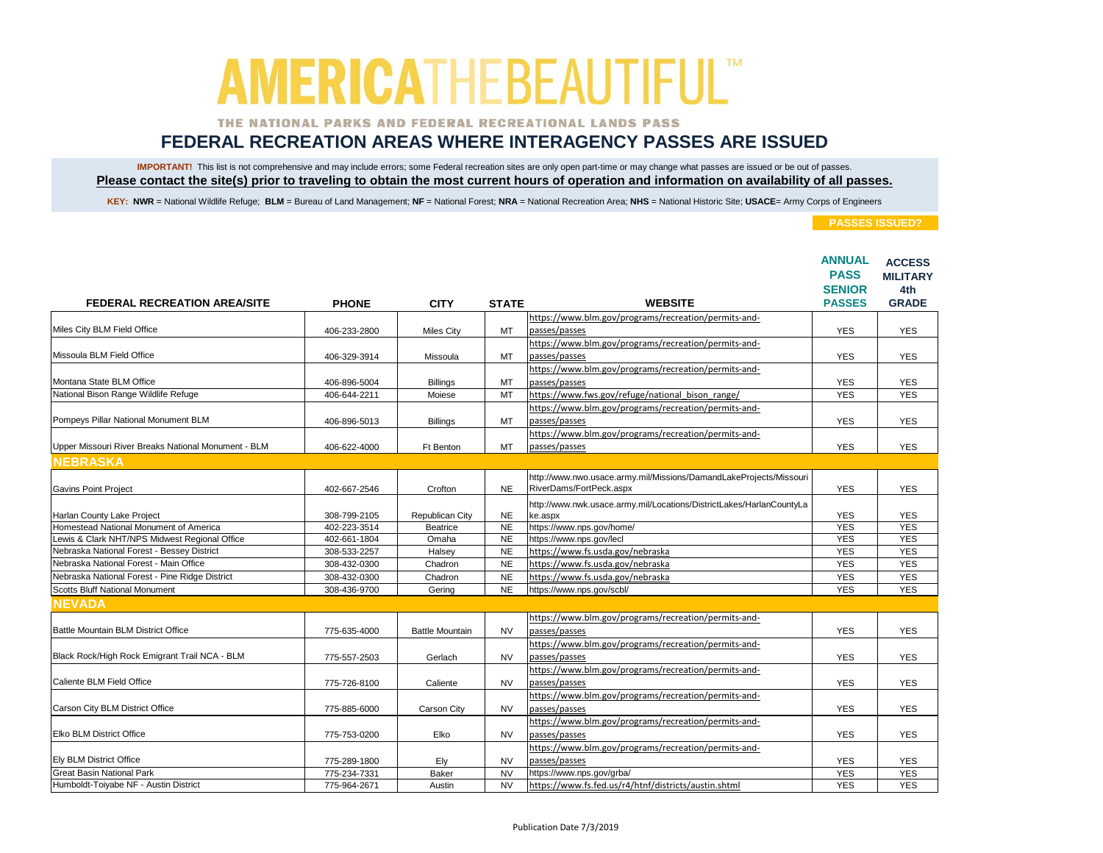### THE NATIONAL PARKS AND FEDERAL RECREATIONAL LANDS PASS

## **FEDERAL RECREATION AREAS WHERE INTERAGENCY PASSES ARE ISSUED**

IMPORTANT! This list is not comprehensive and may include errors; some Federal recreation sites are only open part-time or may change what passes are issued or be out of passes. **Please contact the site(s) prior to traveling to obtain the most current hours of operation and information on availability of all passes.**

KEY: NWR = National Wildlife Refuge; BLM = Bureau of Land Management; NF = National Forest; NRA = National Recreation Area; NHS = National Historic Site; USACE= Army Corps of Engineers

|                                                     |              |                        |              |                                                                      | <b>ANNUAL</b><br><b>PASS</b><br><b>SENIOR</b> | <b>ACCESS</b><br><b>MILITARY</b><br>4th |
|-----------------------------------------------------|--------------|------------------------|--------------|----------------------------------------------------------------------|-----------------------------------------------|-----------------------------------------|
| <b>FEDERAL RECREATION AREA/SITE</b>                 | <b>PHONE</b> | <b>CITY</b>            | <b>STATE</b> | <b>WEBSITE</b>                                                       | <b>PASSES</b>                                 | <b>GRADE</b>                            |
| Miles City BLM Field Office                         |              |                        |              | https://www.blm.gov/programs/recreation/permits-and-                 |                                               |                                         |
|                                                     | 406-233-2800 | <b>Miles City</b>      | MT           | passes/passes                                                        | <b>YES</b>                                    | <b>YES</b>                              |
|                                                     |              |                        |              | https://www.blm.gov/programs/recreation/permits-and-                 |                                               |                                         |
| Missoula BLM Field Office                           | 406-329-3914 | Missoula               | MT           | passes/passes                                                        | <b>YES</b>                                    | <b>YES</b>                              |
|                                                     |              |                        |              | https://www.blm.gov/programs/recreation/permits-and-                 |                                               |                                         |
| Montana State BLM Office                            | 406-896-5004 | <b>Billings</b>        | MT           | passes/passes                                                        | <b>YES</b>                                    | YES                                     |
| National Bison Range Wildlife Refuge                | 406-644-2211 | Moiese                 | MT           | https://www.fws.gov/refuge/national bison range/                     | <b>YES</b>                                    | <b>YES</b>                              |
|                                                     |              |                        |              | https://www.blm.gov/programs/recreation/permits-and-                 |                                               |                                         |
| Pompeys Pillar National Monument BLM                | 406-896-5013 | <b>Billings</b>        | MT           | passes/passes                                                        | <b>YES</b>                                    | <b>YES</b>                              |
|                                                     |              |                        |              | https://www.blm.gov/programs/recreation/permits-and-                 |                                               |                                         |
| Upper Missouri River Breaks National Monument - BLM | 406-622-4000 | Ft Benton              | MT           | passes/passes                                                        | <b>YES</b>                                    | <b>YES</b>                              |
| <b>NEBRASKA</b>                                     |              |                        |              |                                                                      |                                               |                                         |
|                                                     |              |                        |              | http://www.nwo.usace.army.mil/Missions/DamandLakeProjects/Missouri   |                                               |                                         |
| <b>Gavins Point Project</b>                         | 402-667-2546 | Crofton                | <b>NE</b>    | RiverDams/FortPeck.aspx                                              | <b>YES</b>                                    | <b>YES</b>                              |
|                                                     |              |                        |              | http://www.nwk.usace.army.mil/Locations/DistrictLakes/HarlanCountyLa |                                               |                                         |
| Harlan County Lake Project                          | 308-799-2105 | Republican City        | <b>NE</b>    | ke.aspx                                                              | <b>YES</b>                                    | <b>YES</b>                              |
| Homestead National Monument of America              | 402-223-3514 | Beatrice               | <b>NE</b>    | https://www.nps.gov/home/                                            | <b>YES</b>                                    | <b>YES</b>                              |
| Lewis & Clark NHT/NPS Midwest Regional Office       | 402-661-1804 | Omaha                  | <b>NE</b>    | https://www.nps.gov/lecl                                             | <b>YES</b>                                    | <b>YES</b>                              |
| Nebraska National Forest - Bessey District          | 308-533-2257 | Halsey                 | <b>NE</b>    | https://www.fs.usda.gov/nebraska                                     | <b>YES</b>                                    | <b>YES</b>                              |
| Nebraska National Forest - Main Office              | 308-432-0300 | Chadron                | <b>NE</b>    | https://www.fs.usda.gov/nebraska                                     | <b>YES</b>                                    | <b>YES</b>                              |
| Nebraska National Forest - Pine Ridge District      | 308-432-0300 | Chadron                | <b>NE</b>    | https://www.fs.usda.gov/nebraska                                     | <b>YES</b>                                    | <b>YES</b>                              |
| <b>Scotts Bluff National Monument</b>               | 308-436-9700 | Gering                 | <b>NE</b>    | https://www.nps.gov/scbl/                                            | <b>YES</b>                                    | <b>YES</b>                              |
| <b>NEVADA</b>                                       |              |                        |              |                                                                      |                                               |                                         |
|                                                     |              |                        |              | https://www.blm.gov/programs/recreation/permits-and-                 |                                               |                                         |
| Battle Mountain BLM District Office                 | 775-635-4000 | <b>Battle Mountain</b> | <b>NV</b>    | passes/passes                                                        | <b>YES</b>                                    | <b>YES</b>                              |
|                                                     |              |                        |              | https://www.blm.gov/programs/recreation/permits-and-                 |                                               |                                         |
| Black Rock/High Rock Emigrant Trail NCA - BLM       | 775-557-2503 | Gerlach                | <b>NV</b>    | passes/passes                                                        | <b>YES</b>                                    | <b>YES</b>                              |
|                                                     |              |                        |              | https://www.blm.gov/programs/recreation/permits-and-                 |                                               |                                         |
| Caliente BLM Field Office                           | 775-726-8100 | Caliente               | <b>NV</b>    | passes/passes                                                        | <b>YES</b>                                    | <b>YES</b>                              |
|                                                     |              |                        |              | https://www.blm.gov/programs/recreation/permits-and-                 |                                               |                                         |
| Carson City BLM District Office                     | 775-885-6000 | Carson City            | <b>NV</b>    | passes/passes                                                        | <b>YES</b>                                    | <b>YES</b>                              |
|                                                     |              |                        |              | https://www.blm.gov/programs/recreation/permits-and-                 |                                               |                                         |
| <b>Elko BLM District Office</b>                     | 775-753-0200 | Elko                   | <b>NV</b>    | passes/passes                                                        | <b>YES</b>                                    | <b>YES</b>                              |
|                                                     |              |                        |              | https://www.blm.gov/programs/recreation/permits-and-                 |                                               |                                         |
| <b>Ely BLM District Office</b>                      | 775-289-1800 | Ely                    | <b>NV</b>    | passes/passes                                                        | <b>YES</b>                                    | <b>YES</b>                              |
| <b>Great Basin National Park</b>                    | 775-234-7331 | <b>Baker</b>           | <b>NV</b>    | https://www.nps.gov/grba/                                            | <b>YES</b>                                    | <b>YES</b>                              |
| Humboldt-Toiyabe NF - Austin District               | 775-964-2671 | Austin                 | <b>NV</b>    | https://www.fs.fed.us/r4/htnf/districts/austin.shtml                 | <b>YES</b>                                    | <b>YES</b>                              |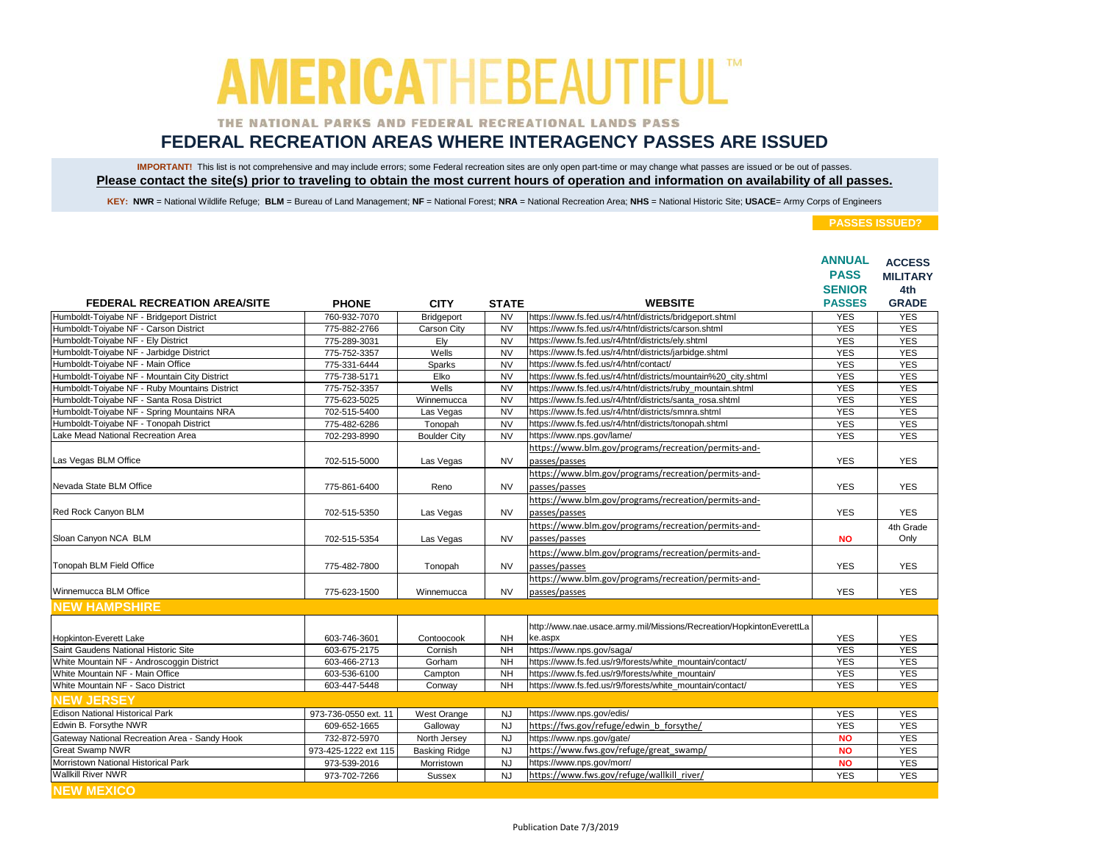### THE NATIONAL PARKS AND FEDERAL RECREATIONAL LANDS PASS

## **FEDERAL RECREATION AREAS WHERE INTERAGENCY PASSES ARE ISSUED**

IMPORTANT! This list is not comprehensive and may include errors; some Federal recreation sites are only open part-time or may change what passes are issued or be out of passes. **Please contact the site(s) prior to traveling to obtain the most current hours of operation and information on availability of all passes.**

KEY: NWR = National Wildlife Refuge; BLM = Bureau of Land Management; NF = National Forest; NRA = National Recreation Area; NHS = National Historic Site; USACE= Army Corps of Engineers

|                                               |                      |                      |                        |                                                                      | <b>ANNUAL</b><br><b>PASS</b> | <b>ACCESS</b><br><b>MILITARY</b> |
|-----------------------------------------------|----------------------|----------------------|------------------------|----------------------------------------------------------------------|------------------------------|----------------------------------|
|                                               |                      |                      |                        |                                                                      | <b>SENIOR</b>                | 4th                              |
| <b>FEDERAL RECREATION AREA/SITE</b>           | <b>PHONE</b>         | <b>CITY</b>          | <b>STATE</b>           | <b>WEBSITE</b>                                                       | <b>PASSES</b>                | <b>GRADE</b>                     |
| Humboldt-Toiyabe NF - Bridgeport District     | 760-932-7070         | Bridgeport           | <b>NV</b>              | https://www.fs.fed.us/r4/htnf/districts/bridgeport.shtml             | <b>YES</b>                   | <b>YES</b>                       |
| Humboldt-Toiyabe NF - Carson District         | 775-882-2766         | Carson City          | <b>NV</b>              | https://www.fs.fed.us/r4/htnf/districts/carson.shtml                 | <b>YES</b>                   | <b>YES</b>                       |
| Humboldt-Toiyabe NF - Ely District            | 775-289-3031         | Ely                  | <b>NV</b>              | https://www.fs.fed.us/r4/htnf/districts/ely.shtml                    | <b>YES</b>                   | <b>YES</b>                       |
| Humboldt-Toiyabe NF - Jarbidge District       | 775-752-3357         | Wells                | <b>NV</b>              | https://www.fs.fed.us/r4/htnf/districts/jarbidge.shtml               | <b>YES</b>                   | <b>YES</b>                       |
| Humboldt-Toiyabe NF - Main Office             | 775-331-6444         | Sparks               | $\overline{\text{NV}}$ | https://www.fs.fed.us/r4/htnf/contact/                               | <b>YES</b>                   | <b>YES</b>                       |
| Humboldt-Toiyabe NF - Mountain City District  | 775-738-5171         | Elko                 | <b>NV</b>              | https://www.fs.fed.us/r4/htnf/districts/mountain%20_city.shtml       | <b>YES</b>                   | <b>YES</b>                       |
| Humboldt-Toiyabe NF - Ruby Mountains District | 775-752-3357         | Wells                | <b>NV</b>              | https://www.fs.fed.us/r4/htnf/districts/ruby mountain.shtml          | <b>YES</b>                   | <b>YES</b>                       |
| Humboldt-Toiyabe NF - Santa Rosa District     | 775-623-5025         | Winnemucca           | <b>NV</b>              | https://www.fs.fed.us/r4/htnf/districts/santa_rosa.shtml             | <b>YES</b>                   | <b>YES</b>                       |
| Humboldt-Toiyabe NF - Spring Mountains NRA    | 702-515-5400         | Las Vegas            | <b>NV</b>              | https://www.fs.fed.us/r4/htnf/districts/smnra.shtml                  | <b>YES</b>                   | <b>YES</b>                       |
| Humboldt-Toiyabe NF - Tonopah District        | 775-482-6286         | Tonopah              | <b>NV</b>              | https://www.fs.fed.us/r4/htnf/districts/tonopah.shtml                | <b>YES</b>                   | <b>YES</b>                       |
| Lake Mead National Recreation Area            | 702-293-8990         | <b>Boulder City</b>  | <b>NV</b>              | https://www.nps.gov/lame/                                            | <b>YES</b>                   | <b>YES</b>                       |
|                                               |                      |                      |                        | https://www.blm.gov/programs/recreation/permits-and-                 |                              |                                  |
| Las Vegas BLM Office                          | 702-515-5000         | Las Vegas            | <b>NV</b>              | passes/passes                                                        | <b>YES</b>                   | <b>YES</b>                       |
|                                               |                      |                      |                        | https://www.blm.gov/programs/recreation/permits-and-                 |                              |                                  |
| Nevada State BLM Office                       | 775-861-6400         | Reno                 | <b>NV</b>              | passes/passes                                                        | <b>YES</b>                   | <b>YES</b>                       |
|                                               |                      |                      |                        | https://www.blm.gov/programs/recreation/permits-and-                 |                              |                                  |
| Red Rock Canyon BLM                           | 702-515-5350         | Las Vegas            | <b>NV</b>              | passes/passes                                                        | <b>YES</b>                   | <b>YES</b>                       |
|                                               |                      |                      |                        | https://www.blm.gov/programs/recreation/permits-and-                 |                              | 4th Grade                        |
| Sloan Canyon NCA BLM                          | 702-515-5354         | Las Vegas            | <b>NV</b>              | passes/passes                                                        | <b>NO</b>                    | Only                             |
|                                               |                      |                      |                        | https://www.blm.gov/programs/recreation/permits-and-                 |                              |                                  |
| Tonopah BLM Field Office                      | 775-482-7800         | Tonopah              | <b>NV</b>              | passes/passes                                                        | <b>YES</b>                   | <b>YES</b>                       |
|                                               |                      |                      |                        | https://www.blm.gov/programs/recreation/permits-and-                 |                              |                                  |
| Winnemucca BLM Office                         | 775-623-1500         | Winnemucca           | <b>NV</b>              | passes/passes                                                        | <b>YES</b>                   | <b>YES</b>                       |
| <b>NEW HAMPSHIRE</b>                          |                      |                      |                        |                                                                      |                              |                                  |
|                                               |                      |                      |                        | http://www.nae.usace.army.mil/Missions/Recreation/HopkintonEverettLa |                              |                                  |
| Hopkinton-Everett Lake                        | 603-746-3601         | Contoocook           | <b>NH</b>              | ke.aspx                                                              | <b>YES</b>                   | <b>YES</b>                       |
| Saint Gaudens National Historic Site          | 603-675-2175         | Cornish              | <b>NH</b>              | https://www.nps.gov/saga/                                            | <b>YES</b>                   | <b>YES</b>                       |
| White Mountain NF - Androscoggin District     | 603-466-2713         | Gorham               | N <sub>H</sub>         | https://www.fs.fed.us/r9/forests/white mountain/contact/             | <b>YES</b>                   | <b>YES</b>                       |
| White Mountain NF - Main Office               | 603-536-6100         | Campton              | <b>NH</b>              | https://www.fs.fed.us/r9/forests/white_mountain/                     | <b>YES</b>                   | <b>YES</b>                       |
| White Mountain NF - Saco District             | 603-447-5448         | Conway               | <b>NH</b>              | https://www.fs.fed.us/r9/forests/white_mountain/contact/             | <b>YES</b>                   | <b>YES</b>                       |
| <b>NEW JERSEY</b>                             |                      |                      |                        |                                                                      |                              |                                  |
| <b>Edison National Historical Park</b>        | 973-736-0550 ext. 11 | <b>West Orange</b>   | <b>NJ</b>              | https://www.nps.gov/edis/                                            | <b>YES</b>                   | <b>YES</b>                       |
| Edwin B. Forsythe NWR                         | 609-652-1665         | Galloway             | <b>NJ</b>              | https://fws.gov/refuge/edwin b forsythe/                             | <b>YES</b>                   | <b>YES</b>                       |
| Gateway National Recreation Area - Sandy Hook | 732-872-5970         | North Jersey         | <b>NJ</b>              | https://www.nps.gov/gate/                                            | <b>NO</b>                    | <b>YES</b>                       |
| <b>Great Swamp NWR</b>                        | 973-425-1222 ext 115 | <b>Basking Ridge</b> | <b>NJ</b>              | https://www.fws.gov/refuge/great swamp/                              | <b>NO</b>                    | <b>YES</b>                       |
| Morristown National Historical Park           | 973-539-2016         | Morristown           | <b>NJ</b>              | https://www.nps.gov/morr/                                            | <b>NO</b>                    | <b>YES</b>                       |
| <b>Wallkill River NWR</b>                     | 973-702-7266         | <b>Sussex</b>        | <b>NJ</b>              | https://www.fws.gov/refuge/wallkill_river/                           | <b>YES</b>                   | <b>YES</b>                       |
| <b>NEW MEXICO</b>                             |                      |                      |                        |                                                                      |                              |                                  |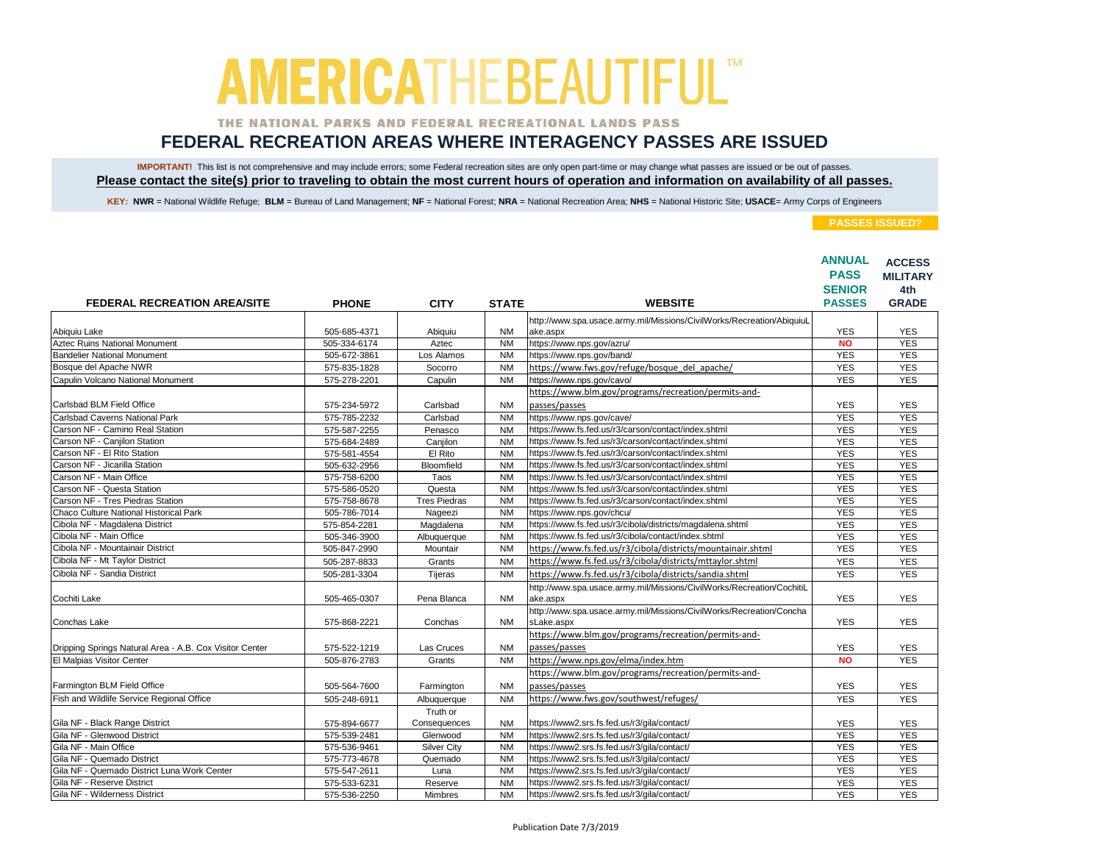### THE NATIONAL PARKS AND FEDERAL RECREATIONAL LANDS PASS

## **FEDERAL RECREATION AREAS WHERE INTERAGENCY PASSES ARE ISSUED**

IMPORTANT! This list is not comprehensive and may include errors; some Federal recreation sites are only open part-time or may change what passes are issued or be out of passes. **Please contact the site(s) prior to traveling to obtain the most current hours of operation and information on availability of all passes.**

KEY: NWR = National Wildlife Refuge; BLM = Bureau of Land Management; NF = National Forest; NRA = National Recreation Area; NHS = National Historic Site; USACE= Army Corps of Engineers

|                                                         |              |                     |              |                                                                       | <b>ANNUAL</b><br><b>PASS</b> | <b>ACCESS</b><br><b>MILITARY</b> |
|---------------------------------------------------------|--------------|---------------------|--------------|-----------------------------------------------------------------------|------------------------------|----------------------------------|
|                                                         |              |                     |              |                                                                       | <b>SENIOR</b>                | 4th                              |
| <b>FEDERAL RECREATION AREA/SITE</b>                     | <b>PHONE</b> | <b>CITY</b>         | <b>STATE</b> | <b>WEBSITE</b>                                                        | <b>PASSES</b>                | <b>GRADE</b>                     |
|                                                         |              |                     |              | http://www.spa.usace.army.mil/Missions/CivilWorks/Recreation/AbiquiuL |                              |                                  |
| Abiquiu Lake                                            | 505-685-4371 | Abiquiu             | <b>NM</b>    | ake.aspx                                                              | <b>YES</b>                   | <b>YES</b>                       |
| <b>Aztec Ruins National Monument</b>                    | 505-334-6174 | Aztec               | <b>NM</b>    | https://www.nps.gov/azru/                                             | <b>NO</b>                    | <b>YES</b>                       |
| <b>Bandelier National Monument</b>                      | 505-672-3861 | Los Alamos          | <b>NM</b>    | https://www.nps.gov/band/                                             | <b>YES</b>                   | <b>YES</b>                       |
| Bosque del Apache NWR                                   | 575-835-1828 | Socorro             | <b>NM</b>    | https://www.fws.gov/refuge/bosque del apache/                         | <b>YES</b>                   | <b>YES</b>                       |
| Capulin Volcano National Monument                       | 575-278-2201 | Capulin             | <b>NM</b>    | https://www.nps.gov/cavo/                                             | <b>YES</b>                   | <b>YES</b>                       |
|                                                         |              |                     |              | https://www.blm.gov/programs/recreation/permits-and-                  |                              |                                  |
| Carlsbad BLM Field Office                               | 575-234-5972 | Carlsbad            | <b>NM</b>    | passes/passes                                                         | <b>YES</b>                   | <b>YES</b>                       |
| <b>Carlsbad Caverns National Park</b>                   | 575-785-2232 | Carlsbad            | <b>NM</b>    | https://www.nps.gov/cave/                                             | <b>YES</b>                   | <b>YES</b>                       |
| Carson NF - Camino Real Station                         | 575-587-2255 | Penasco             | <b>NM</b>    | https://www.fs.fed.us/r3/carson/contact/index.shtml                   | <b>YES</b>                   | <b>YES</b>                       |
| Carson NF - Canjilon Station                            | 575-684-2489 | Canjilon            | <b>NM</b>    | https://www.fs.fed.us/r3/carson/contact/index.shtml                   | <b>YES</b>                   | <b>YES</b>                       |
| Carson NF - El Rito Station                             | 575-581-4554 | El Rito             | <b>NM</b>    | https://www.fs.fed.us/r3/carson/contact/index.shtml                   | <b>YES</b>                   | <b>YES</b>                       |
| Carson NF - Jicarilla Station                           | 505-632-2956 | Bloomfield          | <b>NM</b>    | https://www.fs.fed.us/r3/carson/contact/index.shtml                   | <b>YES</b>                   | <b>YES</b>                       |
| Carson NF - Main Office                                 | 575-758-6200 | Taos                | <b>NM</b>    | https://www.fs.fed.us/r3/carson/contact/index.shtml                   | <b>YES</b>                   | <b>YES</b>                       |
| Carson NF - Questa Station                              | 575-586-0520 | Questa              | <b>NM</b>    | https://www.fs.fed.us/r3/carson/contact/index.shtml                   | <b>YES</b>                   | <b>YES</b>                       |
| Carson NF - Tres Piedras Station                        | 575-758-8678 | <b>Tres Piedras</b> | <b>NM</b>    | https://www.fs.fed.us/r3/carson/contact/index.shtml                   | <b>YES</b>                   | <b>YES</b>                       |
| Chaco Culture National Historical Park                  | 505-786-7014 | Nageezi             | <b>NM</b>    | https://www.nps.gov/chcu/                                             | <b>YES</b>                   | <b>YES</b>                       |
| Cibola NF - Magdalena District                          | 575-854-2281 | Magdalena           | <b>NM</b>    | https://www.fs.fed.us/r3/cibola/districts/magdalena.shtml             | <b>YES</b>                   | <b>YES</b>                       |
| Cibola NF - Main Office                                 | 505-346-3900 | Albuquerque         | <b>NM</b>    | https://www.fs.fed.us/r3/cibola/contact/index.shtml                   | <b>YES</b>                   | <b>YES</b>                       |
| Cibola NF - Mountainair District                        | 505-847-2990 | Mountair            | <b>NM</b>    | https://www.fs.fed.us/r3/cibola/districts/mountainair.shtml           | <b>YES</b>                   | <b>YES</b>                       |
| Cibola NF - Mt Taylor District                          | 505-287-8833 | Grants              | <b>NM</b>    | https://www.fs.fed.us/r3/cibola/districts/mttaylor.shtml              | <b>YES</b>                   | <b>YES</b>                       |
| Cibola NF - Sandia District                             | 505-281-3304 | Tijeras             | <b>NM</b>    | https://www.fs.fed.us/r3/cibola/districts/sandia.shtml                | <b>YES</b>                   | <b>YES</b>                       |
|                                                         |              |                     |              | http://www.spa.usace.army.mil/Missions/CivilWorks/Recreation/CochitiL |                              |                                  |
| Cochiti Lake                                            | 505-465-0307 | Pena Blanca         | <b>NM</b>    | ake.aspx                                                              | <b>YES</b>                   | <b>YES</b>                       |
|                                                         |              |                     |              | http://www.spa.usace.army.mil/Missions/CivilWorks/Recreation/Concha   |                              |                                  |
| Conchas Lake                                            | 575-868-2221 | Conchas             | <b>NM</b>    | sLake.aspx                                                            | <b>YES</b>                   | <b>YES</b>                       |
|                                                         |              |                     |              | https://www.blm.gov/programs/recreation/permits-and-                  |                              |                                  |
| Dripping Springs Natural Area - A.B. Cox Visitor Center | 575-522-1219 | Las Cruces          | <b>NM</b>    | passes/passes                                                         | <b>YES</b>                   | <b>YES</b>                       |
| El Malpias Visitor Center                               | 505-876-2783 | Grants              | <b>NM</b>    | https://www.nps.gov/elma/index.htm                                    | <b>NO</b>                    | <b>YES</b>                       |
|                                                         |              |                     |              | https://www.blm.gov/programs/recreation/permits-and-                  |                              |                                  |
| Farmington BLM Field Office                             |              |                     |              | passes/passes                                                         |                              |                                  |
| Fish and Wildlife Service Regional Office               | 505-564-7600 | Farmington          | <b>NM</b>    |                                                                       | <b>YES</b>                   | <b>YES</b>                       |
|                                                         | 505-248-6911 | Albuquerque         | <b>NM</b>    | https://www.fws.gov/southwest/refuges/                                | <b>YES</b>                   | <b>YES</b>                       |
|                                                         |              | Truth or            |              |                                                                       |                              |                                  |
| Gila NF - Black Range District                          | 575-894-6677 | Consequences        | <b>NM</b>    | https://www2.srs.fs.fed.us/r3/gila/contact/                           | <b>YES</b>                   | <b>YES</b>                       |
| Gila NF - Glenwood District                             | 575-539-2481 | Glenwood            | <b>NM</b>    | https://www2.srs.fs.fed.us/r3/gila/contact/                           | <b>YES</b>                   | <b>YES</b>                       |
| Gila NF - Main Office                                   | 575-536-9461 | <b>Silver City</b>  | <b>NM</b>    | https://www2.srs.fs.fed.us/r3/gila/contact/                           | <b>YES</b>                   | <b>YES</b>                       |
| Gila NF - Quemado District                              | 575-773-4678 | Quemado             | <b>NM</b>    | https://www2.srs.fs.fed.us/r3/gila/contact/                           | <b>YES</b>                   | <b>YES</b>                       |
| Gila NF - Quemado District Luna Work Center             | 575-547-2611 | Luna                | <b>NM</b>    | https://www2.srs.fs.fed.us/r3/gila/contact/                           | <b>YES</b>                   | <b>YES</b>                       |
| Gila NF - Reserve District                              | 575-533-6231 | Reserve             | <b>NM</b>    | https://www2.srs.fs.fed.us/r3/gila/contact/                           | <b>YES</b>                   | <b>YES</b>                       |
| Gila NF - Wilderness District                           | 575-536-2250 | <b>Mimbres</b>      | <b>NM</b>    | https://www2.srs.fs.fed.us/r3/gila/contact/                           | <b>YES</b>                   | <b>YES</b>                       |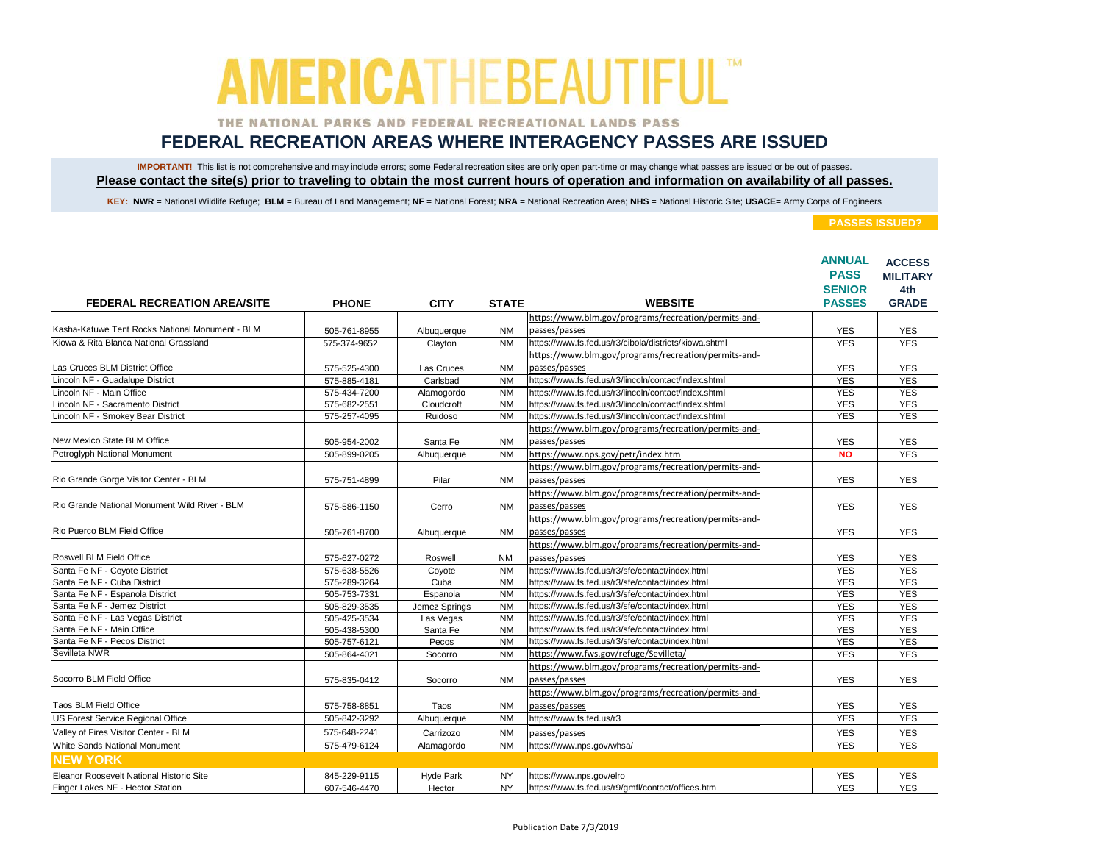### THE NATIONAL PARKS AND FEDERAL RECREATIONAL LANDS PASS

## **FEDERAL RECREATION AREAS WHERE INTERAGENCY PASSES ARE ISSUED**

IMPORTANT! This list is not comprehensive and may include errors; some Federal recreation sites are only open part-time or may change what passes are issued or be out of passes. **Please contact the site(s) prior to traveling to obtain the most current hours of operation and information on availability of all passes.**

KEY: NWR = National Wildlife Refuge; BLM = Bureau of Land Management; NF = National Forest; NRA = National Recreation Area; NHS = National Historic Site; USACE= Army Corps of Engineers

|                                                 |              |               |                |                                                       | <b>ANNUAL</b><br><b>PASS</b> | <b>ACCESS</b><br><b>MILITARY</b> |
|-------------------------------------------------|--------------|---------------|----------------|-------------------------------------------------------|------------------------------|----------------------------------|
|                                                 |              |               |                |                                                       | <b>SENIOR</b>                | 4th                              |
| <b>FEDERAL RECREATION AREA/SITE</b>             | <b>PHONE</b> | <b>CITY</b>   | <b>STATE</b>   | <b>WEBSITE</b>                                        | <b>PASSES</b>                | <b>GRADE</b>                     |
|                                                 |              |               |                | https://www.blm.gov/programs/recreation/permits-and-  |                              |                                  |
| Kasha-Katuwe Tent Rocks National Monument - BLM | 505-761-8955 | Albuquerque   | <b>NM</b>      | passes/passes                                         | <b>YES</b>                   | <b>YES</b>                       |
| Kiowa & Rita Blanca National Grassland          | 575-374-9652 | Clayton       | <b>NM</b>      | https://www.fs.fed.us/r3/cibola/districts/kiowa.shtml | <b>YES</b>                   | <b>YES</b>                       |
|                                                 |              |               |                | https://www.blm.gov/programs/recreation/permits-and-  |                              |                                  |
| Las Cruces BLM District Office                  | 575-525-4300 | Las Cruces    | <b>NM</b>      | passes/passes                                         | <b>YES</b>                   | <b>YES</b>                       |
| Lincoln NF - Guadalupe District                 | 575-885-4181 | Carlsbad      | N <sub>M</sub> | https://www.fs.fed.us/r3/lincoln/contact/index.shtml  | <b>YES</b>                   | <b>YES</b>                       |
| Lincoln NF - Main Office                        | 575-434-7200 | Alamogordo    | <b>NM</b>      | https://www.fs.fed.us/r3/lincoln/contact/index.shtml  | <b>YES</b>                   | <b>YES</b>                       |
| Lincoln NF - Sacramento District                | 575-682-2551 | Cloudcroft    | <b>NM</b>      | https://www.fs.fed.us/r3/lincoln/contact/index.shtml  | <b>YES</b>                   | <b>YES</b>                       |
| Lincoln NF - Smokey Bear District               | 575-257-4095 | Ruidoso       | <b>NM</b>      | https://www.fs.fed.us/r3/lincoln/contact/index.shtml  | <b>YES</b>                   | <b>YES</b>                       |
|                                                 |              |               |                | https://www.blm.gov/programs/recreation/permits-and-  |                              |                                  |
| New Mexico State BLM Office                     | 505-954-2002 | Santa Fe      | <b>NM</b>      | passes/passes                                         | <b>YES</b>                   | <b>YES</b>                       |
| Petroglyph National Monument                    | 505-899-0205 | Albuquerque   | <b>NM</b>      | https://www.nps.gov/petr/index.htm                    | <b>NO</b>                    | <b>YES</b>                       |
|                                                 |              |               |                | https://www.blm.gov/programs/recreation/permits-and-  |                              |                                  |
| Rio Grande Gorge Visitor Center - BLM           | 575-751-4899 | Pilar         | <b>NM</b>      | passes/passes                                         | <b>YES</b>                   | <b>YES</b>                       |
|                                                 |              |               |                | https://www.blm.gov/programs/recreation/permits-and-  |                              |                                  |
| Rio Grande National Monument Wild River - BLM   | 575-586-1150 | Cerro         | <b>NM</b>      | passes/passes                                         | <b>YES</b>                   | <b>YES</b>                       |
|                                                 |              |               |                | https://www.blm.gov/programs/recreation/permits-and-  |                              |                                  |
| Rio Puerco BLM Field Office                     | 505-761-8700 | Albuquerque   | <b>NM</b>      | passes/passes                                         | <b>YES</b>                   | <b>YES</b>                       |
|                                                 |              |               |                | https://www.blm.gov/programs/recreation/permits-and-  |                              |                                  |
| Roswell BLM Field Office                        | 575-627-0272 | Roswell       | <b>NM</b>      | passes/passes                                         | <b>YES</b>                   | <b>YES</b>                       |
| Santa Fe NF - Coyote District                   | 575-638-5526 | Coyote        | <b>NM</b>      | https://www.fs.fed.us/r3/sfe/contact/index.html       | <b>YES</b>                   | <b>YES</b>                       |
| Santa Fe NF - Cuba District                     | 575-289-3264 | Cuba          | <b>NM</b>      | https://www.fs.fed.us/r3/sfe/contact/index.html       | <b>YES</b>                   | <b>YES</b>                       |
| Santa Fe NF - Espanola District                 | 505-753-7331 | Espanola      | <b>NM</b>      | https://www.fs.fed.us/r3/sfe/contact/index.html       | <b>YES</b>                   | <b>YES</b>                       |
| Santa Fe NF - Jemez District                    | 505-829-3535 | Jemez Springs | <b>NM</b>      | https://www.fs.fed.us/r3/sfe/contact/index.html       | <b>YES</b>                   | <b>YES</b>                       |
| Santa Fe NF - Las Vegas District                | 505-425-3534 | Las Vegas     | <b>NM</b>      | https://www.fs.fed.us/r3/sfe/contact/index.html       | <b>YES</b>                   | <b>YES</b>                       |
| Santa Fe NF - Main Office                       | 505-438-5300 | Santa Fe      | <b>NM</b>      | https://www.fs.fed.us/r3/sfe/contact/index.html       | <b>YES</b>                   | <b>YES</b>                       |
| Santa Fe NF - Pecos District                    | 505-757-6121 | Pecos         | <b>NM</b>      | https://www.fs.fed.us/r3/sfe/contact/index.html       | <b>YES</b>                   | <b>YES</b>                       |
| Sevilleta NWR                                   | 505-864-4021 | Socorro       | <b>NM</b>      | https://www.fws.gov/refuge/Sevilleta/                 | <b>YES</b>                   | <b>YES</b>                       |
|                                                 |              |               |                | https://www.blm.gov/programs/recreation/permits-and-  |                              |                                  |
| Socorro BLM Field Office                        | 575-835-0412 | Socorro       | <b>NM</b>      | passes/passes                                         | <b>YES</b>                   | <b>YES</b>                       |
|                                                 |              |               |                | https://www.blm.gov/programs/recreation/permits-and-  |                              |                                  |
| <b>Taos BLM Field Office</b>                    |              |               | <b>NM</b>      | passes/passes                                         | <b>YES</b>                   | <b>YES</b>                       |
| US Forest Service Regional Office               | 575-758-8851 | Taos          |                | https://www.fs.fed.us/r3                              |                              |                                  |
|                                                 | 505-842-3292 | Albuquerque   | <b>NM</b>      |                                                       | <b>YES</b>                   | <b>YES</b>                       |
| Valley of Fires Visitor Center - BLM            | 575-648-2241 | Carrizozo     | <b>NM</b>      | passes/passes                                         | <b>YES</b>                   | <b>YES</b>                       |
| White Sands National Monument                   | 575-479-6124 | Alamagordo    | <b>NM</b>      | https://www.nps.gov/whsa/                             | <b>YES</b>                   | <b>YES</b>                       |
| <b>INEW YORK</b>                                |              |               |                |                                                       |                              |                                  |
| Eleanor Roosevelt National Historic Site        | 845-229-9115 | Hyde Park     | <b>NY</b>      | https://www.nps.gov/elro                              | <b>YES</b>                   | <b>YES</b>                       |
| Finger Lakes NF - Hector Station                | 607-546-4470 | Hector        | <b>NY</b>      | https://www.fs.fed.us/r9/gmfl/contact/offices.htm     | <b>YES</b>                   | <b>YES</b>                       |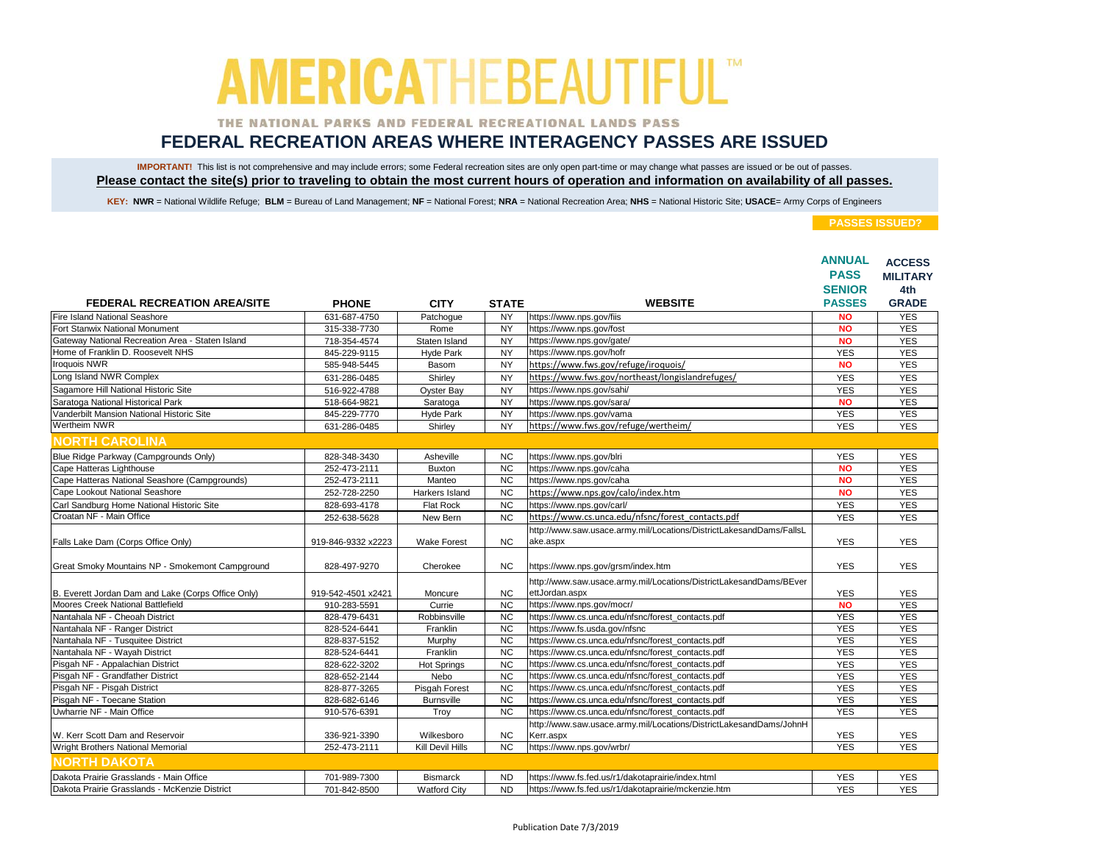### THE NATIONAL PARKS AND FEDERAL RECREATIONAL LANDS PASS

## **FEDERAL RECREATION AREAS WHERE INTERAGENCY PASSES ARE ISSUED**

IMPORTANT! This list is not comprehensive and may include errors; some Federal recreation sites are only open part-time or may change what passes are issued or be out of passes. **Please contact the site(s) prior to traveling to obtain the most current hours of operation and information on availability of all passes.**

KEY: NWR = National Wildlife Refuge; BLM = Bureau of Land Management; NF = National Forest; NRA = National Recreation Area; NHS = National Historic Site; USACE= Army Corps of Engineers

|                                                                                         |                              |                                        |                        |                                                                                                          | <b>ANNUAL</b>            | <b>ACCESS</b>   |
|-----------------------------------------------------------------------------------------|------------------------------|----------------------------------------|------------------------|----------------------------------------------------------------------------------------------------------|--------------------------|-----------------|
|                                                                                         |                              |                                        |                        |                                                                                                          | <b>PASS</b>              | <b>MILITARY</b> |
|                                                                                         |                              |                                        |                        |                                                                                                          | <b>SENIOR</b>            | 4th             |
| FEDERAL RECREATION AREA/SITE                                                            | <b>PHONE</b>                 | <b>CITY</b>                            | <b>STATE</b>           | <b>WEBSITE</b>                                                                                           | <b>PASSES</b>            | <b>GRADE</b>    |
| Fire Island National Seashore                                                           | 631-687-4750                 | Patchogue                              | <b>NY</b>              | https://www.nps.gov/fiis                                                                                 | <b>NO</b>                | <b>YES</b>      |
| Fort Stanwix National Monument                                                          | 315-338-7730                 | Rome                                   | <b>NY</b>              | https://www.nps.gov/fost                                                                                 | <b>NO</b>                | <b>YES</b>      |
| Gateway National Recreation Area - Staten Island                                        | 718-354-4574                 | Staten Island                          | <b>NY</b>              | https://www.nps.gov/gate/                                                                                | <b>NO</b>                | <b>YES</b>      |
| Home of Franklin D. Roosevelt NHS                                                       | 845-229-9115                 | <b>Hyde Park</b>                       | <b>NY</b>              | https://www.nps.gov/hofr                                                                                 | <b>YES</b>               | <b>YES</b>      |
| <b>Iroquois NWR</b>                                                                     | 585-948-5445                 | Basom                                  | <b>NY</b>              | https://www.fws.gov/refuge/iroquois/                                                                     | <b>NO</b>                | <b>YES</b>      |
| Long Island NWR Complex                                                                 | 631-286-0485                 | Shirley                                | <b>NY</b>              | https://www.fws.gov/northeast/longislandrefuges/                                                         | <b>YES</b>               | <b>YES</b>      |
| Sagamore Hill National Historic Site                                                    | 516-922-4788                 | Oyster Bay                             | <b>NY</b>              | https://www.nps.gov/sahi/                                                                                | <b>YES</b>               | <b>YES</b>      |
| Saratoga National Historical Park                                                       | 518-664-9821                 | Saratoga                               | <b>NY</b>              | https://www.nps.gov/sara/                                                                                | <b>NO</b>                | <b>YES</b>      |
| Vanderbilt Mansion National Historic Site                                               | 845-229-7770                 | <b>Hyde Park</b>                       | <b>NY</b>              | https://www.nps.gov/vama                                                                                 | <b>YES</b>               | <b>YES</b>      |
| Wertheim NWR                                                                            | 631-286-0485                 | Shirley                                | <b>NY</b>              | https://www.fws.gov/refuge/wertheim/                                                                     | <b>YES</b>               | <b>YES</b>      |
| <b>NORTH CAROLINA</b>                                                                   |                              |                                        |                        |                                                                                                          |                          |                 |
| Blue Ridge Parkway (Campgrounds Only)                                                   | 828-348-3430                 | Asheville                              | <b>NC</b>              | https://www.nps.gov/blri                                                                                 | <b>YES</b>               | <b>YES</b>      |
| Cape Hatteras Lighthouse                                                                | 252-473-2111                 | <b>Buxton</b>                          | <b>NC</b>              | https://www.nps.gov/caha                                                                                 | <b>NO</b>                | <b>YES</b>      |
| Cape Hatteras National Seashore (Campgrounds)                                           | 252-473-2111                 | Manteo                                 | $\overline{NC}$        | https://www.nps.gov/caha                                                                                 | <b>NO</b>                | <b>YES</b>      |
| Cape Lookout National Seashore                                                          | 252-728-2250                 | Harkers Island                         | <b>NC</b>              | https://www.nps.gov/calo/index.htm                                                                       | <b>NO</b>                | <b>YES</b>      |
| Carl Sandburg Home National Historic Site                                               | 828-693-4178                 | Flat Rock                              | <b>NC</b>              | https://www.nps.gov/carl/                                                                                | <b>YES</b>               | <b>YES</b>      |
| Croatan NF - Main Office                                                                | 252-638-5628                 | New Bern                               | <b>NC</b>              | https://www.cs.unca.edu/nfsnc/forest contacts.pdf                                                        | <b>YES</b>               | <b>YES</b>      |
|                                                                                         |                              |                                        |                        | http://www.saw.usace.army.mil/Locations/DistrictLakesandDams/FallsL                                      |                          |                 |
| Falls Lake Dam (Corps Office Only)                                                      | 919-846-9332 x2223           | <b>Wake Forest</b>                     | NC                     | ake.aspx                                                                                                 | <b>YES</b>               | <b>YES</b>      |
| Great Smoky Mountains NP - Smokemont Campground                                         | 828-497-9270                 | Cherokee                               | <b>NC</b>              | https://www.nps.gov/grsm/index.htm                                                                       | <b>YES</b>               | <b>YES</b>      |
|                                                                                         | 919-542-4501 x2421           | Moncure                                | <b>NC</b>              | http://www.saw.usace.army.mil/Locations/DistrictLakesandDams/BEver                                       | <b>YES</b>               | <b>YES</b>      |
| B. Everett Jordan Dam and Lake (Corps Office Only)<br>Moores Creek National Battlefield | 910-283-5591                 | Currie                                 | <b>NC</b>              | ettJordan.aspx<br>https://www.nps.gov/mocr/                                                              | <b>NO</b>                | <b>YES</b>      |
| Nantahala NF - Cheoah District                                                          |                              | Robbinsville                           | <b>NC</b>              | https://www.cs.unca.edu/nfsnc/forest_contacts.pdf                                                        | <b>YES</b>               | <b>YES</b>      |
| Nantahala NF - Ranger District                                                          | 828-479-6431<br>828-524-6441 | Franklin                               | $\overline{NC}$        | https://www.fs.usda.gov/nfsnc                                                                            | <b>YES</b>               | <b>YES</b>      |
| Nantahala NF - Tusquitee District                                                       | 828-837-5152                 |                                        | <b>NC</b>              | https://www.cs.unca.edu/nfsnc/forest_contacts.pdf                                                        | <b>YES</b>               | <b>YES</b>      |
| Nantahala NF - Wayah District                                                           | 828-524-6441                 | Murphy<br>Franklin                     | <b>NC</b>              | https://www.cs.unca.edu/nfsnc/forest_contacts.pdf                                                        | <b>YES</b>               | <b>YES</b>      |
| Pisgah NF - Appalachian District                                                        | 828-622-3202                 |                                        | <b>NC</b>              | https://www.cs.unca.edu/nfsnc/forest_contacts.pdf                                                        | <b>YES</b>               | <b>YES</b>      |
| Pisgah NF - Grandfather District                                                        | 828-652-2144                 | <b>Hot Springs</b><br>Nebo             | <b>NC</b>              | https://www.cs.unca.edu/nfsnc/forest_contacts.pdf                                                        | <b>YES</b>               | <b>YES</b>      |
| Pisgah NF - Pisgah District                                                             | 828-877-3265                 | Pisgah Forest                          | <b>NC</b>              | https://www.cs.unca.edu/nfsnc/forest_contacts.pdf                                                        | <b>YES</b>               | <b>YES</b>      |
| Pisgah NF - Toecane Station                                                             | 828-682-6146                 | <b>Burnsville</b>                      | <b>NC</b>              | https://www.cs.unca.edu/nfsnc/forest_contacts.pdf                                                        | <b>YES</b>               | <b>YES</b>      |
| Uwharrie NF - Main Office                                                               | 910-576-6391                 | Troy                                   | <b>NC</b>              | https://www.cs.unca.edu/nfsnc/forest_contacts.pdf                                                        | <b>YES</b>               | <b>YES</b>      |
|                                                                                         |                              |                                        |                        | http://www.saw.usace.army.mil/Locations/DistrictLakesandDams/JohnH                                       |                          |                 |
| W. Kerr Scott Dam and Reservoir                                                         | 336-921-3390                 | Wilkesboro                             | <b>NC</b>              | Kerr.aspx                                                                                                | <b>YES</b>               | <b>YES</b>      |
| Wright Brothers National Memorial                                                       | 252-473-2111                 | Kill Devil Hills                       | <b>NC</b>              | https://www.nps.gov/wrbr/                                                                                | <b>YES</b>               | <b>YES</b>      |
| <b>NORTH DAKOTA</b>                                                                     |                              |                                        |                        |                                                                                                          |                          |                 |
| Dakota Prairie Grasslands - Main Office                                                 | 701-989-7300                 |                                        |                        |                                                                                                          |                          | <b>YES</b>      |
| Dakota Prairie Grasslands - McKenzie District                                           | 701-842-8500                 | <b>Bismarck</b><br><b>Watford City</b> | <b>ND</b><br><b>ND</b> | https://www.fs.fed.us/r1/dakotaprairie/index.html<br>https://www.fs.fed.us/r1/dakotaprairie/mckenzie.htm | <b>YES</b><br><b>YES</b> | <b>YES</b>      |
|                                                                                         |                              |                                        |                        |                                                                                                          |                          |                 |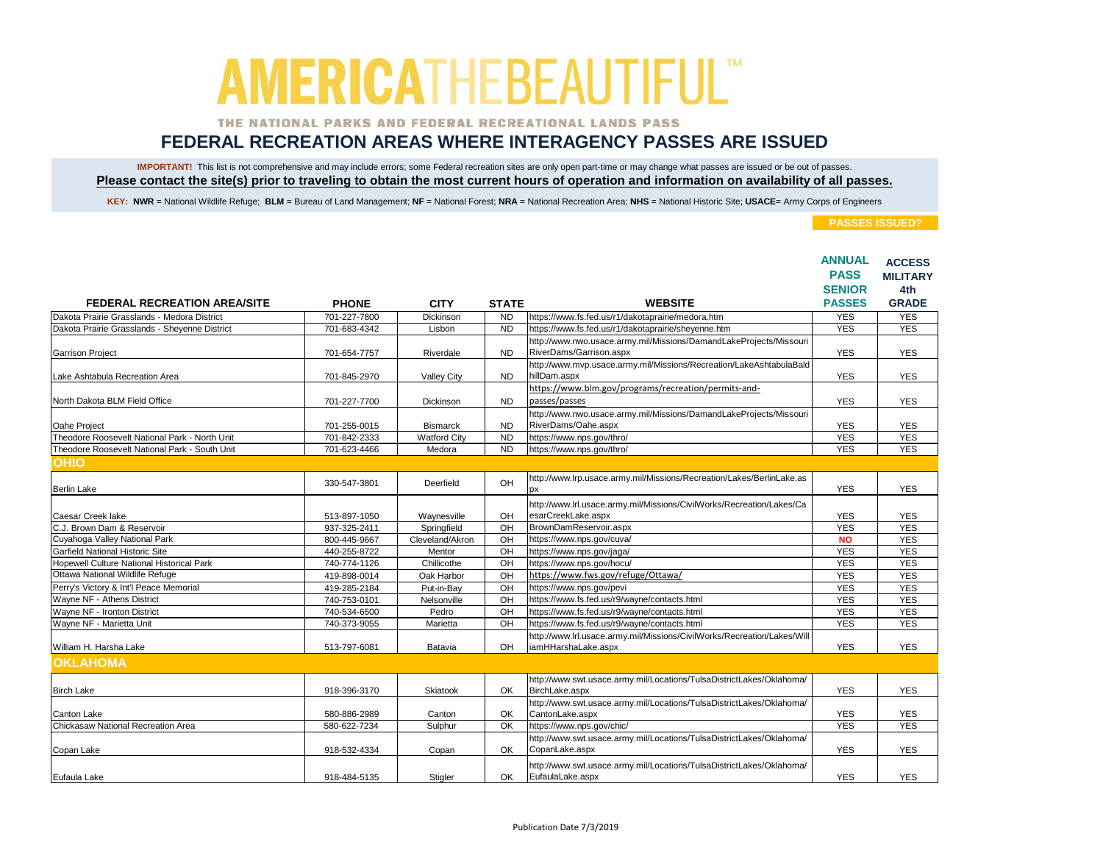### THE NATIONAL PARKS AND FEDERAL RECREATIONAL LANDS PASS

## **FEDERAL RECREATION AREAS WHERE INTERAGENCY PASSES ARE ISSUED**

IMPORTANT! This list is not comprehensive and may include errors; some Federal recreation sites are only open part-time or may change what passes are issued or be out of passes. **Please contact the site(s) prior to traveling to obtain the most current hours of operation and information on availability of all passes.**

KEY: NWR = National Wildlife Refuge; BLM = Bureau of Land Management; NF = National Forest; NRA = National Recreation Area; NHS = National Historic Site; USACE= Army Corps of Engineers

|                                                  |              |                     |              |                                                                                                | <b>ANNUAL</b><br><b>PASS</b><br><b>SENIOR</b> | <b>ACCESS</b><br><b>MILITARY</b><br>4th |
|--------------------------------------------------|--------------|---------------------|--------------|------------------------------------------------------------------------------------------------|-----------------------------------------------|-----------------------------------------|
| <b>FEDERAL RECREATION AREA/SITE</b>              | <b>PHONE</b> | <b>CITY</b>         | <b>STATE</b> | <b>WEBSITE</b>                                                                                 | <b>PASSES</b>                                 | <b>GRADE</b>                            |
| Dakota Prairie Grasslands - Medora District      | 701-227-7800 | Dickinson           | <b>ND</b>    | https://www.fs.fed.us/r1/dakotaprairie/medora.htm                                              | <b>YES</b>                                    | <b>YES</b>                              |
| Dakota Prairie Grasslands - Sheyenne District    | 701-683-4342 | Lisbon              | <b>ND</b>    | https://www.fs.fed.us/r1/dakotaprairie/sheyenne.htm                                            | <b>YES</b>                                    | <b>YES</b>                              |
| <b>Garrison Project</b>                          | 701-654-7757 | Riverdale           | <b>ND</b>    | http://www.nwo.usace.army.mil/Missions/DamandLakeProjects/Missouri<br>RiverDams/Garrison.aspx  | <b>YES</b>                                    | <b>YES</b>                              |
| Lake Ashtabula Recreation Area                   | 701-845-2970 | Valley City         | <b>ND</b>    | http://www.mvp.usace.army.mil/Missions/Recreation/LakeAshtabulaBald<br>hillDam.aspx            | <b>YES</b>                                    | <b>YES</b>                              |
| North Dakota BLM Field Office                    | 701-227-7700 | Dickinson           | <b>ND</b>    | https://www.blm.gov/programs/recreation/permits-and-<br>passes/passes                          | <b>YES</b>                                    | <b>YES</b>                              |
| Oahe Project                                     | 701-255-0015 | <b>Bismarck</b>     | <b>ND</b>    | http://www.nwo.usace.army.mil/Missions/DamandLakeProjects/Missouri<br>RiverDams/Oahe.aspx      | <b>YES</b>                                    | <b>YES</b>                              |
| Theodore Roosevelt National Park - North Unit    | 701-842-2333 | <b>Watford City</b> | <b>ND</b>    | https://www.nps.gov/thro/                                                                      | <b>YES</b>                                    | <b>YES</b>                              |
| Theodore Roosevelt National Park - South Unit    | 701-623-4466 | Medora              | <b>ND</b>    | https://www.nps.gov/thro/                                                                      | <b>YES</b>                                    | <b>YES</b>                              |
| <b>OHIO</b>                                      |              |                     |              |                                                                                                |                                               |                                         |
| <b>Berlin Lake</b>                               | 330-547-3801 | Deerfield           | OH           | http://www.lrp.usace.army.mil/Missions/Recreation/Lakes/BerlinLake.as<br><b>DX</b>             | <b>YES</b>                                    | <b>YES</b>                              |
| Caesar Creek lake                                | 513-897-1050 | Waynesville         | OH           | http://www.lrl.usace.army.mil/Missions/CivilWorks/Recreation/Lakes/Ca<br>esarCreekLake.aspx    | <b>YES</b>                                    | <b>YES</b>                              |
| C.J. Brown Dam & Reservoir                       | 937-325-2411 | Springfield         | OH           | BrownDamReservoir.aspx                                                                         | <b>YES</b>                                    | <b>YES</b>                              |
| Cuyahoga Valley National Park                    | 800-445-9667 | Cleveland/Akron     | OH           | https://www.nps.gov/cuva/                                                                      | <b>NO</b>                                     | <b>YES</b>                              |
| Garfield National Historic Site                  | 440-255-8722 | Mentor              | OH           | https://www.nps.gov/jaga/                                                                      | <b>YES</b>                                    | <b>YES</b>                              |
| <b>Hopewell Culture National Historical Park</b> | 740-774-1126 | Chillicothe         | OH           | https://www.nps.gov/hocu/                                                                      | <b>YES</b>                                    | <b>YES</b>                              |
| Ottawa National Wildlife Refuge                  | 419-898-0014 | Oak Harbor          | OH           | https://www.fws.gov/refuge/Ottawa/                                                             | <b>YES</b>                                    | <b>YES</b>                              |
| Perry's Victory & Int'l Peace Memorial           | 419-285-2184 | Put-in-Bay          | $rac{}{O}$   | https://www.nps.gov/pevi                                                                       | <b>YES</b>                                    | <b>YES</b>                              |
| Wayne NF - Athens District                       | 740-753-0101 | Nelsonville         | OH           | https://www.fs.fed.us/r9/wayne/contacts.html                                                   | <b>YES</b>                                    | <b>YES</b>                              |
| Wayne NF - Ironton District                      | 740-534-6500 | Pedro               | OH           | https://www.fs.fed.us/r9/wayne/contacts.html                                                   | <b>YES</b>                                    | <b>YES</b>                              |
| Wayne NF - Marietta Unit                         | 740-373-9055 | Marietta            | OH           | https://www.fs.fed.us/r9/wayne/contacts.html                                                   | <b>YES</b>                                    | <b>YES</b>                              |
| William H. Harsha Lake                           | 513-797-6081 | Batavia             | OH           | http://www.lrl.usace.army.mil/Missions/CivilWorks/Recreation/Lakes/Will<br>iamHHarshaLake.aspx | <b>YES</b>                                    | <b>YES</b>                              |
| <b>OKLAHOMA</b>                                  |              |                     |              |                                                                                                |                                               |                                         |
| <b>Birch Lake</b>                                | 918-396-3170 | Skiatook            | OK           | http://www.swt.usace.army.mil/Locations/TulsaDistrictLakes/Oklahoma/<br>BirchLake.aspx         | <b>YES</b>                                    | <b>YES</b>                              |
| <b>Canton Lake</b>                               | 580-886-2989 | Canton              | OK           | http://www.swt.usace.army.mil/Locations/TulsaDistrictLakes/Oklahoma/<br>CantonLake.aspx        | <b>YES</b>                                    | <b>YES</b>                              |
| Chickasaw National Recreation Area               | 580-622-7234 | Sulphur             | OK           | https://www.nps.gov/chic/                                                                      | <b>YES</b>                                    | <b>YES</b>                              |
| Copan Lake                                       | 918-532-4334 | Copan               | OK           | http://www.swt.usace.army.mil/Locations/TulsaDistrictLakes/Oklahoma/<br>CopanLake.aspx         | <b>YES</b>                                    | <b>YES</b>                              |
| Eufaula Lake                                     | 918-484-5135 | Stigler             | OK.          | http://www.swt.usace.army.mil/Locations/TulsaDistrictLakes/Oklahoma/<br>EufaulaLake.aspx       | <b>YES</b>                                    | <b>YES</b>                              |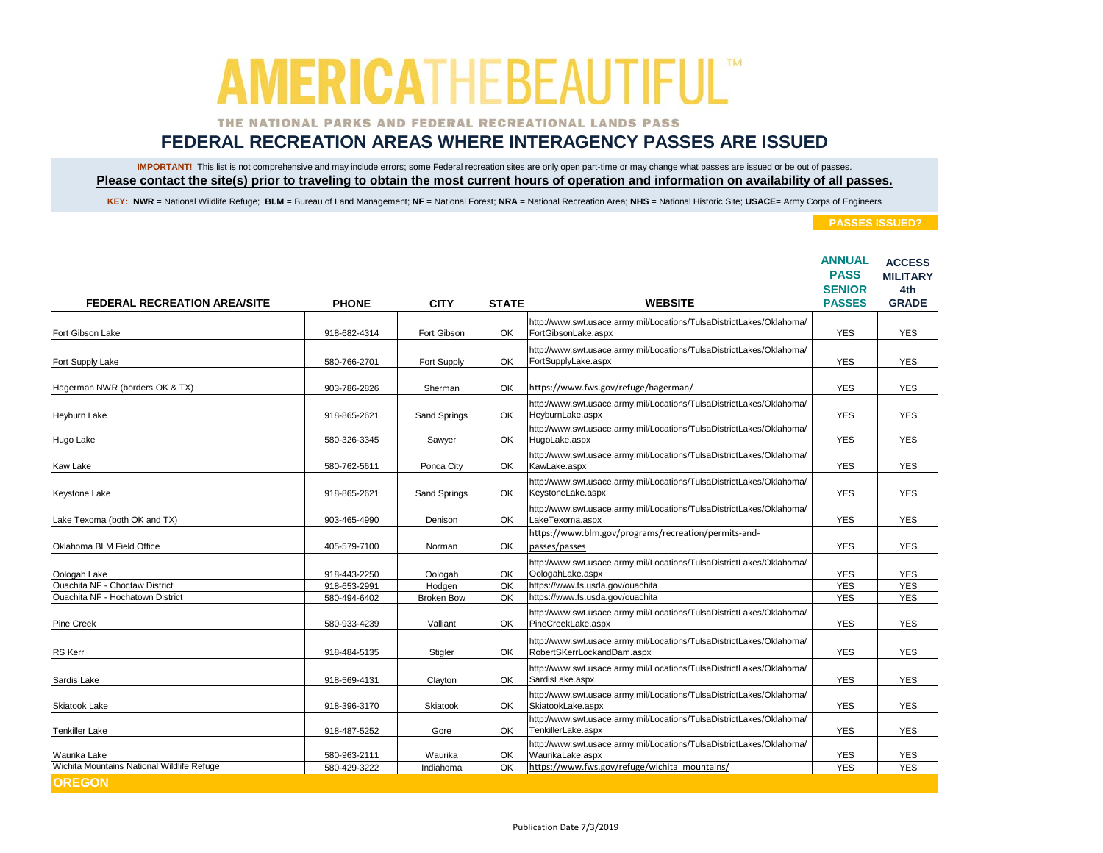### THE NATIONAL PARKS AND FEDERAL RECREATIONAL LANDS PASS

## **FEDERAL RECREATION AREAS WHERE INTERAGENCY PASSES ARE ISSUED**

IMPORTANT! This list is not comprehensive and may include errors; some Federal recreation sites are only open part-time or may change what passes are issued or be out of passes. **Please contact the site(s) prior to traveling to obtain the most current hours of operation and information on availability of all passes.**

KEY: NWR = National Wildlife Refuge; BLM = Bureau of Land Management; NF = National Forest; NRA = National Recreation Area; NHS = National Historic Site; USACE= Army Corps of Engineers

|                                            |              |                   |              | <b>WEBSITE</b>                                                                                     | <b>ANNUAL</b><br><b>PASS</b><br><b>SENIOR</b><br><b>PASSES</b> | <b>ACCESS</b><br><b>MILITARY</b><br>4th<br><b>GRADE</b> |
|--------------------------------------------|--------------|-------------------|--------------|----------------------------------------------------------------------------------------------------|----------------------------------------------------------------|---------------------------------------------------------|
| <b>FEDERAL RECREATION AREA/SITE</b>        | <b>PHONE</b> | <b>CITY</b>       | <b>STATE</b> |                                                                                                    |                                                                |                                                         |
| Fort Gibson Lake                           | 918-682-4314 | Fort Gibson       | OK           | http://www.swt.usace.army.mil/Locations/TulsaDistrictLakes/Oklahoma/<br>FortGibsonLake.aspx        | <b>YES</b>                                                     | <b>YES</b>                                              |
| Fort Supply Lake                           | 580-766-2701 | Fort Supply       | OK           | http://www.swt.usace.army.mil/Locations/TulsaDistrictLakes/Oklahoma/<br>FortSupplyLake.aspx        | <b>YES</b>                                                     | <b>YES</b>                                              |
| Hagerman NWR (borders OK & TX)             | 903-786-2826 | Sherman           | OK           | https://www.fws.gov/refuge/hagerman/                                                               | <b>YES</b>                                                     | <b>YES</b>                                              |
| Heyburn Lake                               | 918-865-2621 | Sand Springs      | OK           | http://www.swt.usace.army.mil/Locations/TulsaDistrictLakes/Oklahoma/<br>HeyburnLake.aspx           | <b>YES</b>                                                     | <b>YES</b>                                              |
| Hugo Lake                                  | 580-326-3345 | Sawyer            | OK           | http://www.swt.usace.army.mil/Locations/TulsaDistrictLakes/Oklahoma/<br>HugoLake.aspx              | <b>YES</b>                                                     | <b>YES</b>                                              |
| Kaw Lake                                   | 580-762-5611 | Ponca City        | OK.          | http://www.swt.usace.army.mil/Locations/TulsaDistrictLakes/Oklahoma/<br>KawLake.aspx               | <b>YES</b>                                                     | <b>YES</b>                                              |
| Keystone Lake                              | 918-865-2621 | Sand Springs      | OK.          | http://www.swt.usace.army.mil/Locations/TulsaDistrictLakes/Oklahoma/<br>KeystoneLake.aspx          | YES                                                            | <b>YES</b>                                              |
| Lake Texoma (both OK and TX)               | 903-465-4990 | Denison           | OK           | http://www.swt.usace.army.mil/Locations/TulsaDistrictLakes/Oklahoma/<br>LakeTexoma.aspx            | <b>YES</b>                                                     | <b>YES</b>                                              |
| Oklahoma BLM Field Office                  | 405-579-7100 | Norman            | OK           | https://www.blm.gov/programs/recreation/permits-and-<br>passes/passes                              | <b>YES</b>                                                     | <b>YES</b>                                              |
| Oologah Lake                               | 918-443-2250 | Oologah           | OK           | http://www.swt.usace.army.mil/Locations/TulsaDistrictLakes/Oklahoma/<br>OologahLake.aspx           | <b>YES</b>                                                     | <b>YES</b>                                              |
| Ouachita NF - Choctaw District             | 918-653-2991 | Hodgen            | OK           | https://www.fs.usda.gov/ouachita                                                                   | <b>YES</b>                                                     | <b>YES</b>                                              |
| Ouachita NF - Hochatown District           | 580-494-6402 | <b>Broken Bow</b> | OK           | https://www.fs.usda.gov/ouachita                                                                   | <b>YES</b>                                                     | <b>YES</b>                                              |
| <b>Pine Creek</b>                          | 580-933-4239 | Valliant          | OK           | http://www.swt.usace.army.mil/Locations/TulsaDistrictLakes/Oklahoma/<br>PineCreekLake.aspx         | YES                                                            | <b>YES</b>                                              |
| <b>RS</b> Kerr                             | 918-484-5135 | Stigler           | OK           | http://www.swt.usace.army.mil/Locations/TulsaDistrictLakes/Oklahoma/<br>RobertSKerrLockandDam.aspx | <b>YES</b>                                                     | <b>YES</b>                                              |
| Sardis Lake                                | 918-569-4131 | Clayton           | OK           | http://www.swt.usace.army.mil/Locations/TulsaDistrictLakes/Oklahoma/<br>SardisLake.aspx            | <b>YES</b>                                                     | <b>YES</b>                                              |
| Skiatook Lake                              | 918-396-3170 | Skiatook          | OK           | http://www.swt.usace.army.mil/Locations/TulsaDistrictLakes/Oklahoma/<br>SkiatookLake.aspx          | <b>YES</b>                                                     | <b>YES</b>                                              |
| Tenkiller Lake                             | 918-487-5252 | Gore              | OK           | http://www.swt.usace.army.mil/Locations/TulsaDistrictLakes/Oklahoma/<br>TenkillerLake.aspx         | <b>YES</b>                                                     | <b>YES</b>                                              |
| Waurika Lake                               | 580-963-2111 | Waurika           | OK           | http://www.swt.usace.army.mil/Locations/TulsaDistrictLakes/Oklahoma/<br>WaurikaLake.aspx           | <b>YES</b>                                                     | <b>YES</b>                                              |
| Wichita Mountains National Wildlife Refuge | 580-429-3222 | Indiahoma         | OK           | https://www.fws.gov/refuge/wichita mountains/                                                      | <b>YES</b>                                                     | <b>YES</b>                                              |
| <b>OREGON</b>                              |              |                   |              |                                                                                                    |                                                                |                                                         |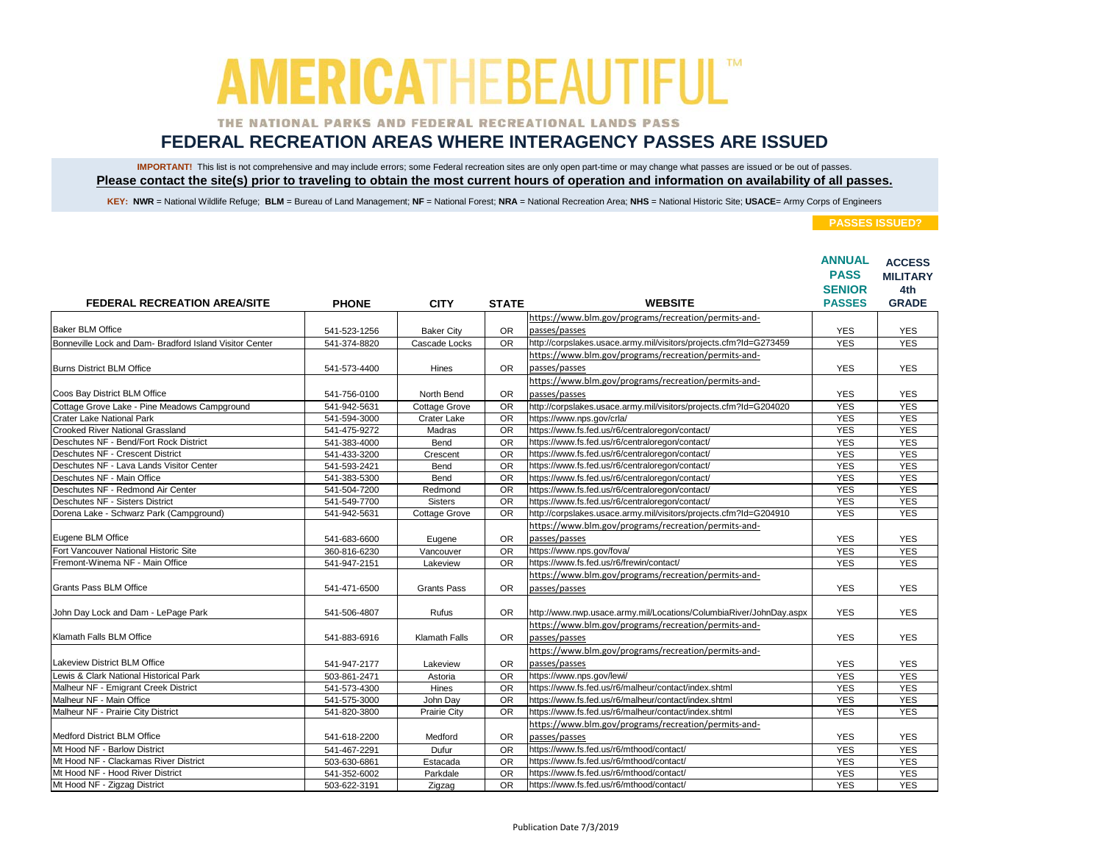### THE NATIONAL PARKS AND FEDERAL RECREATIONAL LANDS PASS

## **FEDERAL RECREATION AREAS WHERE INTERAGENCY PASSES ARE ISSUED**

IMPORTANT! This list is not comprehensive and may include errors; some Federal recreation sites are only open part-time or may change what passes are issued or be out of passes. **Please contact the site(s) prior to traveling to obtain the most current hours of operation and information on availability of all passes.**

KEY: NWR = National Wildlife Refuge; BLM = Bureau of Land Management; NF = National Forest; NRA = National Recreation Area; NHS = National Historic Site; USACE= Army Corps of Engineers

|                                                         |              |                      |                 |                                                                    | <b>ANNUAL</b><br><b>PASS</b> | <b>ACCESS</b><br><b>MILITARY</b> |
|---------------------------------------------------------|--------------|----------------------|-----------------|--------------------------------------------------------------------|------------------------------|----------------------------------|
|                                                         |              |                      |                 |                                                                    | <b>SENIOR</b>                | 4th                              |
| <b>FEDERAL RECREATION AREA/SITE</b>                     | <b>PHONE</b> | <b>CITY</b>          | <b>STATE</b>    | <b>WEBSITE</b>                                                     | <b>PASSES</b>                | <b>GRADE</b>                     |
|                                                         |              |                      |                 | https://www.blm.gov/programs/recreation/permits-and-               |                              |                                  |
| <b>Baker BLM Office</b>                                 | 541-523-1256 | <b>Baker City</b>    | <b>OR</b>       | passes/passes                                                      | <b>YES</b>                   | <b>YES</b>                       |
| Bonneville Lock and Dam- Bradford Island Visitor Center | 541-374-8820 | Cascade Locks        | <b>OR</b>       | http://corpslakes.usace.army.mil/visitors/projects.cfm?ld=G273459  | <b>YES</b>                   | <b>YES</b>                       |
|                                                         |              |                      |                 | https://www.blm.gov/programs/recreation/permits-and-               |                              |                                  |
| <b>Burns District BLM Office</b>                        | 541-573-4400 | Hines                | <b>OR</b>       | passes/passes                                                      | <b>YES</b>                   | <b>YES</b>                       |
|                                                         |              |                      |                 | https://www.blm.gov/programs/recreation/permits-and-               |                              |                                  |
| Coos Bay District BLM Office                            | 541-756-0100 | North Bend           | <b>OR</b>       | passes/passes                                                      | <b>YES</b>                   | <b>YES</b>                       |
| Cottage Grove Lake - Pine Meadows Campground            | 541-942-5631 | <b>Cottage Grove</b> | <b>OR</b>       | http://corpslakes.usace.army.mil/visitors/projects.cfm?Id=G204020  | <b>YES</b>                   | <b>YES</b>                       |
| <b>Crater Lake National Park</b>                        | 541-594-3000 | Crater Lake          | <b>OR</b>       | https://www.nps.gov/crla/                                          | <b>YES</b>                   | <b>YES</b>                       |
| <b>Crooked River National Grassland</b>                 | 541-475-9272 | Madras               | <b>OR</b>       | https://www.fs.fed.us/r6/centraloregon/contact/                    | <b>YES</b>                   | <b>YES</b>                       |
| Deschutes NF - Bend/Fort Rock District                  | 541-383-4000 | Bend                 | $\overline{OR}$ | https://www.fs.fed.us/r6/centraloregon/contact/                    | <b>YES</b>                   | <b>YES</b>                       |
| Deschutes NF - Crescent District                        | 541-433-3200 | Crescent             | <b>OR</b>       | https://www.fs.fed.us/r6/centraloregon/contact/                    | <b>YES</b>                   | <b>YES</b>                       |
| Deschutes NF - Lava Lands Visitor Center                | 541-593-2421 | Bend                 | <b>OR</b>       | https://www.fs.fed.us/r6/centraloregon/contact/                    | <b>YES</b>                   | <b>YES</b>                       |
| Deschutes NF - Main Office                              | 541-383-5300 | Bend                 | <b>OR</b>       | https://www.fs.fed.us/r6/centraloregon/contact/                    | <b>YES</b>                   | <b>YES</b>                       |
| Deschutes NF - Redmond Air Center                       | 541-504-7200 | Redmond              | <b>OR</b>       | https://www.fs.fed.us/r6/centraloregon/contact/                    | <b>YES</b>                   | <b>YES</b>                       |
| Deschutes NF - Sisters District                         | 541-549-7700 | <b>Sisters</b>       | <b>OR</b>       | https://www.fs.fed.us/r6/centraloregon/contact/                    | <b>YES</b>                   | <b>YES</b>                       |
| Dorena Lake - Schwarz Park (Campground)                 | 541-942-5631 | <b>Cottage Grove</b> | <b>OR</b>       | http://corpslakes.usace.army.mil/visitors/projects.cfm?ld=G204910  | <b>YES</b>                   | <b>YES</b>                       |
|                                                         |              |                      |                 | https://www.blm.gov/programs/recreation/permits-and-               |                              |                                  |
| Eugene BLM Office                                       | 541-683-6600 | Eugene               | <b>OR</b>       | passes/passes                                                      | <b>YES</b>                   | <b>YES</b>                       |
| Fort Vancouver National Historic Site                   | 360-816-6230 | Vancouver            | <b>OR</b>       | https://www.nps.gov/fova/                                          | <b>YES</b>                   | <b>YES</b>                       |
| Fremont-Winema NF - Main Office                         | 541-947-2151 | Lakeview             | <b>OR</b>       | https://www.fs.fed.us/r6/frewin/contact/                           | <b>YES</b>                   | <b>YES</b>                       |
|                                                         |              |                      |                 | https://www.blm.gov/programs/recreation/permits-and-               |                              |                                  |
| <b>Grants Pass BLM Office</b>                           | 541-471-6500 | <b>Grants Pass</b>   | <b>OR</b>       | passes/passes                                                      | <b>YES</b>                   | <b>YES</b>                       |
|                                                         |              |                      |                 |                                                                    |                              |                                  |
| John Day Lock and Dam - LePage Park                     | 541-506-4807 | Rufus                | <b>OR</b>       | http://www.nwp.usace.army.mil/Locations/ColumbiaRiver/JohnDay.aspx | <b>YES</b>                   | <b>YES</b>                       |
|                                                         |              |                      |                 | https://www.blm.gov/programs/recreation/permits-and-               |                              |                                  |
| Klamath Falls BLM Office                                | 541-883-6916 | <b>Klamath Falls</b> | <b>OR</b>       | passes/passes                                                      | <b>YES</b>                   | <b>YES</b>                       |
|                                                         |              |                      |                 | https://www.blm.gov/programs/recreation/permits-and-               |                              |                                  |
| Lakeview District BLM Office                            | 541-947-2177 | Lakeview             | <b>OR</b>       | passes/passes                                                      | <b>YES</b>                   | <b>YES</b>                       |
| Lewis & Clark National Historical Park                  | 503-861-2471 | Astoria              | <b>OR</b>       | https://www.nps.gov/lewi/                                          | <b>YES</b>                   | <b>YES</b>                       |
| Malheur NF - Emigrant Creek District                    | 541-573-4300 | Hines                | <b>OR</b>       | https://www.fs.fed.us/r6/malheur/contact/index.shtml               | <b>YES</b>                   | <b>YES</b>                       |
| Malheur NF - Main Office                                | 541-575-3000 | John Day             | <b>OR</b>       | https://www.fs.fed.us/r6/malheur/contact/index.shtml               | <b>YES</b>                   | <b>YES</b>                       |
| Malheur NF - Prairie City District                      | 541-820-3800 | Prairie City         | <b>OR</b>       | https://www.fs.fed.us/r6/malheur/contact/index.shtml               | <b>YES</b>                   | <b>YES</b>                       |
|                                                         |              |                      |                 | https://www.blm.gov/programs/recreation/permits-and-               |                              |                                  |
| Medford District BLM Office                             | 541-618-2200 | Medford              | <b>OR</b>       | passes/passes                                                      | <b>YES</b>                   | <b>YES</b>                       |
| Mt Hood NF - Barlow District                            | 541-467-2291 | Dufur                | <b>OR</b>       | https://www.fs.fed.us/r6/mthood/contact/                           | <b>YES</b>                   | <b>YES</b>                       |
| Mt Hood NF - Clackamas River District                   | 503-630-6861 | Estacada             | <b>OR</b>       | https://www.fs.fed.us/r6/mthood/contact/                           | <b>YES</b>                   | <b>YES</b>                       |
| Mt Hood NF - Hood River District                        | 541-352-6002 | Parkdale             | <b>OR</b>       | https://www.fs.fed.us/r6/mthood/contact/                           | <b>YES</b>                   | <b>YES</b>                       |
| Mt Hood NF - Zigzag District                            | 503-622-3191 | Zigzag               | <b>OR</b>       | https://www.fs.fed.us/r6/mthood/contact/                           | <b>YES</b>                   | <b>YES</b>                       |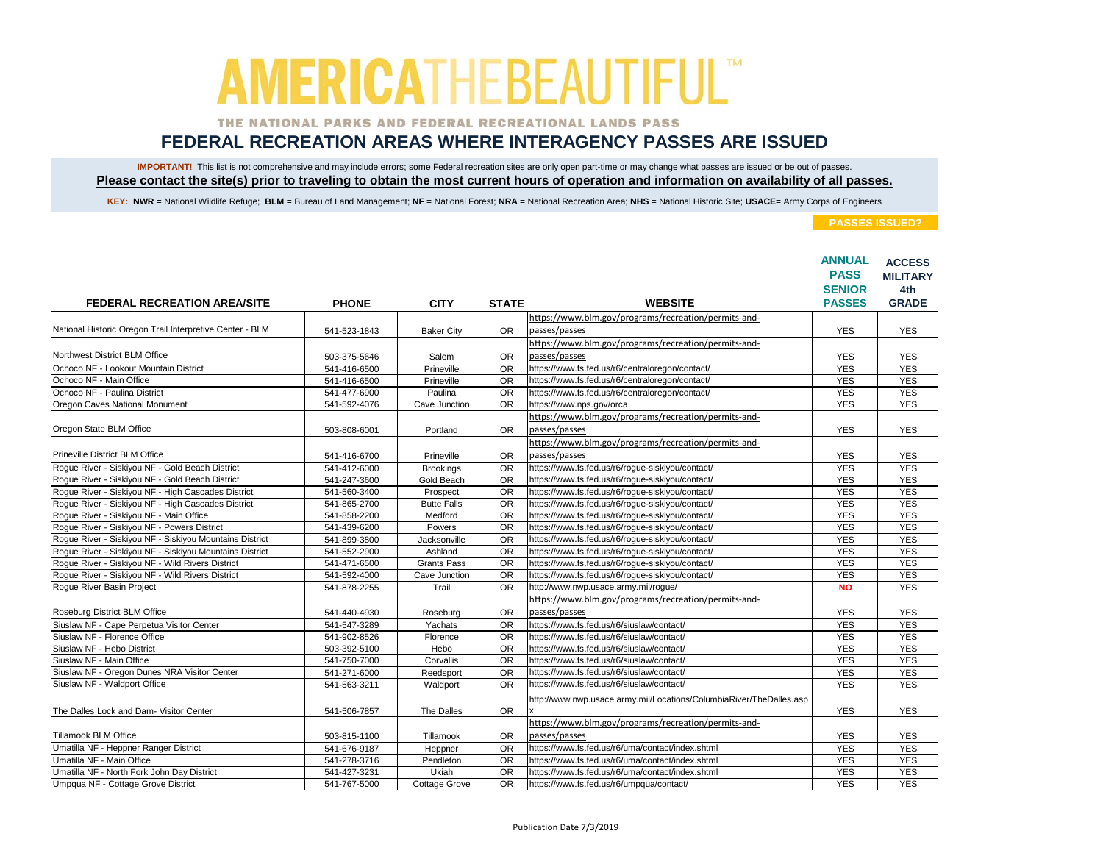### THE NATIONAL PARKS AND FEDERAL RECREATIONAL LANDS PASS

## **FEDERAL RECREATION AREAS WHERE INTERAGENCY PASSES ARE ISSUED**

IMPORTANT! This list is not comprehensive and may include errors; some Federal recreation sites are only open part-time or may change what passes are issued or be out of passes. **Please contact the site(s) prior to traveling to obtain the most current hours of operation and information on availability of all passes.**

KEY: NWR = National Wildlife Refuge; BLM = Bureau of Land Management; NF = National Forest; NRA = National Recreation Area; NHS = National Historic Site; USACE= Army Corps of Engineers

|                                                          |              |                      |                 |                                                                       | <b>ANNUAL</b><br><b>PASS</b><br><b>SENIOR</b> | <b>ACCESS</b><br><b>MILITARY</b><br>4th |
|----------------------------------------------------------|--------------|----------------------|-----------------|-----------------------------------------------------------------------|-----------------------------------------------|-----------------------------------------|
| <b>FEDERAL RECREATION AREA/SITE</b>                      | <b>PHONE</b> | <b>CITY</b>          | <b>STATE</b>    | <b>WEBSITE</b>                                                        | <b>PASSES</b>                                 | <b>GRADE</b>                            |
|                                                          |              |                      |                 | https://www.blm.gov/programs/recreation/permits-and-                  |                                               |                                         |
| National Historic Oregon Trail Interpretive Center - BLM | 541-523-1843 | <b>Baker City</b>    | <b>OR</b>       | passes/passes                                                         | <b>YES</b>                                    | <b>YES</b>                              |
|                                                          |              |                      |                 | https://www.blm.gov/programs/recreation/permits-and-                  |                                               |                                         |
| Northwest District BLM Office                            | 503-375-5646 | Salem                | <b>OR</b>       | passes/passes                                                         | <b>YES</b>                                    | <b>YES</b>                              |
| Ochoco NF - Lookout Mountain District                    | 541-416-6500 | Prineville           | <b>OR</b>       | https://www.fs.fed.us/r6/centraloregon/contact/                       | <b>YES</b>                                    | <b>YES</b>                              |
| Ochoco NF - Main Office                                  | 541-416-6500 | Prineville           | <b>OR</b>       | https://www.fs.fed.us/r6/centraloregon/contact/                       | <b>YES</b>                                    | <b>YES</b>                              |
| Ochoco NF - Paulina District                             | 541-477-6900 | Paulina              | $\overline{OR}$ | https://www.fs.fed.us/r6/centraloregon/contact/                       | <b>YES</b>                                    | <b>YES</b>                              |
| Oregon Caves National Monument                           | 541-592-4076 | Cave Junction        | <b>OR</b>       | https://www.nps.gov/orca                                              | <b>YES</b>                                    | <b>YES</b>                              |
|                                                          |              |                      |                 | https://www.blm.gov/programs/recreation/permits-and-                  |                                               |                                         |
| Oregon State BLM Office                                  | 503-808-6001 | Portland             | <b>OR</b>       | passes/passes                                                         | <b>YES</b>                                    | <b>YES</b>                              |
|                                                          |              |                      |                 | https://www.blm.gov/programs/recreation/permits-and-                  |                                               |                                         |
| <b>Prineville District BLM Office</b>                    | 541-416-6700 | Prineville           | <b>OR</b>       | passes/passes                                                         | <b>YES</b>                                    | <b>YES</b>                              |
| Roque River - Siskiyou NF - Gold Beach District          | 541-412-6000 | <b>Brookings</b>     | <b>OR</b>       | https://www.fs.fed.us/r6/roque-siskiyou/contact/                      | <b>YES</b>                                    | <b>YES</b>                              |
| Rogue River - Siskiyou NF - Gold Beach District          | 541-247-3600 | Gold Beach           | <b>OR</b>       | https://www.fs.fed.us/r6/roque-siskiyou/contact/                      | <b>YES</b>                                    | <b>YES</b>                              |
| Roque River - Siskiyou NF - High Cascades District       | 541-560-3400 | Prospect             | OR              | https://www.fs.fed.us/r6/rogue-siskiyou/contact/                      | <b>YES</b>                                    | <b>YES</b>                              |
| Rogue River - Siskiyou NF - High Cascades District       | 541-865-2700 | <b>Butte Falls</b>   | <b>OR</b>       | https://www.fs.fed.us/r6/rogue-siskiyou/contact/                      | <b>YES</b>                                    | <b>YES</b>                              |
| Rogue River - Siskiyou NF - Main Office                  | 541-858-2200 | Medford              | <b>OR</b>       | https://www.fs.fed.us/r6/rogue-siskiyou/contact/                      | <b>YES</b>                                    | <b>YES</b>                              |
| Roque River - Siskiyou NF - Powers District              | 541-439-6200 | Powers               | <b>OR</b>       | https://www.fs.fed.us/r6/roque-siskiyou/contact/                      | <b>YES</b>                                    | <b>YES</b>                              |
| Roque River - Siskiyou NF - Siskiyou Mountains District  | 541-899-3800 | Jacksonville         | <b>OR</b>       | https://www.fs.fed.us/r6/roque-siskiyou/contact/                      | <b>YES</b>                                    | <b>YES</b>                              |
| Rogue River - Siskiyou NF - Siskiyou Mountains District  | 541-552-2900 | Ashland              | <b>OR</b>       | https://www.fs.fed.us/r6/rogue-siskiyou/contact/                      | <b>YES</b>                                    | <b>YES</b>                              |
| Roque River - Siskiyou NF - Wild Rivers District         | 541-471-6500 | <b>Grants Pass</b>   | <b>OR</b>       | https://www.fs.fed.us/r6/roque-siskiyou/contact/                      | <b>YES</b>                                    | <b>YES</b>                              |
| Rogue River - Siskiyou NF - Wild Rivers District         | 541-592-4000 | Cave Junction        | <b>OR</b>       | https://www.fs.fed.us/r6/rogue-siskiyou/contact/                      | <b>YES</b>                                    | <b>YES</b>                              |
| Rogue River Basin Project                                | 541-878-2255 | Trail                | <b>OR</b>       | http://www.nwp.usace.army.mil/rogue/                                  | <b>NO</b>                                     | <b>YES</b>                              |
|                                                          |              |                      |                 | https://www.blm.gov/programs/recreation/permits-and-                  |                                               |                                         |
| Roseburg District BLM Office                             | 541-440-4930 | Roseburg             | <b>OR</b>       | passes/passes                                                         | <b>YES</b>                                    | <b>YES</b>                              |
| Siuslaw NF - Cape Perpetua Visitor Center                | 541-547-3289 | Yachats              | <b>OR</b>       | https://www.fs.fed.us/r6/siuslaw/contact/                             | <b>YES</b>                                    | <b>YES</b>                              |
| Siuslaw NF - Florence Office                             | 541-902-8526 | Florence             | <b>OR</b>       | https://www.fs.fed.us/r6/siuslaw/contact/                             | <b>YES</b>                                    | <b>YES</b>                              |
| Siuslaw NF - Hebo District                               | 503-392-5100 | Hebo                 | <b>OR</b>       | https://www.fs.fed.us/r6/siuslaw/contact/                             | <b>YES</b>                                    | <b>YES</b>                              |
| Siuslaw NF - Main Office                                 | 541-750-7000 | Corvallis            | <b>OR</b>       | https://www.fs.fed.us/r6/siuslaw/contact/                             | <b>YES</b>                                    | <b>YES</b>                              |
| Siuslaw NF - Oregon Dunes NRA Visitor Center             | 541-271-6000 | Reedsport            | OR              | https://www.fs.fed.us/r6/siuslaw/contact/                             | <b>YES</b>                                    | <b>YES</b>                              |
| Siuslaw NF - Waldport Office                             | 541-563-3211 | Waldport             | <b>OR</b>       | https://www.fs.fed.us/r6/siuslaw/contact/                             | <b>YES</b>                                    | <b>YES</b>                              |
|                                                          |              |                      |                 | http://www.nwp.usace.army.mil/Locations/ColumbiaRiver/TheDalles.asp   |                                               |                                         |
| The Dalles Lock and Dam- Visitor Center                  | 541-506-7857 | The Dalles           | <b>OR</b>       |                                                                       | <b>YES</b>                                    | <b>YES</b>                              |
| Tillamook BLM Office                                     | 503-815-1100 | Tillamook            | <b>OR</b>       | https://www.blm.gov/programs/recreation/permits-and-<br>passes/passes | <b>YES</b>                                    | <b>YES</b>                              |
| Umatilla NF - Heppner Ranger District                    | 541-676-9187 |                      | <b>OR</b>       | https://www.fs.fed.us/r6/uma/contact/index.shtml                      | <b>YES</b>                                    | <b>YES</b>                              |
| Umatilla NF - Main Office                                | 541-278-3716 | Heppner<br>Pendleton | $\overline{OR}$ | https://www.fs.fed.us/r6/uma/contact/index.shtml                      | <b>YES</b>                                    | <b>YES</b>                              |
| Umatilla NF - North Fork John Day District               | 541-427-3231 | Ukiah                | <b>OR</b>       | https://www.fs.fed.us/r6/uma/contact/index.shtml                      | <b>YES</b>                                    | <b>YES</b>                              |
| Umpqua NF - Cottage Grove District                       | 541-767-5000 | <b>Cottage Grove</b> | <b>OR</b>       | https://www.fs.fed.us/r6/umpqua/contact/                              | <b>YES</b>                                    | <b>YES</b>                              |
|                                                          |              |                      |                 |                                                                       |                                               |                                         |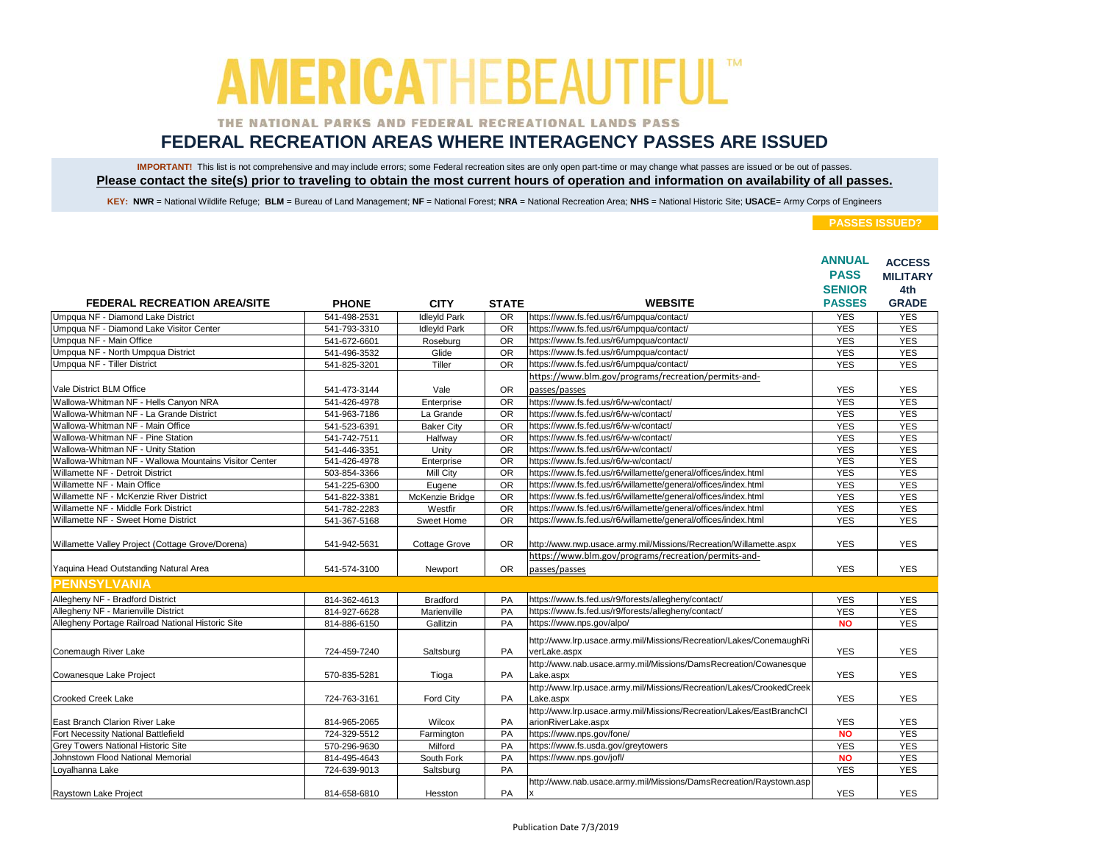### THE NATIONAL PARKS AND FEDERAL RECREATIONAL LANDS PASS

## **FEDERAL RECREATION AREAS WHERE INTERAGENCY PASSES ARE ISSUED**

IMPORTANT! This list is not comprehensive and may include errors; some Federal recreation sites are only open part-time or may change what passes are issued or be out of passes. **Please contact the site(s) prior to traveling to obtain the most current hours of operation and information on availability of all passes.**

KEY: NWR = National Wildlife Refuge; BLM = Bureau of Land Management; NF = National Forest; NRA = National Recreation Area; NHS = National Historic Site; USACE= Army Corps of Engineers

|                                                       |              |                      |                 |                                                                                             | <b>ANNUAL</b><br><b>PASS</b> | <b>ACCESS</b><br><b>MILITARY</b> |
|-------------------------------------------------------|--------------|----------------------|-----------------|---------------------------------------------------------------------------------------------|------------------------------|----------------------------------|
|                                                       |              |                      |                 |                                                                                             | <b>SENIOR</b>                | 4th                              |
| <b>FEDERAL RECREATION AREA/SITE</b>                   | <b>PHONE</b> | <b>CITY</b>          | <b>STATE</b>    | <b>WEBSITE</b>                                                                              | <b>PASSES</b>                | <b>GRADE</b>                     |
| Umpqua NF - Diamond Lake District                     | 541-498-2531 | <b>IdleyId Park</b>  | <b>OR</b>       | https://www.fs.fed.us/r6/umpqua/contact/                                                    | <b>YES</b>                   | <b>YES</b>                       |
| Umpqua NF - Diamond Lake Visitor Center               | 541-793-3310 | <b>IdleyId Park</b>  | $\overline{OR}$ | https://www.fs.fed.us/r6/umpqua/contact/                                                    | <b>YES</b>                   | <b>YES</b>                       |
| Umpqua NF - Main Office                               | 541-672-6601 | Roseburg             | <b>OR</b>       | https://www.fs.fed.us/r6/umpqua/contact/                                                    | <b>YES</b>                   | <b>YES</b>                       |
| Umpqua NF - North Umpqua District                     | 541-496-3532 | Glide                | <b>OR</b>       | https://www.fs.fed.us/r6/umpqua/contact/                                                    | <b>YES</b>                   | <b>YES</b>                       |
| Umpqua NF - Tiller District                           | 541-825-3201 | Tiller               | <b>OR</b>       | https://www.fs.fed.us/r6/umpqua/contact/                                                    | <b>YES</b>                   | <b>YES</b>                       |
|                                                       |              |                      |                 | https://www.blm.gov/programs/recreation/permits-and-                                        |                              |                                  |
| Vale District BLM Office                              | 541-473-3144 | Vale                 | <b>OR</b>       | passes/passes                                                                               | <b>YES</b>                   | <b>YES</b>                       |
| Wallowa-Whitman NF - Hells Canyon NRA                 | 541-426-4978 | Enterprise           | <b>OR</b>       | https://www.fs.fed.us/r6/w-w/contact/                                                       | <b>YES</b>                   | <b>YES</b>                       |
| Wallowa-Whitman NF - La Grande District               | 541-963-7186 | La Grande            | <b>OR</b>       | https://www.fs.fed.us/r6/w-w/contact/                                                       | <b>YES</b>                   | <b>YES</b>                       |
| Wallowa-Whitman NF - Main Office                      | 541-523-6391 | <b>Baker City</b>    | <b>OR</b>       | https://www.fs.fed.us/r6/w-w/contact/                                                       | <b>YES</b>                   | <b>YES</b>                       |
| Wallowa-Whitman NF - Pine Station                     | 541-742-7511 | Halfway              | <b>OR</b>       | https://www.fs.fed.us/r6/w-w/contact/                                                       | <b>YES</b>                   | <b>YES</b>                       |
| Wallowa-Whitman NF - Unity Station                    | 541-446-3351 | Unity                | <b>OR</b>       | https://www.fs.fed.us/r6/w-w/contact/                                                       | <b>YES</b>                   | <b>YES</b>                       |
| Wallowa-Whitman NF - Wallowa Mountains Visitor Center | 541-426-4978 | Enterprise           | OR              | https://www.fs.fed.us/r6/w-w/contact/                                                       | <b>YES</b>                   | <b>YES</b>                       |
| Willamette NF - Detroit District                      | 503-854-3366 | Mill City            | <b>OR</b>       | https://www.fs.fed.us/r6/willamette/general/offices/index.html                              | <b>YES</b>                   | <b>YES</b>                       |
| Willamette NF - Main Office                           | 541-225-6300 | Eugene               | <b>OR</b>       | https://www.fs.fed.us/r6/willamette/general/offices/index.html                              | <b>YES</b>                   | <b>YES</b>                       |
| Willamette NF - McKenzie River District               | 541-822-3381 | McKenzie Bridge      | <b>OR</b>       | https://www.fs.fed.us/r6/willamette/general/offices/index.html                              | <b>YES</b>                   | <b>YES</b>                       |
| Willamette NF - Middle Fork District                  | 541-782-2283 | Westfir              | <b>OR</b>       | https://www.fs.fed.us/r6/willamette/general/offices/index.html                              | <b>YES</b>                   | <b>YES</b>                       |
| Willamette NF - Sweet Home District                   | 541-367-5168 | Sweet Home           | <b>OR</b>       | https://www.fs.fed.us/r6/willamette/general/offices/index.html                              | <b>YES</b>                   | <b>YES</b>                       |
| Willamette Valley Project (Cottage Grove/Dorena)      | 541-942-5631 | <b>Cottage Grove</b> | <b>OR</b>       | http://www.nwp.usace.army.mil/Missions/Recreation/Willamette.aspx                           | <b>YES</b>                   | <b>YES</b>                       |
|                                                       |              |                      |                 | https://www.blm.gov/programs/recreation/permits-and-                                        |                              |                                  |
| Yaquina Head Outstanding Natural Area                 | 541-574-3100 | Newport              | <b>OR</b>       | passes/passes                                                                               | <b>YES</b>                   | <b>YES</b>                       |
| <b>PENNSYLVANIA</b>                                   |              |                      |                 |                                                                                             |                              |                                  |
| Allegheny NF - Bradford District                      | 814-362-4613 | <b>Bradford</b>      | PA              | https://www.fs.fed.us/r9/forests/allegheny/contact/                                         | <b>YES</b>                   | <b>YES</b>                       |
| Allegheny NF - Marienville District                   | 814-927-6628 | Marienville          | PA              | https://www.fs.fed.us/r9/forests/allegheny/contact/                                         | <b>YES</b>                   | <b>YES</b>                       |
| Allegheny Portage Railroad National Historic Site     | 814-886-6150 | Gallitzin            | PA              | https://www.nps.gov/alpo/                                                                   | <b>NO</b>                    | <b>YES</b>                       |
| Conemaugh River Lake                                  | 724-459-7240 | Saltsburg            | <b>PA</b>       | http://www.lrp.usace.army.mil/Missions/Recreation/Lakes/ConemaughRi<br>verLake.aspx         | <b>YES</b>                   | <b>YES</b>                       |
|                                                       |              |                      |                 | http://www.nab.usace.army.mil/Missions/DamsRecreation/Cowanesque                            |                              |                                  |
| Cowanesque Lake Project                               | 570-835-5281 | Tioga                | <b>PA</b>       | Lake.aspx                                                                                   | <b>YES</b>                   | <b>YES</b>                       |
|                                                       |              |                      |                 | http://www.lrp.usace.army.mil/Missions/Recreation/Lakes/CrookedCreek                        |                              |                                  |
| Crooked Creek Lake                                    | 724-763-3161 | <b>Ford City</b>     | <b>PA</b>       | Lake.aspx                                                                                   | <b>YES</b>                   | <b>YES</b>                       |
| East Branch Clarion River Lake                        | 814-965-2065 | Wilcox               | PA              | http://www.lrp.usace.army.mil/Missions/Recreation/Lakes/EastBranchCl<br>arionRiverLake.aspx | <b>YES</b>                   | <b>YES</b>                       |
| Fort Necessity National Battlefield                   | 724-329-5512 | Farmington           | PA              | https://www.nps.gov/fone/                                                                   | <b>NO</b>                    | <b>YES</b>                       |
| Grev Towers National Historic Site                    | 570-296-9630 | Milford              | PA              | https://www.fs.usda.gov/greytowers                                                          | <b>YES</b>                   | <b>YES</b>                       |
| Johnstown Flood National Memorial                     | 814-495-4643 | South Fork           | PA              | https://www.nps.gov/jofl/                                                                   | <b>NO</b>                    | <b>YES</b>                       |
| Loyalhanna Lake                                       | 724-639-9013 | Saltsburg            | PA              |                                                                                             | <b>YES</b>                   | <b>YES</b>                       |
|                                                       |              |                      |                 | http://www.nab.usace.army.mil/Missions/DamsRecreation/Raystown.asp                          |                              |                                  |
| Raystown Lake Project                                 | 814-658-6810 | Hesston              | <b>PA</b>       | x                                                                                           | <b>YES</b>                   | <b>YES</b>                       |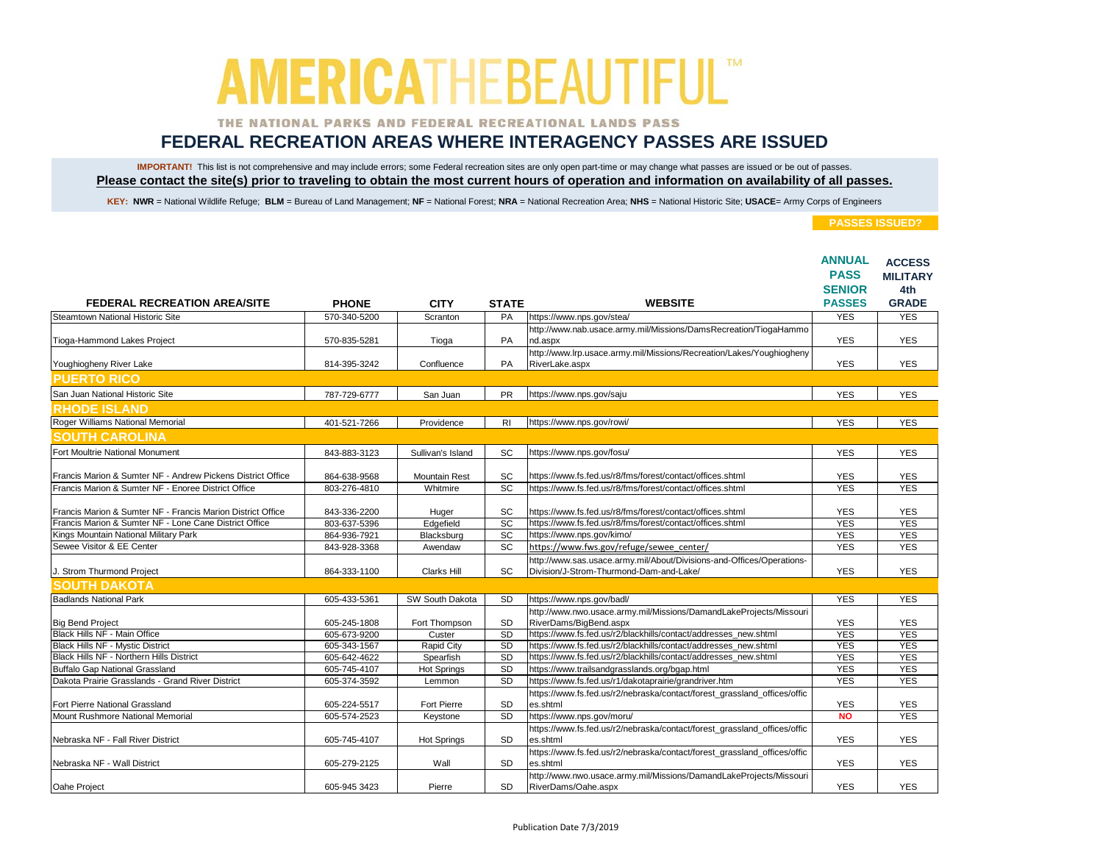### THE NATIONAL PARKS AND FEDERAL RECREATIONAL LANDS PASS

## **FEDERAL RECREATION AREAS WHERE INTERAGENCY PASSES ARE ISSUED**

IMPORTANT! This list is not comprehensive and may include errors; some Federal recreation sites are only open part-time or may change what passes are issued or be out of passes. **Please contact the site(s) prior to traveling to obtain the most current hours of operation and information on availability of all passes.**

KEY: NWR = National Wildlife Refuge; BLM = Bureau of Land Management; NF = National Forest; NRA = National Recreation Area; NHS = National Historic Site; USACE= Army Corps of Engineers

| <b>FEDERAL RECREATION AREA/SITE</b>                                |                              |                      |                    | <b>WEBSITE</b>                                                                                        | <b>ANNUAL</b><br><b>PASS</b><br><b>SENIOR</b><br><b>PASSES</b> | <b>ACCESS</b><br><b>MILITARY</b><br>4th<br><b>GRADE</b> |
|--------------------------------------------------------------------|------------------------------|----------------------|--------------------|-------------------------------------------------------------------------------------------------------|----------------------------------------------------------------|---------------------------------------------------------|
| Steamtown National Historic Site                                   | <b>PHONE</b><br>570-340-5200 | <b>CITY</b>          | <b>STATE</b><br>PA | https://www.nps.gov/stea/                                                                             | <b>YES</b>                                                     | <b>YES</b>                                              |
|                                                                    |                              | Scranton             |                    | http://www.nab.usace.army.mil/Missions/DamsRecreation/TiogaHammo                                      |                                                                |                                                         |
| Tioga-Hammond Lakes Project                                        | 570-835-5281                 | Tioga                | PA                 | nd.aspx                                                                                               | <b>YES</b>                                                     | <b>YES</b>                                              |
| Youghiogheny River Lake                                            | 814-395-3242                 | Confluence           | <b>PA</b>          | http://www.lrp.usace.army.mil/Missions/Recreation/Lakes/Youghiogheny<br>RiverLake.aspx                | <b>YES</b>                                                     | <b>YES</b>                                              |
| <b>PUERTO RICO</b>                                                 |                              |                      |                    |                                                                                                       |                                                                |                                                         |
| San Juan National Historic Site                                    | 787-729-6777                 | San Juan             | <b>PR</b>          | https://www.nps.gov/saju                                                                              | <b>YES</b>                                                     | <b>YES</b>                                              |
| <b>RHODE ISLAND</b>                                                |                              |                      |                    |                                                                                                       |                                                                |                                                         |
| Roger Williams National Memorial                                   | 401-521-7266                 | Providence           | R <sub>1</sub>     | https://www.nps.gov/rowi/                                                                             | <b>YES</b>                                                     | <b>YES</b>                                              |
| <b>SOUTH CAROLINA</b>                                              |                              |                      |                    |                                                                                                       |                                                                |                                                         |
| Fort Moultrie National Monument                                    | 843-883-3123                 | Sullivan's Island    | SC                 | https://www.nps.gov/fosu/                                                                             | <b>YES</b>                                                     | <b>YES</b>                                              |
|                                                                    |                              |                      |                    |                                                                                                       |                                                                |                                                         |
| Francis Marion & Sumter NF - Andrew Pickens District Office        | 864-638-9568                 | <b>Mountain Rest</b> | SC                 | https://www.fs.fed.us/r8/fms/forest/contact/offices.shtml                                             | <b>YES</b>                                                     | <b>YES</b>                                              |
| Francis Marion & Sumter NF - Enoree District Office                | 803-276-4810                 | Whitmire             | <b>SC</b>          | https://www.fs.fed.us/r8/fms/forest/contact/offices.shtml                                             | <b>YES</b>                                                     | <b>YES</b>                                              |
| Francis Marion & Sumter NF - Francis Marion District Office        | 843-336-2200                 | Huger                | SC                 | https://www.fs.fed.us/r8/fms/forest/contact/offices.shtml                                             | <b>YES</b>                                                     | <b>YES</b>                                              |
| Francis Marion & Sumter NF - Lone Cane District Office             | 803-637-5396                 | Edgefield            | <b>SC</b>          | https://www.fs.fed.us/r8/fms/forest/contact/offices.shtml                                             | <b>YES</b>                                                     | <b>YES</b>                                              |
| Kings Mountain National Military Park                              | 864-936-7921                 | Blacksburg           | $\overline{SC}$    | https://www.nps.gov/kimo/                                                                             | <b>YES</b>                                                     | <b>YES</b>                                              |
| Sewee Visitor & EE Center                                          | 843-928-3368                 | Awendaw              | SC                 | https://www.fws.gov/refuge/sewee_center/                                                              | <b>YES</b>                                                     | <b>YES</b>                                              |
|                                                                    |                              |                      |                    | http://www.sas.usace.army.mil/About/Divisions-and-Offices/Operations-                                 |                                                                |                                                         |
| J. Strom Thurmond Project                                          | 864-333-1100                 | <b>Clarks Hill</b>   | SC                 | Division/J-Strom-Thurmond-Dam-and-Lake/                                                               | <b>YES</b>                                                     | <b>YES</b>                                              |
| <b>SOUTH DAKOTA</b>                                                |                              |                      |                    |                                                                                                       |                                                                |                                                         |
| <b>Badlands National Park</b>                                      | 605-433-5361                 | SW South Dakota      | <b>SD</b>          | https://www.nps.gov/badl/                                                                             | <b>YES</b>                                                     | <b>YES</b>                                              |
|                                                                    |                              |                      |                    | http://www.nwo.usace.army.mil/Missions/DamandLakeProjects/Missouri                                    |                                                                |                                                         |
| <b>Big Bend Project</b>                                            | 605-245-1808                 | Fort Thompson        | SD                 | RiverDams/BigBend.aspx                                                                                | <b>YES</b>                                                     | <b>YES</b>                                              |
| Black Hills NF - Main Office                                       | 605-673-9200                 | Custer               | <b>SD</b>          | https://www.fs.fed.us/r2/blackhills/contact/addresses_new.shtml                                       | <b>YES</b>                                                     | <b>YES</b>                                              |
| Black Hills NF - Mystic District                                   | 605-343-1567                 | Rapid City           | SD                 | https://www.fs.fed.us/r2/blackhills/contact/addresses_new.shtml                                       | <b>YES</b>                                                     | <b>YES</b>                                              |
| Black Hills NF - Northern Hills District                           | 605-642-4622                 | Spearfish            | SD                 | https://www.fs.fed.us/r2/blackhills/contact/addresses_new.shtml                                       | <b>YES</b>                                                     | <b>YES</b>                                              |
| <b>Buffalo Gap National Grassland</b>                              | 605-745-4107                 | <b>Hot Springs</b>   | SD                 | https://www.trailsandgrasslands.org/bgap.html                                                         | <b>YES</b>                                                     | <b>YES</b>                                              |
| Dakota Prairie Grasslands - Grand River District                   | 605-374-3592                 | Lemmon               | SD                 | https://www.fs.fed.us/r1/dakotaprairie/grandriver.htm                                                 | <b>YES</b>                                                     | <b>YES</b>                                              |
|                                                                    |                              |                      |                    | https://www.fs.fed.us/r2/nebraska/contact/forest_grassland_offices/offic                              |                                                                |                                                         |
| Fort Pierre National Grassland<br>Mount Rushmore National Memorial | 605-224-5517                 | Fort Pierre          | <b>SD</b>          | es.shtml                                                                                              | <b>YES</b>                                                     | <b>YES</b>                                              |
|                                                                    | 605-574-2523                 | Keystone             | SD                 | https://www.nps.gov/moru/<br>https://www.fs.fed.us/r2/nebraska/contact/forest_grassland_offices/offic | <b>NO</b>                                                      | <b>YES</b>                                              |
| Nebraska NF - Fall River District                                  | 605-745-4107                 | <b>Hot Springs</b>   | SD                 | es.shtml                                                                                              | <b>YES</b>                                                     | <b>YES</b>                                              |
|                                                                    |                              |                      |                    | https://www.fs.fed.us/r2/nebraska/contact/forest_grassland_offices/offic                              |                                                                |                                                         |
| Nebraska NF - Wall District                                        | 605-279-2125                 | Wall                 | <b>SD</b>          | es.shtml                                                                                              | <b>YES</b>                                                     | <b>YES</b>                                              |
|                                                                    |                              |                      |                    | http://www.nwo.usace.army.mil/Missions/DamandLakeProjects/Missouri                                    |                                                                |                                                         |
| Oahe Project                                                       | 605-945 3423                 | Pierre               | <b>SD</b>          | RiverDams/Oahe.aspx                                                                                   | <b>YES</b>                                                     | <b>YES</b>                                              |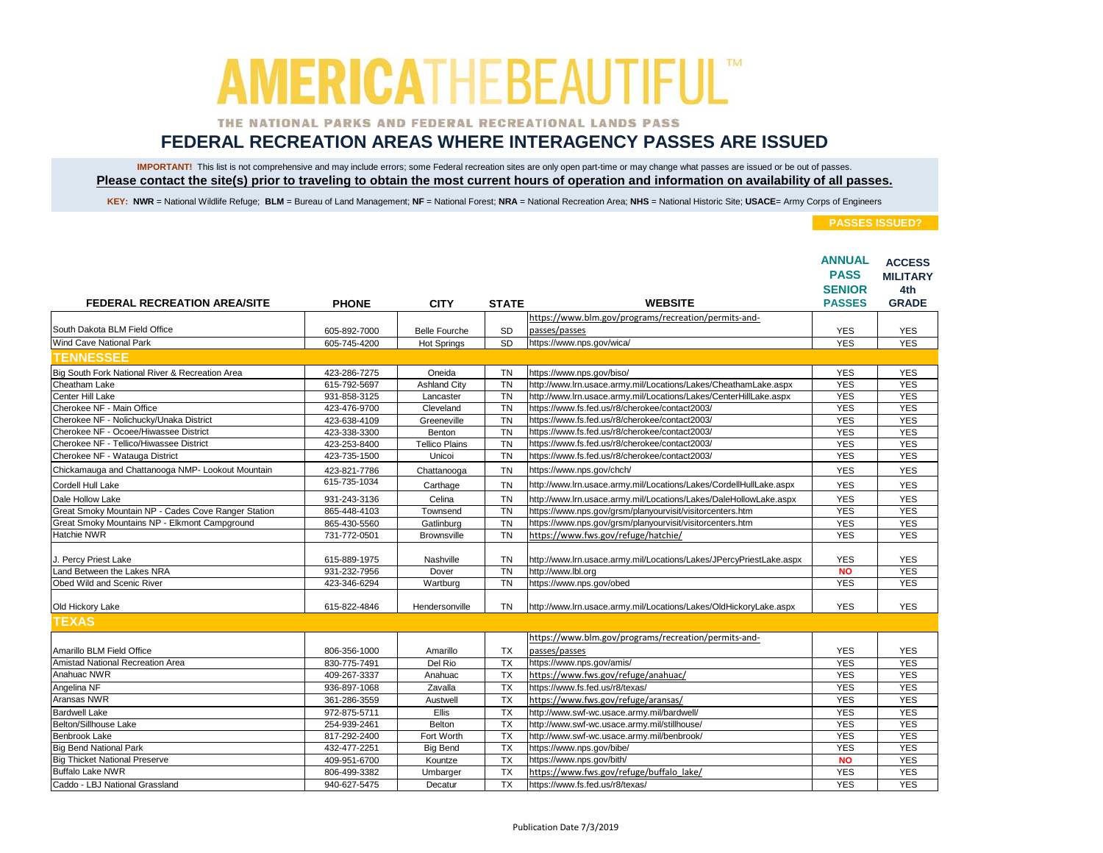### THE NATIONAL PARKS AND FEDERAL RECREATIONAL LANDS PASS

## **FEDERAL RECREATION AREAS WHERE INTERAGENCY PASSES ARE ISSUED**

IMPORTANT! This list is not comprehensive and may include errors; some Federal recreation sites are only open part-time or may change what passes are issued or be out of passes. **Please contact the site(s) prior to traveling to obtain the most current hours of operation and information on availability of all passes.**

KEY: NWR = National Wildlife Refuge; BLM = Bureau of Land Management; NF = National Forest; NRA = National Recreation Area; NHS = National Historic Site; USACE= Army Corps of Engineers

|                                                     |              |                       |              |                                                                       | <b>ANNUAL</b><br><b>PASS</b><br><b>SENIOR</b> | <b>ACCESS</b><br><b>MILITARY</b><br>4th |
|-----------------------------------------------------|--------------|-----------------------|--------------|-----------------------------------------------------------------------|-----------------------------------------------|-----------------------------------------|
| <b>FEDERAL RECREATION AREA/SITE</b>                 | <b>PHONE</b> | <b>CITY</b>           | <b>STATE</b> | <b>WEBSITE</b>                                                        | <b>PASSES</b>                                 | <b>GRADE</b>                            |
| South Dakota BLM Field Office                       | 605-892-7000 | <b>Belle Fourche</b>  | <b>SD</b>    | https://www.blm.gov/programs/recreation/permits-and-<br>passes/passes | <b>YES</b>                                    | <b>YES</b>                              |
| <b>Wind Cave National Park</b>                      | 605-745-4200 | <b>Hot Springs</b>    | <b>SD</b>    | https://www.nps.gov/wica/                                             | <b>YES</b>                                    | <b>YES</b>                              |
|                                                     |              |                       |              |                                                                       |                                               |                                         |
| <b>TENNESSEE</b>                                    |              |                       |              |                                                                       |                                               |                                         |
| Big South Fork National River & Recreation Area     | 423-286-7275 | Oneida                | <b>TN</b>    | https://www.nps.gov/biso/                                             | <b>YES</b>                                    | <b>YES</b>                              |
| Cheatham Lake                                       | 615-792-5697 | <b>Ashland City</b>   | <b>TN</b>    | http://www.lrn.usace.army.mil/Locations/Lakes/CheathamLake.aspx       | <b>YES</b>                                    | <b>YES</b>                              |
| Center Hill Lake                                    | 931-858-3125 | Lancaster             | <b>TN</b>    | http://www.lrn.usace.army.mil/Locations/Lakes/CenterHillLake.aspx     | <b>YES</b>                                    | <b>YES</b>                              |
| Cherokee NF - Main Office                           | 423-476-9700 | Cleveland             | <b>TN</b>    | https://www.fs.fed.us/r8/cherokee/contact2003/                        | <b>YES</b>                                    | <b>YES</b>                              |
| Cherokee NF - Nolichucky/Unaka District             | 423-638-4109 | Greeneville           | <b>TN</b>    | https://www.fs.fed.us/r8/cherokee/contact2003/                        | <b>YES</b>                                    | <b>YES</b>                              |
| Cherokee NF - Ocoee/Hiwassee District               | 423-338-3300 | Benton                | <b>TN</b>    | https://www.fs.fed.us/r8/cherokee/contact2003/                        | <b>YES</b>                                    | <b>YES</b>                              |
| Cherokee NF - Tellico/Hiwassee District             | 423-253-8400 | <b>Tellico Plains</b> | <b>TN</b>    | https://www.fs.fed.us/r8/cherokee/contact2003/                        | <b>YES</b>                                    | <b>YES</b>                              |
| Cherokee NF - Watauga District                      | 423-735-1500 | Unicoi                | <b>TN</b>    | https://www.fs.fed.us/r8/cherokee/contact2003/                        | <b>YES</b>                                    | <b>YES</b>                              |
| Chickamauga and Chattanooga NMP- Lookout Mountain   | 423-821-7786 | Chattanooga           | <b>TN</b>    | https://www.nps.gov/chch/                                             | <b>YES</b>                                    | <b>YES</b>                              |
| Cordell Hull Lake                                   | 615-735-1034 | Carthage              | <b>TN</b>    | http://www.lrn.usace.army.mil/Locations/Lakes/CordellHullLake.aspx    | <b>YES</b>                                    | <b>YES</b>                              |
| Dale Hollow Lake                                    | 931-243-3136 | Celina                | <b>TN</b>    | http://www.lrn.usace.army.mil/Locations/Lakes/DaleHollowLake.aspx     | <b>YES</b>                                    | <b>YES</b>                              |
| Great Smoky Mountain NP - Cades Cove Ranger Station | 865-448-4103 | Townsend              | <b>TN</b>    | https://www.nps.gov/grsm/planyourvisit/visitorcenters.htm             | <b>YES</b>                                    | <b>YES</b>                              |
| Great Smoky Mountains NP - Elkmont Campground       | 865-430-5560 | Gatlinburg            | <b>TN</b>    | https://www.nps.gov/grsm/planyourvisit/visitorcenters.htm             | <b>YES</b>                                    | <b>YES</b>                              |
| Hatchie NWR                                         | 731-772-0501 | <b>Brownsville</b>    | <b>TN</b>    | https://www.fws.gov/refuge/hatchie/                                   | <b>YES</b>                                    | <b>YES</b>                              |
|                                                     |              |                       |              |                                                                       |                                               |                                         |
| J. Percy Priest Lake                                | 615-889-1975 | Nashville             | <b>TN</b>    | http://www.lrn.usace.army.mil/Locations/Lakes/JPercyPriestLake.aspx   | <b>YES</b>                                    | <b>YES</b>                              |
| Land Between the Lakes NRA                          | 931-232-7956 | Dover                 | <b>TN</b>    | http://www.lbl.org                                                    | <b>NO</b>                                     | <b>YES</b>                              |
| Obed Wild and Scenic River                          | 423-346-6294 | Wartburg              | <b>TN</b>    | https://www.nps.gov/obed                                              | <b>YES</b>                                    | <b>YES</b>                              |
| Old Hickory Lake                                    | 615-822-4846 | Hendersonville        | <b>TN</b>    | http://www.lrn.usace.army.mil/Locations/Lakes/OldHickoryLake.aspx     | <b>YES</b>                                    | <b>YES</b>                              |
| <b>TEXAS</b>                                        |              |                       |              |                                                                       |                                               |                                         |
|                                                     |              |                       |              | https://www.blm.gov/programs/recreation/permits-and-                  |                                               |                                         |
| Amarillo BLM Field Office                           | 806-356-1000 | Amarillo              | <b>TX</b>    | passes/passes                                                         | <b>YES</b>                                    | <b>YES</b>                              |
| Amistad National Recreation Area                    | 830-775-7491 | Del Rio               | <b>TX</b>    | https://www.nps.gov/amis/                                             | <b>YES</b>                                    | <b>YES</b>                              |
| Anahuac NWR                                         | 409-267-3337 | Anahuac               | <b>TX</b>    | https://www.fws.gov/refuge/anahuac/                                   | <b>YES</b>                                    | <b>YES</b>                              |
| Angelina NF                                         | 936-897-1068 | Zavalla               | TX           | https://www.fs.fed.us/r8/texas/                                       | <b>YES</b>                                    | <b>YES</b>                              |
| Aransas NWR                                         | 361-286-3559 | Austwell              | <b>TX</b>    | https://www.fws.gov/refuge/aransas/                                   | <b>YES</b>                                    | <b>YES</b>                              |
| <b>Bardwell Lake</b>                                | 972-875-5711 | Ellis                 | <b>TX</b>    | http://www.swf-wc.usace.army.mil/bardwell/                            | <b>YES</b>                                    | <b>YES</b>                              |
| Belton/Sillhouse Lake                               | 254-939-2461 | Belton                | <b>TX</b>    | http://www.swf-wc.usace.armv.mil/stillhouse/                          | <b>YES</b>                                    | <b>YES</b>                              |
| Benbrook Lake                                       | 817-292-2400 | Fort Worth            | <b>TX</b>    | http://www.swf-wc.usace.army.mil/benbrook/                            | <b>YES</b>                                    | <b>YES</b>                              |
| <b>Big Bend National Park</b>                       | 432-477-2251 | <b>Big Bend</b>       | <b>TX</b>    | https://www.nps.gov/bibe/                                             | <b>YES</b>                                    | <b>YES</b>                              |
| <b>Big Thicket National Preserve</b>                | 409-951-6700 | Kountze               | <b>TX</b>    | https://www.nps.gov/bith/                                             | <b>NO</b>                                     | <b>YES</b>                              |
| <b>Buffalo Lake NWR</b>                             | 806-499-3382 | Umbarger              | <b>TX</b>    | https://www.fws.gov/refuge/buffalo lake/                              | <b>YES</b>                                    | <b>YES</b>                              |
| Caddo - LBJ National Grassland                      | 940-627-5475 | Decatur               | <b>TX</b>    | https://www.fs.fed.us/r8/texas/                                       | <b>YES</b>                                    | <b>YES</b>                              |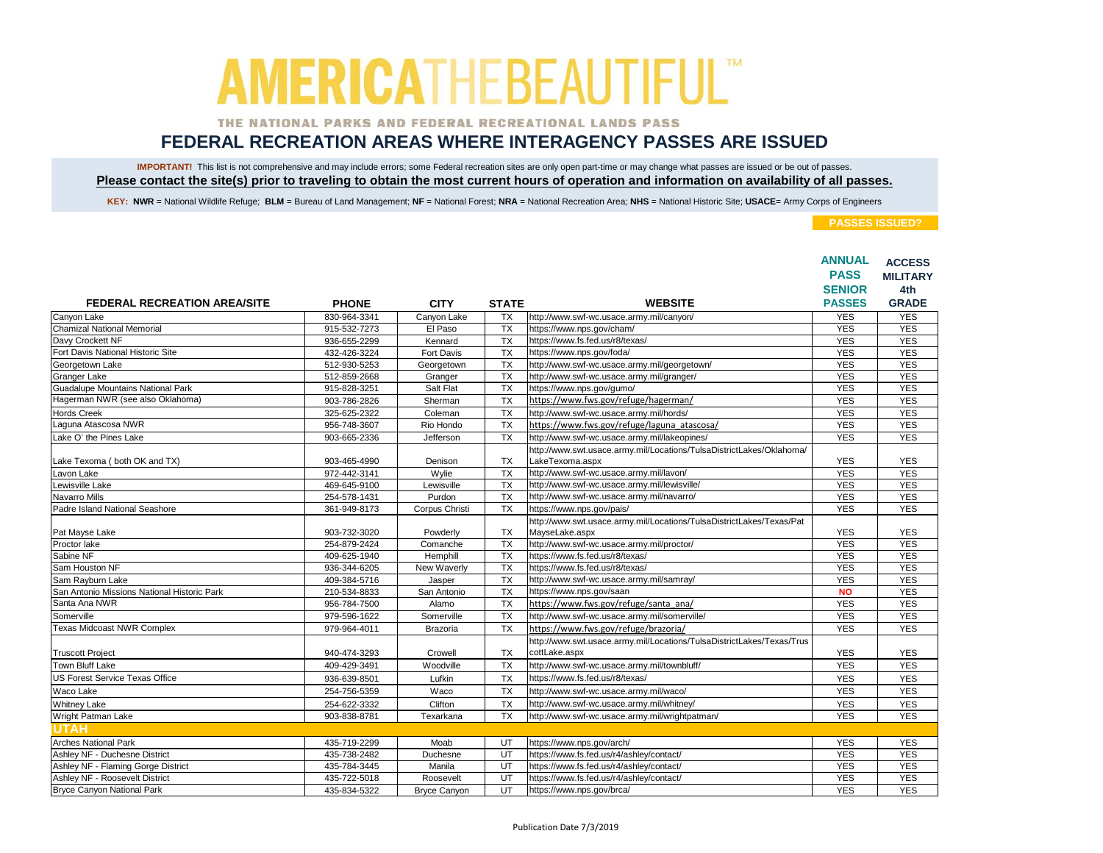### THE NATIONAL PARKS AND FEDERAL RECREATIONAL LANDS PASS

## **FEDERAL RECREATION AREAS WHERE INTERAGENCY PASSES ARE ISSUED**

IMPORTANT! This list is not comprehensive and may include errors; some Federal recreation sites are only open part-time or may change what passes are issued or be out of passes. **Please contact the site(s) prior to traveling to obtain the most current hours of operation and information on availability of all passes.**

KEY: NWR = National Wildlife Refuge; BLM = Bureau of Land Management; NF = National Forest; NRA = National Recreation Area; NHS = National Historic Site; USACE= Army Corps of Engineers

|                                             |              |                     |                 |                                                                       | <b>ANNUAL</b><br><b>PASS</b> | <b>ACCESS</b>       |
|---------------------------------------------|--------------|---------------------|-----------------|-----------------------------------------------------------------------|------------------------------|---------------------|
|                                             |              |                     |                 |                                                                       | <b>SENIOR</b>                | <b>MILITARY</b>     |
| <b>FEDERAL RECREATION AREA/SITE</b>         | <b>PHONE</b> | <b>CITY</b>         | <b>STATE</b>    | <b>WEBSITE</b>                                                        | <b>PASSES</b>                | 4th<br><b>GRADE</b> |
| Canyon Lake                                 | 830-964-3341 | Canyon Lake         | <b>TX</b>       | http://www.swf-wc.usace.army.mil/canyon/                              | <b>YES</b>                   | <b>YES</b>          |
| <b>Chamizal National Memorial</b>           | 915-532-7273 | El Paso             | TX              | https://www.nps.gov/cham/                                             | <b>YES</b>                   | <b>YES</b>          |
| Davy Crockett NF                            | 936-655-2299 | Kennard             | <b>TX</b>       | https://www.fs.fed.us/r8/texas/                                       | <b>YES</b>                   | <b>YES</b>          |
| Fort Davis National Historic Site           | 432-426-3224 | Fort Davis          | <b>TX</b>       | https://www.nps.gov/foda/                                             | <b>YES</b>                   | <b>YES</b>          |
| Georgetown Lake                             | 512-930-5253 | Georgetown          | <b>TX</b>       | http://www.swf-wc.usace.army.mil/georgetown/                          | <b>YES</b>                   | <b>YES</b>          |
| <b>Granger Lake</b>                         | 512-859-2668 | Granger             | <b>TX</b>       | http://www.swf-wc.usace.army.mil/granger/                             | <b>YES</b>                   | <b>YES</b>          |
| <b>Guadalupe Mountains National Park</b>    | 915-828-3251 | Salt Flat           | <b>TX</b>       | https://www.nps.gov/gumo/                                             | <b>YES</b>                   | <b>YES</b>          |
| Hagerman NWR (see also Oklahoma)            | 903-786-2826 | Sherman             | <b>TX</b>       | https://www.fws.gov/refuge/hagerman/                                  | <b>YES</b>                   | <b>YES</b>          |
| <b>Hords Creek</b>                          | 325-625-2322 | Coleman             | <b>TX</b>       | http://www.swf-wc.usace.armv.mil/hords/                               | <b>YES</b>                   | <b>YES</b>          |
| Laguna Atascosa NWR                         | 956-748-3607 | Rio Hondo           | <b>TX</b>       | https://www.fws.gov/refuge/laguna atascosa/                           | <b>YES</b>                   | <b>YES</b>          |
| Lake O' the Pines Lake                      | 903-665-2336 | Jefferson           | <b>TX</b>       | http://www.swf-wc.usace.army.mil/lakeopines/                          | <b>YES</b>                   | <b>YES</b>          |
|                                             |              |                     |                 | http://www.swt.usace.army.mil/Locations/TulsaDistrictLakes/Oklahoma/  |                              |                     |
| Lake Texoma (both OK and TX)                | 903-465-4990 | Denison             | <b>TX</b>       | LakeTexoma.aspx                                                       | <b>YES</b>                   | <b>YES</b>          |
| Lavon Lake                                  | 972-442-3141 | Wylie               | <b>TX</b>       | http://www.swf-wc.usace.army.mil/lavon/                               | <b>YES</b>                   | <b>YES</b>          |
| Lewisville Lake                             | 469-645-9100 | Lewisville          | <b>TX</b>       | http://www.swf-wc.usace.army.mil/lewisville/                          | <b>YES</b>                   | <b>YES</b>          |
| Navarro Mills                               | 254-578-1431 | Purdon              | <b>TX</b>       | http://www.swf-wc.usace.army.mil/navarro/                             | <b>YES</b>                   | <b>YES</b>          |
| Padre Island National Seashore              | 361-949-8173 | Corpus Christi      | <b>TX</b>       | https://www.nps.gov/pais/                                             | <b>YES</b>                   | <b>YES</b>          |
|                                             |              |                     |                 | http://www.swt.usace.army.mil/Locations/TulsaDistrictLakes/Texas/Pat  |                              |                     |
| Pat Mayse Lake                              | 903-732-3020 | Powderly            | TX              | MayseLake.aspx                                                        | <b>YES</b>                   | <b>YES</b>          |
| Proctor lake                                | 254-879-2424 | Comanche            | <b>TX</b>       | http://www.swf-wc.usace.army.mil/proctor/                             | <b>YES</b>                   | <b>YES</b>          |
| Sabine NF                                   | 409-625-1940 | Hemphill            | <b>TX</b>       | https://www.fs.fed.us/r8/texas/                                       | <b>YES</b>                   | <b>YES</b>          |
| Sam Houston NF                              | 936-344-6205 | New Waverly         | <b>TX</b>       | https://www.fs.fed.us/r8/texas/                                       | <b>YES</b>                   | <b>YES</b>          |
| Sam Ravburn Lake                            | 409-384-5716 | Jasper              | <b>TX</b>       | http://www.swf-wc.usace.army.mil/samray/                              | <b>YES</b>                   | <b>YES</b>          |
| San Antonio Missions National Historic Park | 210-534-8833 | San Antonio         | <b>TX</b>       | https://www.nps.gov/saan                                              | <b>NO</b>                    | <b>YES</b>          |
| Santa Ana NWR                               | 956-784-7500 | Alamo               | <b>TX</b>       | https://www.fws.gov/refuge/santa ana/                                 | <b>YES</b>                   | <b>YES</b>          |
| Somerville                                  | 979-596-1622 | Somerville          | <b>TX</b>       | http://www.swf-wc.usace.army.mil/somerville/                          | <b>YES</b>                   | <b>YES</b>          |
| <b>Texas Midcoast NWR Complex</b>           | 979-964-4011 | Brazoria            | $\overline{TX}$ | https://www.fws.gov/refuge/brazoria/                                  | <b>YES</b>                   | <b>YES</b>          |
|                                             |              |                     |                 | http://www.swt.usace.army.mil/Locations/TulsaDistrictLakes/Texas/Trus |                              |                     |
| <b>Truscott Project</b>                     | 940-474-3293 | Crowell             | <b>TX</b>       | cottLake.aspx                                                         | <b>YES</b>                   | <b>YES</b>          |
| Town Bluff Lake                             | 409-429-3491 | Woodville           | <b>TX</b>       | http://www.swf-wc.usace.army.mil/townbluff/                           | <b>YES</b>                   | <b>YES</b>          |
| <b>US Forest Service Texas Office</b>       | 936-639-8501 | Lufkin              | <b>TX</b>       | https://www.fs.fed.us/r8/texas/                                       | <b>YES</b>                   | <b>YES</b>          |
| Waco Lake                                   | 254-756-5359 | Waco                | <b>TX</b>       | http://www.swf-wc.usace.army.mil/waco/                                | <b>YES</b>                   | <b>YES</b>          |
| <b>Whitney Lake</b>                         | 254-622-3332 | Clifton             | <b>TX</b>       | http://www.swf-wc.usace.army.mil/whitney/                             | <b>YES</b>                   | <b>YES</b>          |
| Wright Patman Lake                          | 903-838-8781 | Texarkana           | <b>TX</b>       | http://www.swf-wc.usace.army.mil/wrightpatman/                        | <b>YES</b>                   | <b>YES</b>          |
| UTAH                                        |              |                     |                 |                                                                       |                              |                     |
| <b>Arches National Park</b>                 | 435-719-2299 | Moab                | UT              | https://www.nps.gov/arch/                                             | <b>YES</b>                   | <b>YES</b>          |
| Ashley NF - Duchesne District               | 435-738-2482 | Duchesne            | UT              | https://www.fs.fed.us/r4/ashley/contact/                              | <b>YES</b>                   | <b>YES</b>          |
| Ashley NF - Flaming Gorge District          | 435-784-3445 | Manila              | UT              | https://www.fs.fed.us/r4/ashley/contact/                              | <b>YES</b>                   | <b>YES</b>          |
| Ashley NF - Roosevelt District              | 435-722-5018 | Roosevelt           | UT              | https://www.fs.fed.us/r4/ashley/contact/                              | <b>YES</b>                   | <b>YES</b>          |
| <b>Bryce Canyon National Park</b>           | 435-834-5322 | <b>Bryce Canyon</b> | UT              | https://www.nps.gov/brca/                                             | <b>YES</b>                   | <b>YES</b>          |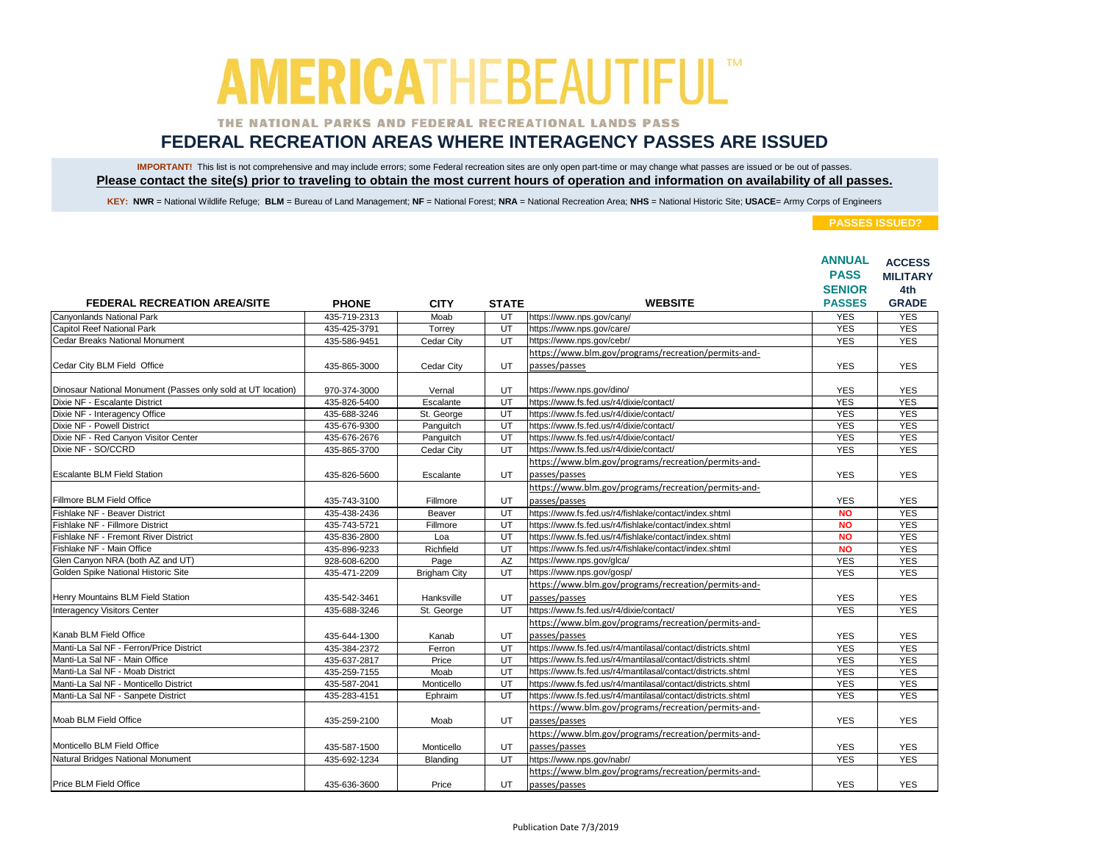### THE NATIONAL PARKS AND FEDERAL RECREATIONAL LANDS PASS

## **FEDERAL RECREATION AREAS WHERE INTERAGENCY PASSES ARE ISSUED**

IMPORTANT! This list is not comprehensive and may include errors; some Federal recreation sites are only open part-time or may change what passes are issued or be out of passes. **Please contact the site(s) prior to traveling to obtain the most current hours of operation and information on availability of all passes.**

KEY: NWR = National Wildlife Refuge; BLM = Bureau of Land Management; NF = National Forest; NRA = National Recreation Area; NHS = National Historic Site; USACE= Army Corps of Engineers

|                                                              |              |                     |              |                                                                       | <b>ANNUAL</b><br><b>PASS</b><br><b>SENIOR</b> | <b>ACCESS</b><br><b>MILITARY</b><br>4th |
|--------------------------------------------------------------|--------------|---------------------|--------------|-----------------------------------------------------------------------|-----------------------------------------------|-----------------------------------------|
| <b>FEDERAL RECREATION AREA/SITE</b>                          | <b>PHONE</b> | <b>CITY</b>         | <b>STATE</b> | <b>WEBSITE</b>                                                        | <b>PASSES</b>                                 | <b>GRADE</b>                            |
| Canyonlands National Park                                    | 435-719-2313 | Moab                | UT           | https://www.nps.gov/cany/                                             | <b>YES</b>                                    | <b>YES</b>                              |
| Capitol Reef National Park                                   | 435-425-3791 | Torrev              | UT           | https://www.nps.gov/care/                                             | <b>YES</b>                                    | <b>YES</b>                              |
| <b>Cedar Breaks National Monument</b>                        | 435-586-9451 | Cedar City          | UT           | https://www.nps.gov/cebr/                                             | <b>YES</b>                                    | <b>YES</b>                              |
|                                                              |              |                     |              | https://www.blm.gov/programs/recreation/permits-and-                  |                                               |                                         |
| Cedar City BLM Field Office                                  | 435-865-3000 | Cedar City          | UT.          | passes/passes                                                         | <b>YES</b>                                    | <b>YES</b>                              |
| Dinosaur National Monument (Passes only sold at UT location) | 970-374-3000 | Vernal              | UT           | https://www.nps.gov/dino/                                             | <b>YES</b>                                    | <b>YES</b>                              |
| Dixie NF - Escalante District                                | 435-826-5400 | Escalante           | UT           | https://www.fs.fed.us/r4/dixie/contact/                               | <b>YES</b>                                    | <b>YES</b>                              |
| Dixie NF - Interagency Office                                | 435-688-3246 | St. George          | UT           | https://www.fs.fed.us/r4/dixie/contact/                               | <b>YES</b>                                    | <b>YES</b>                              |
| Dixie NF - Powell District                                   | 435-676-9300 | Panguitch           | UT           | https://www.fs.fed.us/r4/dixie/contact/                               | <b>YES</b>                                    | <b>YES</b>                              |
| Dixie NF - Red Canyon Visitor Center                         | 435-676-2676 | Panguitch           | UT           | https://www.fs.fed.us/r4/dixie/contact/                               | <b>YES</b>                                    | <b>YES</b>                              |
| Dixie NF - SO/CCRD                                           | 435-865-3700 | Cedar City          | UT           | https://www.fs.fed.us/r4/dixie/contact/                               | <b>YES</b>                                    | <b>YES</b>                              |
|                                                              |              |                     |              | https://www.blm.gov/programs/recreation/permits-and-                  |                                               |                                         |
| <b>Escalante BLM Field Station</b>                           | 435-826-5600 | Escalante           | UT           | passes/passes                                                         | <b>YES</b>                                    | <b>YES</b>                              |
|                                                              |              |                     |              | https://www.blm.gov/programs/recreation/permits-and-                  |                                               |                                         |
| Fillmore BLM Field Office                                    | 435-743-3100 | Fillmore            | UT           | passes/passes                                                         | <b>YES</b>                                    | <b>YES</b>                              |
| Fishlake NF - Beaver District                                | 435-438-2436 | Beaver              | UT           | https://www.fs.fed.us/r4/fishlake/contact/index.shtml                 | <b>NO</b>                                     | <b>YES</b>                              |
| Fishlake NF - Fillmore District                              | 435-743-5721 | Fillmore            | UT           | https://www.fs.fed.us/r4/fishlake/contact/index.shtml                 | <b>NO</b>                                     | <b>YES</b>                              |
| Fishlake NF - Fremont River District                         | 435-836-2800 | Loa                 | UT           | https://www.fs.fed.us/r4/fishlake/contact/index.shtml                 | <b>NO</b>                                     | <b>YES</b>                              |
| Fishlake NF - Main Office                                    | 435-896-9233 | Richfield           | UT           | https://www.fs.fed.us/r4/fishlake/contact/index.shtml                 | <b>NO</b>                                     | <b>YES</b>                              |
| Glen Canyon NRA (both AZ and UT)                             | 928-608-6200 | Page                | AZ           | https://www.nps.gov/glca/                                             | <b>YES</b>                                    | <b>YES</b>                              |
| Golden Spike National Historic Site                          | 435-471-2209 | <b>Brigham City</b> | UT           | https://www.nps.gov/gosp/                                             | <b>YES</b>                                    | <b>YES</b>                              |
|                                                              |              |                     |              | https://www.blm.gov/programs/recreation/permits-and-                  |                                               |                                         |
| Henry Mountains BLM Field Station                            | 435-542-3461 | Hanksville          | UT           | passes/passes                                                         | <b>YES</b>                                    | <b>YES</b>                              |
| Interagency Visitors Center                                  | 435-688-3246 | St. George          | UT           | https://www.fs.fed.us/r4/dixie/contact/                               | <b>YES</b>                                    | <b>YES</b>                              |
|                                                              |              |                     |              | https://www.blm.gov/programs/recreation/permits-and-                  |                                               |                                         |
| Kanab BLM Field Office                                       | 435-644-1300 | Kanab               | UT           | passes/passes                                                         | YES                                           | <b>YES</b>                              |
| Manti-La Sal NF - Ferron/Price District                      | 435-384-2372 | Ferron              | UT           | https://www.fs.fed.us/r4/mantilasal/contact/districts.shtml           | <b>YES</b>                                    | <b>YES</b>                              |
| Manti-La Sal NF - Main Office                                | 435-637-2817 | Price               | UT           | https://www.fs.fed.us/r4/mantilasal/contact/districts.shtml           | <b>YES</b>                                    | <b>YES</b>                              |
| Manti-La Sal NF - Moab District                              | 435-259-7155 | Moab                | UT           | https://www.fs.fed.us/r4/mantilasal/contact/districts.shtml           | <b>YES</b>                                    | <b>YES</b>                              |
| Manti-La Sal NF - Monticello District                        | 435-587-2041 | Monticello          | UT           | https://www.fs.fed.us/r4/mantilasal/contact/districts.shtml           | <b>YES</b>                                    | <b>YES</b>                              |
| Manti-La Sal NF - Sanpete District                           | 435-283-4151 | Ephraim             | UT           | https://www.fs.fed.us/r4/mantilasal/contact/districts.shtml           | <b>YES</b>                                    | <b>YES</b>                              |
|                                                              |              |                     |              | https://www.blm.gov/programs/recreation/permits-and-                  |                                               |                                         |
| Moab BLM Field Office                                        | 435-259-2100 | Moab                | UT           | passes/passes                                                         | <b>YES</b>                                    | <b>YES</b>                              |
| Monticello BLM Field Office                                  | 435-587-1500 | Monticello          | UT           | https://www.blm.gov/programs/recreation/permits-and-<br>passes/passes | <b>YES</b>                                    | <b>YES</b>                              |
| Natural Bridges National Monument                            | 435-692-1234 | Blanding            | UT           | https://www.nps.gov/nabr/                                             | <b>YES</b>                                    | <b>YES</b>                              |
|                                                              |              |                     |              | https://www.blm.gov/programs/recreation/permits-and-                  |                                               |                                         |
| <b>Price BLM Field Office</b>                                | 435-636-3600 | Price               | UT           | passes/passes                                                         | <b>YES</b>                                    | <b>YES</b>                              |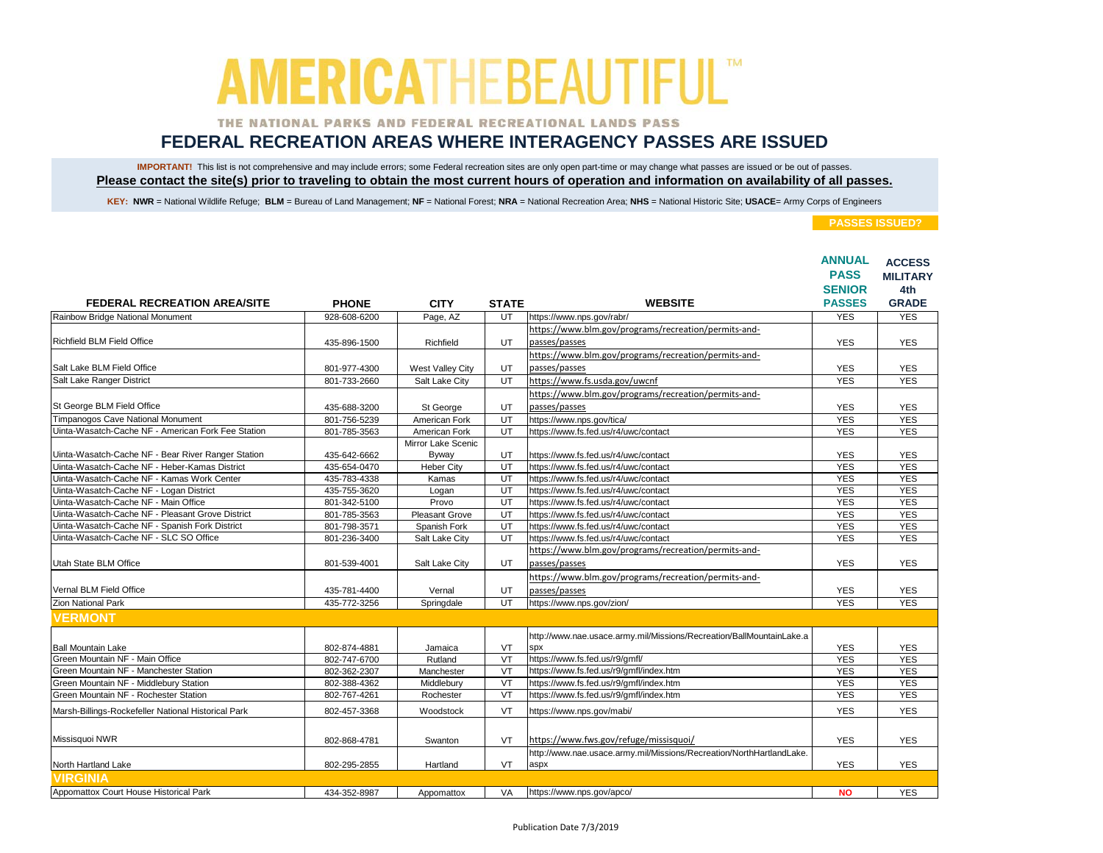### THE NATIONAL PARKS AND FEDERAL RECREATIONAL LANDS PASS

## **FEDERAL RECREATION AREAS WHERE INTERAGENCY PASSES ARE ISSUED**

IMPORTANT! This list is not comprehensive and may include errors; some Federal recreation sites are only open part-time or may change what passes are issued or be out of passes. **Please contact the site(s) prior to traveling to obtain the most current hours of operation and information on availability of all passes.**

KEY: NWR = National Wildlife Refuge; BLM = Bureau of Land Management; NF = National Forest; NRA = National Recreation Area; NHS = National Historic Site; USACE= Army Corps of Engineers

|                                                     |              |                       |                         |                                                                      | <b>ANNUAL</b> | <b>ACCESS</b>   |
|-----------------------------------------------------|--------------|-----------------------|-------------------------|----------------------------------------------------------------------|---------------|-----------------|
|                                                     |              |                       |                         |                                                                      | <b>PASS</b>   | <b>MILITARY</b> |
|                                                     |              |                       |                         |                                                                      | <b>SENIOR</b> | 4th             |
| <b>FEDERAL RECREATION AREA/SITE</b>                 | <b>PHONE</b> | <b>CITY</b>           | <b>STATE</b>            | <b>WEBSITE</b>                                                       | <b>PASSES</b> | <b>GRADE</b>    |
| Rainbow Bridge National Monument                    | 928-608-6200 | Page, AZ              | UT                      | https://www.nps.gov/rabr/                                            | <b>YES</b>    | <b>YES</b>      |
|                                                     |              |                       |                         | https://www.blm.gov/programs/recreation/permits-and-                 |               |                 |
| Richfield BLM Field Office                          | 435-896-1500 | Richfield             | UT                      | passes/passes                                                        | <b>YES</b>    | <b>YES</b>      |
|                                                     |              |                       |                         | https://www.blm.gov/programs/recreation/permits-and-                 |               |                 |
| Salt Lake BLM Field Office                          | 801-977-4300 | West Valley City      | UT                      | passes/passes                                                        | <b>YES</b>    | <b>YES</b>      |
| Salt Lake Ranger District                           | 801-733-2660 | Salt Lake City        | UT                      | https://www.fs.usda.gov/uwcnf                                        | <b>YES</b>    | <b>YES</b>      |
|                                                     |              |                       |                         | https://www.blm.gov/programs/recreation/permits-and-                 |               |                 |
| St George BLM Field Office                          | 435-688-3200 | St George             | UT                      | passes/passes                                                        | <b>YES</b>    | <b>YES</b>      |
| Timpanogos Cave National Monument                   | 801-756-5239 | American Fork         | UT                      | https://www.nps.gov/tica/                                            | <b>YES</b>    | <b>YES</b>      |
| Uinta-Wasatch-Cache NF - American Fork Fee Station  | 801-785-3563 | American Fork         | $\overline{UT}$         | https://www.fs.fed.us/r4/uwc/contact                                 | <b>YES</b>    | <b>YES</b>      |
|                                                     |              | Mirror Lake Scenic    |                         |                                                                      |               |                 |
| Uinta-Wasatch-Cache NF - Bear River Ranger Station  | 435-642-6662 | Byway                 | UT                      | https://www.fs.fed.us/r4/uwc/contact                                 | <b>YES</b>    | <b>YES</b>      |
| Uinta-Wasatch-Cache NF - Heber-Kamas District       | 435-654-0470 | <b>Heber City</b>     | UT                      | https://www.fs.fed.us/r4/uwc/contact                                 | <b>YES</b>    | <b>YES</b>      |
| Uinta-Wasatch-Cache NF - Kamas Work Center          | 435-783-4338 | Kamas                 | UT                      | https://www.fs.fed.us/r4/uwc/contact                                 | <b>YES</b>    | <b>YES</b>      |
| Uinta-Wasatch-Cache NF - Logan District             | 435-755-3620 | Logan                 | UT                      | https://www.fs.fed.us/r4/uwc/contact                                 | <b>YES</b>    | <b>YES</b>      |
| Uinta-Wasatch-Cache NF - Main Office                | 801-342-5100 | Provo                 | UT                      | https://www.fs.fed.us/r4/uwc/contact                                 | <b>YES</b>    | <b>YES</b>      |
| Uinta-Wasatch-Cache NF - Pleasant Grove District    | 801-785-3563 | <b>Pleasant Grove</b> | UT                      | https://www.fs.fed.us/r4/uwc/contact                                 | <b>YES</b>    | <b>YES</b>      |
| Uinta-Wasatch-Cache NF - Spanish Fork District      | 801-798-3571 | Spanish Fork          | UT                      | https://www.fs.fed.us/r4/uwc/contact                                 | <b>YES</b>    | <b>YES</b>      |
| Uinta-Wasatch-Cache NF - SLC SO Office              | 801-236-3400 | Salt Lake City        | UT                      | https://www.fs.fed.us/r4/uwc/contact                                 | <b>YES</b>    | <b>YES</b>      |
|                                                     |              |                       |                         | https://www.blm.gov/programs/recreation/permits-and-                 |               |                 |
| Utah State BLM Office                               | 801-539-4001 | Salt Lake City        | UT.                     | passes/passes                                                        | <b>YES</b>    | <b>YES</b>      |
|                                                     |              |                       |                         | https://www.blm.gov/programs/recreation/permits-and-                 |               |                 |
| Vernal BLM Field Office                             | 435-781-4400 | Vernal                | UT                      | passes/passes                                                        | <b>YES</b>    | <b>YES</b>      |
| Zion National Park                                  | 435-772-3256 | Springdale            | UT                      | https://www.nps.gov/zion/                                            | <b>YES</b>    | <b>YES</b>      |
| <b>VERMONT</b>                                      |              |                       |                         |                                                                      |               |                 |
|                                                     |              |                       |                         |                                                                      |               |                 |
|                                                     |              |                       |                         | http://www.nae.usace.army.mil/Missions/Recreation/BallMountainLake.a |               |                 |
| <b>Ball Mountain Lake</b>                           | 802-874-4881 | Jamaica               | VT                      | <b>SDX</b>                                                           | <b>YES</b>    | <b>YES</b>      |
| Green Mountain NF - Main Office                     | 802-747-6700 | Rutland               | VT                      | https://www.fs.fed.us/r9/gmfl/                                       | <b>YES</b>    | <b>YES</b>      |
| Green Mountain NF - Manchester Station              | 802-362-2307 | Manchester            | VT                      | https://www.fs.fed.us/r9/gmfl/index.htm                              | <b>YES</b>    | <b>YES</b>      |
| Green Mountain NF - Middlebury Station              | 802-388-4362 | Middlebury            | $\overline{\mathsf{V}}$ | https://www.fs.fed.us/r9/gmfl/index.htm                              | <b>YES</b>    | <b>YES</b>      |
| Green Mountain NF - Rochester Station               | 802-767-4261 | Rochester             | VT                      | https://www.fs.fed.us/r9/gmfl/index.htm                              | <b>YES</b>    | <b>YES</b>      |
| Marsh-Billings-Rockefeller National Historical Park | 802-457-3368 | Woodstock             | VT                      | https://www.nps.gov/mabi/                                            | <b>YES</b>    | <b>YES</b>      |
|                                                     |              |                       |                         |                                                                      |               |                 |
|                                                     |              |                       |                         |                                                                      |               |                 |
| Missisquoi NWR                                      | 802-868-4781 | Swanton               | VT                      | https://www.fws.gov/refuge/missisquoi/                               | <b>YES</b>    | <b>YES</b>      |
|                                                     |              |                       |                         | http://www.nae.usace.army.mil/Missions/Recreation/NorthHartlandLake. |               |                 |
| North Hartland Lake                                 | 802-295-2855 | Hartland              | VT                      | aspx                                                                 | <b>YES</b>    | <b>YES</b>      |
| <b>VIRGINIA</b>                                     |              |                       |                         |                                                                      |               |                 |
| Appomattox Court House Historical Park              | 434-352-8987 | Appomattox            | VA                      | https://www.nps.gov/apco/                                            | <b>NO</b>     | <b>YES</b>      |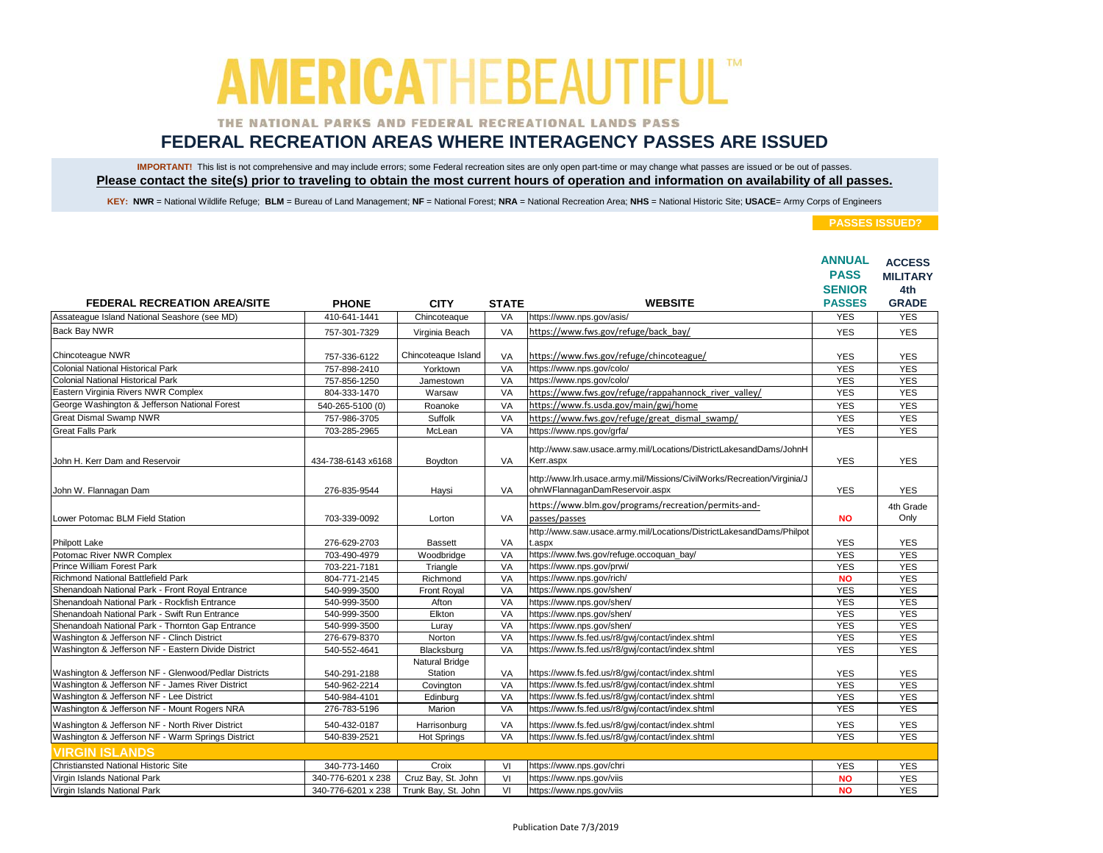### THE NATIONAL PARKS AND FEDERAL RECREATIONAL LANDS PASS

## **FEDERAL RECREATION AREAS WHERE INTERAGENCY PASSES ARE ISSUED**

IMPORTANT! This list is not comprehensive and may include errors; some Federal recreation sites are only open part-time or may change what passes are issued or be out of passes. **Please contact the site(s) prior to traveling to obtain the most current hours of operation and information on availability of all passes.**

KEY: NWR = National Wildlife Refuge; BLM = Bureau of Land Management; NF = National Forest; NRA = National Recreation Area; NHS = National Historic Site; USACE= Army Corps of Engineers

|                                                       |                    |                           |              |                                                                         | <b>ANNUAL</b> | <b>ACCESS</b>   |
|-------------------------------------------------------|--------------------|---------------------------|--------------|-------------------------------------------------------------------------|---------------|-----------------|
|                                                       |                    |                           |              |                                                                         | <b>PASS</b>   | <b>MILITARY</b> |
|                                                       |                    |                           |              |                                                                         | <b>SENIOR</b> | 4th             |
| <b>FEDERAL RECREATION AREA/SITE</b>                   | <b>PHONE</b>       | <b>CITY</b>               | <b>STATE</b> | <b>WEBSITE</b>                                                          | <b>PASSES</b> | <b>GRADE</b>    |
| Assateague Island National Seashore (see MD)          | 410-641-1441       | Chincoteaque              | VA           | https://www.nps.gov/asis/                                               | <b>YES</b>    | <b>YES</b>      |
| <b>Back Bay NWR</b>                                   | 757-301-7329       | Virginia Beach            | VA           | https://www.fws.gov/refuge/back_bay/                                    | <b>YES</b>    | <b>YES</b>      |
| Chincoteague NWR                                      | 757-336-6122       | Chincoteaque Island       | VA           | https://www.fws.gov/refuge/chincoteague/                                | <b>YES</b>    | <b>YES</b>      |
| <b>Colonial National Historical Park</b>              | 757-898-2410       | Yorktown                  | VA           | https://www.nps.gov/colo/                                               | <b>YES</b>    | <b>YES</b>      |
| Colonial National Historical Park                     | 757-856-1250       | Jamestown                 | VA           | https://www.nps.gov/colo/                                               | <b>YES</b>    | <b>YES</b>      |
| Eastern Virginia Rivers NWR Complex                   | 804-333-1470       | Warsaw                    | VA           | https://www.fws.gov/refuge/rappahannock river valley/                   | <b>YES</b>    | <b>YES</b>      |
| George Washington & Jefferson National Forest         | 540-265-5100 (0)   | Roanoke                   | VA           | https://www.fs.usda.gov/main/gwi/home                                   | <b>YES</b>    | <b>YES</b>      |
| <b>Great Dismal Swamp NWR</b>                         | 757-986-3705       | Suffolk                   | VA           | https://www.fws.gov/refuge/great dismal swamp/                          | <b>YES</b>    | <b>YES</b>      |
| <b>Great Falls Park</b>                               | 703-285-2965       | McLean                    | VA           | https://www.nps.gov/grfa/                                               | <b>YES</b>    | <b>YES</b>      |
|                                                       |                    |                           |              | http://www.saw.usace.army.mil/Locations/DistrictLakesandDams/JohnH      |               |                 |
| John H. Kerr Dam and Reservoir                        | 434-738-6143 x6168 | Boydton                   | VA           | Kerr.aspx                                                               | <b>YES</b>    | <b>YES</b>      |
|                                                       |                    |                           |              | http://www.lrh.usace.army.mil/Missions/CivilWorks/Recreation/Virginia/J |               |                 |
| John W. Flannagan Dam                                 | 276-835-9544       | Haysi                     | VA           | ohnWFlannaganDamReservoir.aspx                                          | <b>YES</b>    | <b>YES</b>      |
|                                                       |                    |                           |              | https://www.blm.gov/programs/recreation/permits-and-                    |               | 4th Grade       |
| Lower Potomac BLM Field Station                       | 703-339-0092       | Lorton                    | VA           | passes/passes                                                           | <b>NO</b>     | Only            |
|                                                       |                    |                           |              | http://www.saw.usace.army.mil/Locations/DistrictLakesandDams/Philpot    |               |                 |
| Philpott Lake                                         | 276-629-2703       | <b>Bassett</b>            | VA           | .aspx                                                                   | <b>YES</b>    | <b>YES</b>      |
| Potomac River NWR Complex                             | 703-490-4979       | Woodbridge                | VA           | https://www.fws.gov/refuge.occoquan_bay/                                | <b>YES</b>    | <b>YES</b>      |
| Prince William Forest Park                            | 703-221-7181       | Triangle                  | VA           | https://www.nps.gov/prwi/                                               | <b>YES</b>    | <b>YES</b>      |
| Richmond National Battlefield Park                    | 804-771-2145       | Richmond                  | VA           | https://www.nps.gov/rich/                                               | <b>NO</b>     | <b>YES</b>      |
| Shenandoah National Park - Front Royal Entrance       | 540-999-3500       | Front Royal               | VA           | https://www.nps.gov/shen/                                               | <b>YES</b>    | <b>YES</b>      |
| Shenandoah National Park - Rockfish Entrance          | 540-999-3500       | Afton                     | VA           | https://www.nps.gov/shen/                                               | <b>YES</b>    | <b>YES</b>      |
| Shenandoah National Park - Swift Run Entrance         | 540-999-3500       | Elkton                    | VA           | https://www.nps.gov/shen/                                               | <b>YES</b>    | <b>YES</b>      |
| Shenandoah National Park - Thornton Gap Entrance      | 540-999-3500       | Luray                     | VA           | https://www.nps.gov/shen/                                               | <b>YES</b>    | <b>YES</b>      |
| Washington & Jefferson NF - Clinch District           | 276-679-8370       | Norton                    | VA           | https://www.fs.fed.us/r8/gwj/contact/index.shtml                        | <b>YES</b>    | <b>YES</b>      |
| Washington & Jefferson NF - Eastern Divide District   | 540-552-4641       | Blacksburg                | VA           | https://www.fs.fed.us/r8/gwj/contact/index.shtml                        | <b>YES</b>    | <b>YES</b>      |
| Washington & Jefferson NF - Glenwood/Pedlar Districts | 540-291-2188       | Natural Bridge<br>Station | VA           | https://www.fs.fed.us/r8/gwj/contact/index.shtml                        | <b>YES</b>    | <b>YES</b>      |
| Washington & Jefferson NF - James River District      | 540-962-2214       | Covington                 | VA           | https://www.fs.fed.us/r8/gwj/contact/index.shtml                        | <b>YES</b>    | <b>YES</b>      |
| Washington & Jefferson NF - Lee District              | 540-984-4101       | Edinburg                  | VA           | https://www.fs.fed.us/r8/gwj/contact/index.shtml                        | <b>YES</b>    | <b>YES</b>      |
| Washington & Jefferson NF - Mount Rogers NRA          | 276-783-5196       | Marion                    | VA           | https://www.fs.fed.us/r8/gwj/contact/index.shtml                        | <b>YES</b>    | <b>YES</b>      |
| Washington & Jefferson NF - North River District      | 540-432-0187       | Harrisonburg              | VA           | https://www.fs.fed.us/r8/gwj/contact/index.shtml                        | <b>YES</b>    | <b>YES</b>      |
| Washington & Jefferson NF - Warm Springs District     | 540-839-2521       | <b>Hot Springs</b>        | VA           | https://www.fs.fed.us/r8/gwj/contact/index.shtml                        | <b>YES</b>    | <b>YES</b>      |
| <b>VIRGIN ISLANDS</b>                                 |                    |                           |              |                                                                         |               |                 |
| Christiansted National Historic Site                  | 340-773-1460       | Croix                     | VI           | https://www.nps.gov/chri                                                | <b>YES</b>    | <b>YES</b>      |
| Virgin Islands National Park                          | 340-776-6201 x 238 | Cruz Bay, St. John        | VI           | https://www.nps.gov/viis                                                | <b>NO</b>     | <b>YES</b>      |
| Virgin Islands National Park                          | 340-776-6201 x 238 | Trunk Bay, St. John       | VI           | https://www.nps.gov/viis                                                | <b>NO</b>     | <b>YES</b>      |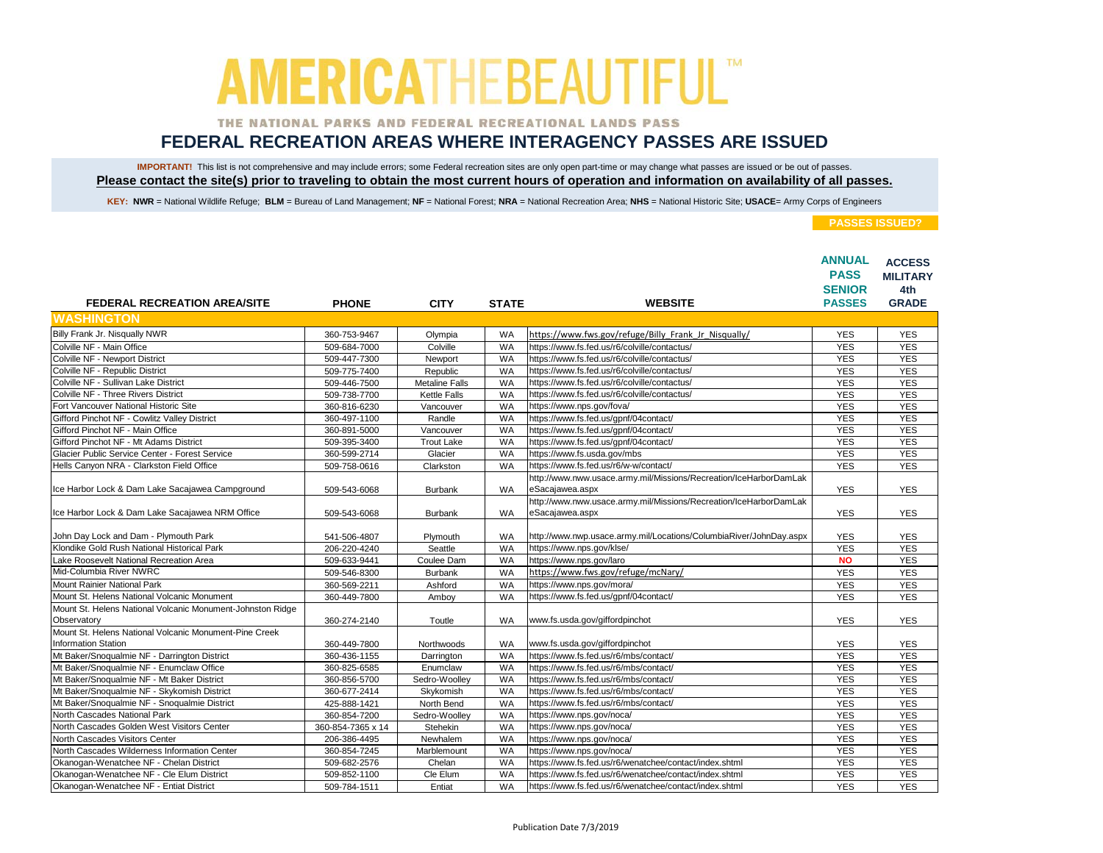### THE NATIONAL PARKS AND FEDERAL RECREATIONAL LANDS PASS

## **FEDERAL RECREATION AREAS WHERE INTERAGENCY PASSES ARE ISSUED**

IMPORTANT! This list is not comprehensive and may include errors; some Federal recreation sites are only open part-time or may change what passes are issued or be out of passes. **Please contact the site(s) prior to traveling to obtain the most current hours of operation and information on availability of all passes.**

KEY: NWR = National Wildlife Refuge; BLM = Bureau of Land Management; NF = National Forest; NRA = National Recreation Area; NHS = National Historic Site; USACE= Army Corps of Engineers

|                                                                                      |                   |                       |              | <b>WEBSITE</b>                                                                       | <b>ANNUAL</b><br><b>PASS</b><br><b>SENIOR</b><br><b>PASSES</b> | <b>ACCESS</b><br><b>MILITARY</b><br>4th<br><b>GRADE</b> |
|--------------------------------------------------------------------------------------|-------------------|-----------------------|--------------|--------------------------------------------------------------------------------------|----------------------------------------------------------------|---------------------------------------------------------|
| <b>FEDERAL RECREATION AREA/SITE</b><br><b>WASHINGTON</b>                             | <b>PHONE</b>      | <b>CITY</b>           | <b>STATE</b> |                                                                                      |                                                                |                                                         |
|                                                                                      |                   |                       |              |                                                                                      |                                                                |                                                         |
| Billy Frank Jr. Nisqually NWR                                                        | 360-753-9467      | Olympia               | <b>WA</b>    | https://www.fws.gov/refuge/Billy Frank Jr Nisqually/                                 | <b>YES</b>                                                     | <b>YES</b>                                              |
| Colville NF - Main Office                                                            | 509-684-7000      | Colville              | <b>WA</b>    | https://www.fs.fed.us/r6/colville/contactus/                                         | <b>YES</b>                                                     | <b>YES</b>                                              |
| Colville NF - Newport District                                                       | 509-447-7300      | Newport               | WA           | https://www.fs.fed.us/r6/colville/contactus/                                         | <b>YES</b>                                                     | <b>YES</b>                                              |
| Colville NF - Republic District                                                      | 509-775-7400      | Republic              | <b>WA</b>    | https://www.fs.fed.us/r6/colville/contactus/                                         | <b>YES</b>                                                     | <b>YES</b>                                              |
| Colville NF - Sullivan Lake District                                                 | 509-446-7500      | <b>Metaline Falls</b> | <b>WA</b>    | https://www.fs.fed.us/r6/colville/contactus/                                         | <b>YES</b>                                                     | <b>YES</b>                                              |
| Colville NF - Three Rivers District                                                  | 509-738-7700      | <b>Kettle Falls</b>   | <b>WA</b>    | https://www.fs.fed.us/r6/colville/contactus/                                         | <b>YES</b>                                                     | <b>YES</b>                                              |
| Fort Vancouver National Historic Site                                                | 360-816-6230      | Vancouver             | WA           | https://www.nps.gov/fova/                                                            | <b>YES</b>                                                     | <b>YES</b>                                              |
| Gifford Pinchot NF - Cowlitz Valley District                                         | 360-497-1100      | Randle                | <b>WA</b>    | https://www.fs.fed.us/gpnf/04contact/                                                | <b>YES</b>                                                     | <b>YES</b>                                              |
| Gifford Pinchot NF - Main Office                                                     | 360-891-5000      | Vancouver             | WA           | https://www.fs.fed.us/gpnf/04contact/                                                | <b>YES</b>                                                     | <b>YES</b>                                              |
| Gifford Pinchot NF - Mt Adams District                                               | 509-395-3400      | <b>Trout Lake</b>     | WA           | https://www.fs.fed.us/gpnf/04contact/                                                | <b>YES</b>                                                     | <b>YES</b>                                              |
| Glacier Public Service Center - Forest Service                                       | 360-599-2714      | Glacier               | <b>WA</b>    | https://www.fs.usda.gov/mbs                                                          | <b>YES</b>                                                     | <b>YES</b>                                              |
| Hells Canyon NRA - Clarkston Field Office                                            | 509-758-0616      | Clarkston             | <b>WA</b>    | https://www.fs.fed.us/r6/w-w/contact/                                                | <b>YES</b>                                                     | <b>YES</b>                                              |
| Ice Harbor Lock & Dam Lake Sacajawea Campground                                      | 509-543-6068      | <b>Burbank</b>        | WA           | http://www.nww.usace.army.mil/Missions/Recreation/IceHarborDamLak<br>eSacajawea.aspx | <b>YES</b>                                                     | <b>YES</b>                                              |
|                                                                                      |                   |                       |              | http://www.nww.usace.army.mil/Missions/Recreation/IceHarborDamLak                    |                                                                |                                                         |
| Ice Harbor Lock & Dam Lake Sacajawea NRM Office                                      | 509-543-6068      | <b>Burbank</b>        | WA           | eSacajawea.aspx                                                                      | <b>YES</b>                                                     | <b>YES</b>                                              |
| John Day Lock and Dam - Plymouth Park                                                | 541-506-4807      | Plymouth              | WA           | http://www.nwp.usace.army.mil/Locations/ColumbiaRiver/JohnDay.aspx                   | <b>YES</b>                                                     | <b>YES</b>                                              |
| Klondike Gold Rush National Historical Park                                          | 206-220-4240      | Seattle               | <b>WA</b>    | https://www.nps.gov/klse/                                                            | <b>YES</b>                                                     | <b>YES</b>                                              |
| Lake Roosevelt National Recreation Area                                              | 509-633-9441      | Coulee Dam            | <b>WA</b>    | https://www.nps.gov/laro                                                             | <b>NO</b>                                                      | <b>YES</b>                                              |
| Mid-Columbia River NWRC                                                              | 509-546-8300      | <b>Burbank</b>        | <b>WA</b>    | https://www.fws.gov/refuge/mcNary/                                                   | <b>YES</b>                                                     | <b>YES</b>                                              |
| Mount Rainier National Park                                                          | 360-569-2211      | Ashford               | <b>WA</b>    | https://www.nps.gov/mora/                                                            | <b>YES</b>                                                     | <b>YES</b>                                              |
| Mount St. Helens National Volcanic Monument                                          | 360-449-7800      | Amboy                 | <b>WA</b>    | https://www.fs.fed.us/gpnf/04contact/                                                | <b>YES</b>                                                     | <b>YES</b>                                              |
| Mount St. Helens National Volcanic Monument-Johnston Ridge<br>Observatory            | 360-274-2140      | Toutle                | <b>WA</b>    | www.fs.usda.gov/giffordpinchot                                                       | <b>YES</b>                                                     | <b>YES</b>                                              |
| Mount St. Helens National Volcanic Monument-Pine Creek<br><b>Information Station</b> | 360-449-7800      | Northwoods            | WA           | www.fs.usda.gov/giffordpinchot                                                       | <b>YES</b>                                                     | <b>YES</b>                                              |
| Mt Baker/Snoqualmie NF - Darrington District                                         | 360-436-1155      | Darrington            | WA           | https://www.fs.fed.us/r6/mbs/contact/                                                | <b>YES</b>                                                     | <b>YES</b>                                              |
| Mt Baker/Snoqualmie NF - Enumclaw Office                                             | 360-825-6585      | Enumclaw              | WA           | https://www.fs.fed.us/r6/mbs/contact/                                                | <b>YES</b>                                                     | <b>YES</b>                                              |
| Mt Baker/Snoqualmie NF - Mt Baker District                                           | 360-856-5700      | Sedro-Woolley         | <b>WA</b>    | https://www.fs.fed.us/r6/mbs/contact/                                                | <b>YES</b>                                                     | <b>YES</b>                                              |
| Mt Baker/Snoqualmie NF - Skykomish District                                          | 360-677-2414      | Skykomish             | <b>WA</b>    | https://www.fs.fed.us/r6/mbs/contact/                                                | <b>YES</b>                                                     | <b>YES</b>                                              |
| Mt Baker/Snoqualmie NF - Snoqualmie District                                         | 425-888-1421      | North Bend            | WA           | https://www.fs.fed.us/r6/mbs/contact/                                                | <b>YES</b>                                                     | <b>YES</b>                                              |
| North Cascades National Park                                                         | 360-854-7200      | Sedro-Woolley         | <b>WA</b>    | https://www.nps.gov/noca/                                                            | <b>YES</b>                                                     | <b>YES</b>                                              |
| North Cascades Golden West Visitors Center                                           | 360-854-7365 x 14 | Stehekin              | WA           | https://www.nps.gov/noca/                                                            | <b>YES</b>                                                     | <b>YES</b>                                              |
| North Cascades Visitors Center                                                       | 206-386-4495      | Newhalem              | WA           | https://www.nps.gov/noca/                                                            | <b>YES</b>                                                     | <b>YES</b>                                              |
| North Cascades Wilderness Information Center                                         | 360-854-7245      | Marblemount           | WA           | https://www.nps.gov/noca/                                                            | <b>YES</b>                                                     | <b>YES</b>                                              |
| Okanogan-Wenatchee NF - Chelan District                                              | 509-682-2576      | Chelan                | <b>WA</b>    | https://www.fs.fed.us/r6/wenatchee/contact/index.shtml                               | <b>YES</b>                                                     | <b>YES</b>                                              |
| Okanogan-Wenatchee NF - Cle Elum District                                            | 509-852-1100      | Cle Elum              | <b>WA</b>    | https://www.fs.fed.us/r6/wenatchee/contact/index.shtml                               | <b>YES</b>                                                     | <b>YES</b>                                              |
| Okanogan-Wenatchee NF - Entiat District                                              | 509-784-1511      | Entiat                | <b>WA</b>    | https://www.fs.fed.us/r6/wenatchee/contact/index.shtml                               | <b>YES</b>                                                     | <b>YES</b>                                              |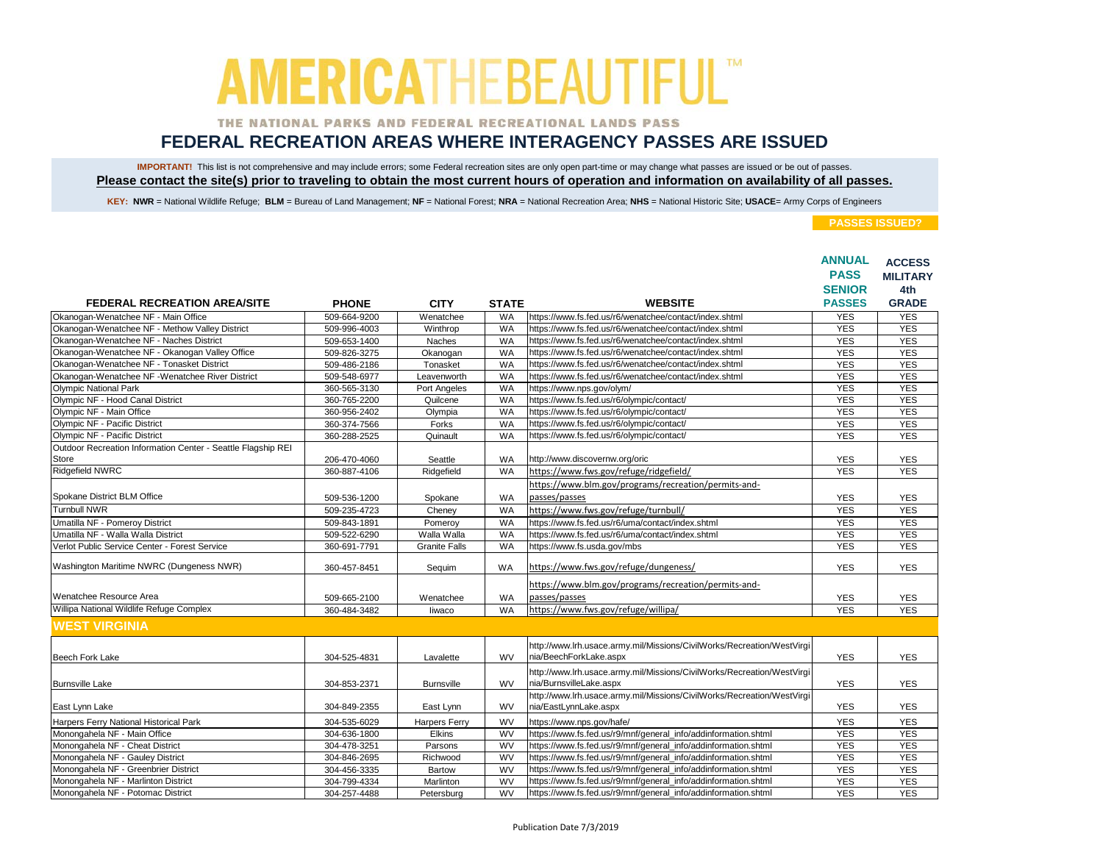### THE NATIONAL PARKS AND FEDERAL RECREATIONAL LANDS PASS

## **FEDERAL RECREATION AREAS WHERE INTERAGENCY PASSES ARE ISSUED**

IMPORTANT! This list is not comprehensive and may include errors; some Federal recreation sites are only open part-time or may change what passes are issued or be out of passes. **Please contact the site(s) prior to traveling to obtain the most current hours of operation and information on availability of all passes.**

KEY: NWR = National Wildlife Refuge; BLM = Bureau of Land Management; NF = National Forest; NRA = National Recreation Area; NHS = National Historic Site; USACE= Army Corps of Engineers

|                                                              |              |                      |              |                                                                        | <b>ANNUAL</b><br><b>PASS</b> | <b>ACCESS</b><br><b>MILITARY</b> |
|--------------------------------------------------------------|--------------|----------------------|--------------|------------------------------------------------------------------------|------------------------------|----------------------------------|
|                                                              |              |                      |              |                                                                        | <b>SENIOR</b>                | 4th                              |
| <b>FEDERAL RECREATION AREA/SITE</b>                          | <b>PHONE</b> | <b>CITY</b>          | <b>STATE</b> | <b>WEBSITE</b>                                                         | <b>PASSES</b>                | <b>GRADE</b>                     |
| Okanogan-Wenatchee NF - Main Office                          | 509-664-9200 | Wenatchee            | <b>WA</b>    | https://www.fs.fed.us/r6/wenatchee/contact/index.shtml                 | <b>YES</b>                   | <b>YES</b>                       |
| Okanogan-Wenatchee NF - Methow Valley District               | 509-996-4003 | Winthrop             | <b>WA</b>    | https://www.fs.fed.us/r6/wenatchee/contact/index.shtml                 | <b>YES</b>                   | <b>YES</b>                       |
| Okanogan-Wenatchee NF - Naches District                      | 509-653-1400 | Naches               | <b>WA</b>    | https://www.fs.fed.us/r6/wenatchee/contact/index.shtml                 | <b>YES</b>                   | <b>YES</b>                       |
| Okanogan-Wenatchee NF - Okanogan Valley Office               | 509-826-3275 | Okanogan             | <b>WA</b>    | https://www.fs.fed.us/r6/wenatchee/contact/index.shtml                 | <b>YES</b>                   | <b>YES</b>                       |
| Okanogan-Wenatchee NF - Tonasket District                    | 509-486-2186 | Tonasket             | <b>WA</b>    | https://www.fs.fed.us/r6/wenatchee/contact/index.shtml                 | <b>YES</b>                   | <b>YES</b>                       |
| Okanogan-Wenatchee NF -Wenatchee River District              | 509-548-6977 | Leavenworth          | <b>WA</b>    | https://www.fs.fed.us/r6/wenatchee/contact/index.shtml                 | <b>YES</b>                   | <b>YES</b>                       |
| <b>Olympic National Park</b>                                 | 360-565-3130 | Port Angeles         | WA           | https://www.nps.gov/olym/                                              | <b>YES</b>                   | <b>YES</b>                       |
| Olympic NF - Hood Canal District                             | 360-765-2200 | Quilcene             | WA           | https://www.fs.fed.us/r6/olympic/contact/                              | <b>YES</b>                   | <b>YES</b>                       |
| Olympic NF - Main Office                                     | 360-956-2402 | Olympia              | WA           | https://www.fs.fed.us/r6/olympic/contact/                              | <b>YES</b>                   | <b>YES</b>                       |
| Olympic NF - Pacific District                                | 360-374-7566 | Forks                | <b>WA</b>    | https://www.fs.fed.us/r6/olympic/contact/                              | <b>YES</b>                   | <b>YES</b>                       |
| Olympic NF - Pacific District                                | 360-288-2525 | Quinault             | <b>WA</b>    | https://www.fs.fed.us/r6/olympic/contact/                              | <b>YES</b>                   | <b>YES</b>                       |
| Outdoor Recreation Information Center - Seattle Flagship REI |              |                      |              |                                                                        |                              |                                  |
| Store                                                        | 206-470-4060 | Seattle              | <b>WA</b>    | http://www.discovernw.org/oric                                         | <b>YES</b>                   | <b>YES</b>                       |
| <b>Ridgefield NWRC</b>                                       | 360-887-4106 | Ridgefield           | <b>WA</b>    | https://www.fws.gov/refuge/ridgefield/                                 | <b>YES</b>                   | <b>YES</b>                       |
|                                                              |              |                      |              | https://www.blm.gov/programs/recreation/permits-and-                   |                              |                                  |
| Spokane District BLM Office                                  | 509-536-1200 | Spokane              | WA           | passes/passes                                                          | <b>YES</b>                   | <b>YES</b>                       |
| <b>Turnbull NWR</b>                                          | 509-235-4723 | Chenev               | <b>WA</b>    | https://www.fws.gov/refuge/turnbull/                                   | <b>YES</b>                   | <b>YES</b>                       |
| Umatilla NF - Pomeroy District                               | 509-843-1891 | Pomeroy              | WA           | https://www.fs.fed.us/r6/uma/contact/index.shtml                       | <b>YES</b>                   | <b>YES</b>                       |
| Umatilla NF - Walla Walla District                           | 509-522-6290 | Walla Walla          | <b>WA</b>    | https://www.fs.fed.us/r6/uma/contact/index.shtml                       | <b>YES</b>                   | <b>YES</b>                       |
| Verlot Public Service Center - Forest Service                | 360-691-7791 | <b>Granite Falls</b> | WA           | https://www.fs.usda.gov/mbs                                            | <b>YES</b>                   | <b>YES</b>                       |
|                                                              |              |                      |              |                                                                        |                              |                                  |
| Washington Maritime NWRC (Dungeness NWR)                     | 360-457-8451 | Sequim               | <b>WA</b>    | https://www.fws.gov/refuge/dungeness/                                  | <b>YES</b>                   | <b>YES</b>                       |
|                                                              |              |                      |              | https://www.blm.gov/programs/recreation/permits-and-                   |                              |                                  |
| Wenatchee Resource Area                                      | 509-665-2100 | Wenatchee            | WA           | passes/passes                                                          | <b>YES</b>                   | <b>YES</b>                       |
| Willipa National Wildlife Refuge Complex                     | 360-484-3482 | liwaco               | <b>WA</b>    | https://www.fws.gov/refuge/willipa/                                    | <b>YES</b>                   | <b>YES</b>                       |
| <b>WEST VIRGINIA</b>                                         |              |                      |              |                                                                        |                              |                                  |
|                                                              |              |                      |              |                                                                        |                              |                                  |
|                                                              |              |                      |              | http://www.lrh.usace.army.mil/Missions/CivilWorks/Recreation/WestVirgi |                              |                                  |
| Beech Fork Lake                                              | 304-525-4831 | Lavalette            | <b>WV</b>    | nia/BeechForkLake.aspx                                                 | <b>YES</b>                   | <b>YES</b>                       |
|                                                              |              |                      |              | http://www.lrh.usace.army.mil/Missions/CivilWorks/Recreation/WestVirgi |                              |                                  |
| <b>Burnsville Lake</b>                                       | 304-853-2371 | <b>Burnsville</b>    | <b>WV</b>    | nia/BurnsvilleLake.aspx                                                | <b>YES</b>                   | <b>YES</b>                       |
|                                                              |              |                      |              | http://www.lrh.usace.army.mil/Missions/CivilWorks/Recreation/WestVirgi |                              |                                  |
| East Lynn Lake                                               | 304-849-2355 | East Lynn            | <b>WV</b>    | nia/EastLynnLake.aspx                                                  | <b>YES</b>                   | <b>YES</b>                       |
| Harpers Ferry National Historical Park                       | 304-535-6029 | <b>Harpers Ferry</b> | WV           | https://www.nps.gov/hafe/                                              | <b>YES</b>                   | <b>YES</b>                       |
| Monongahela NF - Main Office                                 | 304-636-1800 | Elkins               | <b>WV</b>    | https://www.fs.fed.us/r9/mnf/general_info/addinformation.shtml         | <b>YES</b>                   | <b>YES</b>                       |
| Monongahela NF - Cheat District                              | 304-478-3251 | Parsons              | <b>WV</b>    | https://www.fs.fed.us/r9/mnf/general_info/addinformation.shtml         | <b>YES</b>                   | <b>YES</b>                       |
| Monongahela NF - Gauley District                             | 304-846-2695 | Richwood             | <b>WV</b>    | https://www.fs.fed.us/r9/mnf/general_info/addinformation.shtml         | <b>YES</b>                   | <b>YES</b>                       |
| Monongahela NF - Greenbrier District                         | 304-456-3335 | Bartow               | WV           | https://www.fs.fed.us/r9/mnf/general_info/addinformation.shtml         | <b>YES</b>                   | <b>YES</b>                       |
| Monongahela NF - Marlinton District                          | 304-799-4334 | Marlinton            | <b>WV</b>    | https://www.fs.fed.us/r9/mnf/general_info/addinformation.shtml         | <b>YES</b>                   | <b>YES</b>                       |
| Monongahela NF - Potomac District                            | 304-257-4488 | Petersburg           | WV           | https://www.fs.fed.us/r9/mnf/general_info/addinformation.shtml         | <b>YES</b>                   | <b>YES</b>                       |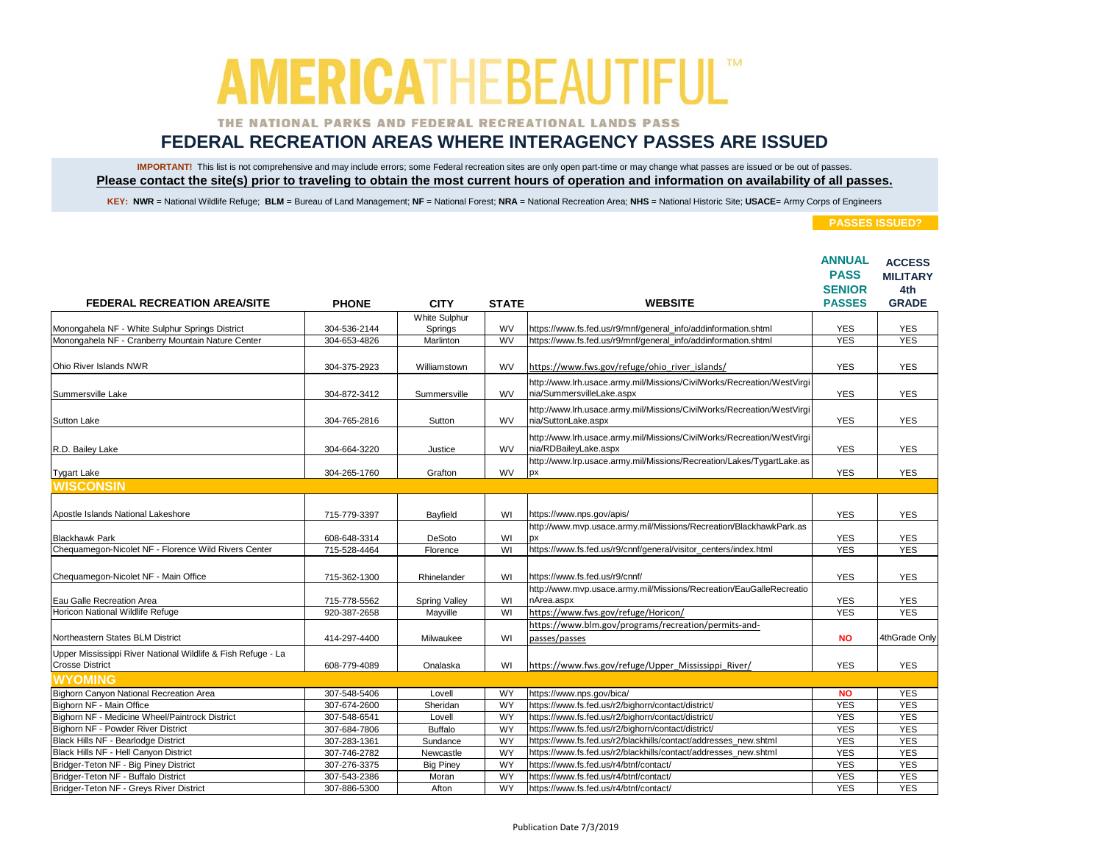### THE NATIONAL PARKS AND FEDERAL RECREATIONAL LANDS PASS

## **FEDERAL RECREATION AREAS WHERE INTERAGENCY PASSES ARE ISSUED**

IMPORTANT! This list is not comprehensive and may include errors; some Federal recreation sites are only open part-time or may change what passes are issued or be out of passes. **Please contact the site(s) prior to traveling to obtain the most current hours of operation and information on availability of all passes.**

KEY: NWR = National Wildlife Refuge; BLM = Bureau of Land Management; NF = National Forest; NRA = National Recreation Area; NHS = National Historic Site; USACE= Army Corps of Engineers

|                                                              |              |                          |              |                                                                                                     | <b>ANNUAL</b><br><b>PASS</b><br><b>SENIOR</b> | <b>ACCESS</b><br><b>MILITARY</b><br>4th |
|--------------------------------------------------------------|--------------|--------------------------|--------------|-----------------------------------------------------------------------------------------------------|-----------------------------------------------|-----------------------------------------|
| <b>FEDERAL RECREATION AREA/SITE</b>                          | <b>PHONE</b> | <b>CITY</b>              | <b>STATE</b> | <b>WEBSITE</b>                                                                                      | <b>PASSES</b>                                 | <b>GRADE</b>                            |
| Monongahela NF - White Sulphur Springs District              | 304-536-2144 | White Sulphur<br>Springs | WV           | https://www.fs.fed.us/r9/mnf/general_info/addinformation.shtml                                      | <b>YES</b>                                    | <b>YES</b>                              |
| Monongahela NF - Cranberry Mountain Nature Center            | 304-653-4826 | Marlinton                | <b>WV</b>    | https://www.fs.fed.us/r9/mnf/general_info/addinformation.shtml                                      | <b>YES</b>                                    | <b>YES</b>                              |
|                                                              |              |                          |              |                                                                                                     |                                               |                                         |
| Ohio River Islands NWR                                       | 304-375-2923 | Williamstown             | <b>WV</b>    | https://www.fws.gov/refuge/ohio river islands/                                                      | <b>YES</b>                                    | <b>YES</b>                              |
| Summersville Lake                                            | 304-872-3412 | Summersville             | WV           | http://www.lrh.usace.army.mil/Missions/CivilWorks/Recreation/WestVirgi<br>nia/SummersvilleLake.aspx | <b>YES</b>                                    | <b>YES</b>                              |
|                                                              |              |                          |              |                                                                                                     |                                               |                                         |
|                                                              |              |                          | <b>WV</b>    | http://www.lrh.usace.army.mil/Missions/CivilWorks/Recreation/WestVirgi                              |                                               |                                         |
| <b>Sutton Lake</b>                                           | 304-765-2816 | Sutton                   |              | nia/SuttonLake.aspx                                                                                 | <b>YES</b>                                    | <b>YES</b>                              |
|                                                              |              |                          |              | http://www.lrh.usace.army.mil/Missions/CivilWorks/Recreation/WestVirgi                              |                                               |                                         |
| R.D. Bailey Lake                                             | 304-664-3220 | Justice                  | WV           | nia/RDBaileyLake.aspx                                                                               | <b>YES</b>                                    | <b>YES</b>                              |
|                                                              |              |                          |              | http://www.lrp.usace.army.mil/Missions/Recreation/Lakes/TygartLake.as                               |                                               |                                         |
| <b>Tygart Lake</b>                                           | 304-265-1760 | Grafton                  | WV           | рx                                                                                                  | <b>YES</b>                                    | <b>YES</b>                              |
| <b>WISCONSIN</b>                                             |              |                          |              |                                                                                                     |                                               |                                         |
|                                                              |              |                          |              |                                                                                                     |                                               |                                         |
| Apostle Islands National Lakeshore                           | 715-779-3397 | Bayfield                 | WI           | https://www.nps.gov/apis/                                                                           | <b>YES</b>                                    | <b>YES</b>                              |
|                                                              |              |                          |              | http://www.mvp.usace.army.mil/Missions/Recreation/BlackhawkPark.as                                  |                                               |                                         |
| <b>Blackhawk Park</b>                                        | 608-648-3314 | DeSoto                   | WI           | DХ                                                                                                  | <b>YES</b>                                    | <b>YES</b>                              |
| Chequamegon-Nicolet NF - Florence Wild Rivers Center         | 715-528-4464 | Florence                 | WI           | https://www.fs.fed.us/r9/cnnf/general/visitor_centers/index.html                                    | <b>YES</b>                                    | <b>YES</b>                              |
|                                                              |              |                          |              |                                                                                                     |                                               |                                         |
| Chequamegon-Nicolet NF - Main Office                         | 715-362-1300 | Rhinelander              | WI           | https://www.fs.fed.us/r9/cnnf/                                                                      | <b>YES</b>                                    | <b>YES</b>                              |
|                                                              |              |                          |              | http://www.mvp.usace.army.mil/Missions/Recreation/EauGalleRecreatio                                 |                                               |                                         |
| Eau Galle Recreation Area                                    | 715-778-5562 | <b>Spring Valley</b>     | WI           | nArea.aspx                                                                                          | <b>YES</b>                                    | <b>YES</b>                              |
| Horicon National Wildlife Refuge                             | 920-387-2658 | Mayville                 | WI           | https://www.fws.gov/refuge/Horicon/                                                                 | <b>YES</b>                                    | <b>YES</b>                              |
|                                                              |              |                          |              | https://www.blm.gov/programs/recreation/permits-and-                                                |                                               |                                         |
| Northeastern States BLM District                             | 414-297-4400 | Milwaukee                | WI           | passes/passes                                                                                       | <b>NO</b>                                     | 4thGrade Only                           |
| Upper Mississippi River National Wildlife & Fish Refuge - La |              |                          |              |                                                                                                     |                                               |                                         |
| <b>Crosse District</b>                                       | 608-779-4089 | Onalaska                 | WI           | https://www.fws.gov/refuge/Upper Mississippi River/                                                 | <b>YES</b>                                    | <b>YES</b>                              |
| <b>WYOMING</b>                                               |              |                          |              |                                                                                                     |                                               |                                         |
| Bighorn Canyon National Recreation Area                      | 307-548-5406 | Lovell                   | WY           | https://www.nps.gov/bica/                                                                           | <b>NO</b>                                     | <b>YES</b>                              |
| Bighorn NF - Main Office                                     | 307-674-2600 | Sheridan                 | WY           | https://www.fs.fed.us/r2/bighorn/contact/district/                                                  | <b>YES</b>                                    | <b>YES</b>                              |
| Bighorn NF - Medicine Wheel/Paintrock District               | 307-548-6541 | Lovell                   | <b>WY</b>    | https://www.fs.fed.us/r2/bighorn/contact/district/                                                  | <b>YES</b>                                    | <b>YES</b>                              |
| Bighorn NF - Powder River District                           | 307-684-7806 | <b>Buffalo</b>           | WY           | https://www.fs.fed.us/r2/bighorn/contact/district/                                                  | <b>YES</b>                                    | <b>YES</b>                              |
| Black Hills NF - Bearlodge District                          | 307-283-1361 | Sundance                 | <b>WY</b>    | https://www.fs.fed.us/r2/blackhills/contact/addresses new.shtml                                     | <b>YES</b>                                    | <b>YES</b>                              |
| Black Hills NF - Hell Canyon District                        | 307-746-2782 | Newcastle                | WY           | https://www.fs.fed.us/r2/blackhills/contact/addresses_new.shtml                                     | <b>YES</b>                                    | <b>YES</b>                              |
| Bridger-Teton NF - Big Piney District                        | 307-276-3375 | <b>Big Piney</b>         | WY           | https://www.fs.fed.us/r4/btnf/contact/                                                              | <b>YES</b>                                    | <b>YES</b>                              |
| Bridger-Teton NF - Buffalo District                          | 307-543-2386 | Moran                    | WY           | https://www.fs.fed.us/r4/btnf/contact/                                                              | <b>YES</b>                                    | <b>YES</b>                              |
| Bridger-Teton NF - Greys River District                      | 307-886-5300 | Afton                    | <b>WY</b>    | https://www.fs.fed.us/r4/btnf/contact/                                                              | <b>YES</b>                                    | <b>YES</b>                              |